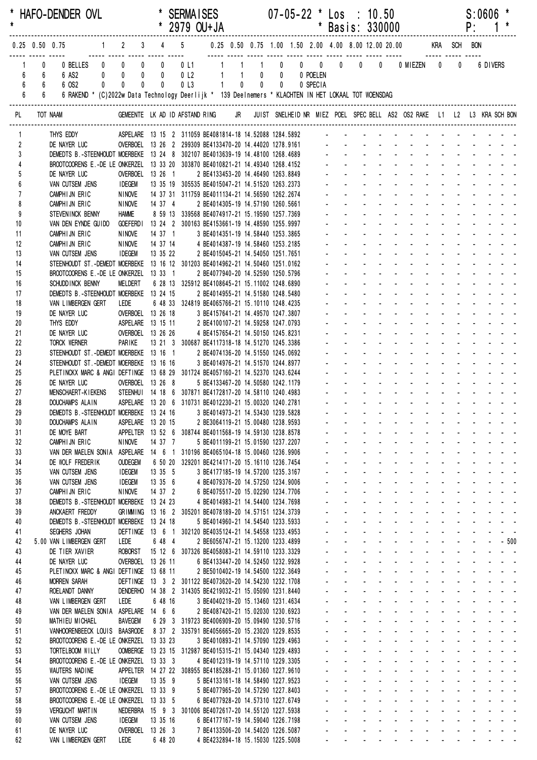| $\star$         |                                                                         | * HAFO-DENDER OVL                                                                                                                                                                                                 |                                         |                   |              | <b>SERMAISES</b><br>* 2979 OU+JA                         |                                                                        |       |                |       | 07-05-22 * Los : 10.50 |                                            |                                                        |                                    |                   | * Basis: 330000                                                                                                                                                                                                                                                         |                   | P: | S:0606                                                                                                                                        |  |
|-----------------|-------------------------------------------------------------------------|-------------------------------------------------------------------------------------------------------------------------------------------------------------------------------------------------------------------|-----------------------------------------|-------------------|--------------|----------------------------------------------------------|------------------------------------------------------------------------|-------|----------------|-------|------------------------|--------------------------------------------|--------------------------------------------------------|------------------------------------|-------------------|-------------------------------------------------------------------------------------------------------------------------------------------------------------------------------------------------------------------------------------------------------------------------|-------------------|----|-----------------------------------------------------------------------------------------------------------------------------------------------|--|
|                 |                                                                         |                                                                                                                                                                                                                   |                                         |                   |              |                                                          |                                                                        |       |                |       |                        |                                            |                                                        |                                    |                   |                                                                                                                                                                                                                                                                         |                   |    |                                                                                                                                               |  |
|                 | $^{\circ}$<br>$6\phantom{.0}$<br>6<br>6<br>$6\degree$<br>$6\phantom{a}$ | 6 OS2<br>$6\degree$<br>6 RAKEND * (C)2022w Data Technology Deerlijk * 139 Deelnemers * KLACHTEN IN HET LOKAAL TOT WOENSDAG                                                                                        | $\mathbf{0}$<br>$\overline{\mathbf{0}}$ | $\mathbf 0$       | $\mathbf{0}$ | 0 <sub>l</sub> 3                                         |                                                                        | $1 -$ | $\overline{0}$ | $0$ 0 | 0 SPECIA               |                                            |                                                        |                                    |                   |                                                                                                                                                                                                                                                                         | $\mathbf 0$       |    | 6 DIVERS                                                                                                                                      |  |
| PL              |                                                                         | TOT NAAM                                                                                                                                                                                                          |                                         |                   |              |                                                          |                                                                        |       |                |       |                        |                                            |                                                        |                                    |                   | GEMEENTE LK AD ID AFSTAND RING JR JUIST SNELHEID NR MIEZ POEL SPEC BELL AS2 OS2 RAKE L1 L2 L3 KRA SCH BON                                                                                                                                                               |                   |    |                                                                                                                                               |  |
|                 |                                                                         | THYS EDDY                                                                                                                                                                                                         |                                         |                   |              |                                                          |                                                                        |       |                |       |                        |                                            |                                                        |                                    |                   | ASPELARE 13 15 2 311059 BE4081814-18 14.52088 1284.5892 - - - - - - - - - - - -                                                                                                                                                                                         |                   |    |                                                                                                                                               |  |
| $\overline{2}$  |                                                                         | DE NAYER LUC                                                                                                                                                                                                      |                                         |                   |              |                                                          |                                                                        |       |                |       |                        |                                            |                                                        |                                    |                   |                                                                                                                                                                                                                                                                         |                   |    |                                                                                                                                               |  |
| 3<br>4          |                                                                         | DEMEDTS B.-STEENHOUDT MOERBEKE 13 24 8 302107 BE4013639-19 14.48100 1268.4689 - - - - - - - - - - - - - - - - -<br>BROOTCOORENS E.-DE LE ONKERZEL 13 33 20 303870 BE4010821-21 14.49340 1268.4152 - - - - - - - - |                                         |                   |              |                                                          |                                                                        |       |                |       |                        |                                            |                                                        |                                    |                   |                                                                                                                                                                                                                                                                         |                   |    |                                                                                                                                               |  |
| 5               |                                                                         | DE NAYER LUC                                                                                                                                                                                                      |                                         | OVERBOEL 13 26 1  |              |                                                          | 2 BE4133453-20 14.46490 1263.8849                                      |       |                |       |                        |                                            |                                                        |                                    |                   |                                                                                                                                                                                                                                                                         |                   |    |                                                                                                                                               |  |
| $6\overline{6}$ |                                                                         | VAN CUTSEM JENS                                                                                                                                                                                                   | <b>IDEGEM</b>                           |                   |              | 13 35 19 305535 BE4015047-21 14.51520 1263.2373          |                                                                        |       |                |       |                        |                                            |                                                        |                                    |                   |                                                                                                                                                                                                                                                                         |                   |    |                                                                                                                                               |  |
| $\overline{7}$  |                                                                         | CAMPHIJN ERIC                                                                                                                                                                                                     | NINOVE                                  |                   |              | 14 37 31 311759 BE4011134-21 14.56590 1262.2674          |                                                                        |       |                |       |                        |                                            |                                                        |                                    |                   |                                                                                                                                                                                                                                                                         |                   |    | and the state of the state of the state of the                                                                                                |  |
| 8<br>9          |                                                                         | CAMPHIJN ERIC<br>STEVENINCK BENNY                                                                                                                                                                                 | NINOVE<br><b>HAMME</b>                  |                   | 14 37 4      | 8 59 13 339568 BE4074917-21 15.19590 1257.7369           | 2 BE4014305-19 14.57190 1260.5661                                      |       |                |       |                        |                                            |                                                        |                                    |                   |                                                                                                                                                                                                                                                                         |                   |    |                                                                                                                                               |  |
| 10              |                                                                         | VAN DEN EYNDE GUIDO                                                                                                                                                                                               | <b>GOEFERDI</b>                         |                   |              | 13 24 2 300163 BE4153661-19 14.48590 1255.9997           |                                                                        |       |                |       |                        |                                            |                                                        |                                    |                   |                                                                                                                                                                                                                                                                         |                   |    |                                                                                                                                               |  |
| 11              |                                                                         | CAMPHIJN ERIC                                                                                                                                                                                                     | NINOVE                                  |                   | 14 37 1      |                                                          | 3 BE4014351-19 14.58440 1253.3865                                      |       |                |       |                        |                                            |                                                        |                                    |                   |                                                                                                                                                                                                                                                                         |                   |    |                                                                                                                                               |  |
| 12              |                                                                         | CAMPHIJN ERIC                                                                                                                                                                                                     | NINOVE                                  |                   | 14 37 14     |                                                          | 4 BE4014387-19 14.58460 1253.2185<br>2 BE4015045-21 14 E4050 1253.2185 |       |                |       |                        |                                            |                                                        |                                    |                   |                                                                                                                                                                                                                                                                         |                   |    |                                                                                                                                               |  |
| 13<br>14        |                                                                         | VAN CUTSEM JENS<br>STEENHOUDT ST.-DEMEDT MOERBEKE 13 16 12 301203 BE4014962-21 14.50460 1251.0162                                                                                                                 | <b>IDEGEM</b>                           |                   | 13 35 22     |                                                          |                                                                        |       |                |       |                        |                                            |                                                        |                                    |                   |                                                                                                                                                                                                                                                                         |                   |    |                                                                                                                                               |  |
| 15              |                                                                         | BROOTCOORENS E.-DE LE ONKERZEL 13 33 1                                                                                                                                                                            |                                         |                   |              |                                                          | 2 BE4077940-20 14.52590 1250.5796                                      |       |                |       |                        |                                            |                                                        |                                    |                   |                                                                                                                                                                                                                                                                         |                   |    |                                                                                                                                               |  |
| 16              |                                                                         | SCHUDD INCK BENNY                                                                                                                                                                                                 | MELDERT                                 |                   |              | 6 28 13 325912 BE4108645-21 15.11002 1248.6890           |                                                                        |       |                |       |                        |                                            |                                                        |                                    |                   |                                                                                                                                                                                                                                                                         |                   |    |                                                                                                                                               |  |
| 17              |                                                                         | DEMEDTS B.-STEENHOUDT MOERBEKE 13 24 15                                                                                                                                                                           |                                         |                   |              |                                                          | 2 BE4014955-21 14.51580 1248.5480                                      |       |                |       |                        |                                            |                                                        |                                    |                   |                                                                                                                                                                                                                                                                         |                   |    |                                                                                                                                               |  |
| 18<br>19        |                                                                         | VAN LIMBERGEN GERT<br>DE NAYER LUC                                                                                                                                                                                | Lede                                    | OVERBOEL 13 26 18 |              | 6 48 33 324819 BE4065766-21 15.10110 1248.4235           | 3 BE4157641-21 14.49570 1247.3807                                      |       |                |       |                        |                                            |                                                        |                                    |                   |                                                                                                                                                                                                                                                                         |                   |    |                                                                                                                                               |  |
| 20              |                                                                         | THYS EDDY                                                                                                                                                                                                         |                                         | ASPELARE 13 15 11 |              |                                                          | 2 BE4100107-21 14.59258 1247.0793                                      |       |                |       |                        |                                            |                                                        |                                    |                   |                                                                                                                                                                                                                                                                         |                   |    | the contract of the contract of                                                                                                               |  |
| 21              |                                                                         | DE NAYER LUC                                                                                                                                                                                                      |                                         | OVERBOEL 13 26 26 |              |                                                          | 4 BE4157654-21 14.50150 1245.8231                                      |       |                |       |                        |                                            |                                                        |                                    |                   |                                                                                                                                                                                                                                                                         |                   |    |                                                                                                                                               |  |
| 22              |                                                                         | TORCK WERNER                                                                                                                                                                                                      | PARIKE                                  |                   |              | 13 21 3 300687 BE4117318-18 14.51270 1245.3386           |                                                                        |       |                |       |                        |                                            |                                                        |                                    |                   |                                                                                                                                                                                                                                                                         |                   |    |                                                                                                                                               |  |
| 23<br>24        |                                                                         | STEENHOUDT ST. - DEMEDT MOERBEKE 13 16 1<br>STEENHOUDT ST. - DEMEDT MOERBEKE 13 16 16                                                                                                                             |                                         |                   |              |                                                          | 2 BE4074136-20 14.51550 1245.0692<br>3 BE4014976-21 14.51570 1244.8977 |       |                |       |                        |                                            |                                                        |                                    |                   | and the state of the state of the state of the state of the state of the state of the state of the state of the                                                                                                                                                         |                   |    |                                                                                                                                               |  |
| 25              |                                                                         | PLETINCKX MARC & ANGI DEFTINGE 13 68 29 301724 BE4057160-21 14.52370 1243.6244                                                                                                                                    |                                         |                   |              |                                                          |                                                                        |       |                |       |                        |                                            |                                                        |                                    |                   | design and a state of the state of the                                                                                                                                                                                                                                  |                   |    |                                                                                                                                               |  |
| 26              |                                                                         | DE NAYER LUC                                                                                                                                                                                                      |                                         | OVERBOEL 13 26 8  |              |                                                          | 5 BE4133467-20 14.50580 1242.1179                                      |       |                |       |                        |                                            |                                                        |                                    |                   | and a strategic and                                                                                                                                                                                                                                                     |                   |    | and a strain and a                                                                                                                            |  |
| 27              |                                                                         | MENSCHAERT-KIEKENS STEENHUI 14 18 6 307871 BE4172817-20 14.58110 1240.4983                                                                                                                                        |                                         |                   |              |                                                          |                                                                        |       |                |       |                        |                                            |                                                        |                                    |                   |                                                                                                                                                                                                                                                                         |                   |    |                                                                                                                                               |  |
| 28<br>29        |                                                                         | DOUCHAMPS ALAIN<br>DEMEDTS B.-STEENHOUDT MOERBEKE 13 24 16 3 BE4014973-21 14.53430 1239.5828                                                                                                                      |                                         |                   |              | ASPELARE 13 20 6 310731 BE4012230-21 15.00320 1240.2781  |                                                                        |       |                |       |                        |                                            |                                                        |                                    |                   |                                                                                                                                                                                                                                                                         |                   |    |                                                                                                                                               |  |
| 30              |                                                                         | DOUCHAMPS ALAIN                                                                                                                                                                                                   |                                         | ASPELARE 13 20 15 |              |                                                          | 2 BE3064119-21 15.00480 1238.9593                                      |       |                |       |                        |                                            |                                                        |                                    |                   | and a series of the series of the series of the                                                                                                                                                                                                                         |                   |    |                                                                                                                                               |  |
| 31              |                                                                         | DE MOYE BART                                                                                                                                                                                                      |                                         |                   |              | APPELTER 13 52 6 308744 BE4011568-19 14.59130 1238.8578  |                                                                        |       |                |       |                        |                                            | $\omega_{\rm{max}}$                                    |                                    |                   | and a straight and a straight and a                                                                                                                                                                                                                                     |                   |    | $\omega_{\rm{max}}$ , and $\omega_{\rm{max}}$                                                                                                 |  |
| 32              |                                                                         | CAMPHIJN ERIC                                                                                                                                                                                                     | <b>NINOVE</b>                           |                   | 14 37 7      |                                                          | 5 BE4011199-21 15.01590 1237.2207                                      |       |                |       |                        |                                            | $\Delta \sim 100$<br>$\mathbf{L}^{\text{max}}$         |                                    |                   | and a state of the state of the                                                                                                                                                                                                                                         | $\Delta \sim 100$ |    | $\mathbf{1}^{\prime}$ , $\mathbf{1}^{\prime}$ , $\mathbf{1}^{\prime}$ , $\mathbf{1}^{\prime}$ , $\mathbf{1}^{\prime}$ , $\mathbf{1}^{\prime}$ |  |
| 33<br>34        |                                                                         | VAN DER MAELEN SONIA ASPELARE 14 6 1 310196 BE4065104-18 15.00460 1236.9906<br>DE WOLF FREDERIK                                                                                                                   | <b>OUDEGEM</b>                          |                   |              | 6 50 20 329201 BE4214171-20 15.16110 1236.7454           |                                                                        |       |                |       |                        |                                            |                                                        | <b>Service</b> State               |                   | and the company of the company<br>and a strain and                                                                                                                                                                                                                      |                   |    |                                                                                                                                               |  |
| 35              |                                                                         | VAN CUTSEM JENS                                                                                                                                                                                                   | <b>IDEGEM</b>                           |                   | 13 35 5      |                                                          | 3 BE4177185-19 14.57200 1235.3167                                      |       |                |       |                        |                                            | $\mathbf{L}^{\text{max}}$                              | and a state                        |                   | and a series of the series of the series of the series of the series of the series of the series of the series                                                                                                                                                          |                   |    |                                                                                                                                               |  |
| 36              |                                                                         | VAN CUTSEM JENS                                                                                                                                                                                                   | <b>IDEGEM</b>                           |                   | 13 35 6      |                                                          | 4 BE4079376-20 14.57250 1234.9006                                      |       |                |       |                        |                                            | $\Delta \sim 100$                                      |                                    |                   | design and a state of the state of the                                                                                                                                                                                                                                  |                   |    |                                                                                                                                               |  |
| 37              |                                                                         | CAMPHIJN ERIC                                                                                                                                                                                                     | <b>NINOVE</b>                           |                   | 14 37 2      |                                                          | 6 BE4075517-20 15.02290 1234.7706                                      |       |                |       |                        | ä.<br>$\mathcal{L}^{\pm}$                  |                                                        |                                    |                   | and a state of the state of the state                                                                                                                                                                                                                                   |                   |    |                                                                                                                                               |  |
| 38<br>39        |                                                                         | DEMEDTS B.-STEENHOUDT MOERBEKE 13 24 23<br>ANCKAERT FREDDY                                                                                                                                                        |                                         |                   |              | GRIMMING 13 16 2 305201 BE4078189-20 14.57151 1234.3739  | 4 BE4014983-21 14.54400 1234.7698                                      |       |                |       |                        | $\mathcal{L}^{\text{max}}$                 | $\mathbf{L}^{\text{max}}$<br>$\mathbf{L}^{\text{max}}$ | $\sim 100$<br><b>Service</b> State | $\Delta \sim 100$ | and a series of the series of the series of the series of the series of the series of the series of the series<br>and a series of the series of the series of the series of the series of the series of the series of the series                                        |                   |    |                                                                                                                                               |  |
| 40              |                                                                         | DEMEDTS B.-STEENHOUDT MOERBEKE 13 24 18                                                                                                                                                                           |                                         |                   |              |                                                          | 5 BE4014960-21 14.54540 1233.5933                                      |       |                |       |                        |                                            | $\mathbf{L}^{\text{max}}$                              |                                    |                   | and a state of the state of the state of                                                                                                                                                                                                                                |                   |    |                                                                                                                                               |  |
| 41              |                                                                         | SEGHERS JOHAN                                                                                                                                                                                                     |                                         |                   |              | DEFTINGE 13 6 1 302120 BE4035124-21 14.54558 1233.4953   |                                                                        |       |                |       |                        |                                            | $\mathbf{L}^{\text{max}}$                              |                                    |                   | and a series of the contract of the series                                                                                                                                                                                                                              |                   |    |                                                                                                                                               |  |
| 42              |                                                                         | 5.00 VAN LIMBERGEN GERT                                                                                                                                                                                           | LEDE                                    |                   | 6 48 4       |                                                          | 2 BE6056747-21 15.13200 1233.4899                                      |       |                |       |                        | $\sim$                                     | $\Delta \sim 10^{-11}$<br>$\Delta \sim 100$            |                                    |                   | - - - - - - - - - - - 500<br>designed to the control of the state of                                                                                                                                                                                                    |                   |    | and a strain and                                                                                                                              |  |
| 43<br>44        |                                                                         | DE TIER XAVIER<br>DE NAYER LUC                                                                                                                                                                                    | <b>ROBORST</b>                          | OVERBOEL 13 26 11 |              | 15 12 6 307326 BE4058083-21 14.59110 1233.3329           | 6 BE4133447-20 14.52450 1232.9928                                      |       |                |       |                        | $\omega_{\rm{max}}$<br>$\omega_{\rm{max}}$ |                                                        |                                    |                   | and the company of the company of                                                                                                                                                                                                                                       |                   |    | and a strain and a                                                                                                                            |  |
| 45              |                                                                         | PLETINCKX MARC & ANGI DEFTINGE 13 68 11                                                                                                                                                                           |                                         |                   |              |                                                          | 2 BE5010402-19 14.54500 1232.3649                                      |       |                |       |                        | $\omega_{\rm{max}}$                        |                                                        |                                    |                   | and the company of the company of                                                                                                                                                                                                                                       |                   |    |                                                                                                                                               |  |
| 46              |                                                                         | MORREN SARAH                                                                                                                                                                                                      |                                         |                   |              | DEFTINGE 13 3 2 301122 BE4073620-20 14.54230 1232.1708   |                                                                        |       |                |       |                        | $\mathcal{L}^{\pm}$                        |                                                        |                                    |                   | and a series of the contract of the series of                                                                                                                                                                                                                           |                   |    |                                                                                                                                               |  |
| 47              |                                                                         | ROELANDT DANNY                                                                                                                                                                                                    |                                         |                   |              | DENDERHO 14 38 2 314305 BE4219032-21 15.05090 1231.8440  |                                                                        |       |                |       |                        |                                            | $\Delta \sim 100$                                      |                                    |                   | and a state of the state of the state of                                                                                                                                                                                                                                |                   |    |                                                                                                                                               |  |
| 48<br>49        |                                                                         | VAN LIMBERGEN GERT<br>VAN DER MAELEN SONIA ASPELARE 14 6 6                                                                                                                                                        | LEDE                                    |                   | 6 48 16      |                                                          | 3 BE4040219-20 15.13460 1231.4634<br>2 BE4087420-21 15.02030 1230.6923 |       |                |       |                        | $\Delta \sim 100$<br>$\sim$                | $\Delta \sim 100$<br>$\Delta \sim 10^{-11}$            |                                    |                   | design and a state of the state of the state of the state of the state of the state of the state of the state of the state of the state of the state of the state of the state of the state of the state of the state of the s<br>and a state of the state of the state |                   |    |                                                                                                                                               |  |
| 50              |                                                                         | MATHIEU MICHAEL                                                                                                                                                                                                   | <b>BAVEGEM</b>                          |                   |              | 6 29 3 319723 BE4006909-20 15.09490 1230.5716            |                                                                        |       |                |       |                        | $\mathbf{L}^{\text{max}}$                  |                                                        |                                    |                   | a construction of the construction of the construction of the construction of the construction of the construction of the construction of the construction of the construction of the construction of the construction of the                                           |                   |    |                                                                                                                                               |  |
| 51              |                                                                         | VANHOORENBEECK LOUIS BAASRODE 8 37 2 335791 BE4056665-20 15.23020 1229.8535                                                                                                                                       |                                         |                   |              |                                                          |                                                                        |       |                |       |                        | $\mathbf{L}^{\text{max}}$                  | $\mathbf{L}^{\text{max}}$                              |                                    |                   | and a series of the series of the series                                                                                                                                                                                                                                |                   |    |                                                                                                                                               |  |
| 52              |                                                                         | BROOTCOORENS E.-DE LE ONKERZEL 13 33 23                                                                                                                                                                           |                                         |                   |              |                                                          | 3 BE4010893-21 14.57090 1229.4963                                      |       |                |       |                        |                                            | $\mathbf{L}^{\text{max}}$                              |                                    |                   | and a straightful and a straight                                                                                                                                                                                                                                        |                   |    | and the second control of                                                                                                                     |  |
| 53<br>54        |                                                                         | TORTELBOOM WILLY<br>BROOTCOORENS E.-DE LE ONKERZEL 13 33 3                                                                                                                                                        |                                         |                   |              | OOMBERGE 13 23 15 312987 BE4015315-21 15.04340 1229.4893 | 4 BE4012319-19 14.57110 1229.3305                                      |       |                |       |                        |                                            | $\mathbf{L}^{\text{max}}$<br>$\Delta \sim 100$         |                                    |                   | and a series of the contract of the<br>design and a state of the state of                                                                                                                                                                                               |                   |    | and a strain and a                                                                                                                            |  |
| 55              |                                                                         | WAUTERS NADINE                                                                                                                                                                                                    |                                         |                   |              | APPELTER 14 27 22 308955 BE4185288-21 15.01360 1227.9610 |                                                                        |       |                |       |                        | $\mathcal{L}^{\pm}$                        | $\Delta \sim 10^{-11}$                                 |                                    |                   | and a straightful control of the straight                                                                                                                                                                                                                               |                   |    | $\omega_{\rm{max}}$ , and $\omega_{\rm{max}}$                                                                                                 |  |
| 56              |                                                                         | VAN CUTSEM JENS                                                                                                                                                                                                   | <b>IDEGEM</b>                           |                   | 13 35 9      |                                                          | 5 BE4133161-18 14.58490 1227.9523                                      |       |                |       |                        | $\omega_{\rm{max}}$                        |                                                        |                                    |                   | and the company of the company of                                                                                                                                                                                                                                       | $\Delta \sim 100$ |    | $\mathbf{1}^{\prime}$ , $\mathbf{1}^{\prime}$ , $\mathbf{1}^{\prime}$ , $\mathbf{1}^{\prime}$ , $\mathbf{1}^{\prime}$ , $\mathbf{1}^{\prime}$ |  |
| 57              |                                                                         | BROOTCOORENS E.-DE LE ONKERZEL 13 33 9                                                                                                                                                                            |                                         |                   |              |                                                          | 5 BE4077965-20 14.57290 1227.8403                                      |       |                |       |                        | $\omega_{\rm{max}}$                        | $\mathbf{z} = \mathbf{z}$ .                            |                                    |                   | designed to the control of the state of                                                                                                                                                                                                                                 |                   |    |                                                                                                                                               |  |
| 58<br>59        |                                                                         | BROOTCOORENS E.-DE LE ONKERZEL 13 33 5<br><b>VERGUCHT MARTIN</b>                                                                                                                                                  |                                         |                   |              | NEDERBRA 15 9 3 301006 BE4072617-20 14.55120 1227.5938   | 6 BE4077928-20 14.57310 1227.6749                                      |       |                |       |                        |                                            | $\Delta \sim 100$<br>$\mathbf{L}^{\text{max}}$         |                                    |                   | design and a state of the state of the<br>and a series of the contract of the                                                                                                                                                                                           |                   |    |                                                                                                                                               |  |
| 60              |                                                                         | VAN CUTSEM JENS                                                                                                                                                                                                   | <b>IDEGEM</b>                           |                   | 13 35 16     |                                                          | 6 BE4177167-19 14.59040 1226.7198                                      |       |                |       |                        | $\Delta \sim 100$                          |                                                        |                                    |                   | a construction of the construction of the construction of the construction of the construction of the construction of the construction of the construction of the construction of the construction of the construction of the                                           |                   |    |                                                                                                                                               |  |
| 61              |                                                                         | DE NAYER LUC                                                                                                                                                                                                      |                                         | OVERBOEL 13 26 3  |              |                                                          | 7 BE4133506-20 14.54020 1226.5087                                      |       |                |       |                        |                                            |                                                        |                                    |                   | and a series and a series and a series                                                                                                                                                                                                                                  |                   |    |                                                                                                                                               |  |
| 62              |                                                                         | VAN LIMBERGEN GERT                                                                                                                                                                                                | LEDE                                    |                   | 6 48 20      |                                                          | 4 BE4232894-18 15.15030 1225.5008                                      |       |                |       |                        |                                            |                                                        |                                    |                   | the contract of the contract of the contract of                                                                                                                                                                                                                         |                   |    |                                                                                                                                               |  |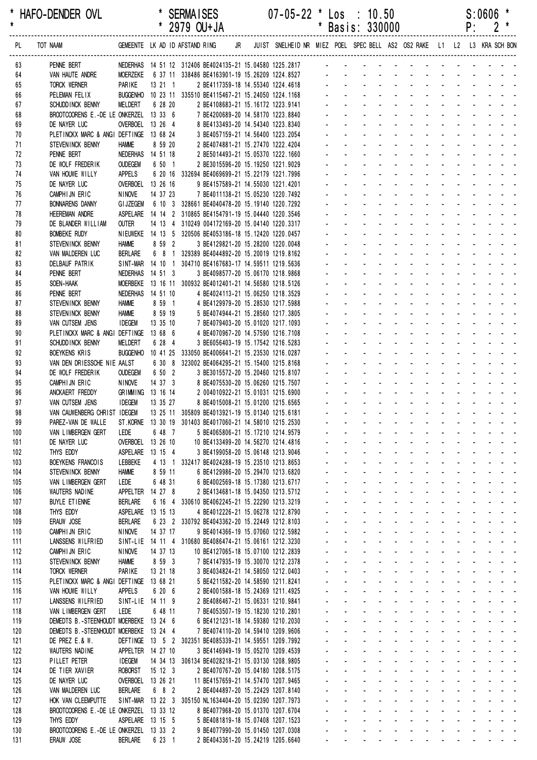| *<br>$\star$ |          | HAFO-DENDER OVL                                 |                                         |                                     |     |                    | <b>SERMAISES</b> | * 2979 OU+JA |    | $07 - 05 - 22$ * Los                                                                                       | * |                | : 10.50<br>Basis: 330000 |                              |                              |                          |              | P: | S:0606 |                           |  |
|--------------|----------|-------------------------------------------------|-----------------------------------------|-------------------------------------|-----|--------------------|------------------|--------------|----|------------------------------------------------------------------------------------------------------------|---|----------------|--------------------------|------------------------------|------------------------------|--------------------------|--------------|----|--------|---------------------------|--|
|              | PL       | TOT NAAM                                        |                                         | GEMEENTE LK AD ID AFSTAND RING      |     |                    |                  |              | JR | JUIST SNELHEID NR MIEZ POEL SPEC BELL AS2 OS2 RAKE L1 L2 L3 KRA SCH BON                                    |   |                |                          |                              |                              |                          |              |    |        |                           |  |
|              | 63       | PENNE BERT                                      |                                         |                                     |     |                    |                  |              |    | NEDERHAS 14 51 12 312406 BE4024135-21 15.04580 1225.2817                                                   |   |                |                          |                              |                              |                          |              |    |        |                           |  |
|              | 64       | VAN HAUTE ANDRE                                 |                                         | <b>MOERZEKE</b>                     |     |                    |                  |              |    | 6 37 11 338486 BE4163901-19 15.26209 1224.8527                                                             |   |                |                          |                              |                              |                          |              |    |        |                           |  |
|              | 65       | <b>TORCK WERNER</b>                             |                                         | PARIKE<br><b>BUGGENHO</b>           |     | 13211              |                  |              |    | 2 BE4117359-18 14.55340 1224.4618                                                                          |   |                |                          |                              |                              |                          |              |    |        |                           |  |
|              | 66<br>67 | PELEMAN FELIX<br>SCHUDD INCK BENNY              |                                         | <b>MELDERT</b>                      |     | 6 28 20            |                  |              |    | 10 23 11 335510 BE4115467-21 15.24050 1224.1168<br>2 BE4108683-21 15.16172 1223.9141                       |   |                |                          |                              |                              |                          |              |    |        |                           |  |
|              | 68       |                                                 | BROOTCOORENS E.-DE LE ONKERZEL 13 33 6  |                                     |     |                    |                  |              |    | 7 BE4200689-20 14.58170 1223.8840                                                                          |   |                |                          |                              |                              |                          |              |    |        |                           |  |
|              | 69       | DE NAYER LUC                                    |                                         | OVERBOEL 13 26 4                    |     |                    |                  |              |    | 8 BE4133493-20 14.54340 1223.8340                                                                          |   |                |                          |                              |                              |                          |              |    |        |                           |  |
|              | 70       | PLETINCKX MARC & ANGI DEFTINGE 13 68 24         |                                         |                                     |     |                    |                  |              |    | 3 BE4057159-21 14.56400 1223.2054                                                                          |   |                |                          |                              |                              |                          |              |    |        |                           |  |
|              | 71       | STEVENINCK BENNY                                |                                         | <b>HAMME</b>                        |     | 8 59 20            |                  |              |    | 2 BE4074881-21 15.27470 1222.4204                                                                          |   |                |                          |                              |                              |                          |              |    |        |                           |  |
|              | 72<br>73 | PENNE BERT<br>DE WOLF FREDERIK                  |                                         | NEDERHAS 14 51 18<br><b>OUDEGEM</b> |     | 6 50 1             |                  |              |    | 2 BE5014493-21 15.05370 1222.1660<br>2 BE3015596-20 15.19250 1221.9029                                     |   |                |                          |                              |                              |                          |              |    |        |                           |  |
|              | 74       | VAN HOUWE WILLY                                 |                                         | <b>APPELS</b>                       |     |                    |                  |              |    | 6 20 16 332694 BE4069699-21 15.22179 1221.7996                                                             |   |                |                          |                              |                              |                          |              |    |        |                           |  |
|              | 75       | DE NAYER LUC                                    |                                         | OVERBOEL 13 26 16                   |     |                    |                  |              |    | 9 BE4157589-21 14.55030 1221.4201                                                                          |   |                |                          |                              |                              |                          |              |    |        |                           |  |
|              | 76       | CAMPHIJN ERIC                                   |                                         | <b>NINOVE</b>                       |     | 14 37 23           |                  |              |    | 7 BE4011138-21 15.05230 1220.7492                                                                          |   |                |                          |                              |                              |                          |              |    |        |                           |  |
|              | 77<br>78 | <b>BONNARENS DANNY</b><br><b>HEEREMAN ANDRE</b> |                                         | <b>GI JZEGEM</b>                    |     |                    |                  |              |    | 6 10 3 328661 BE4040478-20 15.19140 1220.7292                                                              |   |                |                          |                              |                              |                          |              |    |        |                           |  |
|              | 79       | DE BLANDER WILLIAM                              |                                         | <b>OUTER</b>                        |     |                    |                  |              |    | ASPELARE  14 14 2 310865 BE4154791-19 15.04440 1220.3546<br>14 13 4 310249 004172169-20 15.04140 1220.3317 |   |                |                          |                              |                              |                          |              |    |        |                           |  |
|              | 80       | <b>BOMBEKE RUDY</b>                             |                                         |                                     |     |                    |                  |              |    | NIEUWEKE 14 13 5 320506 BE4053186-18 15.12420 1220.0457                                                    |   |                |                          |                              |                              |                          |              |    |        |                           |  |
|              | 81       | STEVENINCK BENNY                                |                                         | <b>HAMME</b>                        |     | 8 59 2             |                  |              |    | 3 BE4129821-20 15.28200 1220.0048                                                                          |   |                |                          |                              |                              |                          |              |    |        |                           |  |
|              | 82       | VAN MALDEREN LUC                                |                                         | <b>BERLARE</b>                      | 6 8 | $\overline{1}$     |                  |              |    | 329389 BE4044892-20 15.20019 1219.8162                                                                     |   |                |                          |                              |                              |                          |              |    |        |                           |  |
|              | 83<br>84 | <b>DELBAUF PATRIK</b><br>PENNE BERT             |                                         | SINT-MAR<br>NEDERHAS                |     | 14 10 1<br>14 51 3 |                  |              |    | 304710 BE4167683-17 14.59511 1219.5636<br>3 BE4098577-20 15.06170 1218.9868                                |   |                |                          |                              |                              |                          |              |    |        |                           |  |
|              | 85       | SOEN-HAAK                                       |                                         | <b>MOERBEKE</b>                     |     |                    |                  |              |    | 13 16 11 300932 BE4012401-21 14.56580 1218.5126                                                            |   |                |                          |                              |                              |                          |              |    |        |                           |  |
|              | 86       | PENNE BERT                                      |                                         | NEDERHAS 14 51 10                   |     |                    |                  |              |    | 4 BE4024113-21 15.06250 1218.3529                                                                          |   |                |                          |                              |                              |                          |              |    |        |                           |  |
|              | 87       | STEVENINCK BENNY                                |                                         | <b>HAMME</b>                        |     | 8 59 1             |                  |              |    | 4 BE4129979-20 15.28530 1217.5988                                                                          |   |                |                          |                              |                              |                          |              |    |        |                           |  |
|              | 88       | STEVENINCK BENNY                                |                                         | <b>HAMME</b>                        |     | 8 59 19            |                  |              |    | 5 BE4074944-21 15.28560 1217.3805                                                                          |   |                |                          |                              |                              |                          |              |    |        |                           |  |
|              | 89<br>90 | VAN CUTSEM JENS                                 | PLETINCKX MARC & ANGI DEFTINGE 13 68 6  | <b>IDEGEM</b>                       |     | 13 35 10           |                  |              |    | 7 BE4079403-20 15.01020 1217.1093<br>4 BE4070967-20 14.57590 1216.7108                                     |   |                |                          |                              |                              |                          |              |    |        |                           |  |
|              | 91       | SCHUDD INCK BENNY                               |                                         | <b>MELDERT</b>                      |     | 6 28 4             |                  |              |    | 3 BE6056403-19 15.17542 1216.5283                                                                          |   |                |                          |                              |                              |                          |              |    |        |                           |  |
|              | 92       | <b>BOEYKENS KRIS</b>                            |                                         | <b>BUGGENHO</b>                     |     | 10 41 25           |                  |              |    | 333050 BE4006641-21 15.23530 1216.0287                                                                     |   |                |                          |                              |                              |                          |              |    |        |                           |  |
|              | 93       |                                                 | VAN DEN DRIESSCHE NIE AALST             |                                     |     | 6 30 8             |                  |              |    | 323002 BE4064295-21 15.15400 1215.8168                                                                     |   |                |                          |                              |                              |                          |              |    |        |                           |  |
|              | 94<br>95 | DE WOLF FREDERIK<br>CAMPHIJN ERIC               |                                         | <b>OUDEGEM</b><br><b>NINOVE</b>     |     | 6 50 2<br>14 37 3  |                  |              |    | 3 BE3015572-20 15.20460 1215.8107<br>8 BE4075530-20 15.06260 1215.7507                                     |   |                |                          |                              |                              |                          |              |    |        |                           |  |
|              | 96       | ANCKAERT FREDDY                                 |                                         | GRIMMING 13 16 14                   |     |                    |                  |              |    | 2 004010922-21 15.01031 1215.6900                                                                          |   |                |                          |                              |                              |                          |              |    |        |                           |  |
|              | 97       | VAN CUTSEM JENS                                 |                                         | <b>IDEGEM</b>                       |     | 13 35 27           |                  |              |    | 8 BE4015008-21 15.01200 1215.6565                                                                          |   |                |                          |                              |                              |                          |              |    |        |                           |  |
|              | 98       |                                                 | VAN CAUWENBERG CHRIST IDEGEM            |                                     |     |                    |                  |              |    | 13 25 11 305809 BE4013921-19 15.01340 1215.6181                                                            |   |                |                          |                              |                              |                          |              |    |        |                           |  |
|              | 99       | PAREZ-VAN DE WALLE                              |                                         | ST.KORNE                            |     |                    |                  |              |    | 13 30 19 301403 BE4017060-21 14.58010 1215.2530<br>5 BE4065806-21 15.17210 1214.9579                       |   |                |                          |                              |                              |                          |              |    |        |                           |  |
| 100<br>101   |          | VAN LIMBERGEN GERT<br>DE NAYER LUC              |                                         | LEDE<br>OVERBOEL 13 26 10           |     | 6 48 7             |                  |              |    | 10 BE4133499-20 14.56270 1214.4816                                                                         |   |                |                          |                              |                              |                          |              |    |        |                           |  |
| 102          |          | THYS EDDY                                       |                                         | ASPELARE 13 15 4                    |     |                    |                  |              |    | 3 BE4199058-20 15.06148 1213.9046                                                                          |   |                |                          |                              |                              |                          |              |    |        |                           |  |
| 103          |          | BOEYKENS FRANCOIS                               |                                         | LEBBEKE                             |     |                    |                  |              |    | 4 13 1 332417 BE4024288-19 15.23510 1213.8653                                                              |   |                |                          |                              |                              |                          |              |    |        |                           |  |
| 104          |          | STEVENINCK BENNY                                |                                         | <b>HAMME</b>                        |     | 8 59 11            |                  |              |    | 6 BE4129986-20 15.29470 1213.6820                                                                          |   | $\blacksquare$ | $\sim$                   |                              | $\sim$                       | $\blacksquare$           |              |    |        |                           |  |
| 105<br>106   |          | VAN LIMBERGEN GERT<br><b>WAUTERS NADINE</b>     |                                         | LEDE<br>APPELTER 14 27 8            |     | 6 48 31            |                  |              |    | 6 BE4002569-18 15.17380 1213.6717<br>2 BE4134681-18 15.04350 1213.5712                                     |   |                |                          |                              |                              |                          |              |    |        |                           |  |
| 107          |          | <b>BUYLE ETIENNE</b>                            |                                         | <b>BERLARE</b>                      |     | 6 16 4             |                  |              |    | 330610 BE4062245-21 15.22290 1213.3219                                                                     |   |                |                          |                              |                              |                          |              |    |        |                           |  |
| 108          |          | THYS EDDY                                       |                                         | ASPELARE 13 15 13                   |     |                    |                  |              |    | 4 BE4012226-21 15.06278 1212.8790                                                                          |   |                |                          |                              |                              |                          |              |    |        | $\mathbf{r} = \mathbf{r}$ |  |
| 109          |          | ERAUW JOSE                                      |                                         | <b>BERLARE</b>                      |     |                    |                  |              |    | 6 23 2 330792 BE4043362-20 15.22449 1212.8103                                                              |   |                |                          | $\blacksquare$               |                              |                          |              |    |        |                           |  |
| 110          |          | CAMPHIJN ERIC                                   |                                         | <b>NINOVE</b>                       |     | 14 37 17           |                  |              |    | 9 BE4014366-19 15.07060 1212.5982                                                                          |   | $\blacksquare$ | $\sim$                   | $\blacksquare$               | $\mathbf{r}$                 |                          |              |    |        | $\sim$                    |  |
| 111<br>112   |          | LANSSENS WILFRIED<br>CAMPHIJN ERIC              |                                         | <b>NINOVE</b>                       |     | 14 37 13           |                  |              |    | SINT-LIE 14 11 4 310680 BE4086474-21 15.06161 1212.3230<br>10 BE4127065-18 15.07100 1212.2839              |   |                | $\sim$                   | $\blacksquare$               |                              |                          |              |    |        | $\sim 100$ km s $^{-1}$   |  |
| 113          |          | STEVENINCK BENNY                                |                                         | <b>HAMME</b>                        |     | 8 59 3             |                  |              |    | 7 BE4147935-19 15.30070 1212.2378                                                                          |   |                |                          |                              |                              |                          |              |    |        |                           |  |
| 114          |          | <b>TORCK WERNER</b>                             |                                         | PARIKE                              |     | 13 21 18           |                  |              |    | 3 BE4034824-21 14.58050 1212.0403                                                                          |   |                |                          |                              | $\sim$                       | $\overline{\phantom{a}}$ |              |    |        |                           |  |
| 115          |          |                                                 | PLETINCKX MARC & ANGI DEFTINGE 13 68 21 |                                     |     |                    |                  |              |    | 5 BE4211582-20 14.58590 1211.8241                                                                          |   |                |                          |                              |                              |                          |              |    |        |                           |  |
| 116<br>117   |          | VAN HOUWE WILLY<br>LANSSENS WILFRIED            |                                         | <b>APPELS</b><br>SINT-LIE 14 11 9   |     | 6 20 6             |                  |              |    | 2 BE4001588-18 15.24369 1211.4925<br>2 BE4086467-21 15.06331 1210.9841                                     |   | $\blacksquare$ |                          |                              | $\sim$                       | $\sim$                   |              |    |        |                           |  |
| 118          |          | VAN LIMBERGEN GERT                              |                                         | LEDE                                |     | 6 48 11            |                  |              |    | 7 BE4053507-19 15.18230 1210.2801                                                                          |   |                |                          |                              |                              |                          |              |    |        |                           |  |
| 119          |          |                                                 | DEMEDTS B.-STEENHOUDT MOERBEKE 13 24 6  |                                     |     |                    |                  |              |    | 6 BE4121231-18 14.59380 1210.2030                                                                          |   |                |                          |                              |                              |                          |              |    |        |                           |  |
| 120          |          |                                                 | DEMEDTS B.-STEENHOUDT MOERBEKE 13 24 4  |                                     |     |                    |                  |              |    | 7 BE4074110-20 14.59410 1209.9606                                                                          |   |                |                          |                              |                              |                          |              |    |        |                           |  |
| 121<br>122   |          | DE PREZ E.& W.<br>WAUTERS NADINE                |                                         | APPELTER 14 27 10                   |     |                    |                  |              |    | DEFTINGE 13 5 2 302351 BE4085339-21 14.59551 1209.7992<br>3 BE4146949-19 15.05270 1209.4539                |   | $\blacksquare$ | $\sim$                   | $\blacksquare$               |                              |                          |              |    |        | $\sim$ $ \sim$            |  |
| 123          |          | PILLET PETER                                    |                                         | <b>IDEGEM</b>                       |     |                    |                  |              |    | 14 34 13 306134 BE4028218-21 15.03130 1208.9805                                                            |   |                | $\blacksquare$           | $\overline{\phantom{a}}$     |                              |                          |              |    |        | $\sim 100$ km s $^{-1}$   |  |
| 124          |          | DE TIER XAVIER                                  |                                         | <b>ROBORST</b>                      |     | 15 12 3            |                  |              |    | 2 BE4070767-20 15.04180 1208.5175                                                                          |   |                |                          |                              |                              |                          |              |    |        |                           |  |
| 125          |          | DE NAYER LUC                                    |                                         | OVERBOEL 13 26 21                   |     |                    |                  |              |    | 11 BE4157659-21 14.57470 1207.9465                                                                         |   |                |                          |                              |                              |                          |              |    |        |                           |  |
| 126          |          | VAN MALDEREN LUC                                |                                         | <b>BERLARE</b>                      |     | 6 8 2              |                  |              |    | 2 BE4044897-20 15.22429 1207.8140                                                                          |   |                |                          |                              | $\mathbf{r}$<br>$\mathbf{r}$ | $\overline{\phantom{a}}$ | $\mathbf{r}$ |    |        |                           |  |
| 127<br>128   |          | HOK VAN CLEEMPUTTE                              | BROOTCOORENS E.-DE LE ONKERZEL 13 33 12 |                                     |     |                    |                  |              |    | SINT-MAR 13 22 3 305150 NL1634404-20 15.02390 1207.7973<br>8 BE4077968-20 15.01370 1207.6704               |   |                |                          | $\blacksquare$<br>$\sim 100$ | $\sim$                       | $\sim$                   |              |    |        |                           |  |
| 129          |          | THYS EDDY                                       |                                         | ASPELARE 13 15 5                    |     |                    |                  |              |    | 5 BE4081819-18 15.07408 1207.1523                                                                          |   |                |                          |                              |                              |                          |              |    |        |                           |  |
| 130          |          |                                                 | BROOTCOORENS E.-DE LE ONKERZEL 13 33 2  |                                     |     |                    |                  |              |    | 9 BE4077990-20 15.01450 1207.0308                                                                          |   |                |                          |                              |                              |                          |              |    |        |                           |  |

131 ERAUW JOSE BERLARE 6 23 1 2 BE4043361-20 15.24219 1205.6640 - - - - - - - - - - -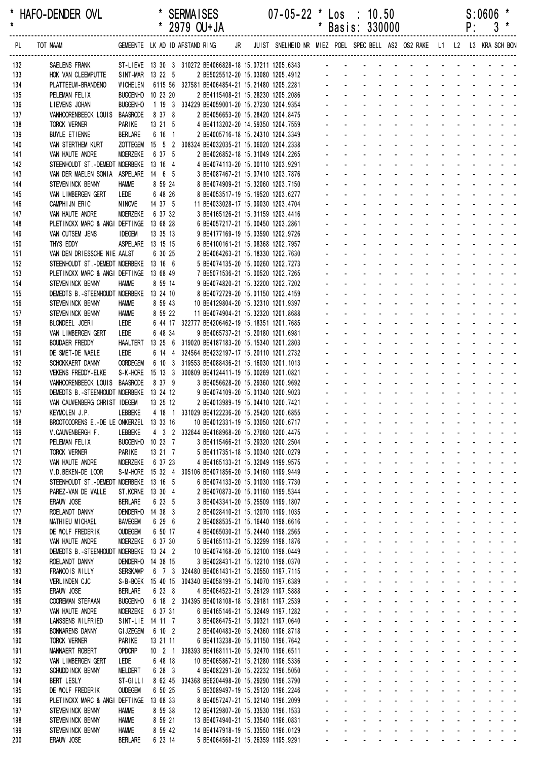| *<br>$\pmb{\star}$ | HAFO-DENDER OVL                                                                     |                                |                             | <b>SERMAISES</b><br>* 2979 OU+JA                                                                  | $07 - 05 - 22$ * Los : 10.50                                               | $\ast$                      |                                                      | Basis: 330000                                                         |                                                                              |                                                             |                                          |                                               |                                                              | P:                                   | S:0606<br>$3*$                                                                                                        |  |
|--------------------|-------------------------------------------------------------------------------------|--------------------------------|-----------------------------|---------------------------------------------------------------------------------------------------|----------------------------------------------------------------------------|-----------------------------|------------------------------------------------------|-----------------------------------------------------------------------|------------------------------------------------------------------------------|-------------------------------------------------------------|------------------------------------------|-----------------------------------------------|--------------------------------------------------------------|--------------------------------------|-----------------------------------------------------------------------------------------------------------------------|--|
| PL                 | TOT NAAM                                                                            |                                |                             | GEMEENTE LK AD ID AFSTAND RING                                                                    | JR JUIST SNELHEID NR MIEZ POEL SPEC BELL AS2 OS2 RAKE L1 L2 L3 KRA SCH BON |                             |                                                      |                                                                       |                                                                              |                                                             |                                          |                                               |                                                              |                                      |                                                                                                                       |  |
| 132                | SAELENS FRANK                                                                       |                                |                             | ST-LIEVE 13 30 3 310272 BE4066828-18 15.07211 1205.6343                                           |                                                                            |                             |                                                      |                                                                       |                                                                              |                                                             |                                          |                                               |                                                              |                                      |                                                                                                                       |  |
| 133                | HOK VAN CLEEMPUTTE                                                                  |                                | SINT-MAR 13 22 5            | 2 BE5025512-20 15.03080 1205.4912                                                                 |                                                                            |                             |                                                      |                                                                       |                                                                              |                                                             |                                          |                                               |                                                              |                                      |                                                                                                                       |  |
| 134                | PLATTEEUW-BRANDENO                                                                  | <b>WICHELEN</b>                | BUGGENHO 10 23 20           | 6115 56 327581 BE4064854-21 15.21480 1205.2281<br>2 BE4115408-21 15.28230 1205.2086               |                                                                            |                             |                                                      |                                                                       |                                                                              |                                                             |                                          |                                               |                                                              |                                      |                                                                                                                       |  |
| 135<br>136         | PELEMAN FELIX<br>LIEVENS JOHAN                                                      | <b>BUGGENHO</b>                |                             | 1 19 3 334229 BE4059001-20 15.27230 1204.9354                                                     |                                                                            |                             |                                                      |                                                                       |                                                                              |                                                             |                                          |                                               |                                                              |                                      |                                                                                                                       |  |
| 137                | VANHOORENBEECK LOUIS BAASRODE                                                       |                                | 8 37 8                      | 2 BE4056653-20 15.28420 1204.8475                                                                 |                                                                            |                             |                                                      |                                                                       |                                                                              |                                                             |                                          |                                               |                                                              |                                      |                                                                                                                       |  |
| 138                | TORCK WERNER                                                                        | PARIKE                         | 13 21 5                     | 4 BE4113202-20 14.59350 1204.7559                                                                 |                                                                            |                             |                                                      |                                                                       |                                                                              |                                                             |                                          |                                               |                                                              |                                      |                                                                                                                       |  |
| 139                | <b>BUYLE ETIENNE</b>                                                                | <b>BERLARE</b>                 | 6 16 1                      | 2 BE4005716-18 15.24310 1204.3349                                                                 |                                                                            |                             |                                                      |                                                                       |                                                                              |                                                             |                                          |                                               |                                                              |                                      |                                                                                                                       |  |
| 140<br>141         | VAN STERTHEM KURT<br>VAN HAUTE ANDRE                                                | MOERZEKE                       | 6 37 5                      | ZOTTEGEM  15  5  2  308324 BE4032035-21  15.06020  1204.2338<br>2 BE4026852-18 15.31049 1204.2265 |                                                                            |                             |                                                      |                                                                       |                                                                              |                                                             |                                          |                                               |                                                              |                                      |                                                                                                                       |  |
| 142                | STEENHOUDT ST. - DEMEDT MOERBEKE 13 16 4                                            |                                |                             | 4 BE4074113-20 15.00110 1203.9291                                                                 |                                                                            |                             |                                                      |                                                                       |                                                                              |                                                             |                                          |                                               |                                                              |                                      |                                                                                                                       |  |
| 143                | VAN DER MAELEN SONIA ASPELARE 14 6 5                                                |                                |                             | 3 BE4087467-21 15.07410 1203.7876                                                                 |                                                                            |                             |                                                      |                                                                       |                                                                              |                                                             |                                          |                                               | $\mathbf{r} = \mathbf{r} + \mathbf{r}$                       |                                      |                                                                                                                       |  |
| 144                | STEVENINCK BENNY                                                                    | <b>HAMME</b>                   | 8 59 24                     | 8 BE4074909-21 15.32060 1203.7150                                                                 |                                                                            |                             |                                                      |                                                                       |                                                                              |                                                             |                                          |                                               |                                                              |                                      |                                                                                                                       |  |
| 145                | VAN LIMBERGEN GERT                                                                  | LEDE                           | 6 48 26                     | 8 BE4053517-19 15.19520 1203.6277                                                                 |                                                                            |                             |                                                      |                                                                       |                                                                              |                                                             |                                          |                                               |                                                              | $\mathbf{L} = \mathbf{L} \mathbf{L}$ |                                                                                                                       |  |
| 146<br>147         | CAMPHIJN ERIC<br>VAN HAUTE ANDRE                                                    | <b>NINOVE</b><br>MOERZEKE      | 14 37 5<br>6 37 32          | 11 BE4033028-17 15.09030 1203.4704<br>3 BE4165126-21 15.31159 1203.4416                           |                                                                            |                             |                                                      |                                                                       |                                                                              |                                                             |                                          |                                               |                                                              |                                      |                                                                                                                       |  |
| 148                | PLETINCKX MARC & ANGI DEFTINGE                                                      |                                | 13 68 28                    | 6 BE4057217-21 15.00450 1203.2861                                                                 |                                                                            |                             |                                                      |                                                                       |                                                                              |                                                             |                                          |                                               |                                                              |                                      |                                                                                                                       |  |
| 149                | VAN CUTSEM JENS                                                                     | <b>IDEGEM</b>                  | 13 35 13                    | 9 BE4177169-19 15.03590 1202.9726                                                                 |                                                                            |                             |                                                      |                                                                       |                                                                              |                                                             |                                          |                                               |                                                              |                                      |                                                                                                                       |  |
| 150                | THYS EDDY                                                                           |                                | ASPELARE 13 15 15           | 6 BE4100161-21 15.08368 1202.7957                                                                 |                                                                            |                             |                                                      |                                                                       |                                                                              |                                                             |                                          |                                               |                                                              |                                      |                                                                                                                       |  |
| 151                | VAN DEN DRIESSCHE NIE AALST                                                         |                                | 6 30 25                     | 2 BE4064263-21 15.18330 1202.7630                                                                 |                                                                            |                             |                                                      |                                                                       |                                                                              |                                                             |                                          |                                               |                                                              |                                      |                                                                                                                       |  |
| 152<br>153         | STEENHOUDT ST. - DEMEDT MOERBEKE 13 16 6<br>PLETINCKX MARC & ANGI DEFTINGE 13 68 49 |                                |                             | 5 BE4074135-20 15.00260 1202.7273<br>7 BE5071536-21 15.00520 1202.7265                            |                                                                            |                             |                                                      |                                                                       |                                                                              |                                                             |                                          |                                               |                                                              |                                      |                                                                                                                       |  |
| 154                | STEVENINCK BENNY                                                                    | <b>HAMME</b>                   | 8 59 14                     | 9 BE4074820-21 15.32200 1202.7202                                                                 |                                                                            |                             |                                                      |                                                                       |                                                                              |                                                             |                                          |                                               |                                                              |                                      |                                                                                                                       |  |
| 155                | DEMEDTS B.-STEENHOUDT MOERBEKE 13 24 10                                             |                                |                             | 8 BE4072729-20 15.01150 1202.4159                                                                 |                                                                            |                             |                                                      |                                                                       |                                                                              |                                                             |                                          |                                               | $\mathbf{L} = \mathbf{L} \mathbf{L} + \mathbf{L} \mathbf{L}$ |                                      |                                                                                                                       |  |
| 156                | STEVENINCK BENNY                                                                    | <b>HAMME</b>                   | 8 59 43                     | 10 BE4129804-20 15.32310 1201.9397                                                                |                                                                            |                             |                                                      |                                                                       |                                                                              |                                                             |                                          |                                               |                                                              |                                      |                                                                                                                       |  |
| 157                | STEVENINCK BENNY                                                                    | <b>HAMME</b>                   | 8 59 22                     | 11 BE4074904-21 15.32320 1201.8688                                                                |                                                                            |                             |                                                      |                                                                       |                                                                              |                                                             |                                          |                                               |                                                              | $\mathbf{L} = \mathbf{L} \mathbf{L}$ |                                                                                                                       |  |
| 158<br>159         | BLONDEEL JOERI<br>VAN LIMBERGEN GERT                                                | LEDE<br>LEDE                   | 6 48 34                     | 6 44 17 322777 BE4206462-19 15.18351 1201.7685<br>9 BE4065737-21 15.20180 1201.6981               |                                                                            |                             |                                                      |                                                                       |                                                                              |                                                             |                                          |                                               |                                                              |                                      |                                                                                                                       |  |
| 160                | <b>BOUDAER FREDDY</b>                                                               | <b>HAALTERT</b>                |                             | 13 25 6 319020 BE4187183-20 15.15340 1201.2803                                                    |                                                                            |                             |                                                      |                                                                       |                                                                              |                                                             |                                          |                                               |                                                              |                                      |                                                                                                                       |  |
| 161                | DE SMET-DE WAELE                                                                    | LEDE                           |                             | 6 14 4 324564 BE4232197-17 15.20110 1201.2732                                                     |                                                                            |                             |                                                      |                                                                       |                                                                              |                                                             |                                          |                                               | $\mathbf{r} = \mathbf{r}$                                    |                                      |                                                                                                                       |  |
| 162                | SCHOKKAERT DANNY                                                                    | <b>OORDEGEM</b>                |                             | 6 10 3 319553 BE4088436-21 15.16030 1201.1013                                                     |                                                                            |                             |                                                      |                                                                       |                                                                              |                                                             |                                          |                                               |                                                              |                                      |                                                                                                                       |  |
| 163                | <b>VEKENS FREDDY-ELKE</b>                                                           | S-K-HORE                       |                             | 15 13 3 300809 BE4124411-19 15.00269 1201.0821                                                    |                                                                            |                             |                                                      |                                                                       |                                                                              |                                                             |                                          |                                               | $\Delta \sim 10^4$                                           |                                      |                                                                                                                       |  |
| 164<br>165         | VANHOORENBEECK LOUIS BAASRODE<br>DEMEDTS B.-STEENHOUDT MOERBEKE 13 24 12            |                                | 8 37 9                      | 3 BE4056628-20 15.29360 1200.9692<br>9 BE4074109-20 15.01340 1200.9023                            |                                                                            |                             |                                                      |                                                                       |                                                                              |                                                             | $\mathbf{r}$                             |                                               |                                                              |                                      |                                                                                                                       |  |
| 166                | VAN CAUWENBERG CHRIST IDEGEM                                                        |                                | 13 25 12                    | 2 BE4013989-19 15.04410 1200.7421                                                                 |                                                                            |                             |                                                      |                                                                       |                                                                              |                                                             |                                          |                                               |                                                              |                                      |                                                                                                                       |  |
| 167                | KEYMOLEN J.P.                                                                       |                                |                             | LEBBEKE 4 18 1 331029 BE4122236-20 15.25420 1200.6855                                             |                                                                            |                             |                                                      |                                                                       |                                                                              |                                                             |                                          |                                               |                                                              |                                      |                                                                                                                       |  |
| 168                | BROOTCOORENS E.-DE LE ONKERZEL 13 33 16                                             |                                |                             | 10 BE4012331-19 15.03050 1200.6717                                                                |                                                                            |                             |                                                      |                                                                       |                                                                              |                                                             |                                          |                                               |                                                              |                                      | المنابذ والمستنقي والمستنقي والمستنقص والمستنق                                                                        |  |
| 169                | V.CAUWENBERGH F.                                                                    | LEBBEKE                        |                             | 4 3 2 332644 BE4168968-20 15.27060 1200.4475                                                      |                                                                            |                             |                                                      | $\Delta \sim 100$                                                     | and a straightful and a straight                                             |                                                             |                                          |                                               | $\Delta \sim 100$                                            |                                      | $\begin{array}{cccccccccccccc} \bullet & \bullet & \bullet & \bullet & \bullet & \bullet & \bullet \end{array}$       |  |
| 170<br>171         | PELEMAN FELIX<br>TORCK WERNER                                                       | PARIKE                         | BUGGENHO 10 23 7<br>13 21 7 | 3 BE4115466-21 15.29320 1200.2504<br>5 BE4117351-18 15.00340 1200.0279                            |                                                                            |                             |                                                      | $\Delta \sim 100$<br>$\Delta \sim 100$                                | $\Delta \sim 100$<br>$\Delta \sim 100$                                       | $\Delta \sim 100$<br>$\Delta \sim 100$                      | $\Delta \sim 10^4$                       |                                               |                                                              |                                      |                                                                                                                       |  |
| 172                | VAN HAUTE ANDRE                                                                     | MOERZEKE                       | 6 37 23                     | 4 BE4165133-21 15.32049 1199.9575                                                                 |                                                                            |                             |                                                      |                                                                       | $\Delta \sim 100$<br>$\sim$                                                  |                                                             |                                          |                                               |                                                              |                                      |                                                                                                                       |  |
| 173                | V.D. BEKEN-DE LOOR                                                                  |                                |                             | S-M-HORE 15 32 4 305106 BE4071856-20 15.04160 1199.9449                                           |                                                                            |                             |                                                      |                                                                       | $\mathbf{u}$ .<br>$\mathbf{L}^{\text{max}}$                                  | $\sim$                                                      |                                          | $\mathbf{L} = \mathbf{L}$                     | $\Delta \sim 100$                                            |                                      | $\omega_{\rm{max}}$ , and $\omega_{\rm{max}}$                                                                         |  |
| 174                | STEENHOUDT ST. - DEMEDT MOERBEKE                                                    |                                | 13 16 5                     | 6 BE4074133-20 15.01030 1199.7730                                                                 |                                                                            |                             | ä,                                                   | $\mathbf{u} = \mathbf{u}$                                             | $\mathcal{L}^{\text{max}}$                                                   | $\Delta \sim 100$                                           |                                          | $\Delta \phi = \Delta \phi$ and $\Delta \phi$ |                                                              |                                      | and a strain and a                                                                                                    |  |
| 175                | PAREZ-VAN DE WALLE                                                                  | ST.KORNE                       | 13 30 4                     | 2 BE4070873-20 15.01160 1199.5344                                                                 |                                                                            | a.                          | $\mathbf{r}$                                         | $\Delta \sim 100$                                                     | $\mathbf{L}^{\text{max}}$                                                    | $\Delta \sim 10^4$<br>$\Delta \sim 100$                     |                                          | and a state                                   |                                                              |                                      | and a strain and a                                                                                                    |  |
| 176<br>177         | ERAUW JOSE<br>ROELANDT DANNY                                                        | <b>BERLARE</b>                 | 6 23 5<br>DENDERHO 14 38 3  | 3 BE4043341-20 15.25509 1199.1807<br>2 BE4028410-21 15.12070 1199.1035                            |                                                                            | $\blacksquare$              | $\blacksquare$<br>$\blacksquare$                     | $\sim$<br>$\sim$                                                      | $\mathcal{L}_{\rm{max}}$<br>$\mathbf{r}$<br>$\omega_{\rm{max}}$              | $\mathcal{L}^{\mathcal{L}}$                                 | $\omega_{\rm{max}}$<br>$\omega$          | $\sim$                                        | $\omega_{\rm{max}}$                                          |                                      | and a state of                                                                                                        |  |
| 178                | MATHIEU MICHAEL                                                                     | <b>BAVEGEM</b>                 | 6 29 6                      | 2 BE4088535-21 15.16440 1198.6616                                                                 |                                                                            |                             | $\blacksquare$                                       |                                                                       | $\mathcal{L}^{\mathcal{A}}$<br>$\mathbf{L}^{\text{max}}$                     |                                                             | $\mathcal{L}^{\text{max}}$               |                                               | ä,                                                           |                                      | $\mathbf{1}^{\prime}$ , $\mathbf{1}^{\prime}$ , $\mathbf{1}^{\prime}$ , $\mathbf{1}^{\prime}$ , $\mathbf{1}^{\prime}$ |  |
| 179                | DE WOLF FREDERIK                                                                    | <b>OUDEGEM</b>                 | 6 50 17                     | 4 BE4065030-21 15.24440 1198.2565                                                                 |                                                                            |                             | a.                                                   | $\Delta \sim 100$                                                     | $\omega_{\rm{max}}=0.1$                                                      | $\sim$                                                      |                                          | $\omega_{\rm{max}}$ , $\omega_{\rm{max}}$     | $\Delta \sim 100$                                            |                                      | $\mathbf{L} = \mathbf{L} \times \mathbf{L} = \mathbf{L}$                                                              |  |
| 180                | VAN HAUTE ANDRE                                                                     | <b>MOERZEKE</b>                | 6 37 30                     | 5 BE4165113-21 15.32299 1198.1876                                                                 |                                                                            | $\mathcal{L}_{\mathcal{A}}$ | ä,                                                   | $\Delta \sim 100$                                                     | $\Delta\phi_{\rm{max}}$ and $\Delta\phi_{\rm{max}}$                          | $\Delta \sim 100$                                           |                                          | $\Delta \phi = \Delta \phi$                   | ÷.                                                           | ÷.                                   | and the state of the                                                                                                  |  |
| 181                | DEMEDTS B.-STEENHOUDT MOERBEKE                                                      |                                | 13 24 2                     | 10 BE4074168-20 15.02100 1198.0449                                                                |                                                                            |                             | $\omega_{\rm{max}}$                                  | $\mathbf{L}^{\text{max}}$<br>$\Delta \sim 100$                        | <b>All Cards</b>                                                             | $\Delta \sim 100$                                           |                                          | and a state                                   | $\Delta \sim 10^4$                                           | $\Delta \sim 10^{-1}$                | $\omega_{\rm{eff}}$ , $\omega_{\rm{eff}}$ , $\omega_{\rm{eff}}$                                                       |  |
| 182<br>183         | ROELANDT DANNY<br>FRANCOIS WILLY                                                    | <b>SERSKAMP</b>                | DENDERHO 14 38 15           | 3 BE4028431-21 15.12210 1198.0370<br>6 7 3 324480 BE4061431-21 15.20550 1197.7115                 |                                                                            | $\mathcal{L}_{\mathcal{A}}$ | $\sim$                                               | $\Delta \sim 100$<br>$\Delta \sim 100$                                | $\Delta \sim 100$<br>and the company of the company                          | $\Delta \sim 100$<br>$\Delta \sim 100$                      | $\sim 100$<br>$\Delta \sim 100$          |                                               |                                                              |                                      | بالمنابذ والمستنبذ                                                                                                    |  |
| 184                | VERLINDEN CJC                                                                       | S-B-BOEK                       |                             | 15 40 15 304340 BE4058199-21 15.04070 1197.6389                                                   |                                                                            |                             |                                                      |                                                                       | $\sim$<br>and a state                                                        | $\sim$ $-$                                                  | $\Delta \sim 10^4$                       |                                               |                                                              |                                      |                                                                                                                       |  |
| 185                | ERAUW JOSE                                                                          | <b>BERLARE</b>                 | 6 23 8                      | 4 BE4064523-21 15.26129 1197.5888                                                                 |                                                                            |                             |                                                      |                                                                       | $\omega_{\rm{max}}=0.1$                                                      | $\Delta \sim 100$                                           |                                          | $\omega_{\rm{max}}$ , $\omega_{\rm{max}}$     |                                                              |                                      | $\mathbf{L} = \mathbf{L} \mathbf{L} + \mathbf{L} \mathbf{L} + \mathbf{L} \mathbf{L}$                                  |  |
| 186                | COOREMAN STEFAAN                                                                    | <b>BUGGENHO</b>                |                             | 6 18 2 334395 BE4018108-18 15.29181 1197.2539                                                     |                                                                            |                             | ä,                                                   | $\Delta \sim 100$                                                     | $\omega_{\rm{max}}$<br>$\sim$                                                | $\Delta \sim 100$                                           |                                          | and a state                                   |                                                              |                                      | and a strain and                                                                                                      |  |
| 187                | VAN HAUTE ANDRE                                                                     | MOERZEKE                       | 6 37 31                     | 6 BE4165146-21 15.32449 1197.1282                                                                 |                                                                            | a.                          | $\mathbf{r}$                                         | $\omega_{\rm{max}}$                                                   | $\omega_{\rm{max}}$                                                          | $\Delta \sim 10^4$<br>$\Delta \sim 10^4$                    |                                          | and a state                                   | $\Delta \sim 10^{-11}$                                       |                                      | $\omega_{\rm{max}}$ , and $\omega_{\rm{max}}$                                                                         |  |
| 188<br>189         | LANSSENS WILFRIED<br><b>BONNARENS DANNY</b>                                         | <b>GI JZEGEM</b>               | SINT-LIE 14 11 7<br>6 10 2  | 3 BE4086475-21 15.09321 1197.0640<br>2 BE4040483-20 15.24360 1196.8718                            |                                                                            | $\blacksquare$              | $\blacksquare$<br>$\blacksquare$                     | $\sim$<br>$\Delta \sim 100$                                           | $\mathbf{r}$<br>$\mathbf{r}$<br>$\sim 100$<br>$\mathcal{L}_{\mathcal{A}}$    | $\sim$<br>$\mathcal{L}_{\mathcal{A}}$                       | $\omega_{\rm{max}}$<br>$\mathbf{u}$      | $\sim$<br>$\sim$                              | $\omega_{\rm{max}}$                                          | $\Delta \sim 100$                    | $\omega_{\rm{eff}}=2.00$ km $^{-1}$<br>بالمنابذ والمستنبذ                                                             |  |
| 190                | TORCK WERNER                                                                        | PARIKE                         | 13 21 11                    | 6 BE4113238-20 15.01150 1196.7642                                                                 |                                                                            |                             | $\blacksquare$                                       |                                                                       | and a state<br>$\sim$                                                        | $\omega$                                                    | $\sim 100$                               |                                               | $\mathcal{L}^{\mathcal{A}}$                                  |                                      | $\mathbf{1}^{\prime}$ , $\mathbf{1}^{\prime}$ , $\mathbf{1}^{\prime}$ , $\mathbf{1}^{\prime}$ , $\mathbf{1}^{\prime}$ |  |
| 191                | MANNAERT ROBERT                                                                     | <b>OPDORP</b>                  |                             | 10 2 1 338393 BE4168111-20 15.32470 1196.6511                                                     |                                                                            |                             | a.                                                   | $\Delta \sim 100$                                                     | $\omega_{\rm{max}}$ , $\omega_{\rm{max}}$                                    | $\sim$                                                      |                                          | $\omega_{\rm{max}}$ , $\omega_{\rm{max}}$     | $\Delta \sim 100$                                            |                                      | $\mathbf{L}^{\text{max}} = \mathbf{L}^{\text{max}} = \mathbf{L}^{\text{max}}$                                         |  |
| 192                | VAN LIMBERGEN GERT                                                                  | Lede                           | 6 48 18                     | 10 BE4065867-21 15.21280 1196.5336                                                                |                                                                            |                             | ä,                                                   | $\Delta \sim 10^{-1}$                                                 | $\Delta\phi_{\rm{max}}$ and $\Delta\phi_{\rm{max}}$                          | $\Delta \sim 100$                                           |                                          | $\omega_{\rm{max}}=2.5$                       | ÷.                                                           | $\mathcal{L}^{\mathcal{A}}$          | $\omega_{\rm{max}}$ , $\omega_{\rm{max}}$                                                                             |  |
| 193                | SCHUDD INCK BENNY                                                                   | MELDERT                        | 6 28 3                      | 4 BE4082291-20 15.22232 1196.5050                                                                 |                                                                            |                             | $\Delta \sim 10^{-1}$                                | $\mathbf{L}^{\text{max}}$<br>$\Delta \sim 10^{-1}$                    | <b>All Cards</b>                                                             | $\Delta \sim 100$                                           | $\Delta \sim 100$                        | $\sim$                                        | $\Delta \sim 10^4$                                           | $\Delta \sim 10^{-1}$                | $\mathbf{a} = \mathbf{a} + \mathbf{a}$ , and                                                                          |  |
| 194<br>195         | <b>BERT LESLY</b><br>DE WOLF FREDERIK                                               | ST-GILLI<br><b>OUDEGEM</b>     | 6 50 25                     | 8 62 45 334368 BE6204498-20 15.29290 1196.3790<br>5 BE3089497-19 15.25120 1196.2246               |                                                                            | $\sim$                      | $\sim$                                               | $\Delta \sim 100$<br>$\Delta \sim 100$<br>$\Delta \sim 100$           | $\omega_{\rm{max}}$<br>$\mathcal{L}_{\rm{max}}$ and $\mathcal{L}_{\rm{max}}$ | $\Delta \sim 100$<br>$\Delta \sim 100$<br>$\Delta \sim 100$ | $\mathcal{L}^{\text{max}}$<br>$\sim 100$ |                                               |                                                              |                                      | بالمنابذ والمستنبذ                                                                                                    |  |
| 196                | PLETINCKX MARC & ANGI DEFTINGE                                                      |                                | 13 68 33                    | 8 BE4057247-21 15.02140 1196.2099                                                                 |                                                                            |                             | $\mathcal{L}^{\pm}$                                  |                                                                       | $\sim$<br>and a state                                                        | $\sim$                                                      | $\sim 100$                               |                                               | $\mathcal{L}^{\text{max}}$                                   |                                      |                                                                                                                       |  |
| 197                | STEVENINCK BENNY                                                                    | <b>HAMME</b>                   | 8 59 38                     | 12 BE4129807-20 15.33530 1196.1533                                                                |                                                                            |                             | a.                                                   | $\Delta \sim 100$                                                     | $\sim$<br>$\mathbf{L}^{\text{max}}$                                          | $\sim$                                                      |                                          | $\omega_{\rm{max}}$ , $\omega_{\rm{max}}$     |                                                              |                                      | $\mathbf{r}$ , and $\mathbf{r}$ , and $\mathbf{r}$                                                                    |  |
| 198                | STEVENINCK BENNY                                                                    | <b>HAMME</b>                   | 8 59 21                     | 13 BE4074940-21 15.33540 1196.0831                                                                |                                                                            | ÷.                          | $\mathbf{r}$                                         | $\Delta \sim 10^{-11}$                                                | $\omega_{\rm{max}}$<br>$\mathcal{L}^{\mathcal{A}}$                           | $\mathcal{L}$                                               |                                          | and a state                                   |                                                              |                                      | and a strain and a                                                                                                    |  |
| 199                | STEVENINCK BENNY                                                                    | <b>HAMME</b><br><b>BERLARE</b> | 8 59 42                     | 14 BE4147918-19 15.33550 1196.0129                                                                |                                                                            |                             | ÷.<br>$\mathbf{z} = \mathbf{z}$<br>$\Delta \sim 100$ | $\mathbf{L}^{\text{max}}$<br>$\omega_{\rm{max}}$<br>$\Delta \sim 100$ | $\omega_{\rm{max}}$<br>المتواطن والمتواطن والمتواطن                          | $\omega_{\rm{max}}$<br>$\Delta \sim 10^{-1}$                |                                          | and a straight                                |                                                              | $\Delta \sim 10^4$                   | $\Delta \phi = \Delta \phi = \Delta \phi$<br>$\omega_{\rm{eff}}=2.00$ km $^{-1}$                                      |  |
| 200                | ERAUW JOSE                                                                          |                                | 6 23 14                     | 5 BE4064568-21 15.26359 1195.9291                                                                 |                                                                            |                             |                                                      |                                                                       |                                                                              |                                                             |                                          |                                               |                                                              |                                      |                                                                                                                       |  |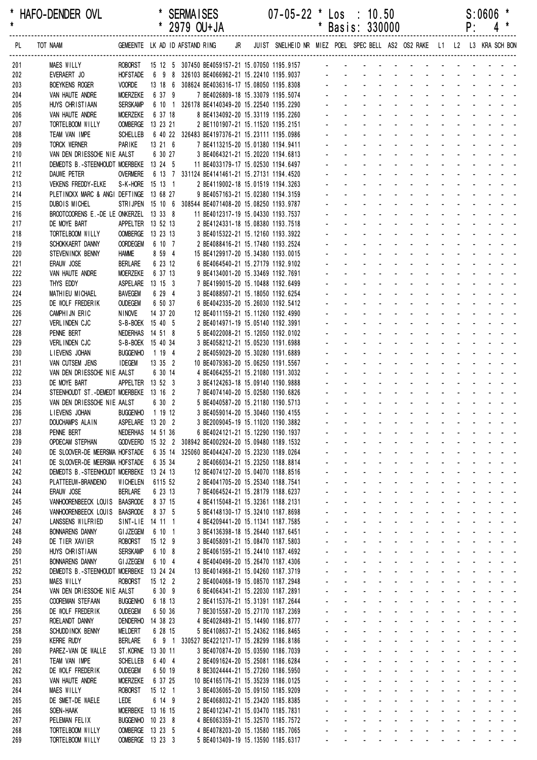| *          | HAFO-DENDER OVL                                                               |                            |                            | <b>SERMAISES</b>                                                                                             |  | $07 - 05 - 22$ * Los : 10.50                                           |         |             |                                                                                                                                                                                                                               |                          |                                       |                                   |                                           |                                               | S:0606 | *                                                                                                             |
|------------|-------------------------------------------------------------------------------|----------------------------|----------------------------|--------------------------------------------------------------------------------------------------------------|--|------------------------------------------------------------------------|---------|-------------|-------------------------------------------------------------------------------------------------------------------------------------------------------------------------------------------------------------------------------|--------------------------|---------------------------------------|-----------------------------------|-------------------------------------------|-----------------------------------------------|--------|---------------------------------------------------------------------------------------------------------------|
| $\star$    |                                                                               |                            |                            | * 2979 OU+JA                                                                                                 |  |                                                                        | $\star$ |             | Basis: 330000                                                                                                                                                                                                                 |                          |                                       |                                   |                                           | P:                                            |        | 4                                                                                                             |
| PL         | TOT NAAM                                                                      |                            |                            | GEMEENTE LK AD ID AFSTAND RING JR JUIST SNELHEID NR MIEZ POEL SPECBELL AS2 OS2 RAKE L1 L2 L3 KRA SCH-BON     |  |                                                                        |         |             |                                                                                                                                                                                                                               |                          |                                       |                                   |                                           |                                               |        |                                                                                                               |
| 201        | MAES WILLY                                                                    |                            |                            | ROBORST 15 12 5 307450 BE4059157-21 15.07050 1195.9157 - - - - - -                                           |  |                                                                        |         |             |                                                                                                                                                                                                                               |                          |                                       |                                   |                                           |                                               |        |                                                                                                               |
| 202<br>203 | EVERAERT JO<br><b>BOEYKENS ROGER</b>                                          | <b>VOORDE</b>              |                            | HOFSTADE   6  9  8  326103 BE4066962-21 15.22410 1195.9037<br>13 18 6 308624 BE4036316-17 15.08050 1195.8308 |  |                                                                        |         |             | de la provincia de la provincia de la                                                                                                                                                                                         |                          |                                       |                                   |                                           |                                               |        |                                                                                                               |
| 204        | VAN HAUTE ANDRE                                                               | <b>MOERZEKE</b>            | 6 37 9                     |                                                                                                              |  | 7 BE4026809-18 15.33079 1195.5074                                      |         |             | $\mathbf{L}^{\text{max}} = \mathbf{L}^{\text{max}} = \mathbf{L}^{\text{max}} = \mathbf{L}^{\text{max}}$                                                                                                                       |                          |                                       |                                   |                                           |                                               |        |                                                                                                               |
| 205        | HUYS CHRISTIAAN                                                               | <b>SERSKAMP</b>            |                            | 6 10 1 326178 BE4140349-20 15.22540 1195.2290                                                                |  |                                                                        |         |             |                                                                                                                                                                                                                               |                          |                                       |                                   |                                           |                                               |        |                                                                                                               |
| 206        | VAN HAUTE ANDRE                                                               | <b>MOERZEKE</b>            | 6 37 18                    |                                                                                                              |  | 8 BE4134092-20 15.33119 1195.2260                                      |         |             |                                                                                                                                                                                                                               |                          |                                       |                                   | $\sim$ $^{-1}$                            |                                               |        |                                                                                                               |
| 207        | TORTELBOOM WILLY                                                              |                            | OOMBERGE 13 23 21          |                                                                                                              |  | 2 BE1101907-21 15.11520 1195.2151                                      |         |             |                                                                                                                                                                                                                               |                          |                                       |                                   |                                           |                                               |        |                                                                                                               |
| 208        | TEAM VAN IMPE                                                                 | <b>SCHELLEB</b>            |                            | 6 40 22 326483 BE4197376-21 15.23111 1195.0986                                                               |  |                                                                        |         |             |                                                                                                                                                                                                                               |                          |                                       |                                   |                                           |                                               |        |                                                                                                               |
| 209        | TORCK WERNER                                                                  | PARIKE                     | 13 21 6                    | 7 BE4113215-20 15.01380 1194.9411                                                                            |  |                                                                        |         |             | .                                                                                                                                                                                                                             |                          |                                       |                                   |                                           |                                               |        |                                                                                                               |
| 210        | VAN DEN DRIESSCHE NIE AALST                                                   |                            | 6 30 27                    |                                                                                                              |  | 3 BE4064321-21 15.20220 1194.6813                                      |         |             |                                                                                                                                                                                                                               | <b>Contractor</b>        | ÷.                                    | and the state of the state of the |                                           |                                               |        |                                                                                                               |
| 211        | DEMEDTS B.-STEENHOUDT MOERBEKE 13 24 5                                        |                            |                            | 11 BE4033179-17 15.02530 1194.6497                                                                           |  |                                                                        |         |             |                                                                                                                                                                                                                               |                          |                                       |                                   | $\omega_{\rm{max}}$ , $\omega_{\rm{max}}$ | and a state                                   |        |                                                                                                               |
| 212        | DAUWE PETER                                                                   | <b>OVERMERE</b>            |                            | 6 13 7 331124 BE4141461-21 15.27131 1194.4520                                                                |  |                                                                        |         |             |                                                                                                                                                                                                                               |                          |                                       |                                   |                                           |                                               |        |                                                                                                               |
| 213        | VEKENS FREDDY-ELKE                                                            |                            | S-K-HORE 15 13 1           |                                                                                                              |  | 2 BE4119002-18 15.01519 1194.3263                                      |         |             |                                                                                                                                                                                                                               |                          |                                       |                                   |                                           |                                               |        |                                                                                                               |
| 214        | PLETINCKX MARC & ANGI DEFTINGE 13 68 27<br><b>DUBOIS MICHEL</b>               |                            |                            |                                                                                                              |  | 9 BE4057163-21 15.02380 1194.3159                                      |         |             |                                                                                                                                                                                                                               |                          |                                       |                                   |                                           |                                               |        |                                                                                                               |
| 215<br>216 | BROOTCOORENS E.-DE LE ONKERZEL 13 33 8                                        |                            |                            | STRIJPEN 15 10 6 308544 BE4071408-20 15.08250 1193.9787<br>11 BE4012317-19 15.04330 1193.7537                |  |                                                                        |         |             |                                                                                                                                                                                                                               | $\sim 100$               | ÷.                                    |                                   | ÷.                                        |                                               |        |                                                                                                               |
| 217        | DE MOYE BART                                                                  |                            | APPELTER 13 52 13          | 2 BE4124331-18 15.08380 1193.7518                                                                            |  |                                                                        |         |             |                                                                                                                                                                                                                               |                          |                                       |                                   |                                           |                                               |        |                                                                                                               |
| 218        | TORTELBOOM WILLY                                                              |                            | OOMBERGE 13 23 13          |                                                                                                              |  | 3 BE4015322-21 15.12160 1193.3922                                      |         |             |                                                                                                                                                                                                                               |                          |                                       |                                   |                                           |                                               |        |                                                                                                               |
| 219        | SCHOKKAERT DANNY                                                              |                            | OORDEGEM 6 10 7            |                                                                                                              |  | 2 BE4088416-21 15.17480 1193.2524                                      |         |             |                                                                                                                                                                                                                               |                          |                                       |                                   |                                           |                                               |        |                                                                                                               |
| 220        | STEVENINCK BENNY                                                              | <b>HAMME</b>               | 8 59 4                     | 15 BE4129917-20 15.34380 1193.0015                                                                           |  |                                                                        |         |             |                                                                                                                                                                                                                               |                          |                                       | and the state of the state of the |                                           |                                               |        |                                                                                                               |
| 221        | ERAUW JOSE                                                                    | <b>BERLARE</b>             | 6 23 12                    |                                                                                                              |  | 6 BE4064540-21 15.27179 1192.9102                                      |         |             |                                                                                                                                                                                                                               |                          |                                       | and a straight and a straight     |                                           |                                               |        |                                                                                                               |
| 222        | VAN HAUTE ANDRE                                                               | <b>MOERZEKE</b>            | 6 37 13                    |                                                                                                              |  | 9 BE4134001-20 15.33469 1192.7691                                      |         |             |                                                                                                                                                                                                                               | <b>Contract Contract</b> | ÷.                                    |                                   |                                           | and the state of the state of                 |        |                                                                                                               |
| 223        | THYS EDDY                                                                     |                            | ASPELARE 13 15 3           |                                                                                                              |  | 7 BE4199015-20 15.10488 1192.6499                                      |         |             |                                                                                                                                                                                                                               |                          |                                       |                                   | $\mathbf{L} = \mathbf{L} \mathbf{L}$      | $\Delta \phi = \Delta \phi$ and $\Delta \phi$ |        |                                                                                                               |
| 224        | MATHIEU MICHAEL                                                               | <b>BAVEGEM</b>             | 6 29 4                     |                                                                                                              |  | 3 BE4088507-21 15.18050 1192.6254                                      |         |             |                                                                                                                                                                                                                               |                          |                                       |                                   |                                           |                                               |        |                                                                                                               |
| 225        | DE WOLF FREDERIK                                                              | <b>OUDEGEM</b>             | 6 50 37                    |                                                                                                              |  | 6 BE4042335-20 15.26030 1192.5412                                      |         |             |                                                                                                                                                                                                                               |                          |                                       |                                   |                                           |                                               |        |                                                                                                               |
| 226        | CAMPHIJN ERIC                                                                 | <b>NINOVE</b>              | 14 37 20                   | 12 BE4011159-21 15.11260 1192.4990                                                                           |  |                                                                        |         |             | and a strain                                                                                                                                                                                                                  |                          |                                       | and the state of the state of the |                                           |                                               |        |                                                                                                               |
| 227        | VERLINDEN CJC                                                                 |                            | S-B-BOEK 15 40 5           |                                                                                                              |  | 2 BE4014971-19 15.05140 1192.3991                                      |         |             |                                                                                                                                                                                                                               |                          |                                       | and a strain and a strain and     |                                           |                                               |        |                                                                                                               |
| 228        | PENNE BERT                                                                    |                            | NEDERHAS 14 51 8           |                                                                                                              |  | 5 BE4022008-21 15.12050 1192.0102                                      |         |             |                                                                                                                                                                                                                               | and a state              | $\mathcal{L}$                         | $\sim 100$                        | $\Delta \sim 100$                         | and a state                                   |        |                                                                                                               |
| 229        | VERLINDEN CJC                                                                 |                            | S-B-BOEK 15 40 34          |                                                                                                              |  | 3 BE4058212-21 15.05230 1191.6988                                      |         |             |                                                                                                                                                                                                                               |                          |                                       | and a state                       | $\mathcal{L}^{\text{max}}$                |                                               |        |                                                                                                               |
| 230        | LIEVENS JOHAN                                                                 | <b>BUGGENHO</b>            | 1 19 4                     |                                                                                                              |  | 2 BE4059029-20 15.30280 1191.6889                                      |         |             |                                                                                                                                                                                                                               |                          |                                       | and a state of                    | $\sim$ $^{-1}$                            |                                               |        | and a strain and a                                                                                            |
| 231<br>232 | VAN CUTSEM JENS<br>VAN DEN DRIESSCHE NIE AALST                                | <b>IDEGEM</b>              | 13 35 2<br>6 30 14         | 10 BE4079363-20 15.06250 1191.5567                                                                           |  | 4 BE4064255-21 15.21080 1191.3032                                      |         |             | $\mathbf{z} = \mathbf{z} + \mathbf{z}$ , where $\mathbf{z}$<br>$\omega_{\rm{eff}}=2.0\pm0.00\pm0.001$                                                                                                                         |                          |                                       |                                   |                                           |                                               |        | and the second contract of the second second                                                                  |
| 233        | DE MOYE BART                                                                  |                            | APPELTER 13 52 3           |                                                                                                              |  | 3 BE4124263-18 15.09140 1190.9888                                      |         |             |                                                                                                                                                                                                                               |                          |                                       |                                   |                                           |                                               |        | and a state of the state of the state of the state of the state of the state of the state of the state of the |
| 234        | STEENHOUDT ST. - DEMEDT MOERBEKE 13 16 2                                      |                            |                            |                                                                                                              |  | 7 BE4074140-20 15.02580 1190.6826                                      |         |             |                                                                                                                                                                                                                               |                          |                                       |                                   |                                           |                                               |        | <u>.</u>                                                                                                      |
| 235        | VAN DEN DRIESSCHE NIE AALST                                                   |                            | 6 30 2                     |                                                                                                              |  | 5 BE4040587-20 15.21180 1190.5713                                      |         |             | $\Delta \sim 10^{-11}$                                                                                                                                                                                                        |                          | and a strategic and a strategic and a |                                   |                                           |                                               |        |                                                                                                               |
| 236        | LIEVENS JOHAN                                                                 |                            | BUGGENHO 1 19 12           |                                                                                                              |  | 3 BF4059014-20 15 30460 1190 4155                                      |         |             | .                                                                                                                                                                                                                             |                          |                                       |                                   |                                           |                                               |        |                                                                                                               |
| 237        | DOUCHAMPS ALAIN                                                               |                            | ASPELARE 13 20 2           |                                                                                                              |  | 3 BE2009045-19 15.11020 1190.3882                                      |         |             | المنابذ والمستنقل والمستنقل والمستنقل والمستنقل والمستنقل                                                                                                                                                                     |                          |                                       |                                   |                                           |                                               |        |                                                                                                               |
| 238        | PENNE BERT                                                                    |                            | NEDERHAS 14 51 36          |                                                                                                              |  | 6 BE4024121-21 15.12290 1190.1937                                      |         |             | المنافذ والمنافر والمنافر والمنافر والمنافر والمنافر                                                                                                                                                                          |                          |                                       |                                   |                                           |                                               |        |                                                                                                               |
| 239        | <b>OPDECAM STEPHAN</b>                                                        |                            |                            | GODVEERD 15 32 2 308942 BE4002924-20 15.09480 1189.1532                                                      |  |                                                                        |         |             | a construction of the construction of the construction of the construction of the construction of the construction of the construction of the construction of the construction of the construction of the construction of the |                          |                                       |                                   |                                           |                                               |        |                                                                                                               |
| 240        | DE SLOOVER-DE MEERSMA HOFSTADE 6 35 14 325060 BE4044247-20 15.23230 1189.0264 |                            |                            |                                                                                                              |  |                                                                        |         |             | a construction of the construction of the construction of the construction of the construction of the construction of the construction of the construction of the construction of the construction of the construction of the |                          |                                       |                                   |                                           |                                               |        |                                                                                                               |
| 241        | DE SLOOVER-DE MEERSMA HOFSTADE                                                |                            | 6 35 34                    |                                                                                                              |  | 2 BE4066034-21 15.23250 1188.8814                                      |         |             | <u>.</u>                                                                                                                                                                                                                      |                          |                                       |                                   |                                           |                                               |        |                                                                                                               |
| 242        | DEMEDTS B.-STEENHOUDT MOERBEKE 13 24 13                                       |                            |                            | 12 BE4074127-20 15.04070 1188.8516                                                                           |  |                                                                        |         | and a state |                                                                                                                                                                                                                               |                          |                                       |                                   |                                           |                                               |        | and a series of the contract of the                                                                           |
| 243        | PLATTEEUW-BRANDENO                                                            | <b>WICHELEN</b>            | 6115 52                    |                                                                                                              |  | 2 BE4041705-20 15.25340 1188.7541                                      |         | and a state |                                                                                                                                                                                                                               |                          |                                       |                                   |                                           |                                               |        | المناطق والمتناط والمتناط والمتناط والمتناط                                                                   |
| 244        | ERAUW JOSE                                                                    | <b>BERLARE</b>             | 6 23 13                    |                                                                                                              |  | 7 BE4064524-21 15.28179 1188.6237                                      |         |             | and a series of the contract of the series of                                                                                                                                                                                 |                          |                                       |                                   |                                           |                                               |        |                                                                                                               |
| 245        | VANHOORENBEECK LOUIS BAASRODE                                                 |                            | 8 37 15                    |                                                                                                              |  | 4 BE4115048-21 15.32361 1188.2131                                      |         | and a state | and a series of the contract of the series of                                                                                                                                                                                 |                          |                                       |                                   |                                           |                                               |        | and a state of the state of the state                                                                         |
| 246<br>247 | VANHOORENBEECK LOUIS BAASRODE                                                 |                            | 8 37 5                     |                                                                                                              |  | 5 BE4148130-17 15.32410 1187.8698                                      |         |             | <u>.</u>                                                                                                                                                                                                                      |                          |                                       |                                   |                                           |                                               |        |                                                                                                               |
| 248        | LANSSENS WILFRIED<br><b>BONNARENS DANNY</b>                                   | <b>GI JZEGEM</b>           | SINT-LIE 14 11 1<br>6 10 1 |                                                                                                              |  | 4 BE4209441-20 15.11341 1187.7585<br>3 BE4136398-18 15.26440 1187.6451 |         |             | a construction of the construction of the construction of the construction of the construction of the construction of the construction of the construction of the construction of the construction of the construction of the |                          |                                       |                                   |                                           |                                               |        |                                                                                                               |
| 249        | DE TIER XAVIER                                                                |                            | ROBORST 15 12 9            |                                                                                                              |  | 3 BE4058091-21 15.08470 1187.5803                                      |         |             | المنافذ والمنافر والمنافر والمنافر والمنافر والمنافر                                                                                                                                                                          |                          |                                       |                                   |                                           |                                               |        |                                                                                                               |
| 250        | HUYS CHRISTIAAN                                                               | <b>SERSKAMP</b>            | 6 10 8                     |                                                                                                              |  | 2 BE4061595-21 15.24410 1187.4692                                      |         |             | المناطق والمناطق والمناطق والمناطق والمناطق والمناطق                                                                                                                                                                          |                          |                                       |                                   |                                           |                                               |        |                                                                                                               |
| 251        | <b>BONNARENS DANNY</b>                                                        | <b>GI JZEGEM</b>           | 6 10 4                     |                                                                                                              |  | 4 BE4040496-20 15.26470 1187.4306                                      |         |             | a construction of the construction of the construction of the construction of the construction of the construction of the construction of the construction of the construction of the construction of the construction of the |                          |                                       |                                   |                                           |                                               |        |                                                                                                               |
| 252        | DEMEDTS B.-STEENHOUDT MOERBEKE 13 24 24                                       |                            |                            | 13 BE4014968-21 15.04260 1187.3719                                                                           |  |                                                                        |         |             | <u>.</u>                                                                                                                                                                                                                      |                          |                                       |                                   |                                           |                                               |        |                                                                                                               |
| 253        | <b>MAES WILLY</b>                                                             | ROBORST                    | 15 12 2                    |                                                                                                              |  | 2 BE4004068-19 15.08570 1187.2948                                      |         |             | <u>.</u>                                                                                                                                                                                                                      |                          |                                       |                                   |                                           |                                               |        |                                                                                                               |
| 254        | VAN DEN DRIESSCHE NIE AALST                                                   |                            | 6 30 9                     |                                                                                                              |  | 6 BE4064341-21 15.22030 1187.2891                                      |         |             | a construction of the construction of the construction of the construction of the construction of the construction of the construction of the construction of the construction of the construction of the construction of the |                          |                                       |                                   |                                           |                                               |        |                                                                                                               |
| 255        | <b>COOREMAN STEFAAN</b>                                                       | <b>BUGGENHO</b>            | 6 18 13                    |                                                                                                              |  | 2 BE4115376-21 15.31391 1187.2644                                      |         |             | a construction of the construction of the construction of the construction of the construction of the construction of the construction of the construction of the construction of the construction of the construction of the |                          |                                       |                                   |                                           |                                               |        |                                                                                                               |
| 256        | DE WOLF FREDERIK                                                              | <b>OUDEGEM</b>             | 6 50 36                    |                                                                                                              |  | 7 BE3015587-20 15.27170 1187.2369                                      |         |             | المناطق والمناطق والمناطق والمناطق والمناطق والمناطق                                                                                                                                                                          |                          |                                       |                                   |                                           |                                               |        |                                                                                                               |
| 257        | ROELANDT DANNY                                                                |                            | DENDERHO 14 38 23          |                                                                                                              |  | 4 BE4028489-21 15.14490 1186.8777                                      |         |             | a construction of the construction of the construction of the construction of the construction of the construction of the construction of the construction of the construction of the construction of the construction of the |                          |                                       |                                   |                                           |                                               |        |                                                                                                               |
| 258        | SCHUDD INCK BENNY                                                             | MELDERT                    | 6 28 15                    |                                                                                                              |  | 5 BE4108637-21 15.24362 1186.8465                                      |         |             | and a series of the contract of the series of                                                                                                                                                                                 |                          |                                       |                                   |                                           |                                               |        |                                                                                                               |
| 259        | <b>KERRE RUDY</b>                                                             | <b>BERLARE</b>             |                            | 6 9 1 330527 BE4221217-17 15.28299 1186.8186                                                                 |  |                                                                        |         |             | and a series and a series and a series of                                                                                                                                                                                     |                          |                                       |                                   |                                           |                                               |        |                                                                                                               |
| 260        | PAREZ-VAN DE WALLE                                                            |                            | ST.KORNE 13 30 11          |                                                                                                              |  | 3 BE4070874-20 15.03590 1186.7039                                      |         |             | المنافذ والمنافر والمنافر والمنافر والمنافر والمنافر                                                                                                                                                                          |                          |                                       |                                   |                                           |                                               |        |                                                                                                               |
| 261        | TEAM VAN IMPE                                                                 | <b>SCHELLEB</b>            | 6 40 4                     |                                                                                                              |  | 2 BE4091624-20 15.25081 1186.6284                                      |         |             | المناطق والمناطق والمناطق والمناطق والمناطق والمناطق                                                                                                                                                                          |                          |                                       |                                   |                                           |                                               |        |                                                                                                               |
| 262        | DE WOLF FREDERIK                                                              | <b>OUDEGEM</b>             | 6 50 19                    |                                                                                                              |  | 8 BE3024444-21 15.27260 1186.5950                                      |         |             | المناطق والمناطق والمناطق والمناطق والمناطق والمناطق<br>المنافذ والمستنقذ والمستحدث والمستحدث والمستنقذ                                                                                                                       |                          |                                       |                                   |                                           |                                               |        |                                                                                                               |
| 263        | VAN HAUTE ANDRE<br><b>MAES WILLY</b>                                          | MOERZEKE<br><b>ROBORST</b> | 6 37 25<br>15 12 1         | 10 BE4165176-21 15.35239 1186.0125                                                                           |  |                                                                        |         |             | <u>.</u>                                                                                                                                                                                                                      |                          |                                       |                                   |                                           |                                               |        |                                                                                                               |
| 264<br>265 | DE SMET-DE WAELE                                                              | LEDE                       | 6 14 9                     |                                                                                                              |  | 3 BE4036065-20 15.09150 1185.9209<br>2 BE4068032-21 15.23420 1185.8385 |         |             | <u>.</u>                                                                                                                                                                                                                      |                          |                                       |                                   |                                           |                                               |        |                                                                                                               |
| 266        | SOEN-HAAK                                                                     |                            | MOERBEKE 13 16 15          |                                                                                                              |  | 2 BE4012347-21 15.03470 1185.7831                                      |         |             | a construction of the construction of the construction of the construction of the construction of the construction of the construction of the construction of the construction of the construction of the construction of the |                          |                                       |                                   |                                           |                                               |        |                                                                                                               |
| 267        | PELEMAN FELIX                                                                 |                            | BUGGENHO 10 23 8           |                                                                                                              |  | 4 BE6063359-21 15.32570 1185.7572                                      |         |             | a construction of the construction of the construction of the construction of the construction of the construction of the construction of the construction of the construction of the construction of the construction of the |                          |                                       |                                   |                                           |                                               |        |                                                                                                               |
| 268        | TORTELBOOM WILLY                                                              |                            | OOMBERGE 13 23 5           |                                                                                                              |  | 4 BE4078203-20 15.13580 1185.7065                                      |         |             | فالمنافذ والمنافر والمنافر والمنافر والمنافر                                                                                                                                                                                  |                          |                                       |                                   |                                           |                                               |        |                                                                                                               |
| 269        | TORTELBOOM WILLY                                                              |                            | OOMBERGE 13 23 3           |                                                                                                              |  | 5 BE4013409-19 15.13590 1185.6317                                      |         |             | المنافذ والمستنقذ والمستحدث والمستحدث والمستنقذ                                                                                                                                                                               |                          |                                       |                                   |                                           |                                               |        |                                                                                                               |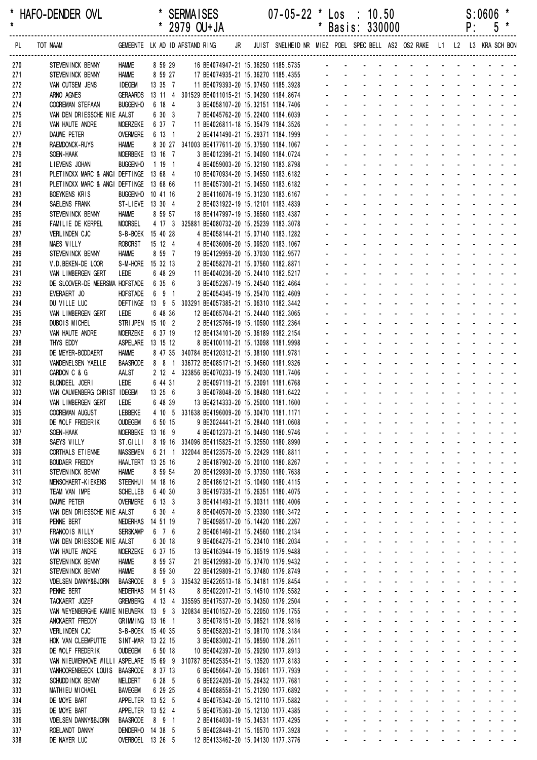| * HAFO-DENDER OVL | <b>SERMAISES</b>     | $07 - 05 - 22$ * Los<br>10.50 | S:0606 |
|-------------------|----------------------|-------------------------------|--------|
|                   | $2070$ $\Omega$ ILIN | <b>PRODEC</b><br>* Posic:     |        |

|            |                                                                               |                                      |                   | 2979 OU+JA                                                                          |    |                                                                         |                    |                                       | Basis: 330000                                |                                                           |                                                                      |                                                                        |                              |                                  | ۲:                        | C                                                                                                                                                                                                                              |                                                                     |
|------------|-------------------------------------------------------------------------------|--------------------------------------|-------------------|-------------------------------------------------------------------------------------|----|-------------------------------------------------------------------------|--------------------|---------------------------------------|----------------------------------------------|-----------------------------------------------------------|----------------------------------------------------------------------|------------------------------------------------------------------------|------------------------------|----------------------------------|---------------------------|--------------------------------------------------------------------------------------------------------------------------------------------------------------------------------------------------------------------------------|---------------------------------------------------------------------|
| PL         | TOT NAAM                                                                      |                                      |                   | GEMEENTE LK AD ID AFSTAND RING                                                      | JR | JUIST SNELHEID NR MIEZ POEL SPEC BELL AS2 OS2 RAKE L1 L2 L3 KRA SCH BON |                    |                                       |                                              |                                                           |                                                                      |                                                                        |                              |                                  |                           |                                                                                                                                                                                                                                |                                                                     |
| 270        | STEVENINCK BENNY                                                              | <b>HAMME</b>                         | 8 59 29           | 16 BE4074947-21 15.36250 1185.5735 -                                                |    |                                                                         |                    |                                       |                                              |                                                           |                                                                      |                                                                        |                              |                                  |                           |                                                                                                                                                                                                                                |                                                                     |
| 271        | STEVENINCK BENNY                                                              | <b>HAMME</b>                         | 8 59 27           | 17 BE4074935-21 15.36270 1185.4355                                                  |    |                                                                         |                    |                                       |                                              |                                                           |                                                                      |                                                                        |                              |                                  |                           |                                                                                                                                                                                                                                |                                                                     |
| 272        | VAN CUTSEM JENS                                                               | <b>IDEGEM</b>                        | $13 \t35 \t7$     | 11 BE4079393-20 15.07450 1185.3928                                                  |    |                                                                         |                    |                                       |                                              |                                                           |                                                                      |                                                                        |                              |                                  |                           |                                                                                                                                                                                                                                |                                                                     |
| 273<br>274 | ARNO AGNES<br><b>COOREMAN STEFAAN</b>                                         | <b>GERAARDS</b><br><b>BUGGENHO</b>   | 6 18 4            | 13 11 4 301529 BE4011015-21 15.04290 1184.8674<br>3 BE4058107-20 15.32151 1184.7406 |    |                                                                         |                    |                                       |                                              |                                                           |                                                                      |                                                                        |                              |                                  |                           |                                                                                                                                                                                                                                |                                                                     |
| 275        | VAN DEN DRIESSCHE NIE AALST                                                   |                                      | 6 30 3            | 7 BE4045762-20 15.22400 1184.6039                                                   |    |                                                                         |                    |                                       |                                              |                                                           |                                                                      |                                                                        |                              |                                  |                           |                                                                                                                                                                                                                                |                                                                     |
| 276        | VAN HAUTE ANDRE                                                               | <b>MOERZEKE</b>                      | 6 37 7            | 11 BE4026811-18 15.35479 1184.3526                                                  |    |                                                                         |                    |                                       |                                              |                                                           |                                                                      |                                                                        |                              |                                  |                           |                                                                                                                                                                                                                                |                                                                     |
| 277        | DAUWE PETER                                                                   | <b>OVERMERE</b>                      | 6 13 1            | 2 BE4141490-21 15.29371 1184.1999                                                   |    |                                                                         |                    |                                       |                                              |                                                           |                                                                      |                                                                        |                              |                                  |                           |                                                                                                                                                                                                                                |                                                                     |
| 278        | <b>RAEMDONCK-RUYS</b>                                                         | <b>HAMME</b>                         |                   | 8 30 27 341003 BE4177611-20 15.37590 1184.1067                                      |    |                                                                         |                    |                                       |                                              |                                                           |                                                                      |                                                                        |                              |                                  |                           |                                                                                                                                                                                                                                |                                                                     |
| 279<br>280 | SOEN-HAAK<br>LIEVENS JOHAN                                                    | MOERBEKE 13 16 7<br><b>BUGGENHO</b>  | 1191              | 3 BE4012396-21 15.04090 1184.0724<br>4 BE4059003-20 15.32190 1183.8798              |    |                                                                         |                    |                                       |                                              |                                                           |                                                                      |                                                                        |                              |                                  |                           |                                                                                                                                                                                                                                |                                                                     |
| 281        | PLETINCKX MARC & ANGI DEFTINGE 13 68 4                                        |                                      |                   | 10 BE4070934-20 15.04550 1183.6182                                                  |    |                                                                         |                    |                                       |                                              |                                                           |                                                                      |                                                                        |                              |                                  |                           |                                                                                                                                                                                                                                |                                                                     |
| 281        | PLETINCKX MARC & ANGI DEFTINGE 13 68 66                                       |                                      |                   | 11 BE4057300-21 15.04550 1183.6182                                                  |    |                                                                         |                    |                                       |                                              |                                                           |                                                                      |                                                                        |                              |                                  |                           |                                                                                                                                                                                                                                |                                                                     |
| 283        | <b>BOEYKENS KRIS</b>                                                          | BUGGENHO 10 41 16                    |                   | 2 BE4116076-19 15.31230 1183.6167                                                   |    |                                                                         |                    |                                       |                                              |                                                           |                                                                      |                                                                        |                              |                                  |                           |                                                                                                                                                                                                                                |                                                                     |
| 284        | SAELENS FRANK                                                                 | ST-LIEVE 13 30 4                     |                   | 2 BE4031922-19 15.12101 1183.4839                                                   |    |                                                                         |                    |                                       |                                              |                                                           |                                                                      |                                                                        |                              |                                  |                           |                                                                                                                                                                                                                                |                                                                     |
| 285<br>286 | STEVENINCK BENNY<br>FAMILIE DE KERPEL                                         | <b>HAMME</b><br><b>MOORSEL</b>       | 8 59 57           | 18 BE4147997-19 15.36560 1183.4387<br>4 17 3 325881 BE4080732-20 15.25239 1183.3078 |    |                                                                         |                    |                                       |                                              |                                                           |                                                                      |                                                                        |                              |                                  |                           |                                                                                                                                                                                                                                |                                                                     |
| 287        | VERLINDEN CJC                                                                 | S-B-BOEK 15 40 28                    |                   | 4 BE4058144-21 15.07140 1183.1282                                                   |    |                                                                         |                    |                                       |                                              |                                                           |                                                                      |                                                                        |                              |                                  |                           |                                                                                                                                                                                                                                |                                                                     |
| 288        | <b>MAES WILLY</b>                                                             | <b>ROBORST</b>                       | 15 12 4           | 4 BE4036006-20 15.09520 1183.1067                                                   |    |                                                                         |                    |                                       |                                              |                                                           |                                                                      |                                                                        |                              |                                  |                           |                                                                                                                                                                                                                                |                                                                     |
| 289        | STEVENINCK BENNY                                                              | <b>HAMME</b>                         | 8 59 7            | 19 BE4129959-20 15.37030 1182.9577                                                  |    |                                                                         |                    |                                       |                                              |                                                           |                                                                      |                                                                        |                              |                                  |                           |                                                                                                                                                                                                                                |                                                                     |
| 290        | V.D.BEKEN-DE LOOR                                                             | S-M-HORE 15 32 13                    |                   | 2 BE4058270-21 15.07560 1182.8871                                                   |    |                                                                         |                    |                                       |                                              |                                                           |                                                                      |                                                                        |                              |                                  |                           |                                                                                                                                                                                                                                |                                                                     |
| 291<br>292 | VAN LIMBERGEN GERT<br>DE SLOOVER-DE MEERSMA HOFSTADE                          | LEDE                                 | 6 48 29<br>6 35 6 | 11 BE4040236-20 15.24410 1182.5217<br>3 BE4052267-19 15.24540 1182.4664             |    |                                                                         |                    |                                       |                                              |                                                           |                                                                      |                                                                        |                              |                                  |                           |                                                                                                                                                                                                                                |                                                                     |
| 293        | EVERAERT JO                                                                   | <b>HOFSTADE</b>                      | 6 9 1             | 2 BE4054345-19 15.25470 1182.4609                                                   |    |                                                                         |                    |                                       |                                              |                                                           |                                                                      |                                                                        |                              |                                  |                           |                                                                                                                                                                                                                                |                                                                     |
| 294        | DU VILLE LUC                                                                  |                                      |                   | DEFTINGE 13 9 5 303291 BE4057385-21 15.06310 1182.3442                              |    |                                                                         |                    |                                       |                                              |                                                           |                                                                      |                                                                        |                              |                                  |                           |                                                                                                                                                                                                                                |                                                                     |
| 295        | VAN LIMBERGEN GERT                                                            | LEDE                                 | 6 48 36           | 12 BE4065704-21 15.24440 1182.3065                                                  |    |                                                                         |                    |                                       |                                              |                                                           |                                                                      |                                                                        |                              |                                  |                           |                                                                                                                                                                                                                                |                                                                     |
| 296        | <b>DUBOIS MICHEL</b>                                                          | STRIJPEN 15 10 2                     |                   | 2 BE4125766-19 15.10590 1182.2364                                                   |    |                                                                         |                    |                                       |                                              |                                                           |                                                                      |                                                                        |                              |                                  |                           |                                                                                                                                                                                                                                |                                                                     |
| 297        | VAN HAUTE ANDRE<br>THYS EDDY                                                  | <b>MOERZEKE</b><br>ASPELARE 13 15 12 | 6 37 19           | 12 BE4134101-20 15.36189 1182.2154<br>8 BE4100110-21 15.13098 1181.9998             |    |                                                                         |                    |                                       |                                              |                                                           |                                                                      |                                                                        |                              |                                  |                           |                                                                                                                                                                                                                                |                                                                     |
| 298<br>299 | DE MEYER-BODDAERT                                                             | <b>HAMME</b>                         |                   | 8 47 35 340784 BE4120312-21 15.38190 1181.9781                                      |    |                                                                         |                    |                                       |                                              |                                                           |                                                                      |                                                                        |                              |                                  |                           |                                                                                                                                                                                                                                |                                                                     |
| 300        | VANDENELSEN YAELLE                                                            | <b>BAASRODE</b>                      | 881               | 336772 BE4085171-21 15.34560 1181.9326                                              |    |                                                                         |                    |                                       |                                              |                                                           |                                                                      |                                                                        |                              |                                  |                           |                                                                                                                                                                                                                                |                                                                     |
| 301        | CARDON C & G                                                                  | AALST                                |                   | 2 12 4 323856 BE4070233-19 15.24030 1181.7406                                       |    |                                                                         |                    |                                       |                                              |                                                           |                                                                      |                                                                        |                              |                                  |                           |                                                                                                                                                                                                                                |                                                                     |
| 302        | BLONDEEL JOERI                                                                | LEDE                                 | 6 44 31           | 2 BE4097119-21 15.23091 1181.6768                                                   |    |                                                                         |                    |                                       |                                              |                                                           |                                                                      |                                                                        |                              |                                  |                           |                                                                                                                                                                                                                                |                                                                     |
| 303        | VAN CAUWENBERG CHRIST IDEGEM                                                  |                                      | 13 25 6           | 3 BE4078048-20 15.08480 1181.6422                                                   |    |                                                                         |                    |                                       |                                              |                                                           |                                                                      |                                                                        |                              | $\sim$                           | $\mathbf{L}^{\text{max}}$ |                                                                                                                                                                                                                                |                                                                     |
| 304<br>305 | VAN LIMBERGEN GERT<br>COOREMAN AUGUST                                         | LEDE<br>LEBBEKE                      | 6 48 39           | 13 BE4214333-20 15.25000 1181.1600<br>4 10 5 331638 BE4196009-20 15.30470 1181.1171 |    |                                                                         |                    |                                       |                                              |                                                           |                                                                      |                                                                        |                              |                                  |                           |                                                                                                                                                                                                                                |                                                                     |
| 306        | DE WOLF FREDERIK                                                              | <b>OUDEGEM</b>                       | 6 50 15           | 9 BE3024441-21 15.28440 1181.0608                                                   |    |                                                                         |                    |                                       |                                              |                                                           |                                                                      |                                                                        |                              |                                  |                           |                                                                                                                                                                                                                                |                                                                     |
| 307        | SOEN-HAAK                                                                     | MOERBEKE 13 16 9                     |                   | 4 BE4012373-21 15.04490 1180.9746                                                   |    |                                                                         |                    |                                       |                                              |                                                           | $\sim$ 100 $\sim$ 100 $\sim$                                         |                                                                        | <b>Contract Contract</b>     |                                  |                           | <b>Contract Contract</b>                                                                                                                                                                                                       |                                                                     |
| 308        | SAEYS WILLY                                                                   | ST.GILLI                             |                   | 8 19 16 334096 BE4115825-21 15.32550 1180.8990                                      |    |                                                                         |                    |                                       |                                              |                                                           |                                                                      |                                                                        |                              |                                  | <b>Contractor</b>         |                                                                                                                                                                                                                                |                                                                     |
| 309        | CORTHALS ET IENNE                                                             | <b>MASSEMEN</b>                      |                   | 6 21 1 322044 BE4123575-20 15.22429 1180.8811                                       |    |                                                                         |                    |                                       |                                              |                                                           | $\omega_{\rm{max}}$ and                                              | $\sim$                                                                 | $\mathbf{r}$                 |                                  |                           | in the contract of the contract of the contract of the contract of the contract of the contract of the contract of the contract of the contract of the contract of the contract of the contract of the contract of the contrac |                                                                     |
| 310<br>311 | <b>BOUDAER FREDDY</b><br>STEVENINCK BENNY                                     | HAALTERT 13 25 16<br><b>HAMME</b>    | 8 59 54           | 2 BE4187902-20 15.20100 1180.8267<br>20 BE4129930-20 15.37350 1180.7638             |    |                                                                         | ÷.                 | ÷.<br>$\mathcal{L}^{\pm}$             | $\mathcal{L}$<br>$\mathcal{L}^{\text{max}}$  |                                                           | $\Delta \phi = 0.01$ and $\Delta \phi = 0.01$<br>$\omega_{\rm{max}}$ | $\Delta \sim 10^{-1}$<br>$\omega_{\rm{max}}$<br>$\Delta \sim 10^{-11}$ | $\mathcal{L}^{\text{max}}$   |                                  | $\omega_{\rm{max}}$       | and a strain and a                                                                                                                                                                                                             |                                                                     |
| 312        | MENSCHAERT-KIEKENS                                                            | <b>STEENHUI</b>                      | 14 18 16          | 2 BE4186121-21 15.10490 1180.4115                                                   |    |                                                                         |                    | $\sim$                                | $\blacksquare$                               | $\sim$                                                    |                                                                      | $\sim$                                                                 | $\mathbf{r}$                 |                                  |                           |                                                                                                                                                                                                                                |                                                                     |
| 313        | TEAM VAN IMPE                                                                 | <b>SCHELLEB</b>                      | 6 40 30           | 3 BE4197335-21 15.26351 1180.4075                                                   |    |                                                                         |                    |                                       |                                              | $\blacksquare$                                            |                                                                      |                                                                        |                              |                                  |                           | بالمستنقذ والمستنقذ                                                                                                                                                                                                            |                                                                     |
| 314        | <b>DAUWE PETER</b>                                                            | <b>OVERMERE</b>                      | 6 13 3            | 3 BE4141493-21 15.30311 1180.4006                                                   |    |                                                                         |                    |                                       | $\mathbf{r}$                                 | $\sim$                                                    |                                                                      |                                                                        | $\sim 100$                   |                                  |                           |                                                                                                                                                                                                                                | and the state of the state                                          |
| 315        | VAN DEN DRIESSCHE NIE AALST                                                   |                                      | 6 30 4            | 8 BE4040570-20 15.23390 1180.3472                                                   |    |                                                                         |                    | $\sim$                                | $\mathcal{L}$                                | $\sim$                                                    | ÷.                                                                   | $\mathbf{r}$                                                           | $\mathbf{r}$                 |                                  |                           |                                                                                                                                                                                                                                | and the state of the state of the                                   |
| 316<br>317 | PENNE BERT<br>FRANCOIS WILLY                                                  | NEDERHAS<br><b>SERSKAMP</b>          | 14 51 19<br>6 7 6 | 7 BE4098517-20 15.14420 1180.2267<br>2 BE4061460-21 15.24560 1180.2134              |    |                                                                         | ä,<br>ä,           | $\mathcal{L}^{\pm}$<br>$\sim$         | ä,<br>$\mathcal{L}^{\text{max}}$             | $\mathcal{L}^{\text{max}}$                                | $\Delta \sim 10^{-11}$<br>÷.<br>$\omega_{\rm{max}}$                  | $\mathcal{L}^{\mathcal{L}}$<br>$\sim 100$                              | $\mathbf{L}^{\text{max}}$    |                                  | and a state               |                                                                                                                                                                                                                                | and a strain and a<br>$\mathbf{u} = \mathbf{u} + \mathbf{u}$ . Then |
| 318        | VAN DEN DRIESSCHE NIE AALST                                                   |                                      | 6 30 18           | 9 BE4064275-21 15.23410 1180.2034                                                   |    |                                                                         | $\blacksquare$     | $\mathbf{r}$                          | $\blacksquare$<br>$\blacksquare$             | $\sim$                                                    |                                                                      | $\mathbf{r}$                                                           | $\blacksquare$               |                                  |                           |                                                                                                                                                                                                                                | and a strain and a                                                  |
| 319        | VAN HAUTE ANDRE                                                               | MOERZEKE                             | 6 37 15           | 13 BE4163944-19 15.36519 1179.9488                                                  |    |                                                                         |                    |                                       |                                              | $\mathbf{r}$                                              |                                                                      |                                                                        |                              |                                  |                           | $\mathbf{z} = \mathbf{z} + \mathbf{z} + \mathbf{z}$                                                                                                                                                                            |                                                                     |
| 320        | STEVEN INCK BENNY                                                             | <b>HAMME</b>                         | 8 59 37           | 21 BE4129983-20 15.37470 1179.9432                                                  |    |                                                                         |                    |                                       |                                              | $\blacksquare$                                            |                                                                      |                                                                        |                              |                                  |                           | and the state of the state                                                                                                                                                                                                     |                                                                     |
| 321        | STEVENINCK BENNY                                                              | <b>HAMME</b>                         | 8 59 30           | 22 BE4129809-21 15.37480 1179.8749                                                  |    |                                                                         |                    |                                       | ä,                                           | $\sim$                                                    | $\mathcal{L}$<br>$\mathcal{L}^{\mathcal{A}}$                         |                                                                        | $\mathbf{r}$<br>ä,           | $\Delta \sim 10^{-11}$<br>$\sim$ |                           | $\mathbf{L}^{\text{max}} = \mathbf{L}^{\text{max}} = \mathbf{L}^{\text{max}}$<br>$\omega_{\rm{max}}$ , $\omega_{\rm{max}}$                                                                                                     |                                                                     |
| 322<br>323 | <b>VDELSEN DANNY&amp;BJORN</b><br>PENNE BERT                                  | <b>BAASRODE</b><br>NEDERHAS 14 51 43 |                   | 8 9 3 335432 BE4226513-18 15.34181 1179.8454<br>8 BE4022017-21 15.14510 1179.5582   |    |                                                                         | ä,<br>ä,           | $\mathbf{r}$<br>$\sim$                | ä,<br>$\mathcal{L}^{\text{max}}$             | $\mathcal{L}^{\mathcal{L}}$<br>$\mathcal{L}^{\text{max}}$ | $\mathcal{L}^{\mathcal{L}}$                                          | $\mathbf{r}$<br>$\sim$                                                 | $\mathbf{r}$                 | $\omega_{\rm{max}}$              | $\omega_{\rm{max}}$       |                                                                                                                                                                                                                                |                                                                     |
| 324        | TACKAERT JOZEF                                                                | GREMBERG                             | 4 13 4            | 335595 BE4175377-20 15.34350 1179.2504                                              |    |                                                                         |                    | $\mathbf{r}$                          | $\mathcal{L}^{\text{max}}$<br>$\blacksquare$ | $\sim$                                                    | $\omega$                                                             | $\sim$                                                                 | $\sim$                       |                                  |                           |                                                                                                                                                                                                                                |                                                                     |
| 325        | VAN WEYENBERGHE KAMIE NIEUWERK 13 9 3 320834 BE4101527-20 15.22050 1179.1755  |                                      |                   |                                                                                     |    |                                                                         |                    |                                       |                                              | $\blacksquare$                                            |                                                                      |                                                                        | $\blacksquare$               |                                  |                           |                                                                                                                                                                                                                                |                                                                     |
| 326        | ANCKAERT FREDDY                                                               | GRIMMING 13 16 1                     |                   | 3 BE4078151-20 15.08521 1178.9816                                                   |    |                                                                         |                    |                                       | ä,                                           | $\omega$                                                  |                                                                      |                                                                        | $\blacksquare$               |                                  |                           | and a strain and a                                                                                                                                                                                                             |                                                                     |
| 327        | VERLINDEN CJC                                                                 | S-B-BOEK 15 40 35                    |                   | 5 BE4058203-21 15.08170 1178.3184                                                   |    |                                                                         |                    |                                       | $\mathcal{L}$                                | ÷.                                                        | ÷.                                                                   |                                                                        | $\mathbf{r}$                 |                                  |                           |                                                                                                                                                                                                                                | the contract of the contract of                                     |
| 328<br>329 | HOK VAN CLEEMPUTTE<br>DE WOLF FREDERIK                                        | SINT-MAR 13 22 15<br><b>OUDEGEM</b>  | 6 50 18           | 3 BE4083002-21 15.08590 1178.2611<br>10 BE4042397-20 15.29290 1177.8913             |    |                                                                         | ä,<br>ä,           | $\mathbf{r}$<br>$\sim$                | ä,<br>$\mathcal{L}^{\text{max}}$             | $\mathcal{L}^{\mathcal{A}}$<br>$\mathcal{L}^{\text{max}}$ | $\mathcal{L}$<br>$\mathcal{L}^{\mathcal{L}}$                         | $\mathcal{L}$<br>$\sim$                                                | ÷.<br>$\sim 100$             | <b>Contractor</b>                | All Carolina              | $\omega_{\rm{max}}$ , $\omega_{\rm{max}}$                                                                                                                                                                                      | $\omega_{\rm{eff}}=2.00$ km $^{-1}$                                 |
| 330        | VAN NIEUWENHOVE WILLI ASPELARE 15 69 9 310787 BE4025354-21 15.13520 1177.8183 |                                      |                   |                                                                                     |    |                                                                         | $\blacksquare$     | $\blacksquare$                        | $\blacksquare$<br>$\blacksquare$             | $\mathcal{L}_{\mathcal{A}}$                               |                                                                      | $\blacksquare$                                                         | $\blacksquare$               |                                  |                           |                                                                                                                                                                                                                                | $\mathbf{z} = \mathbf{z} + \mathbf{z} + \mathbf{z} + \mathbf{z}$    |
| 331        | VANHOORENBEECK LOUIS                                                          | <b>BAASRODE</b>                      | 8 37 13           | 6 BE4056647-20 15.35061 1177.7939                                                   |    |                                                                         |                    |                                       |                                              | $\mathbf{r}$                                              |                                                                      |                                                                        |                              |                                  |                           | $\mathbf{r} = \mathbf{r} + \mathbf{r} + \mathbf{r}$ .                                                                                                                                                                          |                                                                     |
| 332        | SCHUDD INCK BENNY                                                             | MELDERT                              | 6 28 5            | 6 BE6224205-20 15.26432 1177.7681                                                   |    |                                                                         |                    |                                       |                                              | $\mathcal{L}^{\pm}$                                       | $\omega$                                                             |                                                                        | $\omega$                     |                                  |                           | and the state of the state                                                                                                                                                                                                     |                                                                     |
| 333        | MATHIEU MICHAEL                                                               | <b>BAVEGEM</b>                       | 6 29 25           | 4 BE4088558-21 15.21290 1177.6892                                                   |    |                                                                         |                    |                                       | ä,                                           | ÷.                                                        | ÷.                                                                   |                                                                        |                              | $\mathbf{u}$ .                   |                           | and a state of                                                                                                                                                                                                                 |                                                                     |
| 334<br>335 | DE MOYE BART<br>DE MOYE BART                                                  | APPELTER 13 52 5<br>APPELTER 13 52 4 |                   | 4 BE4075342-20 15.12110 1177.5882<br>5 BE4075363-20 15.12130 1177.4385              |    |                                                                         | ÷.<br>$\mathbf{r}$ | $\blacksquare$<br>$\mathcal{L}^{\pm}$ | ä,<br>$\mathcal{L}^{\text{max}}$             | $\mathbf{r}$<br>$\mathbf{L}^{\text{max}}$<br>$\mathbf{a}$ | $\mathcal{L}$<br>$\Delta \sim 100$                                   | $\mathbf{r}$<br>$\sim 100$                                             | ä,<br>$\blacksquare$         | $\sim$                           | $\omega_{\rm{max}}$       | $\frac{1}{2} \left( \frac{1}{2} \right) \left( \frac{1}{2} \right) \left( \frac{1}{2} \right) \left( \frac{1}{2} \right) \left( \frac{1}{2} \right)$                                                                           |                                                                     |
| 336        | <b>VDELSEN DANNY&amp;BJORN</b>                                                | <b>BAASRODE</b>                      | 891               | 2 BE4164030-19 15.34531 1177.4295                                                   |    |                                                                         | $\blacksquare$     | $\mathcal{L}^{\pm}$                   | $\omega_{\rm{max}}$                          | $\mathcal{L}^{\text{max}}$<br>$\sim 100$                  | $\mathcal{L}_{\mathcal{A}}$                                          | $\Delta \sim 10^4$                                                     | $\mathcal{L}_{\mathrm{max}}$ |                                  |                           |                                                                                                                                                                                                                                |                                                                     |
| 337        | ROELANDT DANNY                                                                | DENDERHO 14 38 5                     |                   | 5 BE4028449-21 15.16570 1177.3928                                                   |    |                                                                         |                    |                                       |                                              |                                                           |                                                                      |                                                                        |                              |                                  |                           |                                                                                                                                                                                                                                |                                                                     |
| 338        | DE NAYER LUC                                                                  | OVERBOEL 13 26 5                     |                   | 12 BE4133462-20 15.04130 1177.3776                                                  |    |                                                                         |                    |                                       | and a series of the series of the series of  |                                                           |                                                                      |                                                                        |                              |                                  |                           |                                                                                                                                                                                                                                |                                                                     |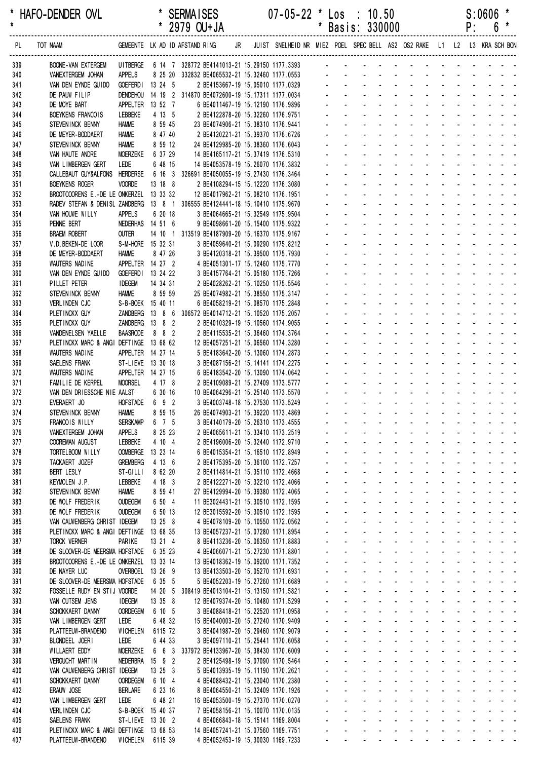| $\star$    | HAFO-DENDER OVL                                                              |                                 |                              | <b>SERMAISES</b><br>* 2979 OU+JA                                                            |    | $07 - 05 - 22$                                                          | $\mathbf{r}$ | $\textsf{Los} : 10.50$<br>* Basis: 330000                                                                                                                                                                                      |                                |                                 |                |    |              | P:                                   | S:0606 | *<br>$6*$                         |
|------------|------------------------------------------------------------------------------|---------------------------------|------------------------------|---------------------------------------------------------------------------------------------|----|-------------------------------------------------------------------------|--------------|--------------------------------------------------------------------------------------------------------------------------------------------------------------------------------------------------------------------------------|--------------------------------|---------------------------------|----------------|----|--------------|--------------------------------------|--------|-----------------------------------|
| PL         | TOT NAAM                                                                     |                                 |                              | GEMEENTE LK AD ID AFSTAND RING                                                              | JR | JUIST SNELHEID NR MIEZ POEL SPEC BELL AS2 OS2 RAKE L1 L2 L3 KRA SCH BON |              |                                                                                                                                                                                                                                |                                |                                 |                |    |              |                                      |        |                                   |
| 339        | <b>BOONE-VAN EXTERGEM</b>                                                    |                                 |                              |                                                                                             |    |                                                                         |              |                                                                                                                                                                                                                                |                                |                                 |                |    |              |                                      |        |                                   |
| 340        | VANEXTERGEM JOHAN                                                            | APPELS                          |                              | 8 25 20 332832 BE4065532-21 15.32460 1177.0553<br>13 24 5 2 BE4153667-19 15.05010 1177 0329 |    |                                                                         |              |                                                                                                                                                                                                                                |                                |                                 |                |    |              |                                      |        |                                   |
| 341<br>342 | VAN DEN EYNDE GUIDO<br>DE PAUW FILIP                                         | DENDEHOU                        | GOEFERDI 13 24 5             | 14 19 2 314870 BE4072600-19 15.17311 1177.0034                                              |    | 2 BE4153667-19 15.05010 1177.0329                                       |              | design and a state of the state of the state of the state of the state of the state of the state of the state of the state of the state of the state of the state of the state of the state of the state of the state of the s |                                |                                 |                |    |              |                                      |        |                                   |
| 343        | DE MOYE BART                                                                 |                                 | APPELTER 13 52 7             | 6 BE4011467-19 15.12190 1176.9896                                                           |    |                                                                         |              |                                                                                                                                                                                                                                |                                |                                 |                |    |              |                                      |        |                                   |
| 344        | BOEYKENS FRANCOIS                                                            | LEBBEKE                         | 4 13 5                       | 2 BE4122878-20 15.32260 1176.9751                                                           |    |                                                                         |              |                                                                                                                                                                                                                                |                                |                                 |                |    |              |                                      |        |                                   |
| 345        | STEVENINCK BENNY                                                             | <b>HAMME</b>                    | 8 59 45                      | 23 BE4074906-21 15.38310 1176.9441                                                          |    |                                                                         |              |                                                                                                                                                                                                                                |                                |                                 |                |    |              |                                      |        |                                   |
| 346        | DE MEYER-BODDAERT                                                            | <b>HAMME</b>                    | 8 47 40                      | 2 BE4120221-21 15.39370 1176.6726                                                           |    |                                                                         |              | <u>.</u>                                                                                                                                                                                                                       |                                |                                 |                |    |              |                                      |        |                                   |
| 347        | STEVENINCK BENNY                                                             | <b>HAMME</b>                    | 8 59 12                      | 24 BE4129985-20 15.38360 1176.6043                                                          |    |                                                                         |              | design and a state of the state of the                                                                                                                                                                                         |                                |                                 |                |    |              |                                      |        |                                   |
| 348        | VAN HAUTE ANDRE                                                              | <b>MOERZEKE</b><br>LEDE         | 6 37 29                      | 14 BE4165117-21 15.37419 1176.5310                                                          |    |                                                                         |              | and a state of the state of the state of the state of the state of the state of the state of the state of the<br>and a state of the state of the state of                                                                      |                                |                                 |                |    |              |                                      |        |                                   |
| 349<br>350 | VAN LIMBERGEN GERT<br>CALLEBAUT GUY&ALFONS                                   | <b>HERDERSE</b>                 | 6 48 15                      | 14 BE4053578-19 15.26070 1176.3832<br>6 16 3 326691 BE4050055-19 15.27430 1176.3464         |    |                                                                         |              |                                                                                                                                                                                                                                |                                |                                 |                |    |              |                                      |        |                                   |
| 351        | <b>BOEYKENS ROGER</b>                                                        | <b>VOORDE</b>                   | 13 18 8                      | 2 BE4108294-15 15.12220 1176.3080                                                           |    |                                                                         |              | and a complete the second complete and                                                                                                                                                                                         |                                |                                 |                |    |              |                                      |        |                                   |
| 352        | BROOTCOORENS E.-DE LE ONKERZEL 13 33 32                                      |                                 |                              | 12 BE4017962-21 15.08210 1176.1951                                                          |    |                                                                         |              | and a straightful and a straight and                                                                                                                                                                                           |                                |                                 |                |    |              |                                      |        |                                   |
| 353        | RADEV STEFAN & DENISL ZANDBERG 13 8 1 306555 BE4124441-18 15.10410 1175.9670 |                                 |                              |                                                                                             |    |                                                                         |              | <u>.</u>                                                                                                                                                                                                                       |                                |                                 |                |    |              |                                      |        |                                   |
| 354        | VAN HOUWE WILLY                                                              | APPELS                          | 6 20 18                      | 3 BE4064665-21 15.32549 1175.9504                                                           |    |                                                                         |              | design and a state of the state of the                                                                                                                                                                                         |                                |                                 |                |    |              |                                      |        |                                   |
| 355        | PENNE BERT                                                                   |                                 | NEDERHAS 14 51 6             | 9 BE4098661-20 15.15400 1175.9322                                                           |    |                                                                         |              | design and a state of the state of the                                                                                                                                                                                         |                                |                                 |                |    |              |                                      |        |                                   |
| 356        | <b>BRAEM ROBERT</b>                                                          | <b>OUTER</b>                    |                              | 14 10 1 313519 BE4187909-20 15.16370 1175.9167                                              |    |                                                                         |              | and a series of the series of the series of                                                                                                                                                                                    |                                |                                 |                |    |              |                                      |        |                                   |
| 357<br>358 | V.D.BEKEN-DE LOOR<br>DE MEYER-BODDAERT                                       | <b>HAMME</b>                    | S-M-HORE 15 32 31<br>8 47 26 | 3 BE4059640-21 15.09290 1175.8212<br>3 BE4120318-21 15.39500 1175.7930                      |    |                                                                         |              | de la provincia de la provincia de la provincia de                                                                                                                                                                             |                                |                                 |                |    |              |                                      |        |                                   |
| 359        | WAUTERS NADINE                                                               |                                 | APPELTER 14 27 2             | 4 BE4051301-17 15.12460 1175.7770                                                           |    |                                                                         |              | and a state of the state of the state of the state of the state of the state of the state of the state of the                                                                                                                  |                                |                                 |                |    |              |                                      |        |                                   |
| 360        | VAN DEN EYNDE GUIDO                                                          |                                 | GOEFERDI 13 24 22            | 3 BE4157764-21 15.05180 1175.7266                                                           |    |                                                                         |              | design and a state of the state of the state of the state of the state of the state of the state of the state of the state of the state of the state of the state of the state of the state of the state of the state of the s |                                |                                 |                |    |              |                                      |        |                                   |
| 361        | PILLET PETER                                                                 | <b>IDEGEM</b>                   | 14 34 31                     | 2 BE4028262-21 15.10250 1175.5546                                                           |    |                                                                         |              | design and a state of the state of the                                                                                                                                                                                         |                                |                                 |                |    |              |                                      |        |                                   |
| 362        | STEVENINCK BENNY                                                             | <b>HAMME</b>                    | 8 59 59                      | 25 BE4074982-21 15.38550 1175.3147                                                          |    |                                                                         |              |                                                                                                                                                                                                                                |                                |                                 |                |    |              |                                      |        |                                   |
| 363        | VERLINDEN CJC                                                                |                                 | S-B-BOEK 15 40 11            | 6 BE4058219-21 15.08570 1175.2848                                                           |    |                                                                         |              | design and a state of the state of the                                                                                                                                                                                         |                                |                                 |                |    |              |                                      |        |                                   |
| 364        | PLETINCKX GUY                                                                |                                 |                              | ZANDBERG 13 8 6 306572 BE4014712-21 15.10520 1175.2057                                      |    |                                                                         |              | design and a state of the state of                                                                                                                                                                                             |                                |                                 |                |    |              |                                      |        |                                   |
| 365        | PLETINCKX GUY<br>VANDENELSEN YAELLE                                          | <b>BAASRODE</b>                 | ZANDBERG 13 8 2<br>8 8 2     | 2 BE4010329-19 15.10560 1174.9055                                                           |    |                                                                         |              | and a straight and a straight<br>design and a state of the state of the                                                                                                                                                        |                                |                                 |                |    |              |                                      |        | and a straight and a straight and |
| 366<br>367 | PLETINCKX MARC & ANGI DEFTINGE 13 68 62                                      |                                 |                              | 2 BE4115535-21 15.36460 1174.3764<br>12 BE4057251-21 15.06560 1174.3280                     |    |                                                                         |              | design and a state of the state of the                                                                                                                                                                                         |                                |                                 |                |    |              |                                      |        |                                   |
| 368        | WAUTERS NADINE                                                               |                                 | APPELTER 14 27 14            | 5 BE4183642-20 15.13060 1174.2873                                                           |    |                                                                         |              | design and a state of the state of the                                                                                                                                                                                         |                                |                                 |                |    |              |                                      |        |                                   |
| 369        | SAELENS FRANK                                                                |                                 | ST-LIEVE 13 30 18            | 3 BE4087156-21 15.14141 1174.2275                                                           |    |                                                                         |              | and a contract of the contract of                                                                                                                                                                                              |                                |                                 |                |    |              |                                      |        |                                   |
| 370        | WAUTERS NADINE                                                               |                                 | APPELTER 14 27 15            | 6 BE4183542-20 15.13090 1174.0642                                                           |    |                                                                         |              |                                                                                                                                                                                                                                |                                |                                 |                |    |              |                                      |        |                                   |
| 371        | FAMILIE DE KERPEL                                                            | <b>MOORSEL</b>                  | 4 17 8                       | 2 BE4109089-21 15.27409 1173.5777                                                           |    |                                                                         |              | distribution of the control of the control of the control of the control of the control of the control of the control of the control of the control of the control of the control of the control of the control of the control |                                |                                 |                |    |              |                                      |        |                                   |
| 372        | VAN DEN DRIESSCHE NIE AALST                                                  |                                 | 6 30 16                      | 10 BE4064296-21 15.25140 1173.5570                                                          |    |                                                                         |              | and a state of the state of the state of the state of the state of the state of the state of the state of the                                                                                                                  |                                |                                 |                |    |              |                                      |        |                                   |
| 373        | EVERAERT JO                                                                  |                                 | HOFSTADE 6 9 2               | 3 BE4003748-18 15.27530 1173.5249<br>26 BE4074903-21 15.39220 1173.4869                     |    |                                                                         |              | $\omega_{\rm{max}}$ , $\omega_{\rm{max}}$                                                                                                                                                                                      |                                | and a state of the state of the |                |    |              |                                      |        |                                   |
| 374<br>375 | STEVENINCK BENNY<br>FRANCOIS WILLY                                           | <b>HAMME</b><br><b>SERSKAMP</b> | 8 59 15<br>6 7 5             | 3 BE4140179-20 15.26310 1173.4555                                                           |    |                                                                         |              | and the company of the company of the company of the company of the company of the company of the company of the company of the company of the company of the company of the company of the company of the company of the comp |                                |                                 |                |    |              |                                      |        |                                   |
| 376        | VANEXTERGEM JOHAN                                                            | <b>APPELS</b>                   | 8 25 23                      | 2 BE4065611-21 15.33410 1173.2519                                                           |    |                                                                         |              |                                                                                                                                                                                                                                |                                |                                 |                |    |              |                                      |        |                                   |
| 377        | <b>COOREMAN AUGUST</b>                                                       | LEBBEKE                         | 4 10 4                       | 2 BE4196006-20 15.32440 1172.9710                                                           |    |                                                                         |              |                                                                                                                                                                                                                                |                                |                                 |                |    |              |                                      |        |                                   |
| 378        | TORTELBOOM WILLY                                                             | <b>OOMBERGE</b>                 | 13 23 14                     | 6 BE4015354-21 15.16510 1172.8949                                                           |    |                                                                         |              |                                                                                                                                                                                                                                |                                | ÷.                              |                |    |              | $\mathcal{L}^{\text{max}}$           |        |                                   |
| 379        | TACKAERT JOZEF                                                               | <b>GREMBERG</b>                 | 4 13 6                       | 2 BE4175395-20 15.36100 1172.7257                                                           |    |                                                                         |              |                                                                                                                                                                                                                                | $\mathbf{r}$                   | $\blacksquare$                  | $\blacksquare$ |    |              |                                      |        |                                   |
| 380        | BERT LESLY                                                                   | ST-GILLI                        | 8 62 20                      | 2 BE4114814-21 15.35110 1172.4668                                                           |    |                                                                         |              |                                                                                                                                                                                                                                | $\blacksquare$                 |                                 |                |    |              |                                      |        |                                   |
| 381        | KEYMOLEN J.P.                                                                | LEBBEKE                         | 4 18 3                       | 2 BE4122271-20 15.32210 1172.4066<br>27 BE4129994-20 15.39380 1172.4065                     |    |                                                                         |              |                                                                                                                                                                                                                                |                                |                                 |                |    |              |                                      |        |                                   |
| 382<br>383 | STEVENINCK BENNY<br>DE WOLF FREDERIK                                         | <b>HAMME</b><br><b>OUDEGEM</b>  | 8 59 41<br>6 50 4            | 11 BE3024431-21 15.30510 1172.1595                                                          |    |                                                                         |              |                                                                                                                                                                                                                                |                                | $\mathbf{r}$                    |                |    | $\mathbf{r}$ |                                      |        |                                   |
| 383        | DE WOLF FREDERIK                                                             | <b>OUDEGEM</b>                  | 6 50 13                      | 12 BE3015592-20 15.30510 1172.1595                                                          |    |                                                                         |              |                                                                                                                                                                                                                                |                                | $\blacksquare$                  |                |    |              | $\mathcal{L}$                        |        |                                   |
| 385        | VAN CAUWENBERG CHRIST IDEGEM                                                 |                                 | 13 25 8                      | 4 BE4078109-20 15.10550 1172.0562                                                           |    |                                                                         |              |                                                                                                                                                                                                                                | $\blacksquare$                 | $\blacksquare$                  | $\mathbf{r}$   |    |              |                                      |        |                                   |
| 386        | PLETINCKX MARC & ANGI DEFTINGE 13 68 35                                      |                                 |                              | 13 BE4057237-21 15.07280 1171.8954                                                          |    |                                                                         |              |                                                                                                                                                                                                                                |                                |                                 |                |    |              |                                      |        |                                   |
| 387        | <b>TORCK WERNER</b>                                                          | PARIKE                          | 13 21 4                      | 8 BE4113236-20 15.06350 1171.8883                                                           |    |                                                                         |              |                                                                                                                                                                                                                                |                                |                                 |                |    |              |                                      |        |                                   |
| 388        | DE SLOOVER-DE MEERSMA HOFSTADE                                               |                                 | 6 35 23                      | 4 BE4066071-21 15.27230 1171.8801                                                           |    |                                                                         |              |                                                                                                                                                                                                                                |                                |                                 |                |    |              |                                      |        |                                   |
| 389        | BROOTCOORENS E.-DE LE ONKERZEL 13 33 14                                      |                                 |                              | 13 BE4018362-19 15.09200 1171.7352                                                          |    |                                                                         |              |                                                                                                                                                                                                                                | $\sim$                         | ä,                              |                |    | $\sim$       | $\mathcal{L}$<br>$\mathcal{L}^{\pm}$ |        |                                   |
| 390<br>391 | DE NAYER LUC<br>DE SLOOVER-DE MEERSMA HOFSTADE                               |                                 | OVERBOEL 13 26 9<br>6 35 5   | 13 BE4133503-20 15.05270 1171.6931<br>5 BE4052203-19 15.27260 1171.6689                     |    |                                                                         |              |                                                                                                                                                                                                                                | $\blacksquare$                 | $\blacksquare$                  |                |    |              |                                      |        |                                   |
| 392        | FOSSELLE RUDY EN STIJ VOORDE                                                 |                                 | 14 20 5                      | 308419 BE4013104-21 15.13150 1171.5821                                                      |    |                                                                         |              |                                                                                                                                                                                                                                | $\blacksquare$                 |                                 |                |    |              |                                      |        |                                   |
| 393        | VAN CUTSEM JENS                                                              | <b>IDEGEM</b>                   | 13 35 8                      | 12 BE4079374-20 15.10480 1171.5299                                                          |    |                                                                         |              |                                                                                                                                                                                                                                |                                |                                 |                |    |              |                                      |        |                                   |
| 394        | SCHOKKAERT DANNY                                                             | <b>OORDEGEM</b>                 | 6 10 5                       | 3 BE4088418-21 15.22520 1171.0958                                                           |    |                                                                         |              |                                                                                                                                                                                                                                |                                |                                 |                |    |              |                                      |        |                                   |
| 395        | VAN LIMBERGEN GERT                                                           | LEDE                            | 6 48 32                      | 15 BE4040003-20 15.27240 1170.9409                                                          |    |                                                                         |              |                                                                                                                                                                                                                                | $\blacksquare$                 | $\blacksquare$                  |                |    | $\mathbf{r}$ | $\sim$                               |        |                                   |
| 396        | PLATTEEUW-BRANDENO                                                           | <b>WICHELEN</b>                 | 6115 72                      | 3 BE4041987-20 15.29460 1170.9079                                                           |    |                                                                         |              |                                                                                                                                                                                                                                |                                |                                 |                |    |              |                                      |        |                                   |
| 397        | BLONDEEL JOERI                                                               | LEDE<br><b>MOERZEKE</b>         | 6 44 33                      | 3 BE4097110-21 15.25441 1170.6058                                                           |    |                                                                         |              |                                                                                                                                                                                                                                | $\mathbf{r}$<br>$\blacksquare$ | $\blacksquare$                  | $\blacksquare$ |    |              |                                      |        |                                   |
| 398<br>399 | WILLAERT EDDY<br><b>VERGUCHT MARTIN</b>                                      |                                 | NEDERBRA 15 9 2              | 6 6 3 337972 BE4133967-20 15.38430 1170.6009<br>2 BE4125498-19 15.07090 1170.5464           |    |                                                                         |              |                                                                                                                                                                                                                                |                                |                                 |                |    |              |                                      |        |                                   |
| 400        | VAN CAUWENBERG CHRIST IDEGEM                                                 |                                 | 13 25 3                      | 5 BE4013935-19 15.11190 1170.2621                                                           |    |                                                                         |              |                                                                                                                                                                                                                                |                                |                                 |                |    |              |                                      |        |                                   |
| 401        | SCHOKKAERT DANNY                                                             | <b>OORDEGEM</b>                 | 6 10 4                       | 4 BE4088432-21 15.23040 1170.2380                                                           |    |                                                                         |              |                                                                                                                                                                                                                                | $\sim$                         |                                 |                |    |              | $\sim$                               |        |                                   |
| 402        | ERAUW JOSE                                                                   | <b>BERLARE</b>                  | 6 23 16                      | 8 BE4064550-21 15.32409 1170.1926                                                           |    |                                                                         |              |                                                                                                                                                                                                                                |                                |                                 |                |    |              | $\mathcal{L}^{\mathcal{A}}$          |        |                                   |
| 403        | VAN LIMBERGEN GERT                                                           | LEDE                            | 6 48 21                      | 16 BE4053500-19 15.27370 1170.0270                                                          |    |                                                                         |              |                                                                                                                                                                                                                                | $\mathbf{r}$                   | ÷.                              | $\blacksquare$ |    |              |                                      |        |                                   |
| 404        | VERLINDEN CJC                                                                |                                 | S-B-BOEK 15 40 37            | 7 BE4058156-21 15.10070 1170.0135                                                           |    |                                                                         |              | $\blacksquare$                                                                                                                                                                                                                 | $\blacksquare$                 | $\blacksquare$                  | $\blacksquare$ | ä, |              |                                      |        |                                   |
| 405<br>406 | SAELENS FRANK<br>PLETINCKX MARC & ANGI DEFTINGE 13 68 53                     |                                 | ST-LIEVE 13 30 2             | 4 BE4066843-18 15.15141 1169.8004<br>14 BE4057241-21 15.07560 1169.7751                     |    |                                                                         |              |                                                                                                                                                                                                                                |                                |                                 |                |    |              |                                      |        |                                   |
| 407        | PLATTEEUW-BRANDENO                                                           |                                 | WICHELEN 6115 39             |                                                                                             |    | 4 BE4052453-19 15.30030 1169.7233                                       |              | and a series of the series of the series of the                                                                                                                                                                                |                                |                                 |                |    |              |                                      |        |                                   |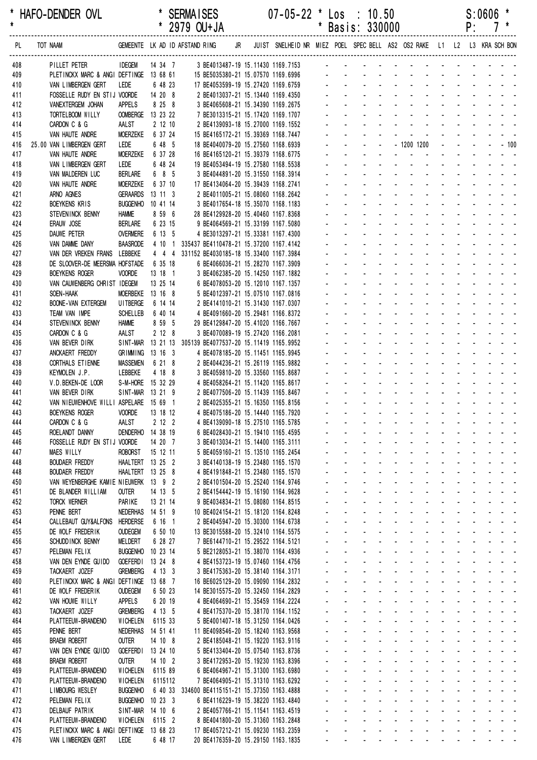\* HAFO-DENDER OVL \* SERMAISES 07-05-22 \* Los : 10.50 S:0606 \* \* 2979 OU+JA \* Basis: 330000 ------------------------------------------------------------------------------------------------------------------------------------------------------------------ PL TOT NAAM GEMEENTE LK AD ID AFSTAND RING JR JUIST SNELHEID NR MIEZ POEL SPEC BELL AS2 OS2 RAKE L1 L2 L3 KRA SCH BON ------------------------------------------------------------------------------------------------------------------------------------------------------------------ 408 PILLET PETER IDEGEM 14 34 7 3 BE4013487-19 15.11430 1169.7153 409 PLETINCKX MARC & ANGI DEFTINGE 13 68 61 15 BE5035380-21 15.07570 1169.6996 - - - - - - - - - - - - - 410 VAN LIMBERGEN GERT LEDE 6 48 23 17 BE4053599-19 15.27420 1169.6759 411 FOSSELLE RUDY EN STIJ VOORDE 14 20 8 2 BE4013037-21 15.13440 1169.4350 412 VANEXTERGEM JOHAN APPELS 8 25 8 3 BE4065608-21 15.34390 1169.2675 413 TORTELBOOM WILLY COMBERGE 13 23 22 7 BE3013315-21 15.17420 1169.1707 414 CARDON C & G AALST 2 12 10 2 BE4139093-18 15.27000 1169.1552 415 VAN HAUTE ANDRE MOERZEKE 6 37 24 15 BE4165172-21 15.39369 1168.7447 416 25.00 VAN LIMBERGEN GERT LEDE 6 48 5 18 BE4040079-20 15.27560 1168.6939 - - - - - 1200 1200 - - - - - 100 417 VAN HAUTE ANDRE MOERZEKE 6 37 28 16 BE4165120-21 15.39379 1168.6775 418 VAN LIMBERGEN GERT LEDE 6 48 24 19 BE4053494-19 15.27580 1168.5538 419 VAN MALDEREN LUC BERLARE 6 8 5 3 BE4044891-20 15.31550 1168.3914 420 VAN HAUTE ANDRE MOERZEKE 6 37 10 17 BE4134064-20 15.39439 1168.2741 421 ARNO AGNES GERAARDS 13 11 3 2 BE4011005-21 15.08060 1168.2642 422 BOEYKENS KRIS BUGGENHO 10 41 14 3 BE4017654-18 15.35070 1168.1183 - - - - - - - - - - - - - 423 STEVENINCK BENNY HAMME 8 59 6 28 BE4129928-20 15.40460 1167.8368 - - - - - - - - - - - - - 424 ERAUW JOSE BERLARE 6 23 15 9 BE4064569-21 15.33199 1167.5080 - - - - - - - - - - - - - 425 DAUWE PETER OVERMERE 6 13 5 4 BE3013297-21 15.33381 1167.4300 426 VAN DAMME DANY BAASRODE 4 10 1 335437 BE4110478-21 15.37200 1167.4142 427 VAN DER VREKEN FRANS LEBBEKE 4 4 4 331152 BE4030185-18 15.33400 1167.3984 428 DE SLOOVER-DE MEERSMA HOFSTADE 6 35 18 6 BE4066036-21 15.28270 1167.3909 429 BOEYKENS ROGER VOORDE 13 18 1 3 BE4062385-20 15.14250 1167.1882 430 VAN CAUWENBERG CHRIST IDEGEM 13 25 14 6 BE4078053-20 15.12010 1167.1357 431 SOEN-HAAK MOERBEKE 13 16 8 5 BE4012397-21 15.07510 1167.0816 432 BOONE-VAN EXTERGEM UITBERGE 6 14 14 2 BE4141010-21 15.31430 1167.0307 433 TEAM VAN IMPE SCHELLEB 6 40 14 4 BE4091660-20 15.29481 1166.8372 434 STEVENINCK BENNY HAMME 8 59 5 29 BE4129847-20 15.41020 1166.7667 435 CARDON C & G AALST 2 12 8 3 BE4070089-19 15.27420 1166.2081 436 VAN BEVER DIRK SINT-MAR 13 21 13 305139 BE4077537-20 15 11419 1165 9952 437 ANCKAERT FREDDY GRIMMING 13 16 3 4 BE4078185-20 15 11451 1165 9945 438 CORTHALS ETIENNE MASSEMEN 6 21 8 2 BE4044236-21 15.26119 1165.9882 439 KEYMOLEN J.P. LEBBEKE 4 18 8 3 BE4059810-20 15.33560 1165.8687 440 V.D.BEKEN-DE LOOR S-M-HORE 15 32 29 4 BE4058264-21 15.11420 1165.8617 441 VAN BEVER DIRK SINT-MAR 13 21 9 2 BE4077506-20 15.11439 1165.8467 442 VAN NIEUWENHOVE WILLI ASPELARE 15 69 1 2 BE4025355-21 15.16350 1165.8156 443 BOEYKENS ROGER VOORDE 13 18 12 4 BE4075186-20 15 14440 1165 7920 444 CARDON C & G AALST 2 12 2 4 BE4139090-18 15.27510 1165.5785 445 ROELANDT DANNY DENDERHO 14 38 19 6 BE4028430-21 15.19410 1165.4595 446 FOSSELLE RUDY EN STIJ VOORDE 14 20 7 3 BE4013034-21 15.14400 1165.3111 447 MAES WILLY ROBORST 15 12 11 5 BE4059160-21 15.13510 1165.2454 448 BOUDAER FREDDY HAALTERT 13 25 2 3 BE4140138-19 15.23480 1165.1570 448 BOUDAER FREDDY HAALTERT 13 25 8 4 BE4191848-21 15.23480 1165.1570 - - - - - - - - - - - - - 450 VAN WEYENBERGHE KAMIE NIEUWERK 13 9 2 2 BE4101504-20 15.25240 1164.9746 451 DE BLANDER WILLIAM OUTER 14 13 5 2 BE4154442-19 15.16190 1164.9628 452 TORCK WERNER PARIKE 13 21 14 9 BE4034834-21 15.08080 1164.8515 453 PENNE BERT NEDERHAS 14 51 9 10 BE4024154-21 15.18120 1164.8248 454 CALLEBAUT GUY&ALFONS HERDERSE 6 16 1 2 BE4045947-20 15.30300 1164.6738 455 DE WOLF FREDERIK OUDEGEM 6 50 10 13 BE3015588-20 15.32410 1164.5575 456 SCHUDDINCK BENNY MELDERT 6 28 27 7 BE6144710-21 15.29522 1164.5121 - - - - - - - -457 PELEMAN FELIX BUGGENHO 10 23 14 5 BE2128053-21 15.38070 1164.4936 458 VAN DEN EYNDE GUIDO GOEFERDI 13 24 8 4 BE4153723-19 15.07460 1164.4756 459 TACKAERT JOZEF GREMBERG 4 13 3 3 BE4175363-20 15 38140 1164 3171 460 PLETINCKX MARC & ANGI DEFTINGE 13 68 7 16 BE6025129-20 15.09090 1164.2832 461 DE WOLF FREDERIK OUDEGEM 6 50 23 14 BE3015575-20 15 32450 1164 2829 462 VAN HOUWE WILLY APPELS 6 20 19 4 BE4064690-21 15 35459 1164 2224 463 TACKAERT JOZEF GREMBERG 4 13 5 4 BE4175370-20 15 38170 1164 1152 464 PLATTEEUW-BRANDENO WICHELEN 6115 33 5 BE4001407-18 15.31250 1164.0426 465 PENNE BERT NEDERHAS 14 51 41 11 BE4098546-20 15.18240 1163.9568 466 BRAEM ROBERT OUTER 14 10 8 2 BE4185048-21 15.19220 1163.9116 467 VAN DEN EYNDE GUIDO GOEFERDI 13 24 10 5 BE4133404-20 15.07540 1163.8736 468 BRAEM ROBERT OUTER 14 10 2 3 BE4172953-20 15.19230 1163.8396 469 PLATTEEUW-BRANDENO WICHELEN 6115 89 6 BE4064967-21 15.31300 1163.6980 470 PLATTEEUW-BRANDENO WICHELEN 6115112 7 BE4064905-21 15.31310 1163.6292 471 LIMBOURG WESLEY BUGGENHO 6 40 33 334600 BE4115151-21 15.37350 1163.4888 472 PELEMAN FELIX BUGGENHO 10 23 3 6 BE4116229-19 15.38220 1163.4840 473 DELBAUF PATRIK SINT-MAR 14 10 6 2 BE4057766-21 15.11541 1163.4519 474 PLATTEEUW-BRANDENO WICHELEN 6115 2 8 BE4041800-20 15.31360 1163.2848 475 PLETINCKX MARC & ANGI DEFTINGE 13 68 23 17 BE4057212-21 15.09230 1163.2359

476 VAN LIMBERGEN GERT LEDE 6 48 17 20 BE4176359-20 15.29150 1163.1835 - - - - - - - - - - - - -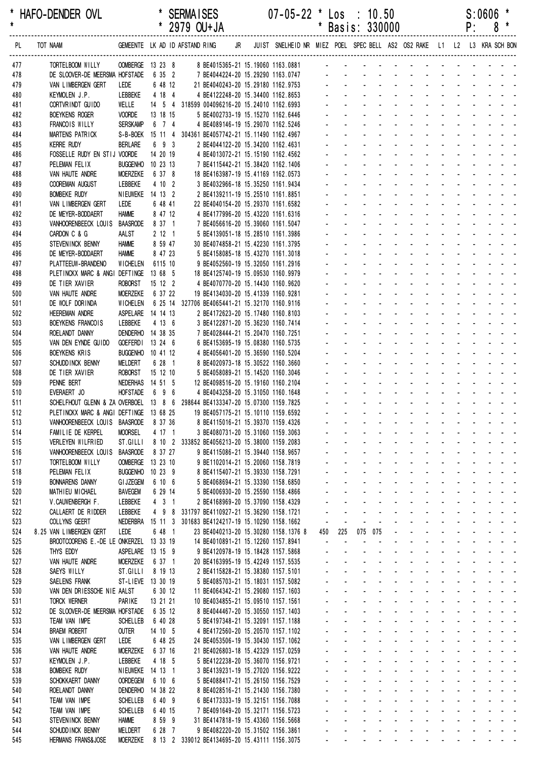| *<br>$\star$ | HAFO-DENDER OVL                                                              | $\overline{V}$                      |                     | <b>SERMAISES</b><br>* 2979 OU+JA                                                                          |  | $07 - 05 - 22$ * Los : 10.50         |              |                             |                                                        | * Basis: 330000                                                                                                                                                                                                                |                   |                                                                |                                   |                                           |                                      | P:                                                          | S:0606                                                                                                                                                                                                                                                                                                                                                                                                                                                    | *<br>$8*$                                  |
|--------------|------------------------------------------------------------------------------|-------------------------------------|---------------------|-----------------------------------------------------------------------------------------------------------|--|--------------------------------------|--------------|-----------------------------|--------------------------------------------------------|--------------------------------------------------------------------------------------------------------------------------------------------------------------------------------------------------------------------------------|-------------------|----------------------------------------------------------------|-----------------------------------|-------------------------------------------|--------------------------------------|-------------------------------------------------------------|-----------------------------------------------------------------------------------------------------------------------------------------------------------------------------------------------------------------------------------------------------------------------------------------------------------------------------------------------------------------------------------------------------------------------------------------------------------|--------------------------------------------|
| PL           | TOT NAAM                                                                     |                                     |                     | GEMEENTE LK AD ID AFSTAND RING JR JUIST SNELHEID NR MIEZ POEL SPEC BELL AS2 OS2 RAKE L1 L2 L3 KRA SCH BON |  |                                      |              |                             |                                                        |                                                                                                                                                                                                                                |                   |                                                                |                                   |                                           |                                      |                                                             |                                                                                                                                                                                                                                                                                                                                                                                                                                                           |                                            |
| 477          | TORTELBOOM WILLY                                                             | OOMBERGE 13 23 8                    |                     | 8 BE4015365-21 15.19060 1163.0881                                                                         |  |                                      |              |                             |                                                        | <u>.</u>                                                                                                                                                                                                                       |                   |                                                                |                                   |                                           |                                      |                                                             |                                                                                                                                                                                                                                                                                                                                                                                                                                                           |                                            |
| 478          | DE SLOOVER-DE MEERSMA HOFSTADE                                               |                                     | 6 35 2              | 7 BE4044224-20 15.29290 1163.0747                                                                         |  |                                      |              |                             |                                                        |                                                                                                                                                                                                                                |                   |                                                                |                                   |                                           |                                      |                                                             |                                                                                                                                                                                                                                                                                                                                                                                                                                                           |                                            |
| 479          | VAN LIMBERGEN GERT                                                           | LEDE                                | 6 48 12             | 21 BE4040243-20 15.29180 1162.9753                                                                        |  |                                      |              |                             |                                                        |                                                                                                                                                                                                                                |                   |                                                                |                                   |                                           |                                      |                                                             |                                                                                                                                                                                                                                                                                                                                                                                                                                                           |                                            |
| 480          | KEYMOLEN J.P.                                                                | LEBBEKE                             | 4 18 4              | 4 BE4122248-20 15.34400 1162.8653                                                                         |  |                                      |              |                             |                                                        |                                                                                                                                                                                                                                |                   |                                                                |                                   |                                           |                                      |                                                             |                                                                                                                                                                                                                                                                                                                                                                                                                                                           |                                            |
| 481          | CORTVRINDT GUIDO                                                             | WELLE                               |                     | 14 5 4 318599 004096216-20 15.24010 1162.6993                                                             |  |                                      |              |                             |                                                        | <u>.</u>                                                                                                                                                                                                                       |                   |                                                                |                                   |                                           |                                      |                                                             |                                                                                                                                                                                                                                                                                                                                                                                                                                                           |                                            |
| 482<br>483   | <b>BOEYKENS ROGER</b><br>FRANCOIS WILLY                                      | <b>VOORDE</b><br><b>SERSKAMP</b>    | 13 18 15<br>6 7 4   | 5 BE4002733-19 15.15270 1162.6446<br>4 BE4089146-19 15.29070 1162.5246                                    |  |                                      |              |                             |                                                        |                                                                                                                                                                                                                                |                   |                                                                |                                   |                                           |                                      |                                                             |                                                                                                                                                                                                                                                                                                                                                                                                                                                           |                                            |
| 484          | MARTENS PATRICK                                                              |                                     |                     | S-B-BOEK 15 11 4 304361 BE4057742-21 15.11490 1162.4967                                                   |  |                                      |              |                             |                                                        |                                                                                                                                                                                                                                |                   |                                                                |                                   |                                           |                                      |                                                             |                                                                                                                                                                                                                                                                                                                                                                                                                                                           |                                            |
| 485          | <b>KERRE RUDY</b>                                                            | <b>BERLARE</b>                      | 6 9 3               | 2 BE4044122-20 15.34200 1162.4631                                                                         |  |                                      |              |                             |                                                        |                                                                                                                                                                                                                                |                   |                                                                |                                   |                                           |                                      |                                                             |                                                                                                                                                                                                                                                                                                                                                                                                                                                           |                                            |
| 486          | FOSSELLE RUDY EN STIJ VOORDE                                                 |                                     | 14 20 19            | 4 BE4013072-21 15.15190 1162.4562                                                                         |  |                                      |              |                             |                                                        |                                                                                                                                                                                                                                |                   |                                                                |                                   |                                           |                                      |                                                             |                                                                                                                                                                                                                                                                                                                                                                                                                                                           |                                            |
| 487          | PELEMAN FELIX                                                                | BUGGENHO 10 23 13                   |                     | 7 BE4115442-21 15.38420 1162.1406                                                                         |  |                                      |              |                             |                                                        | design and a state of the state of the state of the state of the state of the state of the state of the state of the state of the state of the state of the state of the state of the state of the state of the state of the s |                   |                                                                |                                   |                                           |                                      |                                                             |                                                                                                                                                                                                                                                                                                                                                                                                                                                           |                                            |
| 488          | VAN HAUTE ANDRE                                                              | <b>MOERZEKE</b>                     | 6 37 8              | 18 BE4163987-19 15.41169 1162.0573                                                                        |  |                                      |              |                             |                                                        |                                                                                                                                                                                                                                |                   |                                                                |                                   |                                           |                                      |                                                             | $\mathbf{r} = \mathbf{r} + \mathbf{r} + \mathbf{r} + \mathbf{r} + \mathbf{r} + \mathbf{r} + \mathbf{r} + \mathbf{r} + \mathbf{r} + \mathbf{r} + \mathbf{r} + \mathbf{r} + \mathbf{r} + \mathbf{r} + \mathbf{r} + \mathbf{r} + \mathbf{r} + \mathbf{r} + \mathbf{r} + \mathbf{r} + \mathbf{r} + \mathbf{r} + \mathbf{r} + \mathbf{r} + \mathbf{r} + \mathbf{r} + \mathbf{r} + \mathbf{r} + \mathbf{r} + \mathbf{r} + \mathbf$<br>and a strain and a strain |                                            |
| 489<br>490   | COOREMAN AUGUST<br><b>BOMBEKE RUDY</b>                                       | LEBBEKE<br>NIEUWEKE 14 13 2         | 4 10 2              | 3 BE4032966-18 15.35250 1161.9434<br>2 BE4139211-19 15.25510 1161.8851                                    |  |                                      |              |                             |                                                        |                                                                                                                                                                                                                                |                   |                                                                |                                   |                                           |                                      |                                                             | and a strategies                                                                                                                                                                                                                                                                                                                                                                                                                                          |                                            |
| 491          | VAN LIMBERGEN GERT                                                           | LEDE                                | 6 48 41             | 22 BE4040154-20 15.29370 1161.6582                                                                        |  |                                      |              |                             |                                                        |                                                                                                                                                                                                                                |                   |                                                                |                                   |                                           |                                      |                                                             |                                                                                                                                                                                                                                                                                                                                                                                                                                                           |                                            |
| 492          | DE MEYER-BODDAERT                                                            | <b>HAMME</b>                        | 8 47 12             | 4 BE4177996-20 15.43220 1161.6316                                                                         |  |                                      |              |                             |                                                        |                                                                                                                                                                                                                                |                   |                                                                |                                   |                                           |                                      |                                                             |                                                                                                                                                                                                                                                                                                                                                                                                                                                           |                                            |
| 493          | VANHOORENBEECK LOUIS                                                         | BAASRODE                            | 8 37 1              | 7 BE4056616-20 15.39060 1161.5047                                                                         |  |                                      |              |                             |                                                        |                                                                                                                                                                                                                                |                   |                                                                |                                   |                                           |                                      |                                                             |                                                                                                                                                                                                                                                                                                                                                                                                                                                           |                                            |
| 494          | CARDON C & G                                                                 | AALST                               | 2121                | 5 BE4139051-18 15.28510 1161.3986                                                                         |  |                                      |              |                             |                                                        |                                                                                                                                                                                                                                |                   | $\mathbf{r}$                                                   |                                   |                                           |                                      |                                                             |                                                                                                                                                                                                                                                                                                                                                                                                                                                           |                                            |
| 495          | STEVENINCK BENNY                                                             | <b>HAMME</b>                        | 8 59 47             | 30 BE4074858-21 15.42230 1161.3795                                                                        |  |                                      |              |                             |                                                        |                                                                                                                                                                                                                                |                   |                                                                |                                   |                                           |                                      |                                                             |                                                                                                                                                                                                                                                                                                                                                                                                                                                           |                                            |
| 496          | DE MEYER-BODDAERT                                                            | <b>HAMME</b>                        | 8 47 23             | 5 BE4158085-18 15.43270 1161.3018                                                                         |  |                                      |              |                             |                                                        |                                                                                                                                                                                                                                |                   |                                                                |                                   |                                           |                                      |                                                             |                                                                                                                                                                                                                                                                                                                                                                                                                                                           |                                            |
| 497          | PLATTEEUW-BRANDENO                                                           | WICHELEN                            | 6115 10             | 9 BE4052560-19 15.32050 1161.2916                                                                         |  |                                      |              |                             |                                                        |                                                                                                                                                                                                                                |                   |                                                                |                                   |                                           |                                      |                                                             |                                                                                                                                                                                                                                                                                                                                                                                                                                                           |                                            |
| 498<br>499   | PLETINCKX MARC & ANGI DEFTINGE 13 68 5<br>DE TIER XAVIER                     | ROBORST                             | 15 12 2             | 18 BE4125740-19 15.09530 1160.9979<br>4 BE4070770-20 15.14430 1160.9620                                   |  |                                      |              |                             |                                                        |                                                                                                                                                                                                                                |                   |                                                                |                                   |                                           |                                      |                                                             |                                                                                                                                                                                                                                                                                                                                                                                                                                                           |                                            |
| 500          | VAN HAUTE ANDRE                                                              | <b>MOERZEKE</b>                     | 6 37 22             | 19 BE4134030-20 15.41339 1160.9281                                                                        |  |                                      |              |                             |                                                        |                                                                                                                                                                                                                                |                   |                                                                |                                   |                                           | and the second control of the second |                                                             |                                                                                                                                                                                                                                                                                                                                                                                                                                                           |                                            |
| 501          | DE WOLF DORINDA                                                              | WICHELEN                            |                     | 6 25 14 327706 BE4065441-21 15.32170 1160.9116                                                            |  |                                      |              |                             |                                                        |                                                                                                                                                                                                                                |                   |                                                                |                                   |                                           |                                      | $\omega_{\rm{max}}$ , $\omega_{\rm{max}}$                   |                                                                                                                                                                                                                                                                                                                                                                                                                                                           |                                            |
| 502          | <b>HEEREMAN ANDRE</b>                                                        | ASPELARE 14 14 13                   |                     | 2 BE4172623-20 15.17480 1160.8103                                                                         |  |                                      |              |                             |                                                        |                                                                                                                                                                                                                                |                   |                                                                |                                   |                                           |                                      |                                                             |                                                                                                                                                                                                                                                                                                                                                                                                                                                           |                                            |
| 503          | BOEYKENS FRANCOIS                                                            | LEBBEKE                             | 4 13 6              | 3 BE4122871-20 15.36230 1160.7414                                                                         |  |                                      |              |                             |                                                        |                                                                                                                                                                                                                                |                   |                                                                |                                   |                                           |                                      |                                                             |                                                                                                                                                                                                                                                                                                                                                                                                                                                           |                                            |
| 504          | ROELANDT DANNY                                                               | DENDERHO 14 38 35                   |                     | 7 BE4028444-21 15.20470 1160.7251                                                                         |  |                                      |              |                             |                                                        |                                                                                                                                                                                                                                |                   |                                                                |                                   |                                           |                                      |                                                             |                                                                                                                                                                                                                                                                                                                                                                                                                                                           |                                            |
| 505          | VAN DEN EYNDE GUIDO                                                          | <b>GOEFERDI</b>                     | 13 24 6             | 6 BE4153695-19 15.08380 1160.5735                                                                         |  |                                      |              |                             |                                                        |                                                                                                                                                                                                                                |                   |                                                                |                                   | $\sim$                                    | $\mathbf{r}$                         |                                                             |                                                                                                                                                                                                                                                                                                                                                                                                                                                           |                                            |
| 506<br>507   | <b>BOEYKENS KRIS</b><br>SCHUDD INCK BENNY                                    | BUGGENHO 10 41 12<br>MELDERT        | 6 28 1              | 4 BE4056401-20 15.36590 1160.5204<br>8 BE4020973-18 15.30522 1160.3660                                    |  |                                      |              |                             |                                                        |                                                                                                                                                                                                                                | $\sim 100$        | $\mathbf{r}$                                                   | $\sim$                            | $\mathcal{L}^{\text{max}}$                |                                      | $\omega_{\rm{max}}=2.5$                                     |                                                                                                                                                                                                                                                                                                                                                                                                                                                           |                                            |
| 508          | DE TIER XAVIER                                                               | <b>ROBORST</b>                      | 15 12 10            | 5 BE4058089-21 15.14520 1160.3046                                                                         |  |                                      |              |                             |                                                        |                                                                                                                                                                                                                                |                   |                                                                | and a state                       | $\mathcal{L}^{\pm}$                       |                                      | and a state                                                 |                                                                                                                                                                                                                                                                                                                                                                                                                                                           |                                            |
| 509          | PENNE BERT                                                                   | NEDERHAS 14 51 5                    |                     | 12 BE4098516-20 15.19160 1160.2104                                                                        |  |                                      |              |                             |                                                        |                                                                                                                                                                                                                                |                   |                                                                |                                   |                                           |                                      |                                                             | and a strain and a strain a                                                                                                                                                                                                                                                                                                                                                                                                                               |                                            |
| 510          | EVERAERT JO                                                                  | <b>HOFSTADE</b>                     | 696                 | 4 BE4043258-20 15.31050 1160.1648                                                                         |  |                                      |              |                             |                                                        |                                                                                                                                                                                                                                |                   |                                                                |                                   |                                           |                                      |                                                             |                                                                                                                                                                                                                                                                                                                                                                                                                                                           |                                            |
| 511          | SCHELFHOUT GLENN & ZA OVERBOEL 13 8 6 298644 BE4133347-20 15.07300 1159.7825 |                                     |                     |                                                                                                           |  |                                      |              |                             |                                                        |                                                                                                                                                                                                                                |                   |                                                                |                                   |                                           |                                      |                                                             |                                                                                                                                                                                                                                                                                                                                                                                                                                                           |                                            |
| 512          | PLETINCKX MARC & ANGI DEFTINGE 13 68 25 19 BE4057175-21 15.10110 1159.6592   |                                     |                     |                                                                                                           |  |                                      |              |                             |                                                        |                                                                                                                                                                                                                                |                   |                                                                |                                   |                                           |                                      |                                                             |                                                                                                                                                                                                                                                                                                                                                                                                                                                           |                                            |
| 513          | VANHOORENBEECK LOUIS BAASRODE                                                |                                     | 8 37 36             | 8 BE4115016-21 15.39370 1159.4326                                                                         |  |                                      |              | and a state                 |                                                        | and a strain and a strain and a<br>and a straightful control of the straight                                                                                                                                                   |                   |                                                                |                                   |                                           |                                      |                                                             |                                                                                                                                                                                                                                                                                                                                                                                                                                                           |                                            |
| 514<br>515   | FAMILIE DE KERPEL<br>VERLEYEN WILFRIED                                       | <b>MOORSEL</b><br>ST.GILLI          | 4 17 1              | 3 BE4080731-20 15.31060 1159.3063<br>8 10 2 333852 BE4056213-20 15.38000 1159.2083                        |  |                                      |              |                             | <b>Service</b>                                         | and a straightful and a straight                                                                                                                                                                                               |                   |                                                                |                                   |                                           |                                      |                                                             | and a strain and a<br>and a straight and                                                                                                                                                                                                                                                                                                                                                                                                                  |                                            |
| 516          | VANHOORENBEECK LOUIS                                                         | BAASRODE                            | 8 37 27             | 9 BE4115086-21 15.39440 1158.9657                                                                         |  |                                      |              |                             |                                                        | and a straight                                                                                                                                                                                                                 |                   |                                                                |                                   |                                           |                                      |                                                             |                                                                                                                                                                                                                                                                                                                                                                                                                                                           |                                            |
| 517          | TORTELBOOM WILLY                                                             | OOMBERGE 13 23 10                   |                     | 9 BE1102014-21 15.20060 1158.7819                                                                         |  |                                      |              |                             | $\Delta \sim 100$                                      | and a straightful and a straight                                                                                                                                                                                               |                   |                                                                |                                   |                                           |                                      |                                                             | and the state of the state of                                                                                                                                                                                                                                                                                                                                                                                                                             |                                            |
| 518          | PELEMAN FELIX                                                                | BUGGENHO 10 23 9                    |                     | 8 BE4115407-21 15.39330 1158.7291                                                                         |  |                                      | $\mathbf{r}$ | $\mathbf{r}$                |                                                        | $\Delta \sim 100$<br>and a state                                                                                                                                                                                               |                   |                                                                | and a strategies and              |                                           |                                      |                                                             | and the state of the state of the                                                                                                                                                                                                                                                                                                                                                                                                                         |                                            |
| 519          | <b>BONNARENS DANNY</b>                                                       | <b>GI JZEGEM</b>                    | 6 10 6              | 5 BE4068694-21 15.33390 1158.6850                                                                         |  |                                      |              | a.                          |                                                        | $\Delta \sim 10^{-11}$<br>and a strip                                                                                                                                                                                          |                   |                                                                |                                   |                                           |                                      |                                                             | and a strain and a strain and                                                                                                                                                                                                                                                                                                                                                                                                                             |                                            |
| 520          | MATHIEU MICHAEL                                                              | <b>BAVEGEM</b>                      | 6 29 14             | 5 BE4006930-20 15.25590 1158.4866                                                                         |  |                                      |              |                             | $\omega_{\rm{max}}$                                    | $\omega_{\rm{max}}$<br><b>All States</b>                                                                                                                                                                                       |                   |                                                                | and a straight                    |                                           |                                      |                                                             | and a strain and a                                                                                                                                                                                                                                                                                                                                                                                                                                        |                                            |
| 521          | V.CAUWENBERGH F.<br>CALLAERT DE RIDDER                                       | LEBBEKE<br>LEBBEKE                  | $4 \quad 3 \quad 1$ | 2 BE4168969-20 15.37090 1158.4329<br>4 9 8 331797 BE4110927-21 15.36290 1158.1721                         |  |                                      |              | $\mathbf{r}$                |                                                        | and a straight                                                                                                                                                                                                                 |                   | and a straight and a straight                                  | <b>All Cards</b>                  | $\Delta \sim 100$                         |                                      |                                                             | and a strain and a<br>المناسب المناسب                                                                                                                                                                                                                                                                                                                                                                                                                     |                                            |
| 522<br>523   | COLLYNS GEERT                                                                | NEDERBRA                            |                     | 15 11 3 301683 BE4124217-19 15.10290 1158.1662                                                            |  |                                      |              |                             |                                                        |                                                                                                                                                                                                                                | $\sim 100$        | $\omega_{\rm{max}}$                                            |                                   | $\omega_{\rm{max}}=2.0$                   |                                      |                                                             | and the state of the state of                                                                                                                                                                                                                                                                                                                                                                                                                             |                                            |
| 524          | 8.25 VAN LIMBERGEN GERT                                                      | LEDE                                | 6 48 1              |                                                                                                           |  | 23 BE4040213-20 15.30280 1158.1376 8 | 450          | 225                         |                                                        | 075 075                                                                                                                                                                                                                        | <b>Contractor</b> | $\mathbf{r}$                                                   | <b>Contract Contract Contract</b> |                                           | $\sim$                               |                                                             | and the state of the state of                                                                                                                                                                                                                                                                                                                                                                                                                             |                                            |
| 525          | BROOTCOORENS E.-DE LE ONKERZEL 13 33 19                                      |                                     |                     | 14 BE4010891-21 15.12260 1157.8941                                                                        |  |                                      | $\mathbf{r}$ | $\mathbf{r}$                |                                                        | $\mathbf{r}$                                                                                                                                                                                                                   | $\sim$            | $\mathcal{L}$                                                  |                                   | $\omega_{\rm{max}}$ , $\omega_{\rm{max}}$ | ÷.                                   |                                                             |                                                                                                                                                                                                                                                                                                                                                                                                                                                           | $\omega_{\rm{max}}$                        |
| 526          | THYS EDDY                                                                    | ASPELARE 13 15 9                    |                     | 9 BE4120978-19 15.18428 1157.5868                                                                         |  |                                      |              | ÷.                          | $\mathbf{u} = \mathbf{u}$                              | <b>All States</b>                                                                                                                                                                                                              |                   | $\mathbf{L}^{\text{max}}$                                      | $\Delta \sim 100$                 | $\mathcal{L}^{\text{max}}$                | ÷.                                   |                                                             |                                                                                                                                                                                                                                                                                                                                                                                                                                                           | $\sim 100$                                 |
| 527          | VAN HAUTE ANDRE                                                              | MOERZEKE                            | 6 37 1              | 20 BE4163995-19 15.42249 1157.5535                                                                        |  |                                      |              | $\sim$                      |                                                        | $\mathbf{z} = \mathbf{z}$<br><b>All States</b>                                                                                                                                                                                 |                   |                                                                | <b>All Cards</b>                  | $\sim$                                    |                                      |                                                             | and a state of the state                                                                                                                                                                                                                                                                                                                                                                                                                                  |                                            |
| 528          | SAEYS WILLY                                                                  | ST.GILLI                            | 8 19 13             | 2 BE4115828-21 15.38380 1157.5101                                                                         |  |                                      |              |                             |                                                        | and a straightful and state the                                                                                                                                                                                                |                   |                                                                |                                   |                                           |                                      |                                                             | and a state of the state                                                                                                                                                                                                                                                                                                                                                                                                                                  |                                            |
| 529          | SAELENS FRANK                                                                | ST-LIEVE 13 30 19                   |                     | 5 BE4085703-21 15.18031 1157.5082                                                                         |  |                                      |              | $\sim$                      | $\omega_{\rm{max}}$                                    | $\Delta \sim 100$<br>$\Delta \phi = 0.000$ and $\Delta \phi = 0.000$<br>$\Delta \sim 100$<br>and a state                                                                                                                       |                   | $\omega_{\rm{max}}$<br>$\mathcal{L}$                           |                                   | and a state                               |                                      |                                                             | and a strain and a<br>and the state of the state of the                                                                                                                                                                                                                                                                                                                                                                                                   |                                            |
| 530<br>531   | VAN DEN DRIESSCHE NIE AALST<br><b>TORCK WERNER</b>                           | PARIKE                              | 6 30 12<br>13 21 21 | 11 BE4064342-21 15.29080 1157.1603<br>10 BE4034855-21 15.09510 1157.1561                                  |  |                                      |              | a.                          |                                                        | $\Delta \sim 10^{-11}$                                                                                                                                                                                                         |                   |                                                                |                                   |                                           |                                      |                                                             | and a state of the state of the state                                                                                                                                                                                                                                                                                                                                                                                                                     |                                            |
| 532          | DE SLOOVER-DE MEERSMA HOFSTADE                                               |                                     | 6 35 12             | 8 BE4044467-20 15.30550 1157.1403                                                                         |  |                                      |              | $\omega_{\rm{max}}$         | $\mathcal{L}^{\text{max}}$<br>$\Delta \sim 100$        | <b>All Service</b>                                                                                                                                                                                                             |                   | $\omega_{\rm{max}}$                                            | $\omega_{\rm{max}}$               | $\Delta \sim 100$                         |                                      |                                                             | and a strain and a                                                                                                                                                                                                                                                                                                                                                                                                                                        |                                            |
| 533          | TEAM VAN IMPE                                                                | <b>SCHELLEB</b>                     | 6 40 28             | 5 BE4197348-21 15.32091 1157.1188                                                                         |  |                                      |              | $\mathbf{r}$                |                                                        | $\mathbf{z} = \mathbf{z}$<br><b>All Cards</b>                                                                                                                                                                                  |                   |                                                                | <b>All Cards</b>                  | $\Delta \sim 100$                         |                                      |                                                             | and a strain and a                                                                                                                                                                                                                                                                                                                                                                                                                                        |                                            |
| 534          | <b>BRAEM ROBERT</b>                                                          | <b>OUTER</b>                        | 14 10 5             | 4 BE4172560-20 15.20570 1157.1102                                                                         |  |                                      |              |                             |                                                        | and a straightful and state the                                                                                                                                                                                                |                   |                                                                |                                   |                                           |                                      |                                                             | and a straight and                                                                                                                                                                                                                                                                                                                                                                                                                                        |                                            |
| 535          | VAN LIMBERGEN GERT                                                           | LEDE                                | 6 48 25             | 24 BE4053506-19 15.30430 1157.1062                                                                        |  |                                      |              | $\sim$                      |                                                        | $\omega_{\rm{max}}$                                                                                                                                                                                                            |                   | and a straight                                                 |                                   | $\Delta \phi = 0.01$                      |                                      |                                                             | and a state of the state of                                                                                                                                                                                                                                                                                                                                                                                                                               |                                            |
| 536          | VAN HAUTE ANDRE                                                              | MOERZEKE                            | 6 37 16             | 21 BE4026803-18 15.42329 1157.0259                                                                        |  |                                      | $\mathbf{r}$ | $\mathcal{L}^{\mathcal{A}}$ |                                                        | $\Delta \sim 100$                                                                                                                                                                                                              |                   | and a straight and a straight                                  |                                   |                                           |                                      |                                                             | and the state of the state of                                                                                                                                                                                                                                                                                                                                                                                                                             |                                            |
| 537          | KEYMOLEN J.P.                                                                | LEBBEKE                             | 4 18 5              | 5 BE4122238-20 15.36070 1156.9721                                                                         |  |                                      |              | $\mathcal{L}^{\pm}$         | $\omega_{\rm{max}}$                                    | $\Delta \sim 10^{-11}$<br>$\omega_{\rm{max}}$                                                                                                                                                                                  |                   | and a straight and a straight<br>and a straight and a straight |                                   |                                           | $\omega_{\rm{max}}$                  | $\omega_{\rm{max}}$ , and $\omega_{\rm{max}}$<br>$\sim 100$ |                                                                                                                                                                                                                                                                                                                                                                                                                                                           | $\omega_{\rm{eff}}=2.0\pm0.02$             |
| 538<br>539   | <b>BOMBEKE RUDY</b><br>SCHOKKAERT DANNY                                      | NIEUWEKE 14 13 1<br><b>OORDEGEM</b> | 6 10 6              | 3 BE4139231-19 15.27020 1156.9222<br>5 BE4088417-21 15.26150 1156.7529                                    |  |                                      |              |                             | $\mathbf{L}^{\text{max}}$                              | and a straightful and state                                                                                                                                                                                                    |                   |                                                                |                                   | $\sim$                                    |                                      |                                                             | and a state of the                                                                                                                                                                                                                                                                                                                                                                                                                                        | $\Delta\phi = \Delta\phi = -\Delta\phi$    |
| 540          | ROELANDT DANNY                                                               | DENDERHO 14 38 22                   |                     | 8 BE4028516-21 15.21430 1156.7380                                                                         |  |                                      |              |                             |                                                        | and a straightful control of the                                                                                                                                                                                               |                   |                                                                |                                   |                                           |                                      |                                                             | and a state of the state                                                                                                                                                                                                                                                                                                                                                                                                                                  |                                            |
| 541          | TEAM VAN IMPE                                                                | <b>SCHELLEB</b>                     | 6 40 9              | 6 BE4173333-19 15.32151 1156.7088                                                                         |  |                                      |              |                             | $\Delta \sim 100$                                      | and a straight                                                                                                                                                                                                                 |                   |                                                                | and a straight                    |                                           |                                      |                                                             | and a straight and                                                                                                                                                                                                                                                                                                                                                                                                                                        |                                            |
| 542          | TEAM VAN IMPE                                                                | <b>SCHELLEB</b>                     | 6 40 15             | 7 BE4091649-20 15.32171 1156.5723                                                                         |  |                                      | $\mathbf{r}$ | $\sim$                      |                                                        | $\mathbf{r} = \mathbf{r} + \mathbf{r}$                                                                                                                                                                                         |                   | $\mathcal{L}$                                                  |                                   |                                           |                                      |                                                             | in the contract of the contract of the contract of the contract of the contract of the contract of the contract of the contract of the contract of the contract of the contract of the contract of the contract of the contrac                                                                                                                                                                                                                            |                                            |
| 543          | STEVENINCK BENNY                                                             | <b>HAMME</b>                        | 8 59 9              | 31 BE4147818-19 15.43360 1156.5668                                                                        |  |                                      |              | $\mathcal{L}^{\mathcal{L}}$ |                                                        | and a straight                                                                                                                                                                                                                 |                   |                                                                |                                   |                                           |                                      |                                                             | and a state of the state of the state of                                                                                                                                                                                                                                                                                                                                                                                                                  |                                            |
| 544          | SCHUDD INCK BENNY                                                            | MELDERT                             | 6 28 7              | 9 BE4082220-20 15.31502 1156.3861                                                                         |  |                                      |              | $\mathbf{L}^{\text{max}}$   | $\mathbf{L}^{\text{max}}$<br>$\mathbf{L}^{\text{max}}$ | $\Delta \phi = \Delta \phi = 0.01$                                                                                                                                                                                             |                   | $\Delta \sim 100$                                              | $\Delta \sim 100$                 |                                           | and a straight                       |                                                             |                                                                                                                                                                                                                                                                                                                                                                                                                                                           | $\Delta \phi = \Delta \phi = -\Delta \phi$ |
| 545          | <b>HERMANS FRANS&amp;JOSE</b>                                                | <b>MOERZEKE</b>                     |                     | 8 13 2 339012 BE4134695-20 15.43111 1156.3075                                                             |  |                                      |              | $\sim 100$                  | $\mathbf{a}$ and $\mathbf{b}$                          | $\omega_{\rm{max}}$                                                                                                                                                                                                            |                   | and a straight and state                                       |                                   |                                           |                                      |                                                             | and a straightful and a                                                                                                                                                                                                                                                                                                                                                                                                                                   |                                            |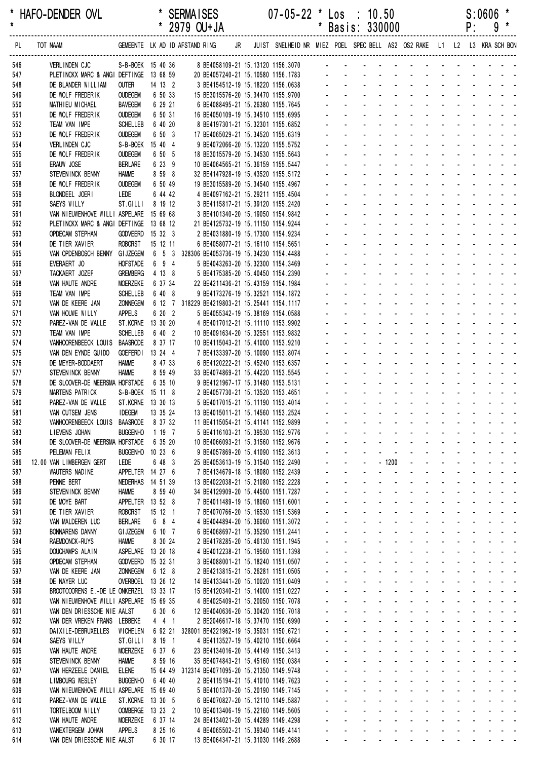\* \* 2979 OU+JA \* Basis: 330000 P: 9 \* ------------------------------------------------------------------------------------------------------------------------------------------------------------------

| PL.        | TOT NAAM                                                                           |                    |          | GEMEENTE LK AD ID AFSTAND RING                  | JR | JUIST SNELHEID NR MIEZ POEL SPEC BELL AS2 OS2 RAKE L1 L2 L3 KRA SCH BON |              |                             |                                                                                                                                                                                                                               |                                                  |                               |                                             |                       |                     |                                               |                            |                                                                                                         |
|------------|------------------------------------------------------------------------------------|--------------------|----------|-------------------------------------------------|----|-------------------------------------------------------------------------|--------------|-----------------------------|-------------------------------------------------------------------------------------------------------------------------------------------------------------------------------------------------------------------------------|--------------------------------------------------|-------------------------------|---------------------------------------------|-----------------------|---------------------|-----------------------------------------------|----------------------------|---------------------------------------------------------------------------------------------------------|
| 546        | VERLINDEN CJC                                                                      | S-B-BOEK 15 40 36  |          |                                                 |    | 8 BE4058109-21 15.13120 1156.3070                                       |              |                             | and a straightful and a straight                                                                                                                                                                                              |                                                  |                               |                                             |                       |                     |                                               |                            |                                                                                                         |
| 547        | PLETINCKX MARC & ANGI DEFTINGE 13 68 59                                            |                    |          |                                                 |    | 20 BE4057240-21 15.10580 1156.1783                                      |              |                             | and a straightful control of the                                                                                                                                                                                              |                                                  |                               |                                             |                       |                     |                                               |                            |                                                                                                         |
| 548        | DE BLANDER WILLIAM                                                                 | <b>OUTER</b>       | 14 13 2  |                                                 |    | 3 BE4154512-19 15.18220 1156.0638                                       |              |                             | and a series of the contract of the                                                                                                                                                                                           |                                                  |                               |                                             |                       |                     |                                               |                            |                                                                                                         |
| 549        | DE WOLF FREDERIK                                                                   | <b>OUDEGEM</b>     | 6 50 33  |                                                 |    | 15 BE3015576-20 15.34470 1155.9700                                      |              |                             | a construction of the construction of the construction of the construction of the construction of the construction of the construction of the construction of the construction of the construction of the construction of the |                                                  |                               |                                             |                       |                     |                                               |                            |                                                                                                         |
| 550        | MATHIEU MICHAEL                                                                    | BAVEGEM            | 6 29 21  |                                                 |    | 6 BE4088495-21 15.26380 1155.7645                                       |              |                             |                                                                                                                                                                                                                               |                                                  |                               |                                             |                       |                     |                                               |                            | and a strain and a strain and a strain                                                                  |
| 551        | DE WOLF FREDERIK                                                                   | <b>OUDEGEM</b>     | 6 50 31  |                                                 |    | 16 BE4050109-19 15.34510 1155.6995                                      |              |                             |                                                                                                                                                                                                                               |                                                  | and a straight and a straight |                                             |                       |                     |                                               | and a straight             |                                                                                                         |
| 552        | TEAM VAN IMPE                                                                      | <b>SCHELLEB</b>    | 6 40 20  |                                                 |    | 8 BE4197301-21 15.32301 1155.6852                                       |              |                             | and a straightful and a straight                                                                                                                                                                                              |                                                  |                               |                                             |                       |                     |                                               |                            |                                                                                                         |
| 553        | DE WOLF FREDERIK                                                                   | <b>OUDEGEM</b>     | 6 50 3   |                                                 |    | 17 BE4065029-21 15.34520 1155.6319                                      |              |                             | and a straightful and a straight                                                                                                                                                                                              |                                                  |                               |                                             |                       |                     |                                               |                            |                                                                                                         |
| 554        | <b>VERLINDEN CJC</b>                                                               | S-B-BOEK 15 40 4   |          |                                                 |    | 9 BE4072066-20 15.13220 1155.5752                                       |              |                             |                                                                                                                                                                                                                               |                                                  |                               |                                             |                       |                     |                                               |                            |                                                                                                         |
| 555        | DE WOLF FREDERIK                                                                   | <b>OUDEGEM</b>     | 6 50 5   |                                                 |    | 18 BE3015579-20 15.34530 1155.5643                                      |              |                             | design and a state of the state of the                                                                                                                                                                                        |                                                  |                               |                                             |                       |                     |                                               |                            |                                                                                                         |
| 556        | ERAUW JOSE                                                                         | <b>BERLARE</b>     | 6 23 9   |                                                 |    | 10 BE4064565-21 15.36159 1155.5447                                      |              |                             | $\mathcal{L}^{\text{max}}$                                                                                                                                                                                                    |                                                  |                               |                                             |                       |                     |                                               |                            | and a state of the state of the state of                                                                |
| 557        | STEVENINCK BENNY                                                                   | <b>HAMME</b>       | 8 59 8   |                                                 |    | 32 BE4147928-19 15.43520 1155.5172                                      |              |                             |                                                                                                                                                                                                                               | $\omega_{\rm{max}}$ , and $\omega_{\rm{max}}$    |                               | and a straight                              |                       |                     |                                               | and a strain               |                                                                                                         |
| 558        | DE WOLF FREDERIK                                                                   | <b>OUDEGEM</b>     | 6 50 49  |                                                 |    | 19 BE3015589-20 15.34540 1155.4967                                      |              |                             |                                                                                                                                                                                                                               |                                                  |                               |                                             | $\sim$                |                     |                                               | and a strategic            |                                                                                                         |
| 559        | BLONDEEL JOERI                                                                     | LEDE               | 6 44 42  |                                                 |    | 4 BE4097162-21 15.29211 1155.4504                                       |              |                             | and the control                                                                                                                                                                                                               |                                                  |                               | $\Delta \phi = 0.01$                        |                       |                     |                                               |                            | and a strain and a                                                                                      |
| 560        | SAEYS WILLY                                                                        | ST.GILLI           | 8 19 12  |                                                 |    | 3 BE4115817-21 15.39120 1155.2420                                       |              |                             | and a straight                                                                                                                                                                                                                |                                                  |                               | and a straight and a straight               |                       |                     |                                               |                            |                                                                                                         |
| 561        | VAN NIEUWENHOVE WILLI ASPELARE 15 69 68<br>PLETINCKX MARC & ANGI DEFTINGE 13 68 12 |                    |          |                                                 |    | 3 BE4101340-20 15.19050 1154.9842<br>21 BE4125732-19 15.11150 1154.9244 |              |                             | and a straightful and a straight and                                                                                                                                                                                          |                                                  |                               |                                             |                       |                     |                                               |                            |                                                                                                         |
| 562<br>563 | <b>OPDECAM STEPHAN</b>                                                             | GODVEERD 15 32 3   |          |                                                 |    | 2 BE4031880-19 15.17300 1154.9234                                       |              |                             |                                                                                                                                                                                                                               |                                                  | $\omega_{\rm{max}}$           |                                             | $\Delta \sim 100$     |                     |                                               |                            |                                                                                                         |
| 564        | DE TIER XAVIER                                                                     | <b>ROBORST</b>     | 15 12 11 |                                                 |    | 6 BE4058077-21 15.16110 1154.5651                                       |              |                             |                                                                                                                                                                                                                               | $\sim 100$                                       | $\Delta \sim 100$             |                                             | $\sim$                |                     |                                               |                            |                                                                                                         |
| 565        | VAN OPDENBOSCH BENNY GIJZEGEM 6 5 3 328306 BE4053736-19 15.34230 1154.4488         |                    |          |                                                 |    |                                                                         |              |                             | and a straight and a straight                                                                                                                                                                                                 |                                                  |                               |                                             | $\sim$                |                     |                                               |                            |                                                                                                         |
| 566        | EVERAERT JO                                                                        | <b>HOFSTADE</b>    | 6 9 4    |                                                 |    | 5 BE4043263-20 15.32300 1154.3469                                       |              |                             |                                                                                                                                                                                                                               |                                                  |                               |                                             |                       |                     |                                               |                            |                                                                                                         |
| 567        | TACKAERT JOZEF                                                                     | <b>GREMBERG</b>    | 4 13 8   |                                                 |    | 5 BE4175385-20 15.40450 1154.2390                                       |              |                             | and a state of the state of the state of                                                                                                                                                                                      |                                                  |                               |                                             |                       |                     |                                               |                            |                                                                                                         |
| 568        | VAN HAUTE ANDRE                                                                    | <b>MOERZEKE</b>    | 6 37 34  |                                                 |    | 22 BE4211436-21 15.43159 1154.1984                                      |              |                             |                                                                                                                                                                                                                               |                                                  |                               |                                             |                       |                     |                                               |                            | and a state of the state of the state of                                                                |
| 569        | TEAM VAN IMPE                                                                      | <b>SCHELLEB</b>    | 6 40 8   |                                                 |    | 9 BE4173276-19 15.32521 1154.1872                                       |              |                             |                                                                                                                                                                                                                               | $\mathbf{L} = \mathbf{L} \mathbf{L}$             | $\Delta \sim 10^{-1}$         | $\Delta \sim 100$                           | $\Delta \sim 10^4$    |                     | $\omega_{\rm{max}}$ and $\omega_{\rm{max}}$   |                            |                                                                                                         |
| 570        | VAN DE KEERE JAN                                                                   | <b>ZONNEGEM</b>    |          | 6 12 7 318229 BE4219803-21 15.25441 1154.1117   |    |                                                                         |              |                             |                                                                                                                                                                                                                               |                                                  |                               |                                             | $\mathcal{L}^{\pm}$   |                     |                                               | and a straight             |                                                                                                         |
| 571        | VAN HOUWE WILLY                                                                    | <b>APPELS</b>      | 6 20 2   |                                                 |    | 5 BE4055342-19 15.38169 1154.0588                                       |              |                             | and a straight                                                                                                                                                                                                                |                                                  |                               | $\Delta\phi$ and $\Delta\phi$               | $\sim$                |                     |                                               |                            | and a strain and a                                                                                      |
| 572        | PAREZ-VAN DE WALLE                                                                 | ST.KORNE 13 30 20  |          |                                                 |    | 4 BE4017012-21 15.11110 1153.9902                                       |              |                             | and a straight                                                                                                                                                                                                                |                                                  |                               | <b>Carl Adams</b>                           |                       |                     |                                               |                            |                                                                                                         |
| 573        | TEAM VAN IMPE                                                                      | SCHELLEB           | 6 40 2   |                                                 |    | 10 BE4091634-20 15.32551 1153.9832                                      |              |                             | and a state of the state of the state of                                                                                                                                                                                      |                                                  |                               |                                             |                       |                     |                                               |                            |                                                                                                         |
| 574        | VANHOORENBEECK LOUIS BAASRODE                                                      |                    | 8 37 17  |                                                 |    | 10 BE4115043-21 15.41000 1153.9210                                      |              |                             |                                                                                                                                                                                                                               |                                                  |                               |                                             |                       |                     |                                               |                            | and a state of the state of the state of                                                                |
| 575        | VAN DEN EYNDE GUIDO                                                                | GOEFERDI 13 24 4   |          |                                                 |    | 7 BE4133397-20 15.10090 1153.8074                                       |              |                             |                                                                                                                                                                                                                               |                                                  | and a straight and a straight |                                             |                       |                     | $\omega_{\rm{max}}$ and $\omega_{\rm{max}}$   |                            |                                                                                                         |
| 576        | DE MEYER-BODDAERT                                                                  | <b>HAMME</b>       | 8 47 33  |                                                 |    | 6 BE4120222-21 15.45240 1153.6357                                       |              |                             |                                                                                                                                                                                                                               |                                                  | and a straight and straight   |                                             | $\sim$ $^{-1}$        |                     |                                               |                            |                                                                                                         |
| 577        | STEVENINCK BENNY                                                                   | <b>HAMME</b>       | 8 59 49  |                                                 |    | 33 BE4074869-21 15.44220 1153.5545                                      |              |                             | and a straight and a straight                                                                                                                                                                                                 |                                                  |                               |                                             |                       |                     |                                               |                            | and a strain and a                                                                                      |
| 578        | DE SLOOVER-DE MEERSMA HOFSTADE                                                     |                    | 6 35 10  |                                                 |    | 9 BE4121967-17 15.31480 1153.5131                                       |              |                             | and a state of the state of the state of                                                                                                                                                                                      |                                                  |                               |                                             |                       |                     |                                               |                            |                                                                                                         |
| 579        | MARTENS PATRICK                                                                    | S-B-BOEK 15 11 8   |          |                                                 |    | 2 BE4057730-21 15.13520 1153.4651                                       |              |                             | and a state of the state of the state of                                                                                                                                                                                      |                                                  |                               |                                             |                       |                     |                                               |                            |                                                                                                         |
| 580        | PAREZ-VAN DE WALLE                                                                 | ST. KORNE 13 30 13 |          |                                                 |    | 5 BE4017015-21 15.11190 1153.4014                                       |              |                             |                                                                                                                                                                                                                               |                                                  |                               |                                             |                       |                     |                                               |                            | <u>.</u>                                                                                                |
| 581        | VAN CUTSEM JENS                                                                    | <b>IDEGEM</b>      | 13 35 24 |                                                 |    | 13 BE4015011-21 15.14560 1153.2524                                      |              |                             |                                                                                                                                                                                                                               |                                                  |                               | and a straight                              |                       |                     |                                               |                            | $\mathbf{L}^{\text{max}} = \mathbf{L}^{\text{max}} = \mathbf{L}^{\text{max}} = \mathbf{L}^{\text{max}}$ |
| 582        | VANHOORENBEECK LOUIS BAASRODE                                                      |                    | 8 37 32  |                                                 |    | 11 BE4115054-21 15.41141 1152.9899                                      |              |                             |                                                                                                                                                                                                                               |                                                  |                               |                                             | $\sim 100$            |                     |                                               |                            |                                                                                                         |
| 583        | LIEVENS JOHAN<br>DE SLOOVER-DE MEERSMA HOFSTADE                                    | <b>BUGGENHO</b>    | 1 19 7   |                                                 |    | 5 BE4116103-21 15.39530 1152.9776                                       |              |                             |                                                                                                                                                                                                                               |                                                  |                               | and a state                                 | $\Delta \sim 10^{-1}$ |                     | $\Delta \phi = \Delta \phi$ and $\Delta \phi$ |                            |                                                                                                         |
| 584        | PELEMAN FELIX                                                                      | BUGGENHO 10 23 6   | 6 35 20  |                                                 |    | 10 BE4066093-21 15.31560 1152.9676                                      |              |                             |                                                                                                                                                                                                                               |                                                  |                               | and the company of the company              |                       |                     |                                               |                            |                                                                                                         |
| 585<br>586 | 12.00 VAN LIMBERGEN GERT                                                           | LEDE               | 6 48 3   |                                                 |    | 9 BE4057869-20 15.41090 1152.3613<br>25 BE4053613-19 15.31540 1152.2490 |              | $\mathbf{r}$                |                                                                                                                                                                                                                               | $-1200$                                          | $\sim$ $\sim$                 | $\mathbf{r}$                                | $\sim$                | $\mathcal{L}$       | <b>Contract Contract</b>                      | $\mathcal{L}^{\text{max}}$ | $\omega_{\rm{max}}$                                                                                     |
| 587        | WAUTERS NADINE                                                                     | APPELTER 14 27 6   |          |                                                 |    | 7 BE4134679-18 15.18080 1152.2439                                       |              |                             | ä,                                                                                                                                                                                                                            | $\mathbf{r}$                                     | ÷.                            | ä.                                          | $\Delta \sim 10^4$    |                     | $\omega_{\rm{max}}$ , $\omega_{\rm{max}}$     | $\Delta \sim 10^4$         |                                                                                                         |
| 588        | PENNE BERT                                                                         | NEDERHAS 14 51 39  |          |                                                 |    | 13 BE4022038-21 15.21080 1152.2228                                      |              | $\mathbf{r}$                | $\sim$<br>$\blacksquare$                                                                                                                                                                                                      | $\omega$                                         | ä,                            |                                             | $\mathbf{r}$          | $\omega_{\rm{max}}$ | $\sim 100$                                    | $\sim 100$                 |                                                                                                         |
| 589        | STEVENINCK BENNY                                                                   | <b>HAMME</b>       | 8 59 40  |                                                 |    | 34 BE4129909-20 15.44500 1151.7287                                      |              |                             | $\mathbf{r}$<br>$\blacksquare$                                                                                                                                                                                                | $\mathcal{L}_{\mathcal{A}}$                      |                               | $\blacksquare$                              | $\mathbf{r}$          |                     |                                               |                            | المنابذ المنابيب                                                                                        |
| 590        | DE MOYE BART                                                                       | APPELTER 13 52 8   |          |                                                 |    | 7 BE4011489-19 15.18060 1151.6001                                       |              |                             |                                                                                                                                                                                                                               |                                                  |                               |                                             |                       |                     |                                               |                            |                                                                                                         |
| 591        | DE TIER XAVIER                                                                     | <b>ROBORST</b>     | 15 12 1  |                                                 |    | 7 BE4070766-20 15.16530 1151.5369                                       |              |                             |                                                                                                                                                                                                                               |                                                  |                               |                                             |                       |                     |                                               |                            |                                                                                                         |
| 592        | VAN MALDEREN LUC                                                                   | BERLARE            | 6 8 4    |                                                 |    | 4 BE4044894-20 15.36060 1151.3072                                       |              | $\mathcal{L}^{\mathcal{A}}$ | $\mathcal{L}^{\mathcal{A}}$<br>$\mathbf{r}$                                                                                                                                                                                   | $\sim 100$                                       | ÷.                            | ÷.                                          | $\mathcal{L}^{\pm}$   | ÷.                  | <b>Contract Contract</b>                      | $\mathcal{L}^{\text{max}}$ | $\omega_{\rm{max}}$                                                                                     |
| 593        | <b>BONNARENS DANNY</b>                                                             | <b>GI JZEGEM</b>   | 6 10 7   |                                                 |    | 6 BE4068697-21 15.35290 1151.2441                                       |              |                             | $\Delta \sim 10^4$<br>$\mathbf{r}$                                                                                                                                                                                            | $\sim$                                           | ä,                            | $\Delta \sim 10^4$                          | $\mathcal{L}^{\pm}$   | ä.                  | $\Delta \sim 10^4$                            |                            |                                                                                                         |
| 594        | <b>RAEMDONCK-RUYS</b>                                                              | <b>HAMME</b>       | 8 30 24  |                                                 |    | 2 BE4178285-20 15.46130 1151.1945                                       |              | ÷.                          | $\mathcal{L}^{\text{max}}$                                                                                                                                                                                                    | $\mathcal{L}^{\text{max}}$<br>$\sim$             | $\omega_{\rm{max}}$           | $\omega_{\rm{max}}$                         | $\mathcal{L}^{\pm}$   | $\omega_{\rm{max}}$ | $\sim 100$                                    | $\sim$                     |                                                                                                         |
| 595        | DOUCHAMPS ALAIN                                                                    | ASPELARE 13 20 18  |          |                                                 |    | 4 BE4012238-21 15.19560 1151.1398                                       |              | $\blacksquare$              | $\sim$<br>$\blacksquare$                                                                                                                                                                                                      | $\sim$                                           | $\blacksquare$                | $\sim$                                      | $\sim$                |                     |                                               |                            | and the state of the state of                                                                           |
| 596        | OPDECAM STEPHAN                                                                    | GODVEERD 15 32 31  |          |                                                 |    | 3 BE4088001-21 15.18240 1151.0507                                       |              |                             |                                                                                                                                                                                                                               |                                                  |                               |                                             |                       |                     |                                               |                            |                                                                                                         |
| 597        | VAN DE KEERE JAN                                                                   | <b>ZONNEGEM</b>    | 6 12 8   |                                                 |    | 2 BE4213815-21 15.26281 1151.0505                                       |              |                             | $\mathcal{L}^{\pm}$<br>$\mathbf{r}$                                                                                                                                                                                           | $\sim$                                           | ä,                            | ×.                                          | $\mathcal{L}^{\pm}$   |                     |                                               | and a straight             | $\omega_{\rm{max}}$                                                                                     |
| 598        | DE NAYER LUC                                                                       | OVERBOEL 13 26 12  |          |                                                 |    | 14 BE4133441-20 15.10020 1151.0409                                      |              | $\mathbf{r}$                | $\mathbf{r}$<br>$\mathbf{r}$                                                                                                                                                                                                  | $\sim 100$                                       | ÷                             | $\mathbf{r}$                                | $\sim$                | $\sim$              | <b>Contract Contract Street</b>               | $\sim$ 10 $\pm$            | $\omega_{\rm{max}}$                                                                                     |
| 599        | BROOTCOORENS E.-DE LE ONKERZEL 13 33 17                                            |                    |          |                                                 |    | 15 BE4120340-21 15.14000 1151.0227                                      |              |                             | $\Delta \sim 10^{-11}$                                                                                                                                                                                                        | $\omega_{\rm{max}}$ and $\omega_{\rm{max}}$      | $\omega_{\rm{max}}$           | $\Delta \sim 100$                           | $\Delta \sim 10^4$    |                     |                                               | and a straight             |                                                                                                         |
| 600        | VAN NIEUWENHOVE WILLI ASPELARE 15 69 35                                            |                    |          |                                                 |    | 4 BE4025409-21 15.20050 1150.7078                                       |              | ÷.                          | $\omega_{\rm{max}}$                                                                                                                                                                                                           | $\mathcal{L}^{\text{max}}$<br>$\Delta \sim 10^4$ | $\omega_{\rm{max}}$           | $\omega_{\rm{max}}$                         | $\Delta \sim 100$     |                     |                                               |                            | and a straight and                                                                                      |
| 601        | VAN DEN DRIESSCHE NIE AALST                                                        |                    | 6 30 6   |                                                 |    | 12 BE4040636-20 15.30420 1150.7018                                      |              | $\blacksquare$              | $\sim$<br>$\blacksquare$                                                                                                                                                                                                      | $\sim$                                           |                               | $\mathbf{r}$                                | $\mathbf{r}$          | $\mathbf{u}$        |                                               |                            | and a strong state                                                                                      |
| 602        | VAN DER VREKEN FRANS LEBBEKE                                                       |                    | 441      |                                                 |    | 2 BE2046617-18 15.37470 1150.6990                                       |              |                             |                                                                                                                                                                                                                               |                                                  |                               |                                             |                       |                     |                                               |                            |                                                                                                         |
| 603        | DAIXILE-DEBRUXELLES                                                                | WICHELEN           |          | 6 92 21 328001 BE4221962-19 15.35031 1150.6721  |    |                                                                         |              |                             | ÷.<br>$\mathbf{r}$                                                                                                                                                                                                            | $\sim$                                           | ä,                            | ÷.                                          | $\sim$                | $\mathbf{r}$        |                                               | <b>Sales Adams</b>         | $\omega_{\rm{max}}$                                                                                     |
| 604        | SAEYS WILLY                                                                        | ST.GILLI           | 8 19 1   |                                                 |    | 4 BE4113527-19 15.40210 1150.6664                                       | $\mathbf{r}$ | $\mathcal{L}^{\mathcal{A}}$ | $\mathcal{L}^{\mathcal{A}}$<br>$\mathbf{r}$                                                                                                                                                                                   | <b>Contract</b>                                  | $\mathcal{L}$                 | $\sim 100$                                  | $\sim$                | $\sim$              |                                               |                            | and the state of the state of                                                                           |
| 605        | VAN HAUTE ANDRE                                                                    | <b>MOERZEKE</b>    | 6 37 6   |                                                 |    | 23 BE4134016-20 15.44149 1150.3413                                      |              | a.                          | $\Delta \sim 10^{-11}$                                                                                                                                                                                                        | and a state                                      |                               | $\omega_{\rm{max}}$ and $\omega_{\rm{max}}$ | $\Delta \sim 10^4$    |                     | $\omega_{\rm{max}}$ and $\omega_{\rm{max}}$   | $\Delta \sim 10$           |                                                                                                         |
| 606        | STEVENINCK BENNY                                                                   | <b>HAMME</b>       | 8 59 16  |                                                 |    | 35 BE4074843-21 15.45160 1150.0384                                      |              | $\omega_{\rm{max}}$         | $\Delta \sim 100$                                                                                                                                                                                                             | $\mathbf{L}^{\text{max}}$<br>$\sim 100$          |                               | and a state                                 | $\Delta \sim 10$      | $\omega_{\rm{max}}$ |                                               |                            | $\mathcal{L}^{\text{max}}(\mathcal{L}^{\text{max}})$ , where $\mathcal{L}^{\text{max}}$                 |
| 607        | VAN HERZEELE DANIEL                                                                | <b>ELENE</b>       |          | 15 64 49 312314 BE4071095-20 15.21350 1149.9748 |    |                                                                         |              | $\mathbf{r}$                | $\mathbf{z} = \mathbf{z}$<br>$\sim$                                                                                                                                                                                           | $\sim 100$                                       |                               | <b>All Cards</b>                            | $\sim$                |                     |                                               |                            |                                                                                                         |
| 608<br>609 | LIMBOURG WESLEY                                                                    | <b>BUGGENHO</b>    | 6 40 40  |                                                 |    | 2 BE4115194-21 15.41010 1149.7623                                       |              | a.                          | $\mathcal{L}^{\pm}$<br>$\mathbf{r}$                                                                                                                                                                                           | $\sim$                                           | ä,                            | $\Delta \sim 10^4$                          | $\sim$                | $\mathbf{r}$        |                                               |                            | <b>Contract Contract</b>                                                                                |
| 610        | VAN NIEUWENHOVE WILLI ASPELARE 15 69 40<br>PAREZ-VAN DE WALLE                      | ST.KORNE 13 30 5   |          |                                                 |    | 5 BE4101370-20 15.20190 1149.7145<br>6 BE4070827-20 15.12110 1149.5887  |              | $\mathbf{r}$                | ÷.<br>$\mathbf{r}$                                                                                                                                                                                                            | $\sim 100$                                       | ÷.                            | ÷.                                          | $\sim$                | $\sim$              |                                               |                            | and the state of the state of                                                                           |
| 611        | TORTELBOOM WILLY                                                                   | OOMBERGE 13 23 2   |          |                                                 |    | 10 BE4013406-19 15.22160 1149.5605                                      |              |                             | $\Delta \sim 10^{-11}$                                                                                                                                                                                                        | $\mathbf{L} = \mathbf{L} \mathbf{L}$             | ä,                            | $\Delta \sim 10^{-1}$                       | $\Delta \sim 10^4$    |                     |                                               | and a straight             |                                                                                                         |
| 612        | VAN HAUTE ANDRE                                                                    | <b>MOERZEKE</b>    | 6 37 14  |                                                 |    | 24 BE4134021-20 15.44289 1149.4298                                      | $\mathbf{r}$ |                             | $\omega_{\rm{max}}$<br>$\mathcal{L}^{\text{max}}$<br>$\mathbf{r}$                                                                                                                                                             | $\sim$                                           | ä,                            | $\omega_{\rm{max}}$                         | $\Delta \sim 100$     |                     |                                               | and a straight             |                                                                                                         |
| 613        | VANEXTERGEM JOHAN                                                                  | <b>APPELS</b>      | 8 25 16  |                                                 |    | 4 BE4065502-21 15.39340 1149.4141                                       |              |                             |                                                                                                                                                                                                                               |                                                  |                               |                                             |                       |                     |                                               |                            |                                                                                                         |
| 614        | VAN DEN DRIESSCHE NIE AALST                                                        |                    | 6 30 17  |                                                 |    | 13 BE4064347-21 15.31030 1149.2688                                      |              |                             |                                                                                                                                                                                                                               |                                                  |                               |                                             |                       |                     |                                               |                            |                                                                                                         |
|            |                                                                                    |                    |          |                                                 |    |                                                                         |              |                             |                                                                                                                                                                                                                               |                                                  |                               |                                             |                       |                     |                                               |                            |                                                                                                         |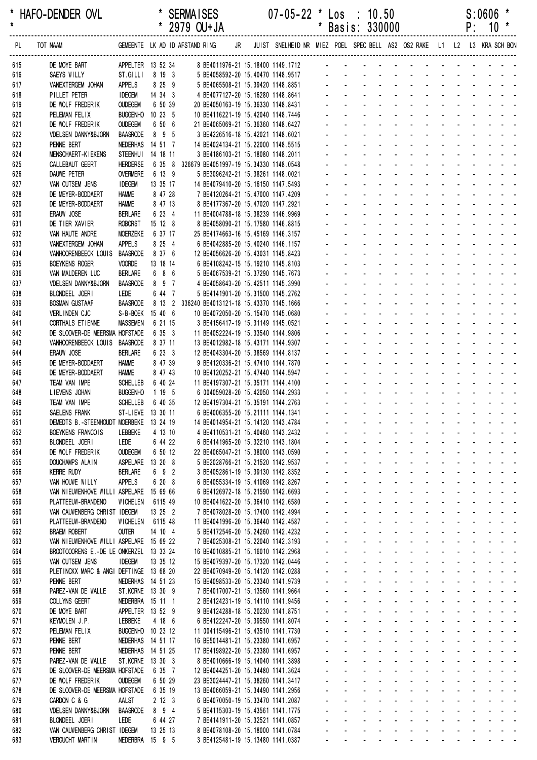\* HAFO-DENDER OVL \* SERMAISES 07-05-22 \* Los : 10.50 S:0606 \* \* 2979 OU+JA \* Basis: 330000 ------------------------------------------------------------------------------------------------------------------------------------------------------------------ PL TOT NAAM GEMEENTE LK AD ID AFSTAND RING JR JUIST SNELHEID NR MIEZ POEL SPEC BELL AS2 OS2 RAKE L1 L2 L3 KRA SCH BON ------------------------------------------------------------------------------------------------------------------------------------------------------------------ 615 DE MOYE BART APPELTER 13 52 34 8 BE4011976-21 15.18400 1149.1712 616 SAEYS WILLY ST.GILLI 8 19 3 5 BE4058592-20 15.40470 1148.9517 - - - - - - - - 617 VANEXTERGEM JOHAN APPELS 8 25 9 5 BE4065508-21 15.39420 1148.8851 - - - - - - - - - - - - - 618 PILLET PETER IDEGEM 14 34 3 4 BE4077127-20 15.16280 1148.8641 619 DE WOLF FREDERIK OUDEGEM 6 50 39 20 BE4050163-19 15.36330 1148.8431 - - - - - - - - - - - - - 620 PELEMAN FELIX BUGGENHO 10 23 5 10 BE4116221-19 15.42040 1148.7446 621 DE WOLF FREDERIK OUDEGEM 6 50 6 21 BE4065069-21 15.36360 1148.6427 - - - - - - - - - - - - - 622 VDELSEN DANNY&BJORN BAASRODE 8 9 5 3 BE4226516-18 15.42021 1148.6021 623 PENNE BERT NEDERHAS 14 51 7 14 BE4024134-21 15.22000 1148.5515 624 MENSCHAERT-KIEKENS STEENHUI 14 18 11 3 BE4186103-21 15.18080 1148.2011 625 CALLEBAUT GEERT HERDERSE 6 35 8 326679 BE4051997-19 15.34330 1148.0548 - - - - - - - - - - - - - 626 DAUWE PETER OVERMERE 6 13 9 5 BE3096242-21 15.38261 1148.0021 627 VAN CUTSEM JENS IDEGEM 13 35 17 14 BE4079410-20 15.16150 1147.5493 628 DE MEYER-BODDAERT HAMME 8 47 28 7 BE4120264-21 15.47000 1147.4209 629 DE MEYER-BODDAERT HAMME 8 47 13 8 BE4177367-20 15.47020 1147.2921 630 ERAUW JOSE BERLARE 6 23 4 11 BE4004788-18 15.38239 1146.9969 - - - - - - - - - - - - - 631 DE TIER XAVIER ROBORST 15 12 8 8 BE4058090-21 15.17580 1146.8815 - - - -632 VAN HAUTE ANDRE MOERZEKE 6 37 17 25 BE4174663-16 15.45169 1146.3157 633 VANEXTERGEM JOHAN APPELS 8 25 4 6 BE4042885-20 15.40240 1146.1157 634 VANHOORENBEECK LOUIS BAASRODE 8 37 6 12 BE4056626-20 15.43031 1145.8423 635 BOEYKENS ROGER VOORDE 13 18 14 6 BE4108242-15 15.19210 1145.8103 636 VAN MALDEREN LUC BERLARE 6 8 6 5 BE4067539-21 15.37290 1145.7673 - - - - - - - - - - - - - 637 VDELSEN DANNY&BJORN BAASRODE 8 9 7 4 BE4058643-20 15.42511 1145.3990 638 BLONDEEL JOERI LEDE 6 44 7 5 BE4141901-20 15.31500 1145.2762 639 BOSMAN GUSTAAF BAASRODE 8 13 2 336240 BE4013121-18 15.43370 1145.1666 640 VERLINDEN CJC S-B-BOEK 15 40 6 10 BE4072050-20 15.15470 1145.0680 641 CORTHALS ETIENNE MASSEMEN 6 21 15 3 BE4156417-19 15.31149 1145.0521 642 DE SLOOVER-DE MEERSMA HOESTADE 6 35 3 11 BE4052224-19 15 33540 1144 9806 643 VANHOORENBEECK LOUIS BAASRODE 8 37 11 13 BE4012982-18 15.43171 1144.9307 644 ERAUW JOSE BERLARE 6 23 3 12 BE4043304-20 15.38569 1144.8137 645 DE MEYER-BODDAERT HAMME 8 47 39 9 BE4120336-21 15.47410 1144.7870 646 DE MEYER-BODDAERT HAMME 8 47 43 10 BE4120252-21 15.47440 1144.5947 647 TEAM VAN IMPE SCHELLEB 6 40 24 11 BE4197307-21 15.35171 1144.4100 648 LIEVENS JOHAN BUGGENHO 1 19 5 6 004059028-20 15.42050 1144.2933 649 TEAM VAN IMPE SCHELLEB 6 40 35 12 BE4197304-21 15 35191 1144 2763 650 SAELENS FRANK ST-LIEVE 13 30 11 6 BE4006355-20 15.21111 1144.1341 651 DEMEDTS B.-STEENHOUDT MOERBEKE 13 24 19 14 BE4014954-21 15.14120 1143.4784 652 BOEYKENS FRANCOIS LEBBEKE 4 13 10 4 BE4110531-21 15.40460 1143.2432 653 BLONDEEL JOERI LEDE 6 44 22 6 BE4141965-20 15.32210 1143.1804 654 DE WOLF FREDERIK OUDEGEM 6 50 12 22 BE4065047-21 15.38000 1143.0590 - - - - - - - - - - - - - 655 DOUCHAMPS ALAIN ASPELARE 13 20 8 5 BE2028766-21 15.21520 1142.9537 656 KERRE RUDY BERLARE 6 9 2 3 BE4052861-19 15.39130 1142.8352 - - - - - - - - - - - - - 657 VAN HOUWE WILLY APPELS 6 20 8 6 BE4055334-19 15.41069 1142.8267 658 VAN NIEUWENHOVE WILLI ASPELARE 15 69 66 6 BE4126972-18 15.21590 1142.6693 659 PLATTEEUW-BRANDENO WICHELEN 6115 49 10 BE4041622-20 15.36410 1142.6580 660 VAN CAUWENBERG CHRIST IDEGEM 13 25 2 7 BE4078028-20 15.17400 1142.4994 661 PLATTEEUW-BRANDENO WICHELEN 6115 48 11 BE4041996-20 15.36440 1142.4587 662 BRAEM ROBERT OUTER 14 10 4 5 BE4172546-20 15.24260 1142.4232 663 VAN NIEUWENHOVE WILLI ASPELARE 15 69 22 7 BE4025308-21 15.22040 1142.3193 - - - - - - - - -664 BROOTCOORENS E.-DE LE ONKERZEL 13 33 24 16 BE4010885-21 15.16010 1142.2968 665 VAN CUTSEM JENS IDEGEM 13 35 12 15 BE4079397-20 15.17320 1142.0446 666 PLETINCKX MARC & ANGI DEFTINGE 13 68 20 22 BE4070949-20 15.14120 1142.0288 667 PENNE BERT NEDERHAS 14 51 23 15 BE4098533-20 15 23340 1141 9739 668 PAREZ-VAN DE WALLE ST.KORNE 13 30 9 7 BE4017007-21 15.13560 1141.9664 669 COLLYNS GEERT NEDERBRA 15 11 1 2 BE4124231-19 15 14110 1141 9456 670 DE MOYE BART 4PPELTER 13 52 9 9 8 BE4124288-18 15 20230 1141 8751 671 KEYMOLEN J.P. LEBBEKE 4 18 6 6 BE4122247-20 15.39550 1141.8074 672 PELEMAN FELIX BUGGENHO 10 23 12 11 004115496-21 15.43510 1141.7730 673 PENNE BERT NEDERHAS 14 51 17 16 BE5014481-21 15.23380 1141.6957 673 PENNE BERT NEDERHAS 14 51 25 17 BE4198922-20 15 23380 1141 6957 675 PAREZ-VAN DE WALLE ST.KORNE 13 30 3 8 BE4010666-19 15.14040 1141.3898 676 DE SLOOVER-DE MEERSMA HOFSTADE 6 35 7 12 BE4044251-20 15.34480 1141.3624 677 DE WOLF FREDERIK OUDEGEM 6 50 29 23 BE3024447-21 15.38260 1141.3417 - - - - - - - - - - - - - 678 DE SLOOVER-DE MEERSMA HOFSTADE 6 35 19 13 BE4066059-21 15.34490 1141.2956 679 CARDON C & G AALST 2 12 3 6 BE4070050-19 15.33470 1141.2087 680 VDELSEN DANNY&BJORN BAASRODE 8 9 4 5 BE4115303-19 15.43561 1141.1775 681 BLONDEEL JOERI LEDE 6 44 27 7 BE4141911-20 15.32521 1141.0857 - - - - - - - - - - - - - 682 VAN CAUWENBERG CHRIST IDEGEM 13 25 13 8 BE4078108-20 15.18000 1141.0784 683 VERGUCHT MARTIN NEDERBRA 15 9 5 3 BE4125481-19 15.13480 1141.0387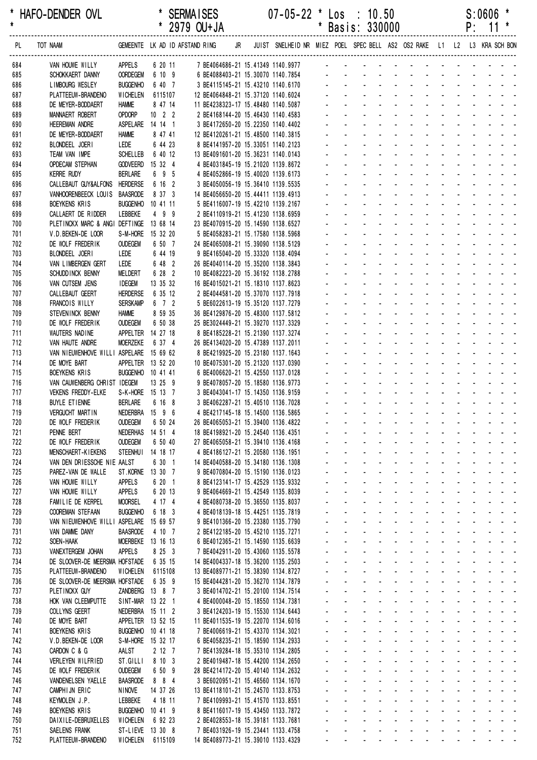\* HAFO-DENDER OVL \* SERMAISES 07-05-22 \* Los : 10.50 S:0606 \* \* 2979 OU+JA \* Basis: 330000 ------------------------------------------------------------------------------------------------------------------------------------------------------------------ PL TOT NAAM GEMEENTE LK AD ID AFSTAND RING JR JUIST SNELHEID NR MIEZ POEL SPEC BELL AS2 OS2 RAKE L1 L2 L3 KRA SCH BON ------------------------------------------------------------------------------------------------------------------------------------------------------------------ 684 VAN HOUWE WILLY APPELS 6 20 11 7 BE4064686-21 15.41349 1140.9977 685 SCHOKKAERT DANNY OORDEGEM 6 10 9 6 BE4088403-21 15.30070 1140.7854 - - - - - - - - - - - - - 686 LIMBOURG WESLEY BUGGENHO 6 40 7 3 BE4115145-21 15.43210 1140.6170 687 PLATTEEUW-BRANDENO WICHELEN 6115107 12 BE4064848-21 15.37120 1140.6024 688 DE MEYER-BODDAERT HAMME 8 47 14 11 BE4238323-17 15.48480 1140.5087 689 MANNAERT ROBERT OPDORP 10 2 2 2 BE4168144-20 15.46430 1140.4583 690 HEEREMAN ANDRE ASPELARE 14 14 1 3 BE4172650-20 15.22350 1140.4402 691 DE MEYER-BODDAERT HAMME 8 47 41 12 BE4120261-21 15.48500 1140.3815 692 BLONDEFL JOERI LEDE 6 44 23 8 BE4141957-20 15 33051 1140 2123 693 TEAM VAN IMPE SCHELLEB 6 40 12 13 BE4091601-20 15.36231 1140.0143 694 OPDECAM STEPHAN GODVEERD 15 32 4 4 BE4031845-19 15.21020 1139.8672 695 KERRE RUDY BERLARE 6 9 5 4 BE4052866-19 15.40020 1139.6173 - - - - - - - - - - - - - 696 CALLEBAUT GUY&ALFONS HERDERSE 6 16 2 3 BE4050056-19 15.36410 1139.5535 697 VANHOORENBEECK LOUIS BAASRODE 8 37 3 14 BE4056650-20 15.44411 1139.4913 698 BOEYKENS KRIS BUGGENHO 10 41 11 5 BE4116007-19 15.42210 1139.2167 699 CALLAERT DE RIDDER LEBBEKE 4 9 9 2 BE4110919-21 15.41230 1138.6959 - - - - - - - - - - - - - 700 PLETINCKX MARC & ANGI DEFTINGE 13 68 14 23 BE4070915-20 15.14590 1138.6527 - - - - - - - - - - - - - 701 V.D.BEKEN-DE LOOR S-M-HORE 15 32 20 5 BE4058283-21 15.17580 1138.5968 702 DE WOLF FREDERIK OUDEGEM 6 50 7 24 BE4065008-21 15.39090 1138.5129 703 BLONDEEL JOERI LEDE 6 44 19 9 BE4165040-20 15.33320 1138.4094 704 VAN LIMBERGEN GERT LEDE 6 48 2 26 BE4040114-20 15.35200 1138.3843 705 SCHUDDINCK BENNY MELDERT 6 28 2 10 BE4082223-20 15.36192 1138.2788 706 VAN CUTSEM JENS IDEGEM 13 35 32 16 BE4015021-21 15.18310 1137.8623 707 CALLEBAUT GEERT HERDERSE 6 35 12 2 BE4044581-20 15.37070 1137.7918 - - - - - - - - - - - - - 708 FRANCOIS WILLY SERSKAMP 6 7 2 5 BE6022613-19 15.35120 1137.7279 709 STEVENINCK BENNY HAMME 8 59 35 36 BE4129876-20 15.48300 1137.5812 710 DE WOLF FREDERIK OUDEGEM 6 50 38 25 BE3024449-21 15.39270 1137.3329 711 WAUTERS NADINE APPELTER 14 27 18 8 BE4185228-21 15.21390 1137.3274 712 VAN HAUTE ANDRE MOERZEKE 6 37 4 26 BE4134020-20 15.47389 1137.2011 713 VAN NIEUWENHOVE WILLI ASPELARE 15 69 62 8 BE4219925-20 15.23180 1137.1643 714 DE MOYE BART APPELTER 13 52 20 10 BE4075301-20 15.21320 1137.0390 715 BOEYKENS KRIS BUGGENHO 10 41 41 6 BE4006620-21 15.42550 1137.0128 716 VAN CAUWENBERG CHRIST IDEGEM 13 25 9 9 9 BE4078057-20 15.18580 1136.9773 717 VEKENS FREDDY-ELKE S-K-HORE 15 13 7 3 BE4043041-17 15.14350 1136.9159 718 BUYLE ETIENNE BERLARE 6 16 8 3 BE4062287-21 15 40510 1136 7028 719 VERGUCHT MARTIN NEDERBRA 15 9 6 4 BE4217145-18 15.14500 1136.5865 - - - - - - - - - - - - - 720 DE WOLF FREDERIK OUDEGEM 6 50 24 26 BE4065053-21 15.39400 1136.4822 721 PENNE BERT NEDERHAS 14 51 4 18 BE4198921-20 15.24540 1136.4351 722 DE WOLF FREDERIK OUDEGEM 6 50 40 27 BE4065058-21 15.39410 1136.4168 723 MENSCHAERT-KIEKENS STEENHUI 14 18 17 4 BE4186127-21 15.20580 1136.1951 724 VAN DEN DRIESSCHE NIE AALST 6 30 1 14 BE4040588-20 15.34180 1136.1308 725 PAREZ-VAN DE WALLE ST.KORNE 13 30 7 9 BE4070804-20 15.15190 1136.0123 - - - - - - - - - - - - - 726 VAN HOUWE WILLY APPELS 6 20 1 8 BE4123141-17 15.42529 1135.9332 727 VAN HOUWE WILLY APPELS 6 20 13 9 BE4064669-21 15.42549 1135.8039 728 FAMILIE DE KERPEL MOORSEL 4 17 4 4 BE4080738-20 15.36550 1135.8037 729 COOREMAN STEFAAN BUGGENHO 6 18 3 4 BE4018139-18 15.44251 1135.7819 730 VAN NIEUWENHOVE WILLI ASPELARE 15 69 57 9 BE4101366-20 15.23380 1135.7790 731 VAN DAMME DANY BAASRODE 4 10 7 2 BE4122185-20 15.45210 1135.7271 - - - - - - - - - - - - - 732 SOEN-HAAK MOERBEKE 13 16 13 6 BE4012365-21 15.14590 1135.6639 - - - - - - - - - - - - - 733 VANEXTERGEM JOHAN APPELS 8 25 3 7 BE4042911-20 15.43060 1135.5578 - - - - - - - - - - - - - 734 DE SLOOVER-DE MEERSMA HOFSTADE 6 35 15 14 BE4004337-18 15.36200 1135.2503 735 PLATTEEUW-BRANDENO WICHELEN 6115108 13 BE4089771-21 15.38390 1134.8727 736 DE SLOOVER-DE MEERSMA HOFSTADE 6 35 9 15 BE4044281-20 15.36270 1134.7879 737 PLETINCKX GUY ZANDBERG 13 8 7 3 BE4014702-21 15.20100 1134.7514 738 HOK VAN CLEEMPUTTE SINT-MAR 13 22 1 4 BE4000048-20 15.18550 1134.7381 739 COLLYNS GEERT NEDERBRA 15 11 2 3 BE4124203-19 15 15530 1134 6443 740 DE MOYE BART APPELTER 13 52 15 11 BE4011535-19 15.22070 1134.6016 741 BOEYKENS KRIS BUGGENHO 10 41 18 7 BE4006619-21 15.43370 1134.3021 742 V.D.BEKEN-DE LOOR S-M-HORE 15 32 17 6 BE4058235-21 15.18590 1134.2933 743 CARDON C & G AALST 2 12 7 7 BE4139284-18 15.35310 1134.2805 744 VERLEYEN WILFRIED ST.GILLI 8 10 3 2 BE4019487-18 15.44200 1134.2650 745 DE WOLF FREDERIK OUDEGEM 6 50 9 28 BE4214172-20 15.40140 1134.2632 746 VANDENELSEN YAELLE BAASRODE 8 8 4 3 BE6020951-21 15.46560 1134.1670 - - - - - - - - - - - - - 747 CAMPHIJN ERIC NINOVE 14 37 26 13 BE4118101-21 15.24570 1133.8753 748 KEYMOLEN J.P. LEBBEKE 4 18 11 7 BE4109993-21 15.41570 1133.8551 749 BOEYKENS KRIS BUGGENHO 10 41 9 8 BE4116017-19 15.43450 1133.7872 750 DAIXILE-DEBRUXELLES WICHELEN 6 92 23 2 BE4028553-18 15.39181 1133.7681 751 SAELENS FRANK ST-LIEVE 13 30 8 7 BE4031926-19 15.23441 1133.4758

752 PLATTEEUW-BRANDENO WICHELEN 6115109 14 BE4089773-21 15.39010 1133.4329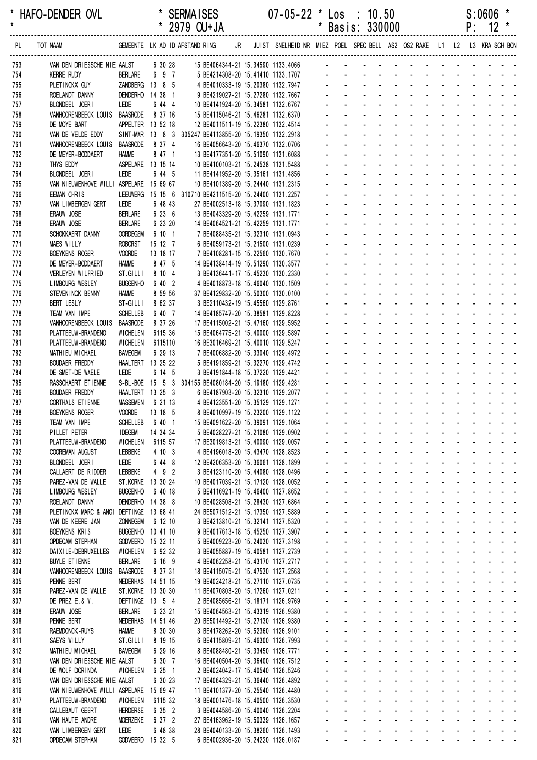\* HAFO-DENDER OVL \* SERMAISES 07-05-22 \* Los : 10.50 S:0606 \* \* 2979 OU+JA \* Basis: 330000 ------------------------------------------------------------------------------------------------------------------------------------------------------------------ PL TOT NAAM GEMEENTE LK AD ID AFSTAND RING JR JUIST SNELHEID NR MIEZ POEL SPEC BELL AS2 OS2 RAKE L1 L2 L3 KRA SCH BON ------------------------------------------------------------------------------------------------------------------------------------------------------------------ 753 VAN DEN DRIESSCHE NIE AALST 6 30 28 15 BE4064344-21 15.34590 1133.4066 754 KERRE RUDY BERLARE 6 9 7 5 BE4214308-20 15.41410 1133.1707 - - - - - - - - - - - - - 755 PLETINCKX GUY ZANDBERG 13 8 5 4 BE4010333-19 15.20380 1132.7947 756 ROELANDT DANNY DENDERHO 14 38 1 9 BE4219027-21 15.27280 1132.7667 757 BLONDEEL JOERI LEDE 6 44 4 10 BE4141924-20 15.34581 1132.6767 758 VANHOORENBEECK LOUIS BAASRODE 8 37 16 15 BE4115046-21 15.46281 1132.6370 759 DE MOYE BART APPELTER 13 52 18 12 BE4011511-19 15.22380 1132.4514 760 VAN DE VELDE EDDY SINT-MAR 13 8 3 305247 BE4113855-20 15.19350 1132.2918 761 VANHOORENBEECK LOUIS BAASRODE 8 37 4 16 BE4056643-20 15 46370 1132 0706 762 DE MEYER-BODDAERT HAMME 8 47 1 13 BE4177351-20 15.51090 1131.6088 763 THYS EDDY ASPELARE 13 15 14 10 BE4100103-21 15.24538 1131.5488 764 BLONDEEL JOERI LEDE 6 44 5 11 BE4141952-20 15.35161 1131.4856 765 VAN NIEUWENHOVE WILLI ASPELARE 15 69 67 10 BE4101389-20 15.24440 1131.2315 766 EEMAN CHRIS LEEUWERG 15 15 6 310710 BE4211515-20 15.24400 1131.2257 767 VAN LIMBERGEN GERT LEDE 6 48 43 27 BE4002513-18 15.37090 1131.1823 768 ERAUW JOSE BERLARE 6 23 6 13 BE4043329-20 15.42259 1131.1771 - - - - - - - - - - - - - 768 ERAUW JOSE BERLARE 6 23 20 14 BE4064521-21 15.42259 1131.1771 - - - -770 SCHOKKAERT DANNY OORDEGEM 6 10 1 7 BE4088435-21 15.32310 1131.0943 771 MAES WILLY **ROBORST** 15 12 7 6 BE4059173-21 15.21500 1131.0239 772 BOEYKENS ROGER VOORDE 13 18 17 7 BE4108281-15 15.22560 1130.7670 773 DE MEYER-BODDAERT HAMME 8 47 5 14 BE4138414-19 15.51290 1130.3577 774 VERLEYEN WILFRIED ST.GILLI 8 10 4 3 BE4136441-17 15.45230 1130.2330 775 LIMBOURG WESLEY BUGGENHO 6 40 2 4 BE4018873-18 15.46040 1130.1509 776 STEVENINCK BENNY HAMME 8 59 56 37 BE4129832-20 15.50300 1130.0100 777 BERT LESLY ST-GILLI 8 62 37 3 BE2110432-19 15.45560 1129.8761 778 TEAM VAN IMPE SCHELLEB 6 40 7 14 BE4185747-20 15.38581 1129.8228 779 VANHOORENBEECK LOUIS BAASRODE 8 37 26 17 BE4115002-21 15.47160 1129.5952 780 PLATTEEUW-BRANDENO WICHELEN 6115 36 15 BE4064775-21 15.40000 1129.5897 781 PLATTEEUW-BRANDENO WICHELEN 6115110 16 BE3016469-21 15 40010 1129 5247 782 MATHIFU MICHAFI BAVEGEM 6 29 13 7 BE4006882-20 15 33040 1129 4972 783 BOUDAER FREDDY HAALTERT 13 25 22 5 BE4191859-21 15.32270 1129.4742 784 DE SMET-DE WAELE LEDE 6 14 5 3 BE4191844-18 15.37220 1129.4421 785 RASSCHAERT ETIENNE S-BL-BOE 15 5 3 304155 BE4080184-20 15.19180 1129.4281 786 BOUDAER FREDDY HAALTERT 13 25 3 6 BE4187903-20 15.32310 1129.2077 787 CORTHALS FTIENNE MASSEMEN 6 21 13 4 BE4123551-20 15 35129 1129 1271 788 BOEYKENS ROGER VOORDE 13 18 5 8 BE4010997-19 15 23200 1129 1122 789 TEAM VAN IMPE SCHELLEB 6 40 1 15 BE4091622-20 15.39091 1129.1064 790 PILLET PETER IDEGEM 14 34 34 5 BE4028227-21 15.21080 1129.0902 791 PLATTEEUW-BRANDENO WICHELEN 6115 57 17 BE3019813-21 15.40090 1129.0057 792 COOREMAN AUGUST LEBBEKE 4 10 3 4 BE4196018-20 15.43470 1128.8523 793 BLONDEEL JOERI LEDE 6 44 8 12 BE4206353-20 15.36061 1128.1899 794 CALLAERT DE RIDDER LEBBEKE 4 9 2 3 BE4123110-20 15.44080 1128.0496 - - - - - - - - - - - - - 795 PAREZ-VAN DE WALLE ST.KORNE 13 30 24 10 BE4017039-21 15.17120 1128.0052 796 LIMBOURG WESLEY BUGGENHO 6 40 18 5 BE4116921-19 15.46400 1127.8652 797 ROELANDT DANNY DENDERHO 14 38 8 10 BE4028508-21 15.28430 1127.6864 798 PLETINCKX MARC & ANGI DEFTINGE 13 68 41 24 BE5071512-21 15.17350 1127.5889 799 VAN DE KEERE JAN ZONNEGEM 6 12 10 3 BE4213810-21 15.32141 1127.5320 800 BOEYKENS KRIS BUGGENHO 10 41 10 9 BE4017613-18 15.45250 1127.3907 801 OPDECAM STEPHAN GODVEERD 15 32 11 5 BE4009223-20 15.24030 1127.3198 - - - - - - - -802 DAIXILE-DEBRUXELLES WICHELEN 6 92 32 3 BE4055887-19 15.40581 1127.2739 803 BUYLE ETIENNE BERLARE 6 16 9 4 BE4062258-21 15.43170 1127.2717 804 VANHOORENBEECK LOUIS BAASRODE 8 37 31 18 BE4115075-21 15.47530 1127.2568 805 PENNE BERT NEDERHAS 14 51 15 19 BE4024218-21 15.27110 1127.0735 806 PAREZ-VAN DE WALLE ST.KORNE 13 30 30 11 BE4070803-20 15.17260 1127.0211 807 DE PREZ E & W. CONFINGE 13 5 4 2 BE4085656-21 15 18171 1126 9769 808 ERAUW JOSE BERLARE 6 23 21 15 BE4064563-21 15 43319 1126 9380 808 PENNE BERT NEDERHAS 14 51 46 20 BE5014492-21 15.27130 1126.9380 810 RAEMDONCK-RUYS HAMME 8 30 30 3 BE4178262-20 15.52360 1126.9101 811 SAEYS WILLY ST.GILLI 8 19 15 6 BE4115809-21 15.46300 1126.7993 812 MATHIEU MICHAEL BAVEGEM 6 29 16 8 BE4088480-21 15.33450 1126.7771 813 VAN DEN DRIESSCHE NIE AALST 6 30 7 16 BE4040504-20 15.36400 1126.7512 814 DE WOLF DORINDA WICHELEN 6 25 1 2 BE4024042-17 15.40540 1126.5246 815 VAN DEN DRIESSCHE NIE AALST 6 30 23 17 BE4064329-21 15.36440 1126.4892 816 VAN NIEUWENHOVE WILLI ASPELARE 15 69 47 11 BE4101377-20 15.25540 1126.4480 817 PLATTEEUW-BRANDENO WICHELEN 6115 32 18 BE4001476-18 15.40500 1126.3530 818 CALLEBAUT GEERT HERDERSE 6 35 2 3 BE4044586-20 15.40040 1126.2204 819 VAN HAUTE ANDRE MOERZEKE 6 37 2 27 BE4163962-19 15.50339 1126.1657 820 VAN LIMBERGEN GERT LEDE 6 48 38 28 BE4040133-20 15.38260 1126.1493 821 OPDECAM STEPHAN GODVEERD 15 32 5 6 BE4002936-20 15.24220 1126.0187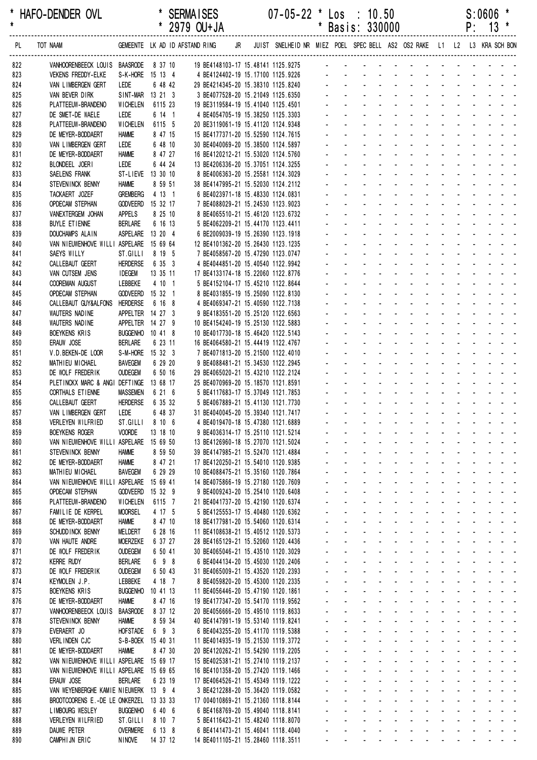\* HAFO-DENDER OVL \* SERMAISES 07-05-22 \* Los : 10.50 S:0606 \* \* 2979 OU+JA \* Basis: 330000 ------------------------------------------------------------------------------------------------------------------------------------------------------------------ PL TOT NAAM GEMEENTE LK AD ID AFSTAND RING JR JUIST SNELHEID NR MIEZ POEL SPEC BELL AS2 OS2 RAKE L1 L2 L3 KRA SCH BON ------------------------------------------------------------------------------------------------------------------------------------------------------------------ 822 VANHOORENBEECK LOUIS BAASRODE 8 37 10 19 BE4148103-17 15.48141 1125.9275 823 VEKENS FREDDY-ELKE S-K-HORE 15 13 4 4 BE4124402-19 15.17100 1125.9226 - - - - - - - - - - -824 VAN LIMBERGEN GERT LEDE 6 48 42 29 BE4214345-20 15.38310 1125.8240 825 VAN BEVER DIRK SINT-MAR 13 21 3 3 BE4077528-20 15.21049 1125.6350 826 PLATTEEUW-BRANDENO WICHELEN 6115 23 19 BE3119584-19 15.41040 1125.4501 827 DE SMET-DE WAELE LEDE 6 14 1 4 BE4054705-19 15.38250 1125.3303 828 PLATTEEUW-BRANDENO WICHELEN 6115 5 20 BE3119061-19 15.41120 1124.9348 829 DE MEYER-BODDAERT HAMME 8 47 15 15 BE4177371-20 15.52590 1124.7615 830 VAN LIMBERGEN GERT LEDE 6 48 10 30 BE4040069-20 15 38500 1124 5897 831 DE MEYER-BODDAERT HAMME 8 47 27 16 BE4120212-21 15.53020 1124.5760 832 BLONDEEL JOERI LEDE 6 44 24 13 BE4206336-20 15.37051 1124.3255 833 SAELENS FRANK ST-LIEVE 13 30 10 8 BE4006363-20 15.25581 1124.3029 834 STEVENINCK BENNY HAMME 8 59 51 38 BE4147995-21 15.52030 1124.2112 835 TACKAERT JOZEF GREMBERG 4 13 1 6 BE4023971-18 15.48330 1124.0831 836 OPDECAM STEPHAN GODVEERD 15 32 17 7 BE4088029-21 15.24530 1123.9023 837 VANEXTERGEM JOHAN APPELS 8 25 10 8 BE4065510-21 15.46120 1123.6732 - - - - - - - - - - - - - 838 BUYLE ETIENNE BERLARE 6 16 13 5 BE4062209-21 15.44170 1123.4411 - - - -839 DOUCHAMPS ALAIN ASPELARE 13 20 4 6 BE2009039-19 15.26390 1123.1918 840 VAN NIEUWENHOVE WILLI ASPELARE 15 69 64 12 BE4101362-20 15.26430 1123.1235 841 SAEYS WILLY ST.GILLI 8 19 5 7 BE4058567-20 15.47290 1123.0747 842 CALLEBAUT GEERT HERDERSE 6 35 3 4 BE4044851-20 15.40540 1122.9942 843 VAN CUTSEM JENS IDEGEM 13 35 11 17 BE4133174-18 15.22060 1122.8776 844 COOREMAN AUGUST LEBBEKE 4 10 1 5 BE4152104-17 15.45210 1122.8644 845 OPDECAM STEPHAN GODVEERD 15 32 1 8 BE4031855-19 15.25090 1122.8130 846 CALLEBAUT GUY&ALFONS HERDERSE 6 16 8 4 BE4069347-21 15.40590 1122.7138 847 WAUTERS NADINE APPELTER 14 27 3 9 BE4183551-20 15.25120 1122.6563 848 WAUTERS NADINE APPELTER 14 27 9 10 BF4154240-19 15 25130 1122 5883 849 BOEYKENS KRIS BUGGENHO 10 41 8 10 BE4017730-18 15.46420 1122.5143 850 ERAUW JOSE BERLARE 6 23 11 16 BE4064580-21 15 44419 1122 4767 851 V.D. BEKEN-DE LOOR S-M-HORE 15 32 3 7 BE4071813-20 15 21500 1122 4010 852 MATHIEU MICHAEL BAVEGEM 6 29 20 9 BE4088481-21 15.34530 1122.2945 853 DE WOLF FREDERIK OUDEGEM 6 50 16 29 BE4065020-21 15.43210 1122.2124 854 PLETINCKX MARC & ANGI DEFTINGE 13 68 17 25 BE4070969-20 15.18570 1121.8591 855 CORTHALS ETIENNE MASSEMEN 6 21 6 5 BE4117683-17 15.37049 1121.7853 856 CALLEBAUT GEERT HERDERSE 6 35 32 5 BE4067889-21 15 41130 1121 7730 857 VAN LIMBERGEN GERT LEDE 6 48 37 31 BE4040045-20 15.39340 1121.7417 858 VERLEYEN WILFRIED ST.GILLI 8 10 6 4 BE4019470-18 15.47380 1121.6889 859 BOEYKENS ROGER VOORDE 13 18 10 9 BE4036314-17 15.25110 1121.5214 860 VAN NIEUWENHOVE WILLI ASPELARE 15 69 50 13 BE4126960-18 15.27070 1121.5024 861 STEVENINCK BENNY HAMME 8 59 50 39 BE4147985-21 15.52470 1121.4884 862 DE MEYER-BODDAERT HAMME 8 47 21 17 BE4120250-21 15.54010 1120.9385 863 MATHIEU MICHAEL BAVEGEM 6 29 29 10 BE4088475-21 15.35160 1120.7864 - - - - - - - - - - - - - 864 VAN NIEUWENHOVE WILLI ASPELARE 15 69 41 14 BE4075866-19 15.27180 1120.7609 865 OPDECAM STEPHAN GODVEERD 15 32 9 9 BE4009243-20 15.25410 1120.6408 866 PLATTEEUW-BRANDENO WICHELEN 6115 7 21 BE4041737-20 15.42190 1120.6374 867 FAMILIE DE KERPEL MOORSEL 4 17 5 5 BE4125553-17 15.40480 1120.6362 868 DE MEYER-BODDAERT HAMME 8 47 10 18 BE4177981-20 15.54060 1120.6314 869 SCHUDD INCK BENNY MELDERT 6 28 16 11 BE4108638-21 15.40512 1120.5373 870 VAN HAUTE ANDRE MOERZEKE 6 37 27 28 BE4165129-21 15.52060 1120.4436 871 DE WOLF FREDERIK OUDEGEM 6 50 41 30 BE4065046-21 15.43510 1120.3029 872 KERRE RUDY BERLARE 6 9 8 6 BE4044134-20 15.45030 1120.2406 873 DE WOLF FREDERIK OUDEGEM 6 50 43 31 BE4065009-21 15.43520 1120.2393 874 KEYMOLEN J.P. LEBBEKE 4 18 7 8 BE4059820-20 15.45300 1120.2335 875 BOEYKENS KRIS BUGGENHO 10 41 13 11 BE4056446-20 15.47190 1120.1861 876 DE MEYER-BODDAERT HAMME 8 47 16 19 BE4177347-20 15.54170 1119.9562 877 VANHOORENBEECK LOUIS BAASRODE 8 37 12 20 BE4056666-20 15 49510 1119 8633 878 STEVENINCK BENNY HAMME 8 59 34 40 BE4147991-19 15.53140 1119.8241 879 EVERAERT JO HOFSTADE 6 9 3 6 BE4043255-20 15.41170 1119.5388 - - - - - - - - - - - - - 880 VERLINDEN CJC S-B-BOEK 15 40 31 11 BE4014935-19 15.21530 1119.3772 881 DE MEYER-BODDAERT HAMME 8 47 30 20 BE4120262-21 15 54290 1119 2205 882 VAN NIEUWENHOVE WILLI ASPELARE 15 69 17 15 BE4025381-21 15.27410 1119.2137 883 VAN NIEUWENHOVE WILLI ASPELARE 15 69 65 16 BE4101358-20 15.27420 1119.1466 884 ERAUW JOSE BERLARE 6 23 19 17 BE4064526-21 15.45349 1119.1222 885 VAN WEYENBERGHE KAMIE NIEUWERK 13 9 4 3 BE4212288-20 15.36420 1119.0582 886 BROOTCOORENS E.-DE LE ONKERZEL 13 33 33 17 004010869-21 15.21360 1118.8144 887 LIMBOURG WESLEY BUGGENHO 6 40 6 6 BE4168769-20 15.49040 1118.8141 888 VERLEYEN WILFRIED ST.GILLI 8 10 7 5 BE4116423-21 15.48240 1118.8070 889 DAUWE PETER OVERMERE 6 13 8 6 BE4141473-21 15.46041 1118.4040

890 CAMPHIJN ERIC NINOVE 14 37 12 14 BE4011105-21 15.28460 1118.3511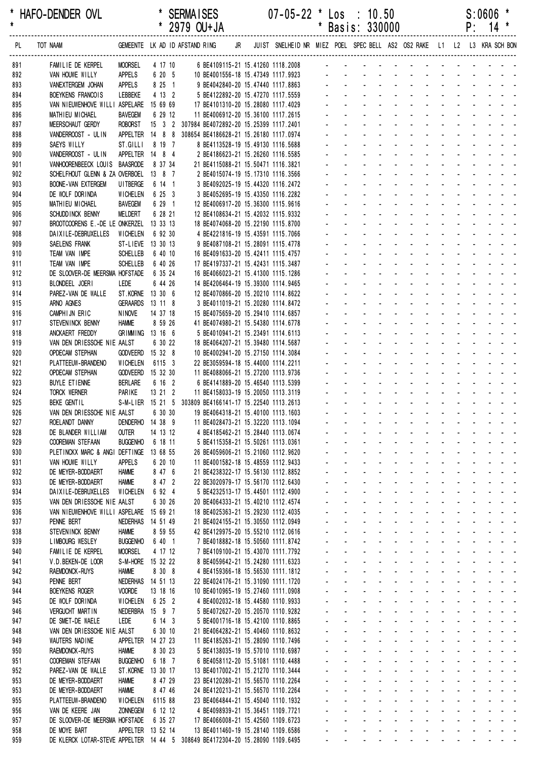\* HAFO-DENDER OVL \* SERMAISES 07-05-22 \* Los : 10.50 S:0606 \* \* 2979 OU+JA \* Basis: 330000 ------------------------------------------------------------------------------------------------------------------------------------------------------------------ PL TOT NAAM GEMEENTE LK AD ID AFSTAND RING JR JUIST SNELHEID NR MIEZ POEL SPEC BELL AS2 OS2 RAKE L1 L2 L3 KRA SCH BON ------------------------------------------------------------------------------------------------------------------------------------------------------------------ 891 FAMILIE DE KERPEL MOORSEL 4 17 10 6 BE4109115-21 15.41260 1118.2008 892 VAN HOUWE WILLY APPELS 6 20 5 10 BE4001556-18 15.47349 1117.9923 - - - - - - - - - 893 VANEXTERGEM JOHAN APPELS 8 25 1 9 BE4042840-20 15.47440 1117.8863 - - - - - - - - - - - - - 894 BOEYKENS FRANCOIS LEBBEKE 4 13 2 5 BE4122892-20 15.47270 1117.5559 895 VAN NIEUWENHOVE WILLI ASPELARE 15 69 69 17 BE4101310-20 15.28080 1117.4029 896 MATHIEU MICHAEL BAVEGEM 6 29 12 11 BE4006912-20 15.36100 1117.2615 897 MEERSCHAUT GERDY ROBORST 15 3 2 307984 BE4072892-20 15.25399 1117.2401 898 VANDERROOST - ULIN APPELTER 14 8 8 308654 BE4186628-21 15.26180 1117.0974 899 SAEYS WILLY ST. GILLI 8 19 7 8 BF4113528-19 15 49130 1116 5688 900 VANDERROOST - ULIN APPELTER 14 8 4 2 BE4186623-21 15.26260 1116.5585 901 VANHOORENBEECK LOUIS BAASRODE 8 37 34 21 BE4115088-21 15.50471 1116.3821 902 SCHELFHOUT GLENN & ZA OVERBOEL 13 8 7 2 BE4015074-19 15.17310 1116.3566 903 BOONE-VAN EXTERGEM UITBERGE 6 14 1 3 BE4092025-19 15.44320 1116.2472 904 DE WOLF DORINDA WICHELEN 6 25 3 3 BE4052695-19 15.43350 1116.2282 905 MATHIEU MICHAEL BAVEGEM 6 29 1 12 BE4006917-20 15.36300 1115.9616 906 SCHUDDINCK BENNY MELDERT 6 28 21 12 BE4108634-21 15.42032 1115.9332 907 BROOTCOORENS E.-DE LE ONKERZEL 13 33 13 18 BE4074068-20 15.22190 1115.8700 908 DAIXILE-DEBRUXELLES WICHELEN 6 92 30 4 BE4221816-19 15.43591 1115.7066 909 SAELENS FRANK ST-LIEVE 13 30 13 9 BE4087108-21 15.28091 1115.4778 910 TEAM VAN IMPE SCHELLEB 6 40 10 16 BE4091633-20 15.42411 1115.4757 911 TEAM VAN IMPE SCHELLEB 6 40 26 17 BE4197337-21 15.42431 1115.3487 912 DE SLOOVER-DE MEERSMA HOFSTADE 6 35 24 16 BE4066023-21 15.41300 1115.1286 913 BLONDEEL JOERL LEDE 6 44 26 14 BE4206464-19 15 39300 1114 9465 914 PAREZ-VAN DE WALLE ST.KORNE 13 30 6 12 BE4070866-20 15.20210 1114.8622 915 ARNO AGNES GERAARDS 13 11 8 3 BE4011019-21 15.20280 1114.8472 916 CAMPHIJN ERIC NINOVE 14 37 18 15 BE4075659-20 15.29410 1114.6857 917 STEVENINCK BENNY HAMME 8 59 26 41 BE4074980-21 15.54380 1114.6778 918 ANCKAERT FREDDY GRIMMING 13 16 6 5 BE4010941-21 15.23491 1114.6113 919 VAN DEN DRIESSCHE NIE AALST 6 30 22 18 BE4064207-21 15 39480 1114 5687 920 OPDECAM STEPHAN GODVEERD 15 32 8 10 BE4002941-20 15.27150 1114.3084 921 PLATTEEUW-BRANDENO WICHELEN 6115 3 22 BE3059594-18 15.44000 1114.2211 922 OPDECAM STEPHAN GODVEERD 15 32 30 11 BE4088066-21 15.27200 1113.9736 923 BUYLE ETIENNE BERLARE 6 16 2 6 BE4141889-20 15.46540 1113.5399 924 TORCK WERNER PARIKE 13 21 2 11 BE4158033-19 15.20050 1113.3119 925 BEKE GENTIL S-M-LIER 15 21 5 303809 BE4166141-17 15 22540 1113 2613 926 VAN DEN DRIESSCHE NIE AALST 6 30 30 19 BE4064318-21 15 40100 1113 1603 927 ROELANDT DANNY DENDERHO 14 38 9 11 BE4028473-21 15.32220 1113.1094 928 DE BLANDER WILLIAM OUTER 14 13 12 4 BE4185462-21 15.28440 1113.0674 929 COOREMAN STEFAAN BUGGENHO 6 18 11 5 BE4115358-21 15.50261 1113.0361 930 PLETINCKX MARC & ANGI DEFTINGE 13 68 55 26 BE4059606-21 15.21060 1112.9620 931 VAN HOUWE WILLY APPELS 6 20 10 11 BE4001582-18 15.48559 1112.9433 932 DE MEYER-BODDAERT HAMME 8 47 6 21 BE4238322-17 15.56130 1112.8852 933 DE MEYER-BODDAERT HAMME 8 47 2 22 BE3020979-17 15.56170 1112.6430 934 DAIXILE-DEBRUXELLES WICHELEN 6 92 4 5 BE4232513-17 15.44501 1112.4900 935 VAN DEN DRIESSCHE NIE AALST 6 30 26 20 BE4064333-21 15.40210 1112.4574 936 VAN NIEUWENHOVE WILLI ASPELARE 15 69 21 18 BE4025363-21 15.29230 1112.4035 937 PENNE BERT NEDERHAS 14 51 49 21 BE4024155-21 15.30550 1112.0949 938 STEVENINCK BENNY HAMME 8 59 55 42 BE4129975-20 15.55210 1112.0616 939 LIMBOURG WESLEY BUGGENHO 6 40 1 7 BE4018882-18 15.50560 1111.8742 940 FAMILIE DE KERPEL MOORSEL 4 17 12 7 BE4109100-21 15.43070 1111.7792 941 V.D.BEKEN-DE LOOR S-M-HORE 15 32 22 8 BE4059642-21 15.24280 1111.6323 942 RAEMDONCK-RUYS HAMME 8 30 8 4 BE4159366-18 15 56530 1111 1812 943 PENNE BERT NEDERHAS 14 51 13 22 BE4024176-21 15.31090 1111.1720 944 BOEYKENS ROGER VOORDE 13 18 16 10 BE4010965-19 15.27460 1111.0908 945 DE WOLF DORINDA WICHELEN 6 25 2 4 BE4002032-18 15 44580 1110 9933 946 VERGUCHT MARTIN NEDERBRA 15 9 7 5 BE4072627-20 15 20570 1110 9282 947 DE SMET-DE WAELE LEDE 6 14 3 5 BE4001716-18 15.42100 1110.8865 948 VAN DEN DRIESSCHE NIE AALST 6 30 10 21 BE4064282-21 15.40460 1110.8632 949 WAUTERS NADINE APPELTER 14 27 23 11 BE4185263-21 15.28090 1110.7496 950 RAEMDONCK-RUYS HAMME 8 30 23 5 BE4138035-19 15 57010 1110 6987 951 COOREMAN STEFAAN BUGGENHO 6 18 7 6 BE4058112-20 15.51081 1110.4488 952 PAREZ-VAN DE WALLE ST.KORNE 13 30 17 13 BE4017002-21 15.21270 1110.3444 953 DE MEYER-BODDAERT HAMME 8 47 29 23 BE4120280-21 15.56570 1110.2264 953 DE MEYER-BODDAERT HAMME 8 47 46 24 BE4120213-21 15.56570 1110.2264 955 PLATTEEUW-BRANDENO WICHELEN 6115 88 23 BE4064844-21 15.45040 1110.1932

956 VAN DE KEERE JAN ZONNEGEM 6 12 12 4 BE4098939-21 15.36451 1109.7721 957 DE SLOOVER-DE MEERSMA HOFSTADE 6 35 27 17 BE4066008-21 15.42560 1109.6723 958 DE MOYE BART APPELTER 13 52 14 13 BE4011460-19 15.28140 1109.6586 959 DE KLERCK LOTAR-STEVE APPELTER 14 44 5 308649 BE4172304-20 15.28090 1109.6495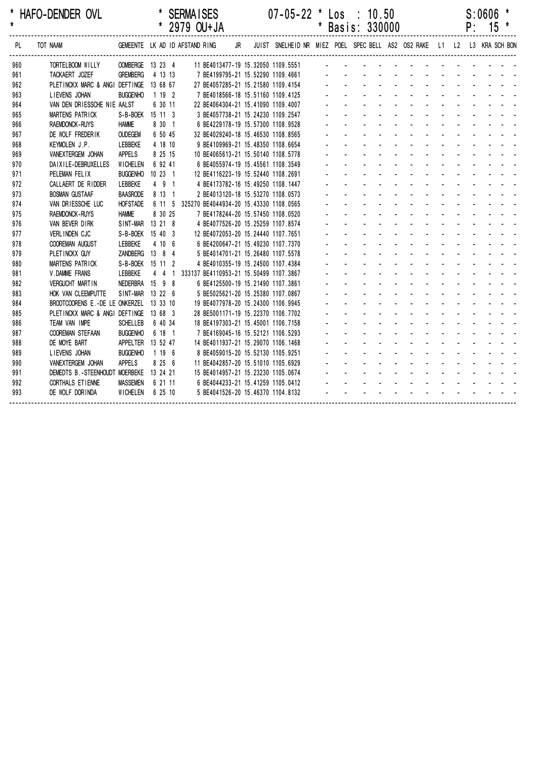| *<br>$\pmb{\star}$ | HAFO-DENDER OVL                         |                                |         |         | <b>SERMAISES</b> | * 2979 OU+JA |    | $07 - 05 - 22$ * Los : 10.50                                            | * Basis: 330000 |  |          |                             |             | S:0606<br>$P: 15 *$ | * |  |
|--------------------|-----------------------------------------|--------------------------------|---------|---------|------------------|--------------|----|-------------------------------------------------------------------------|-----------------|--|----------|-----------------------------|-------------|---------------------|---|--|
| PL                 | TOT NAAM                                | GEMEENTE LK AD ID AFSTAND RING |         |         |                  |              | JR | JUIST SNELHEID NR MIEZ POEL SPEC BELL AS2 OS2 RAKE L1 L2 L3 KRA SCH BON |                 |  |          |                             |             |                     |   |  |
| 960                | TORTELBOOM WILLY                        | OOMBERGE 13 23 4               |         |         |                  |              |    | 11 BE4013477-19 15.32050 1109.5551                                      |                 |  | <u>.</u> |                             |             |                     |   |  |
| 961                | TACKAERT JOZEF                          | <b>GREMBERG</b>                | 4 13 13 |         |                  |              |    | 7 BE4199795-21 15.52290 1109.4661                                       |                 |  |          |                             |             |                     |   |  |
| 962                | PLETINCKX MARC & ANGI DEFTINGE 13 68 67 |                                |         |         |                  |              |    | 27 BE4057285-21 15.21580 1109.4154                                      |                 |  |          |                             |             |                     |   |  |
| 963                | LIEVENS JOHAN                           | <b>BUGGENHO</b>                | 1192    |         |                  |              |    | 7 BE4018566-18 15.51160 1109.4125                                       |                 |  |          |                             |             |                     |   |  |
| 964                | VAN DEN DRIESSCHE NIE AALST             |                                |         | 6 30 11 |                  |              |    | 22 BE4064304-21 15.41090 1109.4007                                      |                 |  |          |                             |             |                     |   |  |
| 965                | <b>MARTENS PATRICK</b>                  | S-B-BOEK 15 11 3               |         |         |                  |              |    | 3 BE4057738-21 15.24230 1109.2547                                       |                 |  |          |                             |             |                     |   |  |
| 966                | <b>RAEMDONCK-RUYS</b>                   | <b>HAMME</b>                   | 8 30 1  |         |                  |              |    | 6 BE4229178-19 15.57300 1108.9528                                       |                 |  |          |                             |             |                     |   |  |
| 967                | DE WOLF FREDERIK                        | <b>OUDEGEM</b>                 | 6 50 45 |         |                  |              |    | 32 BE4029240-18 15.46530 1108.8565                                      |                 |  |          |                             |             |                     |   |  |
| 968                | KEYMOLEN J.P.                           | LEBBEKE                        | 4 18 10 |         |                  |              |    | 9 BE4109969-21 15.48350 1108.6654                                       |                 |  |          |                             |             |                     |   |  |
| 969                | VANEXTERGEM JOHAN                       | <b>APPELS</b>                  | 8 25 15 |         |                  |              |    | 10 BE4065613-21 15.50140 1108.5778                                      |                 |  |          |                             |             |                     |   |  |
| 970                | DAIXILE-DEBRUXELLES                     | WICHELEN                       | 6 92 41 |         |                  |              |    | 6 BE4055974-19 15.45561 1108.3549                                       |                 |  |          |                             |             |                     |   |  |
| 971                | PELEMAN FELIX                           | BUGGENHO 10 23 1               |         |         |                  |              |    | 12 BE4116223-19 15.52440 1108.2691                                      |                 |  |          |                             |             |                     |   |  |
| 972                | CALLAERT DE RIDDER                      | LEBBEKE                        | 4 9 1   |         |                  |              |    | 4 BE4173782-16 15.49250 1108.1447                                       |                 |  |          |                             |             |                     |   |  |
| 973                | <b>BOSMAN GUSTAAF</b>                   | <b>BAASRODE</b>                | 8 13 1  |         |                  |              |    | 2 BE4013120-18 15.53270 1108.0573                                       |                 |  |          |                             |             |                     |   |  |
| 974                | VAN DRIESSCHE LUC                       | <b>HOFSTADE</b>                |         |         |                  |              |    | 6 11 5 325270 BE4044934-20 15.43330 1108.0565                           |                 |  |          |                             |             |                     |   |  |
| 975                | <b>RAEMDONCK-RUYS</b>                   | <b>HAMME</b>                   | 8 30 25 |         |                  |              |    | 7 BE4178244-20 15.57450 1108.0520                                       |                 |  |          |                             |             |                     |   |  |
| 976                | VAN BEVER DIRK                          | SINT-MAR 13 21 8               |         |         |                  |              |    | 4 BE4077526-20 15.25259 1107.8574                                       |                 |  |          |                             |             |                     |   |  |
| 977                | <b>VERLINDEN CJC</b>                    | S-B-BOEK 15 40 3               |         |         |                  |              |    | 12 BE4072053-20 15.24440 1107.7651                                      |                 |  |          |                             |             |                     |   |  |
| 978                | COOREMAN AUGUST                         | LEBBEKE                        | 4 10 6  |         |                  |              |    | 6 BE4200647-21 15.49230 1107.7370                                       |                 |  |          |                             |             |                     |   |  |
| 979                | PLETINCKX GUY                           | ZANDBERG 13 8 4                |         |         |                  |              |    | 5 BE4014701-21 15.26480 1107.5578                                       |                 |  |          |                             |             |                     |   |  |
| 980                | MARTENS PATRICK                         | S-B-BOEK 15 11 2               |         |         |                  |              |    | 4 BE4010355-19 15.24500 1107.4384                                       |                 |  |          |                             |             |                     |   |  |
| 981                | V.DAMME FRANS                           | LEBBEKE                        |         | 441     |                  |              |    | 333137 BE4110953-21 15.50499 1107.3867                                  |                 |  |          |                             |             |                     |   |  |
| 982                | <b>VERGUCHT MARTIN</b>                  | NEDERBRA 15 9 8                |         |         |                  |              |    | 6 BE4125500-19 15.21490 1107.3861                                       |                 |  |          | $\mathcal{L}^{\mathcal{L}}$ |             |                     |   |  |
| 983                | HOK VAN CLEEMPUTTE                      | SINT-MAR 13 22 6               |         |         |                  |              |    | 5 BE5025621-20 15.25380 1107.0867                                       |                 |  |          |                             |             |                     |   |  |
| 984                | BROOTCOORENS E.-DE LE ONKERZEL 13 33 10 |                                |         |         |                  |              |    | 19 BE4077978-20 15.24300 1106.9945                                      |                 |  |          |                             |             |                     |   |  |
| 985                | PLETINCKX MARC & ANGI DEFTINGE 13 68 3  |                                |         |         |                  |              |    | 28 BE5001171-19 15.22370 1106.7702                                      |                 |  |          |                             |             |                     |   |  |
| 986                | TEAM VAN IMPE                           | <b>SCHELLEB</b>                | 6 40 34 |         |                  |              |    | 18 BE4197303-21 15.45001 1106.7158                                      |                 |  |          |                             |             |                     |   |  |
| 987                | <b>COOREMAN STEFAAN</b>                 | <b>BUGGENHO</b>                | 6 18 1  |         |                  |              |    | 7 BE4169045-16 15.52121 1106.5293                                       |                 |  |          |                             |             |                     |   |  |
| 988                | DE MOYE BART                            | APPELTER 13 52 47              |         |         |                  |              |    | 14 BE4011937-21 15.29070 1106.1468                                      |                 |  |          |                             |             |                     |   |  |
| 989                | LIEVENS JOHAN                           | <b>BUGGENHO</b>                | 1 19 6  |         |                  |              |    | 8 BE4059015-20 15.52130 1105.9251                                       |                 |  |          |                             | and a state |                     |   |  |
| 990                | VANEXTERGEM JOHAN                       | <b>APPELS</b>                  | 8 25 6  |         |                  |              |    | 11 BE4042857-20 15.51010 1105.6929                                      |                 |  |          |                             |             |                     |   |  |
| 991                | DEMEDTS B.-STEENHOUDT MOERBEKE 13 24 21 |                                |         |         |                  |              |    | 15 BE4014957-21 15.23230 1105.0674                                      |                 |  |          |                             |             |                     |   |  |
| 992                | CORTHALS ET IENNE                       | <b>MASSEMEN</b>                | 6 21 11 |         |                  |              |    | 6 BE4044233-21 15.41259 1105.0412                                       |                 |  |          |                             |             |                     |   |  |
| 993                | DE WOLF DORINDA                         | WICHELEN                       | 6 25 10 |         |                  |              |    | 5 BE4041526-20 15.46370 1104.8132                                       |                 |  |          |                             |             |                     |   |  |
|                    |                                         |                                |         |         |                  |              |    |                                                                         |                 |  |          |                             |             |                     |   |  |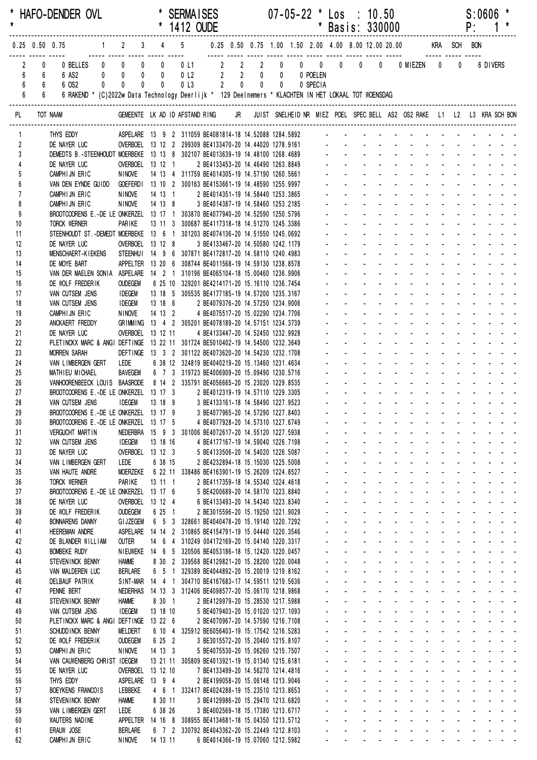| $\star$                  |                       | * HAFO-DENDER OVL                                                                                                                                   |                                       |                                    |       |                                | <b>SERMAISES</b><br>* 1412 OUDE                                                                         |                                                                        |  |  | $07 - 05 - 22$ * Los : 10.50 | * Basis: 330000                            |                                                        |                                                 |                                                  |                                                                                                                                                                                                                                                                                |                                                  |                                                 | P: | S:0606                                                                                                                                                                                                                                                                                                                                                                                                                                                                                                |                                                             |  |
|--------------------------|-----------------------|-----------------------------------------------------------------------------------------------------------------------------------------------------|---------------------------------------|------------------------------------|-------|--------------------------------|---------------------------------------------------------------------------------------------------------|------------------------------------------------------------------------|--|--|------------------------------|--------------------------------------------|--------------------------------------------------------|-------------------------------------------------|--------------------------------------------------|--------------------------------------------------------------------------------------------------------------------------------------------------------------------------------------------------------------------------------------------------------------------------------|--------------------------------------------------|-------------------------------------------------|----|-------------------------------------------------------------------------------------------------------------------------------------------------------------------------------------------------------------------------------------------------------------------------------------------------------------------------------------------------------------------------------------------------------------------------------------------------------------------------------------------------------|-------------------------------------------------------------|--|
|                          |                       | 0.25 0.50 0.75 1 2 3 4 5 0.25 0.50 0.75 1.00 1.50 2.00 4.00 8.00 12.00 20.00 KRA SCH BON                                                            |                                       |                                    |       |                                |                                                                                                         |                                                                        |  |  |                              |                                            |                                                        |                                                 |                                                  |                                                                                                                                                                                                                                                                                |                                                  |                                                 |    |                                                                                                                                                                                                                                                                                                                                                                                                                                                                                                       |                                                             |  |
| 6<br>6<br>$6\phantom{a}$ | 0<br>$6^{\circ}$<br>6 | 0 BELLES 0 0<br>6 AS2<br>6 OS2<br>$6\degree$<br>6 RAKEND * (C)2022w Data Technology Deerlijk * 129 Deelnemers * KLACHTEN IN HET LOKAAL TOT WOENSDAG | $0$ 0<br>$\mathbf{0}$<br>$\mathbf{0}$ | $\mathbf 0$<br>$\pmb{0}$           | $0$ 0 | $\overline{0}$<br>$\mathbf{0}$ |                                                                                                         |                                                                        |  |  |                              |                                            |                                                        |                                                 |                                                  | 0 0 MIEZEN 0                                                                                                                                                                                                                                                                   |                                                  | $\mathbf 0$                                     |    | 6 DIVERS                                                                                                                                                                                                                                                                                                                                                                                                                                                                                              |                                                             |  |
| PL                       |                       | TOT NAAM                                                                                                                                            |                                       |                                    |       |                                |                                                                                                         |                                                                        |  |  |                              |                                            |                                                        |                                                 |                                                  | GEMEENTE LK AD ID AFSTAND RING JR JUIST SNELHEID NR MIEZ POEL SPEC BELL AS2 OS2 RAKE L1 L2 L3 KRA SCH BON                                                                                                                                                                      |                                                  |                                                 |    |                                                                                                                                                                                                                                                                                                                                                                                                                                                                                                       |                                                             |  |
| $\mathbf{1}$             |                       | THYS EDDY                                                                                                                                           |                                       |                                    |       |                                | ASPELARE 13 9 2 311059 BE4081814-18 14.52088 1284.5892 - - - - - -                                      |                                                                        |  |  |                              |                                            |                                                        |                                                 |                                                  |                                                                                                                                                                                                                                                                                |                                                  |                                                 |    |                                                                                                                                                                                                                                                                                                                                                                                                                                                                                                       |                                                             |  |
| $\overline{2}$           |                       | DE NAYER LUC                                                                                                                                        |                                       |                                    |       |                                | OVERBOEL 13 12 2 299309 BE4133470-20 14.44020 1278.9161                                                 |                                                                        |  |  |                              |                                            |                                                        |                                                 |                                                  |                                                                                                                                                                                                                                                                                |                                                  |                                                 |    |                                                                                                                                                                                                                                                                                                                                                                                                                                                                                                       |                                                             |  |
| $\mathbf{3}$             |                       | DEMEDTS B.-STEENHOUDT MOERBEKE 13 13 8 302107 BE4013639-19 14.48100 1268.4689 - - - - - - - -<br>DE NAYER LUC                                       |                                       | OVERBOEL 13 12 1                   |       |                                |                                                                                                         | 2 BE4133453-20 14.46490 1263.8849                                      |  |  |                              |                                            |                                                        |                                                 |                                                  |                                                                                                                                                                                                                                                                                |                                                  |                                                 |    |                                                                                                                                                                                                                                                                                                                                                                                                                                                                                                       |                                                             |  |
| 5                        |                       | CAMPHIJN ERIC                                                                                                                                       |                                       | <b>NINOVE</b>                      |       |                                | 14 13 4 311759 BE4014305-19 14.57190 1260.5661                                                          |                                                                        |  |  |                              |                                            |                                                        |                                                 |                                                  |                                                                                                                                                                                                                                                                                |                                                  |                                                 |    |                                                                                                                                                                                                                                                                                                                                                                                                                                                                                                       |                                                             |  |
| 6                        |                       | VAN DEN EYNDE GUIDO GOEFERDI 13 10 2 300163 BE4153661-19 14.48590 1255.9997                                                                         |                                       |                                    |       |                                |                                                                                                         |                                                                        |  |  |                              |                                            |                                                        |                                                 |                                                  |                                                                                                                                                                                                                                                                                |                                                  |                                                 |    |                                                                                                                                                                                                                                                                                                                                                                                                                                                                                                       |                                                             |  |
| $\overline{1}$           |                       | CAMPHIJN ERIC                                                                                                                                       |                                       | <b>NINOVE</b>                      |       |                                | 14 13 1                                                                                                 | 2 BE4014351-19 14.58440 1253.3865                                      |  |  |                              |                                            |                                                        |                                                 |                                                  |                                                                                                                                                                                                                                                                                |                                                  |                                                 |    |                                                                                                                                                                                                                                                                                                                                                                                                                                                                                                       |                                                             |  |
| 8<br>9                   |                       | CAMPHIJN ERIC<br>BROOTCOORENS E.-DE LE ONKERZEL 13 17 1 303870 BE4077940-20 14.52590 1250.5796                                                      |                                       | <b>NINOVE</b>                      |       | 14 13 8                        |                                                                                                         | 3 BE4014387-19 14.58460 1253.2185                                      |  |  |                              |                                            |                                                        |                                                 |                                                  |                                                                                                                                                                                                                                                                                |                                                  |                                                 |    |                                                                                                                                                                                                                                                                                                                                                                                                                                                                                                       |                                                             |  |
| 10                       |                       | TORCK WERNER                                                                                                                                        |                                       | PARIKE                             |       |                                | 13 11 3 300687 BE4117318-18 14.51270 1245.3386                                                          |                                                                        |  |  |                              |                                            |                                                        |                                                 |                                                  |                                                                                                                                                                                                                                                                                |                                                  |                                                 |    |                                                                                                                                                                                                                                                                                                                                                                                                                                                                                                       |                                                             |  |
| 11                       |                       | STEENHOUDT ST.-DEMEDT MOERBEKE 13 6 1 301203 BE4074136-20 14.51550 1245.0692                                                                        |                                       |                                    |       |                                |                                                                                                         |                                                                        |  |  |                              |                                            |                                                        |                                                 |                                                  |                                                                                                                                                                                                                                                                                |                                                  |                                                 |    |                                                                                                                                                                                                                                                                                                                                                                                                                                                                                                       |                                                             |  |
| 12<br>13                 |                       | DE NAYER LUC<br>MENSCHAERT-KIEKENS STEENHUI 14 9 6 307871 BE4172817-20 14.58110 1240.4983                                                           |                                       | OVERBOEL 13 12 8                   |       |                                |                                                                                                         | 3 BE4133467-20 14.50580 1242.1179                                      |  |  |                              |                                            |                                                        |                                                 |                                                  |                                                                                                                                                                                                                                                                                |                                                  |                                                 |    |                                                                                                                                                                                                                                                                                                                                                                                                                                                                                                       |                                                             |  |
| 14                       |                       | DE MOYE BART                                                                                                                                        |                                       |                                    |       |                                | APPELTER 13 20 6 308744 BE4011568-19 14.59130 1238.8578                                                 |                                                                        |  |  |                              |                                            |                                                        |                                                 |                                                  |                                                                                                                                                                                                                                                                                |                                                  |                                                 |    |                                                                                                                                                                                                                                                                                                                                                                                                                                                                                                       |                                                             |  |
| 15                       |                       | VAN DER MAELEN SONIA ASPELARE 14 2 1 310196 BE4065104-18 15.00460 1236.9906                                                                         |                                       |                                    |       |                                |                                                                                                         |                                                                        |  |  |                              |                                            |                                                        |                                                 |                                                  |                                                                                                                                                                                                                                                                                |                                                  |                                                 |    |                                                                                                                                                                                                                                                                                                                                                                                                                                                                                                       |                                                             |  |
| 16<br>17                 |                       | DE WOLF FREDERIK<br>VAN CUTSEM JENS                                                                                                                 |                                       | <b>OUDEGEM</b><br><b>IDEGEM</b>    |       |                                | 6 25 10 329201 BE4214171-20 15.16110 1236.7454<br>13 18 5 305535 BE4177185-19 14.57200 1235.3167        |                                                                        |  |  |                              |                                            |                                                        |                                                 |                                                  |                                                                                                                                                                                                                                                                                |                                                  |                                                 |    |                                                                                                                                                                                                                                                                                                                                                                                                                                                                                                       |                                                             |  |
| 18                       |                       | VAN CUTSEM JENS                                                                                                                                     |                                       | <b>IDEGEM</b>                      |       |                                | 13 18 6                                                                                                 | 2 BE4079376-20 14.57250 1234.9006                                      |  |  |                              |                                            |                                                        |                                                 |                                                  |                                                                                                                                                                                                                                                                                |                                                  |                                                 |    |                                                                                                                                                                                                                                                                                                                                                                                                                                                                                                       |                                                             |  |
| 19                       |                       | CAMPHIJN ERIC                                                                                                                                       |                                       | <b>NINOVE</b>                      |       | 14 13 2                        |                                                                                                         | 4 BE4075517-20 15.02290 1234.7706                                      |  |  |                              |                                            |                                                        |                                                 |                                                  |                                                                                                                                                                                                                                                                                |                                                  |                                                 |    |                                                                                                                                                                                                                                                                                                                                                                                                                                                                                                       |                                                             |  |
| 20<br>21                 |                       | ANCKAERT FREDDY<br>DE NAYER LUC                                                                                                                     |                                       | OVERBOEL 13 12 11                  |       |                                | GRIMMING 13 4 2 305201 BE4078189-20 14.57151 1234.3739                                                  |                                                                        |  |  |                              |                                            |                                                        |                                                 |                                                  |                                                                                                                                                                                                                                                                                |                                                  |                                                 |    |                                                                                                                                                                                                                                                                                                                                                                                                                                                                                                       |                                                             |  |
| 22                       |                       | PLETINCKX MARC & ANGI DEFTINGE 13 22 11 301724 BE5010402-19 14.54500 1232.3649                                                                      |                                       |                                    |       |                                |                                                                                                         | 4 BE4133447-20 14.52450 1232.9928                                      |  |  |                              |                                            |                                                        |                                                 |                                                  |                                                                                                                                                                                                                                                                                |                                                  |                                                 |    |                                                                                                                                                                                                                                                                                                                                                                                                                                                                                                       |                                                             |  |
| 23                       |                       | <b>MORREN SARAH</b>                                                                                                                                 |                                       |                                    |       |                                | DEFTINGE 13 3 2 301122 BE4073620-20 14.54230 1232.1708                                                  |                                                                        |  |  |                              |                                            |                                                        |                                                 |                                                  |                                                                                                                                                                                                                                                                                |                                                  |                                                 |    |                                                                                                                                                                                                                                                                                                                                                                                                                                                                                                       |                                                             |  |
| 24                       |                       | VAN LIMBERGEN GERT                                                                                                                                  |                                       | <b>LEDE</b>                        |       |                                | 6 38 12 324819 BE4040219-20 15.13460 1231.4634                                                          |                                                                        |  |  |                              |                                            |                                                        |                                                 |                                                  |                                                                                                                                                                                                                                                                                |                                                  | $\mathcal{L}^{\mathcal{L}}$                     |    |                                                                                                                                                                                                                                                                                                                                                                                                                                                                                                       |                                                             |  |
| 25<br>26                 |                       | MATHIEU MICHAEL<br>VANHOORENBEECK LOUIS BAASRODE 8 14 2 335791 BE4056665-20 15.23020 1229.8535                                                      |                                       | BAVEGEM                            |       |                                | 6 7 3 319723 BE4006909-20 15.09490 1230.5716                                                            |                                                                        |  |  |                              |                                            |                                                        |                                                 |                                                  |                                                                                                                                                                                                                                                                                |                                                  |                                                 |    |                                                                                                                                                                                                                                                                                                                                                                                                                                                                                                       |                                                             |  |
| 27                       |                       | BROOTCOORENS E.-DE LE ONKERZEL 13 17 3 2 BE4012319-19 14.57110 1229.3305                                                                            |                                       |                                    |       |                                |                                                                                                         |                                                                        |  |  |                              |                                            |                                                        |                                                 |                                                  |                                                                                                                                                                                                                                                                                |                                                  |                                                 |    |                                                                                                                                                                                                                                                                                                                                                                                                                                                                                                       |                                                             |  |
| 28                       |                       | VAN CUTSEM JENS                                                                                                                                     |                                       | idegem                             |       | 13 18 9                        |                                                                                                         | 3 BE4133161-18 14.58490 1227.9523                                      |  |  |                              |                                            |                                                        |                                                 |                                                  |                                                                                                                                                                                                                                                                                |                                                  |                                                 |    |                                                                                                                                                                                                                                                                                                                                                                                                                                                                                                       |                                                             |  |
| 29                       |                       | BROOTCOORENS E.-DE LE ONKERZEL 13 17 9 3 BE4077965-20 14.57290 1227.8403<br>BROOTCOORENS E.-DE LE ONKERZEL 13 17 5                                  |                                       |                                    |       |                                |                                                                                                         |                                                                        |  |  |                              |                                            |                                                        |                                                 |                                                  | a construction of the construction of the construction of the construction of the construction of the construction of the construction of the construction of the construction of the construction of the construction of the                                                  |                                                  |                                                 |    |                                                                                                                                                                                                                                                                                                                                                                                                                                                                                                       |                                                             |  |
| 30<br>31                 |                       | <b>VERGUCHT MARTIN</b>                                                                                                                              |                                       |                                    |       |                                | NEDERBRA 15 9 3 301006 BE4072617-20 14.55120 1227.5938                                                  | 4 BE4077928-20 14.57310 1227.6749                                      |  |  |                              |                                            | $\mathcal{L}^{\text{max}}$                             |                                                 |                                                  | and a straightful control of the state                                                                                                                                                                                                                                         |                                                  |                                                 |    | and a state of                                                                                                                                                                                                                                                                                                                                                                                                                                                                                        |                                                             |  |
| 32                       |                       | VAN CUTSEM JENS                                                                                                                                     |                                       | <b>IDEGEM</b>                      |       | 13 18 16                       |                                                                                                         | 4 BE4177167-19 14.59040 1226.7198                                      |  |  |                              |                                            |                                                        |                                                 |                                                  | والموارد والموارد والموارد والموارد والموارد                                                                                                                                                                                                                                   |                                                  | $\omega_{\rm{max}}$                             |    | $\mathbf{1}^{\prime}$ , $\mathbf{1}^{\prime}$ , $\mathbf{1}^{\prime}$ , $\mathbf{1}^{\prime}$ , $\mathbf{1}^{\prime}$ , $\mathbf{1}^{\prime}$                                                                                                                                                                                                                                                                                                                                                         |                                                             |  |
| 33                       |                       | DE NAYER LUC                                                                                                                                        |                                       | OVERBOEL 13 12 3                   |       |                                |                                                                                                         | 5 BE4133506-20 14.54020 1226.5087                                      |  |  |                              |                                            | $\omega_{\rm{max}}$                                    | <b>Service</b> State                            |                                                  | <b>All Contracts</b>                                                                                                                                                                                                                                                           | $\sim 100$                                       |                                                 |    |                                                                                                                                                                                                                                                                                                                                                                                                                                                                                                       |                                                             |  |
| 34<br>35                 |                       | VAN LIMBERGEN GERT<br>VAN HAUTE ANDRE                                                                                                               | LEDE                                  | <b>MOERZEKE</b>                    |       | 6 38 15                        | 6 22 11 338486 BE4163901-19 15.26209 1224.8527                                                          | 2 BE4232894-18 15.15030 1225.5008                                      |  |  |                              |                                            | $\mathbf{r} = \mathbf{r}$<br>$\mathbf{L}^{\text{max}}$ | <b>Service</b> State<br><b>All States</b>       |                                                  | and a straight and start                                                                                                                                                                                                                                                       |                                                  |                                                 |    | and a state of                                                                                                                                                                                                                                                                                                                                                                                                                                                                                        |                                                             |  |
| 36                       |                       | TORCK WERNER                                                                                                                                        |                                       | PARIKE                             |       | 13 11 1                        |                                                                                                         | 2 BE4117359-18 14.55340 1224.4618                                      |  |  |                              |                                            | $\Delta \sim 100$                                      | $\Delta \sim 100$                               | $\sim$<br>$\Delta \sim 100$                      | and the state of the state of                                                                                                                                                                                                                                                  |                                                  |                                                 |    | and a strain and a                                                                                                                                                                                                                                                                                                                                                                                                                                                                                    |                                                             |  |
| 37                       |                       | BROOTCOORENS E.-DE LE ONKERZEL 13 17 6                                                                                                              |                                       |                                    |       |                                |                                                                                                         | 5 BE4200689-20 14.58170 1223.8840                                      |  |  |                              | a.                                         | $\Delta \sim 100$                                      |                                                 |                                                  | and a series of the contract of the                                                                                                                                                                                                                                            |                                                  |                                                 |    |                                                                                                                                                                                                                                                                                                                                                                                                                                                                                                       |                                                             |  |
| 38<br>39                 |                       | DE NAYER LUC<br>DE WOLF FREDERIK                                                                                                                    |                                       | OVERBOEL 13 12 4<br><b>OUDEGEM</b> |       | 6 25 1                         |                                                                                                         | 6 BE4133493-20 14.54340 1223.8340<br>2 BE3015596-20 15.19250 1221.9029 |  |  |                              |                                            | $\omega_{\rm{max}}$<br>$\mathbf{a} = \mathbf{a}$       | $\mathbf{z} = \mathbf{z}$<br>$\Delta \sim 10^4$ | $\mathbf{L}^{\text{max}}$<br>$\omega_{\rm{max}}$ | and a state<br>$\sim 100$<br>$\Delta \sim 100$                                                                                                                                                                                                                                 | <b>Service</b> State<br>$\Delta \phi = 0.01$ and |                                                 |    | and a strain and a<br>and a strain and a                                                                                                                                                                                                                                                                                                                                                                                                                                                              |                                                             |  |
| 40                       |                       | <b>BONNARENS DANNY</b>                                                                                                                              |                                       | <b>GI JZEGEM</b>                   |       |                                | 6 5 3 328661 BE4040478-20 15.19140 1220.7292                                                            |                                                                        |  |  |                              |                                            |                                                        | <b>Service</b> State                            |                                                  |                                                                                                                                                                                                                                                                                |                                                  |                                                 |    | $\omega_{\rm{eff}}=2.00\pm0.00$ km $^{-1}$                                                                                                                                                                                                                                                                                                                                                                                                                                                            |                                                             |  |
| 41                       |                       | <b>HEEREMAN ANDRE</b>                                                                                                                               |                                       | ASPELARE                           |       |                                | 14 14 2 310865 BE4154791-19 15.04440 1220.3546                                                          |                                                                        |  |  |                              | $\mathcal{L}^{\pm}$                        |                                                        | <b>All Service</b>                              |                                                  |                                                                                                                                                                                                                                                                                | $\sim 100$                                       |                                                 |    | $\label{eq:2.1} \begin{array}{cccccccccc} \mathbf{1} & \mathbf{1} & \mathbf{1} & \mathbf{1} & \mathbf{1} & \mathbf{1} & \mathbf{1} & \mathbf{1} & \mathbf{1} & \mathbf{1} & \mathbf{1} & \mathbf{1} & \mathbf{1} & \mathbf{1} & \mathbf{1} & \mathbf{1} & \mathbf{1} & \mathbf{1} & \mathbf{1} & \mathbf{1} & \mathbf{1} & \mathbf{1} & \mathbf{1} & \mathbf{1} & \mathbf{1} & \mathbf{1} & \mathbf{1} & \mathbf{1} & \mathbf{1}$                                                                     |                                                             |  |
| 42                       |                       | DE BLANDER WILLIAM                                                                                                                                  | <b>OUTER</b>                          |                                    |       |                                | 14 6 4 310249 004172169-20 15.04140 1220.3317                                                           |                                                                        |  |  |                              |                                            | $\Delta \sim 100$                                      | and a state                                     |                                                  | and a state                                                                                                                                                                                                                                                                    | $\omega_{\rm{max}}$ , $\omega_{\rm{max}}$        | $\mathcal{L}^{\mathcal{A}}$                     |    | and a state of                                                                                                                                                                                                                                                                                                                                                                                                                                                                                        |                                                             |  |
| 43<br>44                 |                       | <b>BOMBEKE RUDY</b><br>STEVEN INCK BENNY                                                                                                            | <b>HAMME</b>                          |                                    |       |                                | NIEUWEKE 14 6 5 320506 BE4053186-18 15.12420 1220.0457<br>8 30 2 339568 BE4129821-20 15.28200 1220.0048 |                                                                        |  |  |                              | $\mathcal{L}^{\pm}$<br>$\omega_{\rm{max}}$ | $\Delta \sim 100$<br>$\mathbf{L}^{\text{max}}$         | <b>Service</b> State                            |                                                  | and a straight and a straight<br>and a straight                                                                                                                                                                                                                                |                                                  | $\mathcal{L}^{\text{max}}$<br>$\Delta \sim 100$ |    | and the state of the                                                                                                                                                                                                                                                                                                                                                                                                                                                                                  | $\mathcal{L}^{\text{max}}$ , and $\mathcal{L}^{\text{max}}$ |  |
| 45                       |                       | VAN MALDEREN LUC                                                                                                                                    |                                       | BERLARE                            |       | $6\quad 5\quad 1$              |                                                                                                         | 329389 BE4044892-20 15.20019 1219.8162                                 |  |  |                              | $\mathbf{L}^{\text{max}}$                  | and the company                                        |                                                 |                                                  | and the company                                                                                                                                                                                                                                                                |                                                  |                                                 |    |                                                                                                                                                                                                                                                                                                                                                                                                                                                                                                       |                                                             |  |
| 46                       |                       | <b>DELBAUF PATRIK</b>                                                                                                                               |                                       |                                    |       |                                | SINT-MAR 14 4 1 304710 BE4167683-17 14.59511 1219.5636                                                  |                                                                        |  |  |                              |                                            | $\mathbf{r} = \mathbf{r}$                              | <b>Service</b> State                            |                                                  | and a straight and                                                                                                                                                                                                                                                             |                                                  |                                                 |    |                                                                                                                                                                                                                                                                                                                                                                                                                                                                                                       |                                                             |  |
| 47<br>48                 |                       | PENNE BERT<br>STEVENINCK BENNY                                                                                                                      | <b>HAMME</b>                          |                                    |       | 8 30 1                         | NEDERHAS  14  13  3  312406 BE4098577-20  15.06170  1218.9868                                           | 2 BE4129979-20 15.28530 1217.5988                                      |  |  |                              |                                            | $\mathbf{L}^{\text{max}}$<br>$\Delta \sim 100$         | <b>All States</b><br>and a state                |                                                  | and the company of the com-<br>and a strategies and                                                                                                                                                                                                                            |                                                  | $\sim$                                          |    | and a state of<br>and a strain and a                                                                                                                                                                                                                                                                                                                                                                                                                                                                  |                                                             |  |
| 49                       |                       | VAN CUTSEM JENS                                                                                                                                     |                                       | <b>IDEGEM</b>                      |       | 13 18 10                       |                                                                                                         | 5 BE4079403-20 15.01020 1217.1093                                      |  |  |                              | $\mathcal{L}^{\mathcal{A}}$<br>¥.          |                                                        | $\mathbf{z} = \mathbf{z}$                       | $\Delta \sim 100$                                | and a straight and straight                                                                                                                                                                                                                                                    |                                                  |                                                 |    | and a strain and a                                                                                                                                                                                                                                                                                                                                                                                                                                                                                    |                                                             |  |
| 50                       |                       | PLETINCKX MARC & ANGI DEFTINGE 13 22 6                                                                                                              |                                       |                                    |       |                                |                                                                                                         | 2 BE4070967-20 14.57590 1216.7108                                      |  |  |                              |                                            | $\omega_{\rm{max}}$                                    | $\Delta \sim 100$                               | $\Delta \sim 100$                                | and a strain and a                                                                                                                                                                                                                                                             |                                                  |                                                 |    | and a strain and a                                                                                                                                                                                                                                                                                                                                                                                                                                                                                    |                                                             |  |
| 51                       |                       | SCHUDD INCK BENNY                                                                                                                                   |                                       | <b>MELDERT</b>                     |       | 6 10 4                         |                                                                                                         | 325912 BE6056403-19 15.17542 1216.5283                                 |  |  |                              |                                            | $\mathbf{L}^{\text{max}}$                              | $\Delta \sim 100$                               | $\Delta \sim 100$                                | $\Delta \sim 100$<br>$\sim 100$                                                                                                                                                                                                                                                | $\sim 100$                                       | $\Delta \sim 100$                               |    | $\mathbf{z} = \left\{ \mathbf{z}_1, \ldots, \mathbf{z}_n \right\}$ , where                                                                                                                                                                                                                                                                                                                                                                                                                            |                                                             |  |
| 52<br>53                 |                       | DE WOLF FREDERIK<br>CAMPHIJN ERIC                                                                                                                   |                                       | <b>OUDEGEM</b><br><b>NINOVE</b>    |       | 6 25 2<br>14 13 3              |                                                                                                         | 3 BE3015572-20 15.20460 1215.8107<br>5 BE4075530-20 15.06260 1215.7507 |  |  |                              | $\mathcal{L}^{\pm}$                        |                                                        | <b>Service</b> State<br><b>All Service</b>      | $\mathcal{L}$                                    | $\sim$<br>$\Delta \phi = 0.0000$                                                                                                                                                                                                                                               | $\Delta \phi = 0.01$                             |                                                 |    | $\mathbf{z} = \mathbf{z} + \mathbf{z} + \mathbf{z} + \mathbf{z}$<br>$\label{eq:2.1} \begin{array}{cccccccccc} \mathbf{1} & \mathbf{1} & \mathbf{1} & \mathbf{1} & \mathbf{1} & \mathbf{1} & \mathbf{1} & \mathbf{1} & \mathbf{1} & \mathbf{1} & \mathbf{1} & \mathbf{1} & \mathbf{1} & \mathbf{1} & \mathbf{1} & \mathbf{1} & \mathbf{1} & \mathbf{1} & \mathbf{1} & \mathbf{1} & \mathbf{1} & \mathbf{1} & \mathbf{1} & \mathbf{1} & \mathbf{1} & \mathbf{1} & \mathbf{1} & \mathbf{1} & \mathbf{1}$ |                                                             |  |
| 54                       |                       | VAN CAUWENBERG CHRIST IDEGEM                                                                                                                        |                                       |                                    |       |                                | 13 21 11 305809 BE4013921-19 15.01340 1215.6181                                                         |                                                                        |  |  |                              |                                            | $\Delta \sim 100$                                      | and a state                                     |                                                  | and a state                                                                                                                                                                                                                                                                    | $\Delta \phi = 0.01$ and                         | $\sim$                                          |    | and a state of                                                                                                                                                                                                                                                                                                                                                                                                                                                                                        |                                                             |  |
| 55                       |                       | DE NAYER LUC                                                                                                                                        |                                       | OVERBOEL 13 12 10                  |       |                                |                                                                                                         | 7 BE4133499-20 14.56270 1214.4816                                      |  |  |                              | $\mathcal{L}^{\pm}$                        | $\Delta \sim 100$                                      |                                                 |                                                  | and a straight and a straight                                                                                                                                                                                                                                                  |                                                  |                                                 |    | <b>Contract Contract Contract</b>                                                                                                                                                                                                                                                                                                                                                                                                                                                                     |                                                             |  |
| 56<br>57                 |                       | THYS EDDY<br>BOEYKENS FRANCOIS                                                                                                                      |                                       | ASPELARE 13 9 4<br>LEBBEKE         |       |                                | 4 6 1 332417 BE4024288-19 15.23510 1213.8653                                                            | 2 BE4199058-20 15.06148 1213.9046                                      |  |  |                              | $\mathbf{L}^{\text{max}}$                  | $\mathbf{L}^{\text{max}}$<br>and the company           | <b>Service</b> State                            |                                                  | and a straight of<br>and the company                                                                                                                                                                                                                                           |                                                  | $\mathbf{L}^{\text{max}}$<br>$\Delta \sim 100$  |    | and a state of                                                                                                                                                                                                                                                                                                                                                                                                                                                                                        |                                                             |  |
| 58                       |                       | STEVEN INCK BENNY                                                                                                                                   | <b>HAMME</b>                          |                                    |       | 8 30 11                        |                                                                                                         | 3 BE4129986-20 15.29470 1213.6820                                      |  |  |                              |                                            | $\mathbf{z} = \mathbf{z}$ .                            | <b>Service</b> State                            |                                                  | and a straightful contract and a                                                                                                                                                                                                                                               |                                                  |                                                 |    |                                                                                                                                                                                                                                                                                                                                                                                                                                                                                                       |                                                             |  |
| 59                       |                       | VAN LIMBERGEN GERT                                                                                                                                  | LEDE                                  |                                    |       | 6 38 26                        |                                                                                                         | 3 BE4002569-18 15.17380 1213.6717                                      |  |  |                              |                                            | $\omega_{\rm{max}}$                                    |                                                 |                                                  | and a series of the series of the series of                                                                                                                                                                                                                                    |                                                  |                                                 |    |                                                                                                                                                                                                                                                                                                                                                                                                                                                                                                       |                                                             |  |
| 60                       |                       | WAUTERS NADINE                                                                                                                                      |                                       |                                    |       |                                | APPELTER 14 16 8 308955 BE4134681-18 15.04350 1213.5712                                                 |                                                                        |  |  |                              | $\Delta \sim 100$                          |                                                        |                                                 |                                                  | a construction of the construction of the construction of the construction of the construction of the construction of the construction of the construction of the construction of the construction of the construction of the<br>and a series of the contract of the series of |                                                  |                                                 |    |                                                                                                                                                                                                                                                                                                                                                                                                                                                                                                       |                                                             |  |
| 61<br>62                 |                       | ERAUW JOSE<br>CAMPHIJN ERIC                                                                                                                         |                                       | BERLARE<br>NINOVE                  |       |                                | 6 7 2 330792 BE4043362-20 15.22449 1212.8103<br>14 13 11                                                | 6 BE4014366-19 15.07060 1212.5982                                      |  |  |                              |                                            |                                                        |                                                 |                                                  | the contract of the contract of the contract of                                                                                                                                                                                                                                |                                                  |                                                 |    |                                                                                                                                                                                                                                                                                                                                                                                                                                                                                                       |                                                             |  |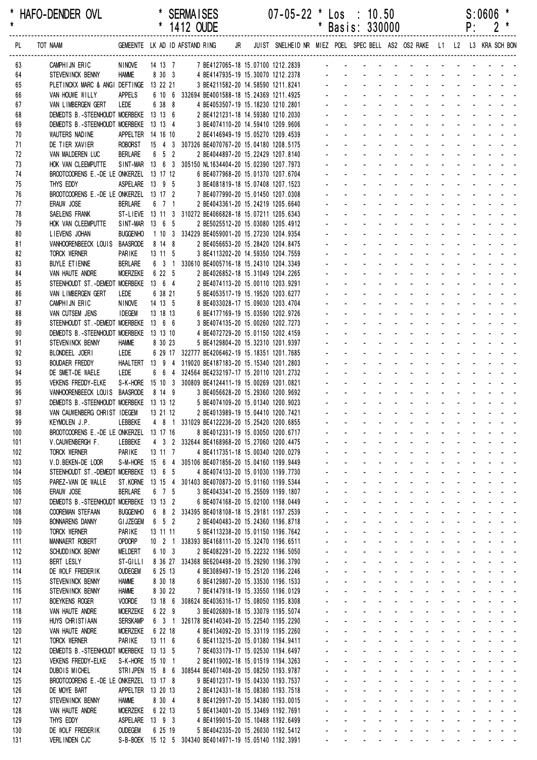|            |                                                                     |                              |                    | 1412 OUDE |                                                                                              |  |                                                                                                     |                      |                              | Basis: 330000                                                                 |                                                            |                                                             |                                                              |                                   | ۲:                                |                           |                                                                  |
|------------|---------------------------------------------------------------------|------------------------------|--------------------|-----------|----------------------------------------------------------------------------------------------|--|-----------------------------------------------------------------------------------------------------|----------------------|------------------------------|-------------------------------------------------------------------------------|------------------------------------------------------------|-------------------------------------------------------------|--------------------------------------------------------------|-----------------------------------|-----------------------------------|---------------------------|------------------------------------------------------------------|
| PL         | TOT NAAM                                                            |                              |                    |           |                                                                                              |  | GEMEENTE LKAD IDAFSTANDRING JR JUIST SNELHEIDNR MIEZ POEL SPECBELL AS2 OS2 RAKE L1 L2 L3 KRA SCHBON |                      |                              |                                                                               |                                                            |                                                             |                                                              |                                   |                                   |                           |                                                                  |
| 63         | CAMPHIJN ERIC                                                       | NINOVE                       |                    |           |                                                                                              |  | 14 13 7 7 BE4127065-18 15.07100 1212.2839 -                                                         |                      |                              |                                                                               |                                                            |                                                             |                                                              |                                   |                                   |                           |                                                                  |
| 64         | STEVENINCK BENNY                                                    | <b>HAMME</b>                 | 8 30 3             |           | 4 BE4147935-19 15.30070 1212.2378                                                            |  |                                                                                                     |                      |                              |                                                                               |                                                            |                                                             |                                                              |                                   |                                   |                           |                                                                  |
| 65         | PLETINCKX MARC & ANGI DEFTINGE 13 22 21                             |                              |                    |           | 3 BE4211582-20 14.58590 1211.8241                                                            |  |                                                                                                     |                      |                              |                                                                               |                                                            |                                                             |                                                              |                                   |                                   |                           |                                                                  |
| 66         | VAN HOUWE WILLY                                                     | <b>APPELS</b>                |                    |           | 6 10 6 332694 BE4001588-18 15.24369 1211.4925                                                |  |                                                                                                     |                      |                              |                                                                               |                                                            |                                                             |                                                              |                                   |                                   |                           |                                                                  |
| 67         | VAN LIMBERGEN GERT                                                  | LEDE                         | 6 38 8             |           | 4 BE4053507-19 15.18230 1210.2801                                                            |  |                                                                                                     |                      |                              |                                                                               |                                                            |                                                             |                                                              |                                   |                                   |                           |                                                                  |
| 68         | DEMEDTS B.-STEENHOUDT MOERBEKE 13 13 6                              |                              |                    |           | 2 BE4121231-18 14.59380 1210.2030                                                            |  |                                                                                                     |                      |                              |                                                                               |                                                            |                                                             |                                                              |                                   |                                   |                           |                                                                  |
| 69<br>70   | DEMEDTS B.-STEENHOUDT MOERBEKE 13 13 4<br>WAUTERS NADINE            | APPELTER 14 16 10            |                    |           | 3 BE4074110-20 14.59410 1209.9606<br>2 BE4146949-19 15.05270 1209.4539                       |  |                                                                                                     |                      |                              |                                                                               |                                                            |                                                             |                                                              |                                   |                                   |                           |                                                                  |
| 71         | DE TIER XAVIER                                                      | ROBORST                      |                    |           | 15 4 3 307326 BE4070767-20 15.04180 1208.5175                                                |  |                                                                                                     |                      |                              |                                                                               |                                                            |                                                             |                                                              |                                   |                                   |                           |                                                                  |
| 72         | VAN MALDEREN LUC                                                    | <b>BERLARE</b>               | $6\quad 5\quad 2$  |           | 2 BE4044897-20 15.22429 1207.8140                                                            |  |                                                                                                     |                      |                              |                                                                               |                                                            |                                                             | $\mathbf{r}$                                                 |                                   |                                   |                           |                                                                  |
| 73         | HOK VAN CLEEMPUTTE                                                  |                              |                    |           | SINT-MAR 13 6 3 305150 NL1634404-20 15.02390 1207.7973                                       |  |                                                                                                     |                      |                              |                                                                               |                                                            |                                                             |                                                              |                                   |                                   |                           |                                                                  |
| 74         | BROOTCOORENS E.-DE LE ONKERZEL 13 17 12                             |                              |                    |           | 6 BE4077968-20 15.01370 1207.6704                                                            |  |                                                                                                     |                      |                              |                                                                               |                                                            |                                                             |                                                              |                                   |                                   |                           |                                                                  |
| 75         | THYS EDDY                                                           | ASPELARE 13 9 5              |                    |           | 3 BE4081819-18 15.07408 1207.1523                                                            |  |                                                                                                     |                      |                              |                                                                               |                                                            |                                                             |                                                              |                                   |                                   |                           |                                                                  |
| 76<br>77   | BROOTCOORENS E.-DE LE ONKERZEL 13 17 2<br>ERAUW JOSE                | <b>BERLARE</b>               | 6 7 1              |           | 7 BE4077990-20 15.01450 1207.0308<br>2 BE4043361-20 15.24219 1205.6640                       |  |                                                                                                     |                      |                              |                                                                               |                                                            |                                                             |                                                              |                                   |                                   |                           |                                                                  |
| 78         | SAELENS FRANK                                                       |                              |                    |           | ST-LIEVE 13 11 3 310272 BE4066828-18 15.07211 1205.6343                                      |  |                                                                                                     |                      |                              |                                                                               |                                                            |                                                             | $\overline{a}$                                               |                                   |                                   |                           |                                                                  |
| 79         | HOK VAN CLEEMPUTTE                                                  | SINT-MAR 13 6 5              |                    |           | 2 BE5025512-20 15.03080 1205.4912                                                            |  |                                                                                                     |                      |                              |                                                                               |                                                            |                                                             |                                                              |                                   |                                   |                           |                                                                  |
| 80         | LIEVENS JOHAN                                                       | <b>BUGGENHO</b>              |                    |           | 1 10 3 334229 BE4059001-20 15.27230 1204.9354                                                |  |                                                                                                     |                      |                              |                                                                               |                                                            |                                                             |                                                              |                                   |                                   |                           |                                                                  |
| 81         | VANHOORENBEECK LOUIS                                                | <b>BAASRODE</b>              | 8 14 8             |           | 2 BE4056653-20 15.28420 1204.8475                                                            |  |                                                                                                     |                      |                              |                                                                               |                                                            |                                                             |                                                              |                                   |                                   |                           |                                                                  |
| 82         | TORCK WERNER                                                        | PARIKE                       | $13 \t11 \t5$      |           | 3 BE4113202-20 14.59350 1204.7559                                                            |  |                                                                                                     |                      |                              |                                                                               |                                                            |                                                             |                                                              |                                   |                                   |                           |                                                                  |
| 83<br>84   | BUYLE ETIENNE                                                       | <b>BERLARE</b><br>MOERZEKE   | 6 22 5             |           | 6 3 1 330610 BE4005716-18 15.24310 1204.3349                                                 |  |                                                                                                     |                      |                              |                                                                               |                                                            |                                                             |                                                              |                                   |                                   |                           |                                                                  |
| 85         | VAN HAUTE ANDRE<br>STEENHOUDT ST. - DEMEDT MOERBEKE 13 6 4          |                              |                    |           | 2 BE4026852-18 15.31049 1204.2265<br>2 BE4074113-20 15.00110 1203.9291                       |  |                                                                                                     |                      |                              |                                                                               |                                                            |                                                             |                                                              |                                   |                                   |                           |                                                                  |
| 86         | VAN LIMBERGEN GERT                                                  | LEDE                         | 6 38 21            |           | 5 BE4053517-19 15.19520 1203.6277                                                            |  |                                                                                                     |                      |                              |                                                                               |                                                            |                                                             |                                                              |                                   |                                   |                           |                                                                  |
| 87         | CAMPHIJN ERIC                                                       | NINOVE                       | 14 13 5            |           | 8 BE4033028-17 15.09030 1203.4704                                                            |  |                                                                                                     |                      |                              |                                                                               |                                                            |                                                             |                                                              |                                   |                                   |                           |                                                                  |
| 88         | VAN CUTSEM JENS                                                     | <b>IDEGEM</b>                | 13 18 13           |           | 6 BE4177169-19 15.03590 1202.9726                                                            |  |                                                                                                     |                      |                              |                                                                               |                                                            |                                                             |                                                              |                                   |                                   |                           |                                                                  |
| 89         | STEENHOUDT ST. - DEMEDT MOERBEKE 13 6 6                             |                              |                    |           | 3 BE4074135-20 15.00260 1202.7273                                                            |  |                                                                                                     |                      |                              |                                                                               |                                                            |                                                             |                                                              |                                   |                                   |                           |                                                                  |
| 90         | DEMEDTS B.-STEENHOUDT MOERBEKE 13 13 10                             |                              |                    |           | 4 BE4072729-20 15.01150 1202.4159                                                            |  |                                                                                                     |                      |                              |                                                                               |                                                            |                                                             | $\overline{a}$                                               |                                   | and the state of the state of the |                           |                                                                  |
| 91<br>92   | STEVENINCK BENNY<br>BLONDEEL JOERI                                  | <b>HAMME</b><br>LEDE         | 8 30 23            |           | 5 BE4129804-20 15.32310 1201.9397<br>6 29 17 322777 BE4206462-19 15.18351 1201.7685          |  |                                                                                                     |                      |                              |                                                                               |                                                            |                                                             |                                                              |                                   |                                   |                           |                                                                  |
| 93         | <b>BOUDAER FREDDY</b>                                               | <b>HAALTERT</b>              | 13 9 4             |           | 319020 BE4187183-20 15.15340 1201.2803                                                       |  |                                                                                                     |                      |                              |                                                                               |                                                            |                                                             |                                                              |                                   |                                   |                           |                                                                  |
| 94         | DE SMET-DE WAELE                                                    | LEDE                         | 6 6 4              |           | 324564 BE4232197-17 15.20110 1201.2732                                                       |  |                                                                                                     |                      |                              |                                                                               |                                                            |                                                             |                                                              |                                   |                                   |                           |                                                                  |
| 95         | <b>VEKENS FREDDY-ELKE</b>                                           |                              |                    |           | S-K-HORE 15 10 3 300809 BE4124411-19 15.00269 1201.0821                                      |  |                                                                                                     |                      |                              |                                                                               |                                                            |                                                             |                                                              |                                   |                                   |                           |                                                                  |
| 96         | VANHOORENBEECK LOUIS BAASRODE                                       |                              | 8 14 9             |           | 3 BE4056628-20 15.29360 1200.9692                                                            |  |                                                                                                     |                      |                              |                                                                               |                                                            |                                                             | $\mathbf{r}$<br>$\sim$                                       |                                   | $\mathbf{L} = \mathbf{L}$         |                           |                                                                  |
| 97         | DEMEDTS B.-STEENHOUDT MOERBEKE 13 13 12                             |                              |                    |           | 5 BE4074109-20 15.01340 1200.9023                                                            |  |                                                                                                     |                      |                              |                                                                               |                                                            |                                                             |                                                              |                                   |                                   |                           |                                                                  |
| 98         | VAN CAUWENBERG CHRIST IDEGEM                                        |                              | 13 21 12           |           | 2 BE4013989-19 15.04410 1200.7421                                                            |  |                                                                                                     |                      |                              |                                                                               |                                                            |                                                             |                                                              |                                   | $\sim 10$                         |                           |                                                                  |
| 99<br>100  | KEYMOLEN J.P.<br>BROOTCOORENS E.-DE LE ONKERZEL 13 17 16            | LEBBEKE                      |                    |           | 4 8 1 331029 BE4122236-20 15.25420 1200.6855<br>8 BE4012331-19 15.03050 1200.6717            |  |                                                                                                     |                      |                              |                                                                               |                                                            | $\mathcal{L}_{\text{max}}$ , and $\mathcal{L}_{\text{max}}$ | <b>Contract Contract</b><br>and the state of the state       |                                   | $\omega_{\rm{max}}$ and           |                           |                                                                  |
| 101        | V.CAUWENBERGH F.                                                    | LEBBEKE                      |                    |           | 4 3 2 332644 BE4168968-20 15.27060 1200.4475                                                 |  |                                                                                                     |                      |                              |                                                                               |                                                            |                                                             |                                                              |                                   |                                   |                           |                                                                  |
| 102        | <b>TORCK WERNER</b>                                                 | PARIKE                       | 13 11 7            |           | 4 BE4117351-18 15.00340 1200.0279                                                            |  |                                                                                                     |                      | $\overline{\phantom{a}}$     | $\mathbf{r}$<br>$\mathbf{r}$                                                  | $\mathbf{r}$                                               | <b>Contract Contract</b>                                    | $\sim$                                                       |                                   |                                   |                           | and the state of the state of the state of                       |
| 103        | V.D. BEKEN-DE LOOR                                                  |                              |                    |           | S-M-HORE 15 6 4 305106 BE4071856-20 15.04160 1199.9449                                       |  |                                                                                                     |                      | L.                           | $\mathcal{L}^{\mathcal{A}}$<br>$\mathbf{r}$                                   |                                                            | and a straight and a straight                               |                                                              |                                   |                                   |                           | $\omega_{\rm{max}}$ , and $\omega_{\rm{max}}$                    |
| 104        | STEENHOUDT ST. - DEMEDT MOERBEKE 13 6 5                             |                              |                    |           | 4 BE4074133-20 15.01030 1199.7730                                                            |  |                                                                                                     |                      | ¥.                           | $\mathcal{L}^{\text{max}}$                                                    | $\sim$                                                     | $\omega_{\rm{max}}$<br>$\sim 100$                           | $\omega_{\rm{max}}$                                          | $\Delta \sim 100$                 | $\Delta \sim 100$                 | $\mathbf{z} = \mathbf{z}$ |                                                                  |
| 105        | PAREZ-VAN DE WALLE                                                  |                              |                    |           | ST.KORNE 13 15 4 301403 BE4070873-20 15.01160 1199.5344                                      |  |                                                                                                     |                      | $\mathbf{r}$                 | $\sim$                                                                        |                                                            | $\Delta \phi = 0.000$ and                                   | <b>All Service</b>                                           |                                   |                                   |                           |                                                                  |
| 106        | ERAUW JOSE<br>DEMEDTS B.-STEENHOUDT MOERBEKE 13 13 2                | <b>BERLARE</b>               | 6 7 5              |           | 3 BE4043341-20 15.25509 1199.1807                                                            |  |                                                                                                     |                      | $\mathbf{r}$                 |                                                                               |                                                            | $\mathcal{L}(\mathcal{A})$ and $\mathcal{A}(\mathcal{A})$   | $\mathbf{r}$                                                 | and a state                       |                                   |                           |                                                                  |
| 107<br>108 | <b>COOREMAN STEFAAN</b>                                             | <b>BUGGENHO</b>              |                    |           | 6 BE4074168-20 15.02100 1198.0449<br>6 8 2 334395 BE4018108-18 15.29181 1197.2539            |  |                                                                                                     |                      | $\sim$                       | $\mathbf{r}$<br>$\mathbf{r}$                                                  |                                                            | $\sim 100$                                                  | $\sim$<br>$\sim$                                             |                                   |                                   |                           | and the state of the state of                                    |
| 109        | <b>BONNARENS DANNY</b>                                              | <b>GI JZEGEM</b>             | $6\quad 5\quad 2$  |           | 2 BE4040483-20 15.24360 1196.8718                                                            |  |                                                                                                     | $\mathbf{r}$         | ÷.                           | a.                                                                            | $\Delta \sim 100$                                          | and a strain and a strain and                               |                                                              |                                   |                                   |                           |                                                                  |
| 110        | <b>TORCK WERNER</b>                                                 | PARIKE                       | 13 11 11           |           | 5 BE4113238-20 15.01150 1196.7642                                                            |  |                                                                                                     | ÷.                   | $\mathcal{L}^{\mathcal{A}}$  | $\mathbf{L}^{\text{max}}$                                                     | $\Delta \sim 100$                                          | $\Delta \sim 100$<br>$\Delta \sim 100$                      | and a straight and a straight                                |                                   |                                   |                           |                                                                  |
| 111        | MANNAERT ROBERT                                                     | <b>OPDORP</b>                | $10 \t2 \t1$       |           | 338393 BE4168111-20 15.32470 1196.6511                                                       |  |                                                                                                     | $\blacksquare$       | $\mathbf{r}$                 | $\mathcal{L}^{\text{max}}$                                                    | $\sim$<br>$\Delta \sim 10^4$                               | $\sim$                                                      | $\mathbf{a} = \mathbf{0}$                                    | All Carolina                      |                                   |                           | and a state of                                                   |
| 112        | SCHUDD INCK BENNY                                                   | <b>MELDERT</b>               | 6 10 3             |           | 2 BE4082291-20 15.22232 1196.5050                                                            |  |                                                                                                     |                      |                              |                                                                               | $\sim$                                                     | $\sim$                                                      |                                                              |                                   |                                   |                           |                                                                  |
| 113        | BERT LESLY                                                          | ST-GILLI                     |                    |           | 8 36 27 334368 BE6204498-20 15.29290 1196.3790                                               |  |                                                                                                     |                      | ÷,                           |                                                                               |                                                            | $\Delta \phi = 0.01$                                        | $\blacksquare$                                               |                                   |                                   |                           | and a straight and a straight                                    |
| 114<br>115 | DE WOLF FREDERIK                                                    | <b>OUDEGEM</b>               | 6 25 13<br>8 30 18 |           | 4 BE3089497-19 15.25120 1196.2246                                                            |  |                                                                                                     | $\mathbf{r}$         | $\sim$<br>$\omega$           | ÷.<br>÷.<br>$\mathcal{L}^{\mathcal{A}}$                                       | ÷.                                                         | and and<br><b>Contractor</b>                                | $\mathcal{L}^{\mathcal{A}}$<br>$\mathcal{L}$                 | <b>Contract Contract Contract</b> |                                   |                           | and a strain and a strain and                                    |
| 116        | STEVENINCK BENNY<br>STEVENINCK BENNY                                | <b>HAMME</b><br><b>HAMME</b> | 8 30 22            |           | 6 BE4129807-20 15.33530 1196.1533<br>7 BE4147918-19 15.33550 1196.0129                       |  |                                                                                                     |                      | $\omega_{\rm{max}}$          | $\omega_{\rm{max}}$<br>$\mathbf{L}^{\text{max}}$                              | $\mathcal{L}^{\text{max}}$                                 | <b>All Cards</b>                                            | and a straight                                               |                                   |                                   |                           | and a state of the                                               |
| 117        | <b>BOEYKENS ROGER</b>                                               | <b>VOORDE</b>                | 13 18 6            |           | 308624 BE4036316-17 15.08050 1195.8308                                                       |  |                                                                                                     | $\mathbf{r}$         | $\mathcal{L}^{\pm}$          | $\mathbf{L}^{\text{max}}$                                                     | $\mathcal{L}^{\text{max}}$                                 | $\Delta \sim 100$<br>$\sim 100$                             | <b>All Service</b>                                           |                                   | $\Delta \sim 10^4$                |                           |                                                                  |
| 118        | VAN HAUTE ANDRE                                                     | <b>MOERZEKE</b>              | 6 22 9             |           | 3 BE4026809-18 15.33079 1195.5074                                                            |  |                                                                                                     |                      |                              |                                                                               |                                                            | $\Delta \sim 10^4$<br>$\sim$                                |                                                              |                                   |                                   |                           |                                                                  |
| 119        | HUYS CHRISTIAAN                                                     | <b>SERSKAMP</b>              | 6 3 1              |           | 326178 BE4140349-20 15.22540 1195.2290                                                       |  |                                                                                                     |                      | $\mathbf{r}$                 |                                                                               | $\mathbf{r}$                                               |                                                             | ä,                                                           |                                   |                                   |                           | and a straight and a straight                                    |
| 120        | VAN HAUTE ANDRE                                                     | <b>MOERZEKE</b>              | 6 22 18            |           | 4 BE4134092-20 15.33119 1195.2260                                                            |  |                                                                                                     |                      | $\mathcal{L}^{\mathcal{A}}$  | ÷.<br>$\sim$                                                                  |                                                            | $\sim$                                                      | $\mathbf{r}$                                                 |                                   |                                   |                           | and a strong control of the strong strong                        |
| 121        | <b>TORCK WERNER</b>                                                 | PARIKE                       | 13 11 6            |           | 6 BE4113215-20 15.01380 1194.9411                                                            |  |                                                                                                     | $\blacksquare$       | $\omega$                     | ÷.<br>$\mathcal{L}^{\mathcal{A}}$                                             | $\mathcal{L}$                                              | <b>Contractor</b>                                           | $\mathbf{r}$                                                 |                                   |                                   |                           | and a straight and a straight                                    |
| 122<br>123 | DEMEDTS B.-STEENHOUDT MOERBEKE 13 13 5<br><b>VEKENS FREDDY-ELKE</b> | S-K-HORE 15 10 1             |                    |           | 7 BE4033179-17 15.02530 1194.6497<br>2 BE4119002-18 15.01519 1194.3263                       |  |                                                                                                     | ÷.<br>$\blacksquare$ | $\mathbf{r}$                 | $\omega_{\rm{max}}$<br>$\mathbf{L}^{\text{max}}$<br>$\mathbf{L}^{\text{max}}$ | $\mathcal{L}^{\text{max}}$<br>$\sim$<br>$\Delta \sim 10^4$ | <b>All Cards</b><br>$\sim$                                  | and a straightful contract and<br>$\mathcal{L}^{\text{max}}$ |                                   | $\mathcal{L}^{\text{max}}$        |                           |                                                                  |
| 124        | DUBOIS MICHEL                                                       | STRIJPEN 15 8 6              |                    |           | 308544 BE4071408-20 15.08250 1193.9787                                                       |  |                                                                                                     |                      |                              |                                                                               | $\sim$                                                     | $\sim$                                                      |                                                              |                                   |                                   |                           |                                                                  |
| 125        | BROOTCOORENS E.-DE LE ONKERZEL 13 17 8                              |                              |                    |           | 9 BE4012317-19 15.04330 1193.7537                                                            |  |                                                                                                     |                      | $\omega$                     |                                                                               |                                                            | $\Delta \sim 10^4$<br>$\sim$                                | $\blacksquare$                                               | <b>All States</b>                 |                                   |                           |                                                                  |
| 126        | DE MOYE BART                                                        | APPELTER 13 20 13            |                    |           | 2 BE4124331-18 15.08380 1193.7518                                                            |  |                                                                                                     |                      | $\sim$                       | ÷.                                                                            |                                                            | $\sim$                                                      | $\mathcal{L}^{\mathcal{A}}$                                  | and a state                       |                                   |                           | and a state of                                                   |
| 127        | STEVENINCK BENNY                                                    | <b>HAMME</b>                 | 8 30 4             |           | 8 BE4129917-20 15.34380 1193.0015                                                            |  |                                                                                                     |                      | $\mathbf{r}$                 | $\mathcal{L}^{\mathcal{A}}$<br>$\mathbf{r}$                                   | ä,                                                         | $\sim$                                                      | $\mathbf{r}$<br>$\sim$                                       |                                   | $\Delta \sim 100$                 |                           |                                                                  |
| 128        | VAN HAUTE ANDRE                                                     | MOERZEKE                     | 6 22 13            |           | 5 BE4134001-20 15.33469 1192.7691                                                            |  |                                                                                                     |                      |                              | $\omega_{\rm{max}}$<br>$\mathcal{L}^{\text{max}}$                             | $\mathcal{L}^{\text{max}}$                                 | $\omega_{\rm{max}}$<br>$\sim 100$                           | $\omega_{\rm{max}}$                                          | $\Delta \sim 100$                 | $\Delta \sim 10^{-1}$             |                           | and a state and                                                  |
| 129        | THYS EDDY                                                           | ASPELARE 13 9 3              |                    |           | 4 BE4199015-20 15.10488 1192.6499                                                            |  |                                                                                                     |                      | $\mathcal{L}_{\mathrm{max}}$ | $\omega_{\rm{max}}$                                                           | $\mathcal{L}^{\text{max}}$                                 | $\Delta \sim 10^4$<br>$\Delta \sim 10^4$                    | <b>All Service</b>                                           |                                   | $\Delta \sim 10^{-1}$             |                           | $\mathbf{z} = \mathbf{z} + \mathbf{z} + \mathbf{z} + \mathbf{z}$ |
| 130<br>131 | DE WOLF FREDERIK<br>VERLINDEN CJC                                   | <b>OUDEGEM</b>               | 6 25 19            |           | 5 BE4042335-20 15.26030 1192.5412<br>S-B-BOEK 15 12 5 304340 BE4014971-19 15.05140 1192.3991 |  |                                                                                                     |                      |                              |                                                                               | $\blacksquare$                                             | $\sim 100$                                                  | $\blacksquare$                                               |                                   |                                   |                           |                                                                  |
|            |                                                                     |                              |                    |           |                                                                                              |  |                                                                                                     |                      |                              |                                                                               |                                                            |                                                             |                                                              |                                   |                                   |                           |                                                                  |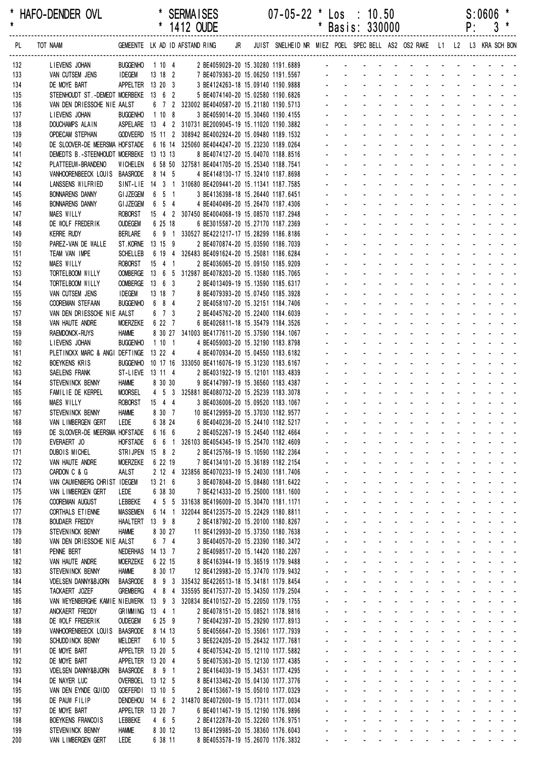|            |                                                                                                |                                      |                     | 1412 OUDE                                                                                   |  |                                                                            |              |                                | Basis: 330000                                              |                                 |                                                                           |                                                      |                                        | ۲:                        |                       |                  |  |
|------------|------------------------------------------------------------------------------------------------|--------------------------------------|---------------------|---------------------------------------------------------------------------------------------|--|----------------------------------------------------------------------------|--------------|--------------------------------|------------------------------------------------------------|---------------------------------|---------------------------------------------------------------------------|------------------------------------------------------|----------------------------------------|---------------------------|-----------------------|------------------|--|
| PL.        | TOT NAAM                                                                                       |                                      |                     | GEMEENTE LK AD ID AFSTAND RING                                                              |  | JR JUIST SNELHEID NR MIEZ POEL SPEC BELL AS2 OS2 RAKE L1 L2 L3 KRA SCH BON |              |                                |                                                            |                                 |                                                                           |                                                      |                                        |                           |                       |                  |  |
| 132        | LIEVENS JOHAN                                                                                  |                                      |                     | BUGGENHO  1 10  4  2  BE4059029-20  15.30280  1191.6889  -                                  |  |                                                                            |              |                                |                                                            |                                 |                                                                           |                                                      |                                        |                           |                       |                  |  |
| 133        | VAN CUTSEM JENS                                                                                | <b>IDEGEM</b>                        | 13 18 2             | 7 BE4079363-20 15.06250 1191.5567                                                           |  |                                                                            |              |                                |                                                            |                                 |                                                                           |                                                      |                                        |                           |                       |                  |  |
| 134        | DE MOYE BART                                                                                   | APPELTER 13 20 3                     |                     | 3 BE4124263-18 15.09140 1190.9888                                                           |  |                                                                            |              |                                |                                                            |                                 |                                                                           |                                                      |                                        |                           |                       |                  |  |
| 135        | STEENHOUDT ST. - DEMEDT MOERBEKE 13 6 2                                                        |                                      |                     | 5 BE4074140-20 15.02580 1190.6826                                                           |  |                                                                            |              |                                |                                                            |                                 |                                                                           |                                                      |                                        |                           |                       |                  |  |
| 136<br>137 | VAN DEN DRIESSCHE NIE AALST<br>LIEVENS JOHAN                                                   | <b>BUGGENHO</b>                      | 1108                | 6 7 2 323002 BE4040587-20 15.21180 1190.5713<br>3 BE4059014-20 15.30460 1190.4155           |  |                                                                            |              |                                |                                                            |                                 |                                                                           |                                                      |                                        |                           |                       |                  |  |
| 138        | DOUCHAMPS ALAIN                                                                                |                                      |                     | ASPELARE  13  4  2  310731 BE2009045-19  15.11020  1190.3882                                |  |                                                                            |              |                                |                                                            |                                 |                                                                           |                                                      |                                        |                           |                       |                  |  |
| 139        | <b>OPDECAM STEPHAN</b>                                                                         |                                      |                     | GODVEERD 15 11 2 308942 BE4002924-20 15.09480 1189.1532                                     |  |                                                                            |              |                                |                                                            |                                 |                                                                           |                                                      |                                        |                           |                       |                  |  |
| 140        | DE SLOOVER-DE MEERSMA HOFSTADE                                                                 |                                      |                     | 6 16 14 325060 BE4044247-20 15.23230 1189.0264                                              |  |                                                                            |              |                                |                                                            |                                 |                                                                           |                                                      |                                        |                           |                       |                  |  |
| 141        | DEMEDTS B.-STEENHOUDT MOERBEKE 13 13 13                                                        |                                      |                     | 8 BE4074127-20 15.04070 1188.8516                                                           |  |                                                                            |              |                                |                                                            |                                 |                                                                           |                                                      |                                        |                           |                       |                  |  |
| 142        | PLATTEEUW-BRANDENO                                                                             | <b>WICHELEN</b>                      |                     | 6 58 50 327581 BE4041705-20 15.25340 1188.7541                                              |  |                                                                            |              |                                |                                                            |                                 |                                                                           |                                                      |                                        |                           |                       |                  |  |
| 143<br>144 | VANHOORENBEECK LOUIS BAASRODE<br>LANSSENS WILFRIED                                             |                                      | 8 14 5              | 4 BE4148130-17 15.32410 1187.8698<br>SINT-LIE 14 3 1 310680 BE4209441-20 15.11341 1187.7585 |  |                                                                            |              |                                |                                                            |                                 |                                                                           |                                                      |                                        |                           |                       |                  |  |
| 145        | <b>BONNARENS DANNY</b>                                                                         | <b>GIJZEGEM</b>                      | 6 5 1               | 3 BE4136398-18 15.26440 1187.6451                                                           |  |                                                                            |              |                                |                                                            |                                 |                                                                           |                                                      |                                        |                           |                       |                  |  |
| 146        | <b>BONNARENS DANNY</b>                                                                         | <b>GI JZEGEM</b>                     | 6 5 4               | 4 BE4040496-20 15.26470 1187.4306                                                           |  |                                                                            |              |                                |                                                            |                                 |                                                                           |                                                      |                                        |                           |                       |                  |  |
| 147        | <b>MAES WILLY</b>                                                                              | <b>ROBORST</b>                       |                     | 15 4 2 307450 BE4004068-19 15.08570 1187.2948                                               |  |                                                                            |              |                                |                                                            |                                 |                                                                           |                                                      |                                        |                           |                       |                  |  |
| 148        | DE WOLF FREDERIK                                                                               | <b>OUDEGEM</b>                       | 6 25 18             | 6 BE3015587-20 15.27170 1187.2369                                                           |  |                                                                            |              |                                |                                                            |                                 |                                                                           |                                                      |                                        |                           |                       |                  |  |
| 149        | <b>KERRE RUDY</b>                                                                              | <b>BERLARE</b>                       | 6 9 1               | 330527 BE4221217-17 15.28299 1186.8186                                                      |  |                                                                            |              |                                |                                                            |                                 |                                                                           |                                                      |                                        |                           |                       |                  |  |
| 150        | PAREZ-VAN DE WALLE                                                                             | ST. KORNE 13 15 9<br><b>SCHELLEB</b> | 6 19 4              | 2 BE4070874-20 15.03590 1186.7039<br>326483 BE4091624-20 15.25081 1186.6284                 |  |                                                                            |              |                                |                                                            |                                 |                                                                           |                                                      |                                        |                           |                       |                  |  |
| 151<br>152 | TEAM VAN IMPE<br><b>MAES WILLY</b>                                                             | <b>ROBORST</b>                       | 15 4 1              | 2 BE4036065-20 15.09150 1185.9209                                                           |  |                                                                            |              |                                |                                                            |                                 |                                                                           |                                                      |                                        |                           |                       |                  |  |
| 153        | TORTELBOOM WILLY                                                                               |                                      |                     | OOMBERGE  13  6  5  312987 BE4078203-20  15.13580  1185.7065                                |  |                                                                            |              |                                |                                                            |                                 |                                                                           |                                                      |                                        |                           |                       |                  |  |
| 154        | TORTELBOOM WILLY                                                                               | OOMBERGE 13 6 3                      |                     | 2 BE4013409-19 15.13590 1185.6317                                                           |  |                                                                            |              |                                |                                                            |                                 |                                                                           |                                                      |                                        |                           |                       |                  |  |
| 155        | VAN CUTSEM JENS                                                                                | <b>IDEGEM</b>                        | 13 18 7             | 8 BE4079393-20 15.07450 1185.3928                                                           |  |                                                                            |              |                                |                                                            |                                 |                                                                           |                                                      |                                        |                           |                       |                  |  |
| 156        | <b>COOREMAN STEFAAN</b>                                                                        | <b>BUGGENHO</b>                      | 6 8 4               | 2 BE4058107-20 15.32151 1184.7406                                                           |  |                                                                            |              |                                |                                                            |                                 |                                                                           |                                                      |                                        |                           |                       |                  |  |
| 157        | VAN DEN DRIESSCHE NIE AALST<br>VAN HAUTE ANDRE                                                 | <b>MOERZEKE</b>                      | $6$ 7 $3$<br>6 22 7 | 2 BE4045762-20 15.22400 1184.6039                                                           |  |                                                                            |              |                                |                                                            |                                 |                                                                           |                                                      |                                        |                           |                       |                  |  |
| 158<br>159 | RAEMDONCK-RUYS                                                                                 | <b>HAMME</b>                         |                     | 6 BE4026811-18 15.35479 1184.3526<br>8 30 27 341003 BE4177611-20 15.37590 1184.1067         |  |                                                                            |              |                                |                                                            |                                 |                                                                           |                                                      |                                        |                           |                       |                  |  |
| 160        | LIEVENS JOHAN                                                                                  | <b>BUGGENHO</b>                      | 1101                | 4 BE4059003-20 15.32190 1183.8798                                                           |  |                                                                            |              |                                |                                                            |                                 |                                                                           |                                                      |                                        |                           |                       |                  |  |
| 161        | PLETINCKX MARC & ANGI DEFTINGE                                                                 |                                      | 13 22 4             | 4 BE4070934-20 15.04550 1183.6182                                                           |  |                                                                            |              |                                |                                                            |                                 |                                                                           |                                                      |                                        |                           |                       |                  |  |
| 162        | <b>BOEYKENS KRIS</b>                                                                           |                                      |                     | BUGGENHO 10 17 16 333050 BE4116076-19 15.31230 1183.6167                                    |  |                                                                            |              |                                |                                                            |                                 |                                                                           |                                                      |                                        |                           |                       |                  |  |
| 163        | SAELENS FRANK                                                                                  | ST-LIEVE 13 11 4                     |                     | 2 BE4031922-19 15.12101 1183.4839                                                           |  |                                                                            |              |                                |                                                            |                                 |                                                                           |                                                      |                                        |                           |                       |                  |  |
| 164<br>165 | STEVENINCK BENNY<br>FAMILIE DE KERPEL                                                          | <b>HAMME</b><br><b>MOORSEL</b>       | 8 30 30             | 9 BE4147997-19 15.36560 1183.4387<br>4 5 3 325881 BE4080732-20 15.25239 1183.3078           |  |                                                                            |              |                                |                                                            |                                 |                                                                           |                                                      | $\sim$                                 |                           |                       |                  |  |
| 166        | <b>MAES WILLY</b>                                                                              | <b>ROBORST</b>                       | 15 4 4              | 3 BE4036006-20 15.09520 1183.1067                                                           |  |                                                                            |              |                                |                                                            |                                 |                                                                           |                                                      |                                        |                           |                       |                  |  |
| 167        | STEVENINCK BENNY                                                                               | <b>HAMME</b>                         | 8 30 7              | 10 BE4129959-20 15.37030 1182.9577                                                          |  |                                                                            |              |                                |                                                            |                                 |                                                                           |                                                      |                                        |                           |                       |                  |  |
| 168        | VAN LIMBERGEN GERT                                                                             | <b>LEDE</b>                          | 6 38 24             | 6 BE4040236-20 15.24410 1182.5217                                                           |  |                                                                            |              |                                |                                                            |                                 |                                                                           |                                                      |                                        |                           |                       |                  |  |
| 169        | DE SLOOVER-DE MEERSMA HOFSTADE                                                                 |                                      | 6 16 6              | 2 BE4052267-19 15.24540 1182.4664                                                           |  |                                                                            |              |                                |                                                            |                                 | $\omega_{\rm{max}}=0.01$                                                  | <b>Contractor</b>                                    | $\sim$                                 |                           |                       |                  |  |
| 170        | EVERAERT JO                                                                                    | <b>HOFSTADE</b>                      | 6 6 1               | 326103 BE4054345-19 15.25470 1182.4609                                                      |  |                                                                            |              |                                |                                                            |                                 |                                                                           |                                                      |                                        |                           |                       |                  |  |
| 171<br>172 | DUBOIS MICHEL<br>VAN HAUTE ANDRE                                                               | STRIJPEN 15 8 2<br><b>MOERZEKE</b>   | 6 22 19             | 2 BE4125766-19 15.10590 1182.2364<br>7 BE4134101-20 15.36189 1182.2154                      |  |                                                                            |              |                                |                                                            | $\omega$                        | $\sim$<br>$\mathbf{r}$<br><b>Contractor</b><br>$\omega$                   | $\sim$<br>$\mathbf{L}^{\text{max}}$                  | $\Delta \sim 100$<br>$\Delta \sim 100$ | $\sim$                    |                       |                  |  |
| 173        | CARDON C & G                                                                                   | AALST                                |                     | 2 12 4 323856 BE4070233-19 15.24030 1181.7406                                               |  |                                                                            |              | $\mathbf{r}$                   | $\mathbf{r}$                                               | $\mathbf{r}$                    | $\sim 100$<br>$\blacksquare$                                              | $\mathbf{L}^{\text{max}}$                            | $\mathcal{L}^{\text{max}}$             |                           |                       |                  |  |
| 174        | VAN CAUWENBERG CHRIST IDEGEM                                                                   |                                      | 13 21 6             | 3 BE4078048-20 15.08480 1181.6422                                                           |  |                                                                            |              | $\blacksquare$                 | $\sim$                                                     | $\sim$                          | $\sim$<br>$\blacksquare$                                                  |                                                      |                                        |                           |                       |                  |  |
| 175        | VAN LIMBERGEN GERT                                                                             | LEDE                                 | 6 38 30             | 7 BE4214333-20 15.25000 1181.1600                                                           |  |                                                                            |              |                                |                                                            |                                 |                                                                           |                                                      |                                        |                           |                       |                  |  |
| 176        | COOREMAN AUGUST                                                                                | LEBBEKE                              | $4\quad 5\quad 5$   | 331638 BE4196009-20 15.30470 1181.1171                                                      |  |                                                                            |              |                                |                                                            |                                 |                                                                           |                                                      |                                        |                           |                       |                  |  |
| 177        | CORTHALS ET IENNE                                                                              | <b>MASSEMEN</b>                      | 6 14 1              | 322044 BE4123575-20 15.22429 1180.8811                                                      |  |                                                                            |              | $\sim$                         | $\mathbf{r}$<br>$\overline{a}$                             |                                 | $\sim$<br>$\blacksquare$                                                  | $\mathbf{r}$                                         |                                        | $\sim$ $\sim$             |                       |                  |  |
| 178<br>179 | <b>BOUDAER FREDDY</b><br>STEVENINCK BENNY                                                      | <b>HAALTERT</b><br><b>HAMME</b>      | 13 9 8<br>8 30 27   | 2 BE4187902-20 15.20100 1180.8267<br>11 BE4129930-20 15.37350 1180.7638                     |  |                                                                            |              | $\mathbf{r}$                   | ÷.<br>$\sim 100$                                           | $\mathcal{L}$<br>$\sim 100$     | <b>Contractor</b><br>$\mathcal{L}$<br>$\Delta \sim 10^{-1}$<br>$\sim 100$ | $\omega_{\rm{max}}$<br>$\mathbf{z}$ and $\mathbf{z}$ | $\omega_{\rm{max}}$                    |                           | $\Delta \phi = 0.000$ |                  |  |
| 180        | VAN DEN DRIESSCHE NIE AALST                                                                    |                                      | 6 7 4               | 3 BE4040570-20 15.23390 1180.3472                                                           |  |                                                                            | $\mathbf{r}$ | $\blacksquare$                 | $\sim$                                                     | $\blacksquare$                  | $\sim$                                                                    |                                                      | $\sim 10$                              |                           |                       |                  |  |
| 181        | PENNE BERT                                                                                     | NEDERHAS                             | 14 13 7             | 2 BE4098517-20 15.14420 1180.2267                                                           |  |                                                                            |              |                                |                                                            | $\mathcal{L}$                   |                                                                           |                                                      |                                        |                           |                       |                  |  |
| 182        | VAN HAUTE ANDRE                                                                                | <b>MOERZEKE</b>                      | 6 22 15             | 8 BE4163944-19 15.36519 1179.9488                                                           |  |                                                                            |              |                                |                                                            |                                 |                                                                           |                                                      |                                        |                           |                       |                  |  |
| 183        | STEVENINCK BENNY                                                                               | <b>HAMME</b>                         | 8 30 17             | 12 BE4129983-20 15.37470 1179.9432                                                          |  |                                                                            |              |                                |                                                            |                                 | $\sim$<br>$\mathbf{r}$                                                    |                                                      | $\Delta \sim 100$                      | $\sim$                    |                       |                  |  |
| 184        | <b>VDELSEN DANNY&amp;BJORN</b>                                                                 | <b>BAASRODE</b>                      | 8 9 3               | 335432 BE4226513-18 15.34181 1179.8454                                                      |  |                                                                            |              | $\overline{\phantom{a}}$<br>¥. | $\mathbf{r}$<br>$\mathcal{L}^{\text{max}}$<br>$\mathbf{r}$ | $\blacksquare$<br>$\mathbf{r}$  | $\sim$<br>$\mathbf{r}$<br>$\sim 100$<br>$\mathbf{r}$                      |                                                      | $\sim 100$                             |                           |                       |                  |  |
| 185<br>186 | TACKAERT JOZEF<br>VAN WEYENBERGHE KAMIE NIEUWERK 13 9 3 320834 BE4101527-20 15.22050 1179.1755 | <b>GREMBERG</b>                      | 4 8 4               | 335595 BE4175377-20 15.34350 1179.2504                                                      |  |                                                                            |              | $\sim$                         | $\sim$                                                     | $\blacksquare$                  | $\sim$<br>$\blacksquare$                                                  |                                                      |                                        |                           |                       |                  |  |
| 187        | ANCKAERT FREDDY                                                                                | GRIMMING 13 4 1                      |                     | 2 BE4078151-20 15.08521 1178.9816                                                           |  |                                                                            |              |                                |                                                            |                                 |                                                                           |                                                      |                                        |                           |                       |                  |  |
| 188        | DE WOLF FREDERIK                                                                               | <b>OUDEGEM</b>                       | 6 25 9              | 7 BE4042397-20 15.29290 1177.8913                                                           |  |                                                                            |              |                                |                                                            |                                 |                                                                           |                                                      |                                        |                           |                       |                  |  |
| 189        | VANHOORENBEECK LOUIS                                                                           | <b>BAASRODE</b>                      | 8 14 13             | 5 BE4056647-20 15.35061 1177.7939                                                           |  |                                                                            |              |                                | ÷.                                                         |                                 | $\sim$                                                                    |                                                      |                                        | and a strain and a        |                       |                  |  |
| 190        | SCHUDD INCK BENNY                                                                              | <b>MELDERT</b>                       | 6 10 5              | 3 BE6224205-20 15.26432 1177.7681                                                           |  |                                                                            | $\mathbf{r}$ |                                |                                                            |                                 | $\sim$<br>$\mathcal{L}$                                                   |                                                      |                                        |                           |                       |                  |  |
| 191        | DE MOYE BART<br>DE MOYE BART                                                                   | APPELTER 13 20 5<br>APPELTER 13 20 4 |                     | 4 BE4075342-20 15.12110 1177.5882<br>5 BE4075363-20 15.12130 1177.4385                      |  |                                                                            | ÷.<br>÷.     | $\mathbf{r}$<br>$\omega$       | $\mathcal{L}^{\text{max}}$<br>$\sim$                       | $\sim 100$                      | $\Delta \sim 10^{-1}$<br>$\sim 100$<br>$\sim$                             | $\sim 100$<br>$\mathbf{z}$ and $\mathbf{z}$          | $\omega_{\rm{max}}$<br>$\sim 10$       |                           |                       | and a strain and |  |
| 192<br>193 | <b>VDELSEN DANNY&amp;BJORN</b>                                                                 | <b>BAASRODE</b>                      | 891                 | 2 BE4164030-19 15.34531 1177.4295                                                           |  |                                                                            |              |                                |                                                            | $\blacksquare$<br>$\mathcal{L}$ |                                                                           |                                                      |                                        |                           |                       |                  |  |
| 194        | DE NAYER LUC                                                                                   | OVERBOEL 13 12 5                     |                     | 8 BE4133462-20 15.04130 1177.3776                                                           |  |                                                                            |              |                                |                                                            |                                 |                                                                           |                                                      | $\sim$                                 |                           |                       |                  |  |
| 195        | VAN DEN EYNDE GUIDO                                                                            | GOEFERDI 13 10 5                     |                     | 2 BE4153667-19 15.05010 1177.0329                                                           |  |                                                                            |              |                                |                                                            |                                 |                                                                           |                                                      | $\sim$                                 | ÷.                        |                       |                  |  |
| 196        | DE PAUW FILIP                                                                                  |                                      |                     | DENDEHOU 14 6 2 314870 BE4072600-19 15.17311 1177.0034                                      |  |                                                                            |              |                                | $\mathbf{r}$                                               |                                 | $\sim$<br>$\omega$                                                        |                                                      |                                        |                           |                       |                  |  |
| 197        | DE MOYE BART                                                                                   | APPELTER 13 20 7                     |                     | 6 BE4011467-19 15.12190 1176.9896                                                           |  |                                                                            |              | $\mathcal{L}^{\pm}$            | $\mathcal{L}^{\text{max}}$<br>$\mathbf{r}$                 | $\mathcal{L}_{\mathcal{A}}$     | $\sim 100$<br>$\blacksquare$                                              |                                                      | $\mathcal{L}^{\text{max}}$             | $\mathbf{z} = \mathbf{z}$ |                       |                  |  |
| 198<br>199 | BOEYKENS FRANCOIS<br>STEVENINCK BENNY                                                          | LEBBEKE<br><b>HAMME</b>              | 4 6 5<br>8 30 12    | 2 BE4122878-20 15.32260 1176.9751<br>13 BE4129985-20 15.38360 1176.6043                     |  |                                                                            |              |                                | $\mathbf{L}^{\text{max}}$<br>$\sim 100$<br>$\sim 100$      | $\blacksquare$                  | $\sim$                                                                    | $\sim 100$                                           |                                        |                           |                       |                  |  |
| 200        | VAN LIMBERGEN GERT                                                                             | LEDE                                 | 6 38 11             | 8 BE4053578-19 15.26070 1176.3832                                                           |  |                                                                            |              |                                | and a state                                                |                                 | design and a state of the state of                                        |                                                      |                                        |                           |                       |                  |  |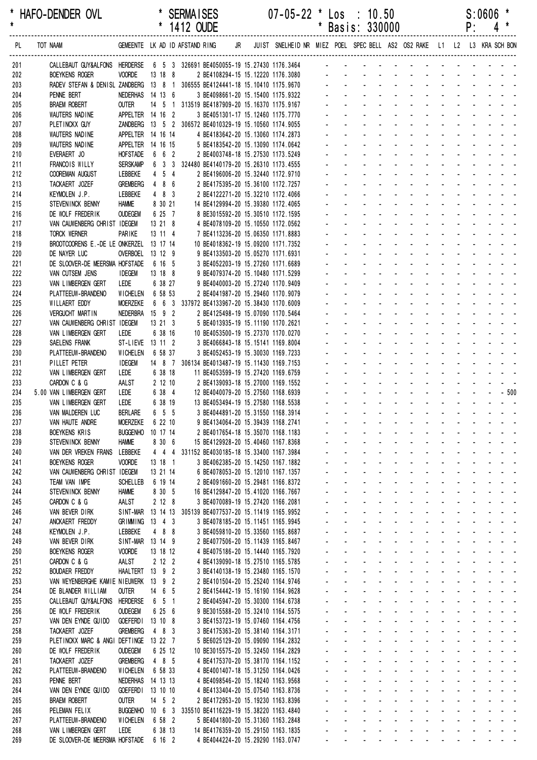|            |                                                                              |                                  |                     | 1412 OUDE |                                                                                                    |  |                                                                            |                |                           | Basis: 330000                                                                          |                                 |                                                    |                                                    |                             |                         | ۲.                         |                                                           |
|------------|------------------------------------------------------------------------------|----------------------------------|---------------------|-----------|----------------------------------------------------------------------------------------------------|--|----------------------------------------------------------------------------|----------------|---------------------------|----------------------------------------------------------------------------------------|---------------------------------|----------------------------------------------------|----------------------------------------------------|-----------------------------|-------------------------|----------------------------|-----------------------------------------------------------|
| PL         | TOT NAAM                                                                     | GEMEENTE LK AD ID AFSTAND RING   |                     |           |                                                                                                    |  | JR JUIST SNELHEID NR MIEZ POEL SPEC BELL AS2 OS2 RAKE L1 L2 L3 KRA SCH BON |                |                           |                                                                                        |                                 |                                                    |                                                    |                             |                         |                            |                                                           |
| 201        | CALLEBAUT GUY&ALFONS HERDERSE 6 5 3 326691 BE4050055-19 15.27430 1176.3464 - |                                  |                     |           |                                                                                                    |  |                                                                            |                |                           |                                                                                        |                                 |                                                    |                                                    |                             |                         |                            |                                                           |
| 202        | <b>BOEYKENS ROGER</b>                                                        | <b>VOORDE</b>                    | 13 18 8             |           | 2 BE4108294-15 15.12220 1176.3080                                                                  |  |                                                                            |                |                           |                                                                                        |                                 |                                                    |                                                    |                             |                         |                            |                                                           |
| 203        | RADEV STEFAN & DENISL ZANDBERG 13 8 1 306555 BE4124441-18 15.10410 1175.9670 |                                  |                     |           |                                                                                                    |  |                                                                            |                |                           |                                                                                        |                                 |                                                    |                                                    |                             |                         |                            |                                                           |
| 204        | PENNE BERT                                                                   | NEDERHAS 14 13 6                 |                     |           | 3 BE4098661-20 15.15400 1175.9322                                                                  |  |                                                                            |                |                           |                                                                                        |                                 |                                                    |                                                    |                             |                         |                            |                                                           |
| 205        | <b>BRAEM ROBERT</b><br>WAUTERS NADINE                                        | <b>OUTER</b><br>APPELTER 14 16 2 |                     |           | 14 5 1 313519 BE4187909-20 15.16370 1175.9167                                                      |  |                                                                            |                |                           |                                                                                        |                                 |                                                    |                                                    |                             |                         |                            |                                                           |
| 206<br>207 | PLETINCKX GUY                                                                |                                  |                     |           | 3 BE4051301-17 15.12460 1175.7770<br>ZANDBERG  13  5  2  306572  BE4010329-19  15.10560  1174.9055 |  |                                                                            |                |                           |                                                                                        |                                 |                                                    |                                                    |                             |                         |                            |                                                           |
| 208        | WAUTERS NADINE                                                               | APPELTER 14 16 14                |                     |           | 4 BE4183642-20 15.13060 1174.2873                                                                  |  |                                                                            |                |                           |                                                                                        |                                 |                                                    |                                                    |                             |                         |                            |                                                           |
| 209        | WAUTERS NADINE                                                               | APPELTER 14 16 15                |                     |           | 5 BE4183542-20 15.13090 1174.0642                                                                  |  |                                                                            |                |                           |                                                                                        |                                 |                                                    |                                                    |                             |                         |                            |                                                           |
| 210        | EVERAERT JO                                                                  | <b>HOFSTADE</b>                  | 6 6 2               |           | 2 BE4003748-18 15.27530 1173.5249                                                                  |  |                                                                            |                |                           |                                                                                        |                                 |                                                    | $\sim$                                             |                             |                         |                            |                                                           |
| 211        | FRANCOIS WILLY                                                               | <b>SERSKAMP</b>                  |                     |           | 6 3 3 324480 BE4140179-20 15.26310 1173.4555                                                       |  |                                                                            |                |                           |                                                                                        |                                 |                                                    |                                                    |                             |                         |                            |                                                           |
| 212        | <b>COOREMAN AUGUST</b>                                                       | LEBBEKE                          | $4\quad 5\quad 4$   |           | 2 BE4196006-20 15.32440 1172.9710                                                                  |  |                                                                            |                |                           |                                                                                        |                                 |                                                    |                                                    |                             |                         |                            |                                                           |
| 213        | TACKAERT JOZEF                                                               | GREMBERG                         | 4 8 6               |           | 2 BE4175395-20 15.36100 1172.7257                                                                  |  |                                                                            |                |                           |                                                                                        |                                 |                                                    |                                                    |                             |                         |                            |                                                           |
| 214<br>215 | KEYMOLEN J.P.<br>STEVENINCK BENNY                                            | LEBBEKE<br><b>HAMME</b>          | 483<br>8 30 21      |           | 2 BE4122271-20 15.32210 1172.4066<br>14 BE4129994-20 15.39380 1172.4065                            |  |                                                                            |                |                           |                                                                                        |                                 |                                                    |                                                    |                             |                         |                            |                                                           |
| 216        | DE WOLF FREDERIK                                                             | <b>OUDEGEM</b>                   | 6 25 7              |           | 8 BE3015592-20 15.30510 1172.1595                                                                  |  |                                                                            |                |                           |                                                                                        |                                 |                                                    |                                                    |                             |                         |                            |                                                           |
| 217        | VAN CAUWENBERG CHRIST IDEGEM                                                 |                                  | 13 21 8             |           | 4 BE4078109-20 15.10550 1172.0562                                                                  |  |                                                                            |                |                           |                                                                                        |                                 |                                                    |                                                    |                             |                         |                            |                                                           |
| 218        | TORCK WERNER                                                                 | PARIKE                           | 13 11 4             |           | 7 BE4113236-20 15.06350 1171.8883                                                                  |  |                                                                            |                |                           |                                                                                        |                                 |                                                    |                                                    |                             |                         |                            |                                                           |
| 219        | BROOTCOORENS E.-DE LE ONKERZEL 13 17 14                                      |                                  |                     |           | 10 BE4018362-19 15.09200 1171.7352                                                                 |  |                                                                            |                |                           |                                                                                        |                                 |                                                    |                                                    |                             |                         |                            |                                                           |
| 220        | DE NAYER LUC                                                                 | OVERBOEL 13 12 9                 |                     |           | 9 BE4133503-20 15.05270 1171.6931                                                                  |  |                                                                            |                |                           |                                                                                        |                                 |                                                    |                                                    |                             |                         |                            |                                                           |
| 221        | DE SLOOVER-DE MEERSMA HOFSTADE                                               |                                  | 6 16 5              |           | 3 BE4052203-19 15.27260 1171.6689                                                                  |  |                                                                            |                |                           |                                                                                        |                                 |                                                    |                                                    |                             |                         |                            |                                                           |
| 222        | VAN CUTSEM JENS                                                              | <b>IDEGEM</b>                    | 13 18 8             |           | 9 BE4079374-20 15.10480 1171.5299                                                                  |  |                                                                            |                |                           |                                                                                        |                                 |                                                    |                                                    |                             |                         |                            |                                                           |
| 223        | VAN LIMBERGEN GERT<br>PLATTEEUW-BRANDENO                                     | Lede<br>WICHELEN                 | 6 38 27<br>6 58 53  |           | 9 BE4040003-20 15.27240 1170.9409                                                                  |  |                                                                            |                |                           |                                                                                        |                                 |                                                    |                                                    |                             |                         |                            |                                                           |
| 224<br>225 | WILLAERT EDDY                                                                | <b>MOERZEKE</b>                  |                     |           | 2 BE4041987-20 15.29460 1170.9079<br>6 6 3 337972 BE4133967-20 15.38430 1170.6009                  |  |                                                                            |                |                           |                                                                                        |                                 |                                                    |                                                    |                             |                         |                            |                                                           |
| 226        | <b>VERGUCHT MARTIN</b>                                                       | NEDERBRA 15 9 2                  |                     |           | 2 BE4125498-19 15.07090 1170.5464                                                                  |  |                                                                            |                |                           |                                                                                        |                                 |                                                    |                                                    |                             |                         |                            |                                                           |
| 227        | VAN CAUWENBERG CHRIST IDEGEM                                                 |                                  | 13 21 3             |           | 5 BE4013935-19 15.11190 1170.2621                                                                  |  |                                                                            |                |                           |                                                                                        |                                 |                                                    |                                                    |                             |                         |                            |                                                           |
| 228        | VAN LIMBERGEN GERT                                                           | LEDE                             | 6 38 16             |           | 10 BE4053500-19 15.27370 1170.0270                                                                 |  |                                                                            |                |                           |                                                                                        |                                 |                                                    |                                                    |                             |                         | and the state of the state |                                                           |
| 229        | SAELENS FRANK                                                                | ST-LIEVE 13 11 2                 |                     |           | 3 BE4066843-18 15.15141 1169.8004                                                                  |  |                                                                            |                |                           |                                                                                        |                                 |                                                    |                                                    |                             |                         |                            |                                                           |
| 230        | PLATTEEUW-BRANDENO                                                           | <b>WICHELEN</b>                  | 6 58 37             |           | 3 BE4052453-19 15.30030 1169.7233                                                                  |  |                                                                            |                |                           |                                                                                        |                                 |                                                    |                                                    |                             |                         |                            |                                                           |
| 231        | PILLET PETER                                                                 | <b>IDEGEM</b>                    |                     |           | 14 8 7 306134 BE4013487-19 15.11430 1169.7153                                                      |  |                                                                            |                |                           |                                                                                        |                                 |                                                    |                                                    |                             |                         |                            |                                                           |
| 232        | VAN LIMBERGEN GERT                                                           | LEDE                             | 6 38 18             |           | 11 BE4053599-19 15.27420 1169.6759                                                                 |  |                                                                            |                |                           |                                                                                        |                                 |                                                    |                                                    |                             |                         |                            |                                                           |
| 233<br>234 | CARDON C & G<br>5.00 VAN LIMBERGEN GERT                                      | AALST<br>LEDE                    | 2 12 10<br>6 38 4   |           | 2 BE4139093-18 15.27000 1169.1552<br>12 BE4040079-20 15.27560 1168.6939                            |  |                                                                            |                |                           |                                                                                        |                                 | $\Delta \phi = 0.01$                               | $\sim$                                             |                             | <b>Contractor</b>       | ÷.                         | $-500$                                                    |
| 235        | VAN LIMBERGEN GERT                                                           | LEDE                             | 6 38 19             |           | 13 BE4053494-19 15.27580 1168.5538                                                                 |  |                                                                            |                |                           |                                                                                        |                                 |                                                    |                                                    |                             |                         |                            |                                                           |
| 236        | VAN MALDEREN LUC                                                             | <b>BERLARE</b>                   | 6 5 5               |           | 3 BE4044891-20 15.31550 1168.3914                                                                  |  |                                                                            |                |                           |                                                                                        |                                 |                                                    | $\Delta \sim 10^4$                                 |                             |                         |                            |                                                           |
| 237        | VAN HAUTE ANDRE                                                              | <b>MOERZEKE</b>                  | 6 22 10             |           | 9 BE4134064-20 15.39439 1168.2741                                                                  |  |                                                                            |                |                           |                                                                                        |                                 | $\Delta \phi = 0.01$                               | <b>Contractor</b>                                  |                             |                         | and a straight and         |                                                           |
| 238        | BOEYKENS KRIS                                                                | <b>BUGGENHO</b>                  | 10 17 14            |           | 2 BE4017654-18 15.35070 1168.1183                                                                  |  |                                                                            |                |                           |                                                                                        |                                 |                                                    |                                                    |                             |                         |                            | and a series of the series of the series                  |
| 239        | STEVEN INCK BENNY                                                            | <b>HAMME</b>                     | 8 30 6              |           | 15 BE4129928-20 15.40460 1167.8368                                                                 |  |                                                                            |                |                           |                                                                                        |                                 |                                                    | and a straight                                     |                             |                         |                            | and a straightful and a                                   |
| 240        | VAN DER VREKEN FRANS                                                         | LEBBEKE                          |                     |           | 4 4 4 331152 BE4030185-18 15.33400 1167.3984                                                       |  |                                                                            |                |                           |                                                                                        | $\sim$                          |                                                    |                                                    |                             |                         |                            | design and a state of the state of                        |
| 241<br>242 | <b>BOEYKENS ROGER</b><br>VAN CAUWENBERG CHRIST IDEGEM                        | <b>VOORDE</b>                    | 13 18 1<br>13 21 14 |           | 3 BE4062385-20 15.14250 1167.1882<br>6 BE4078053-20 15.12010 1167.1357                             |  |                                                                            | ä,             | $\omega_{\rm{max}}$       | $\omega_{\rm{max}}$<br>$\omega_{\rm{max}}$<br>$\Delta \sim 100$<br>$\omega_{\rm{max}}$ | $\Delta \sim 100$               | $\Delta \sim 100$                                  | $\Delta \phi = \Delta \phi$ and $\Delta \phi$      |                             | $\Delta \phi = 0.000$ . | $\omega_{\rm{max}}$        | and a series of the series of the series                  |
| 243        | TEAM VAN IMPE                                                                | <b>SCHELLEB</b>                  | 6 19 14             |           | 2 BE4091660-20 15.29481 1166.8372                                                                  |  |                                                                            |                | $\sim$                    | $\sim 100$                                                                             | <b>Contractor</b><br>$\sim$     |                                                    | $\Delta \sim 100$<br>$\Delta \sim 100$             |                             | <b>All Cards</b>        |                            |                                                           |
| 244        | STEVENINCK BENNY                                                             | <b>HAMME</b>                     | 8 30 5              |           | 16 BE4129847-20 15.41020 1166.7667                                                                 |  |                                                                            |                |                           | <b>All Service</b>                                                                     |                                 | $\omega_{\rm{max}}$<br>$\mathcal{L}^{\mathcal{L}}$ |                                                    |                             |                         |                            | and a straightful and a                                   |
| 245        | CARDON C & G                                                                 | AALST                            | 2128                |           | 3 BE4070089-19 15.27420 1166.2081                                                                  |  |                                                                            |                |                           | $\omega_{\rm{max}}$                                                                    | $\mathcal{L}_{\rm{max}}$        | $\mathcal{L}^{\mathcal{L}}$                        | $\mathbf{r}$                                       |                             |                         |                            | المنابذ المنابذ المنابذ والمنابذ                          |
| 246        | VAN BEVER DIRK                                                               |                                  |                     |           | SINT-MAR 13 14 13 305139 BE4077537-20 15.11419 1165.9952                                           |  |                                                                            |                | $\sim$                    | $\mathcal{L}^{\mathcal{A}}$<br>$\sim 100$                                              |                                 | $\omega_{\rm{max}}$ and $\omega_{\rm{max}}$        | $\mathcal{L}$                                      | $\mathcal{L}^{\mathcal{A}}$ |                         |                            | and the state of the state of the state of                |
| 247        | ANCKAERT FREDDY                                                              | GRIMMING 13 4 3                  |                     |           | 3 BE4078185-20 15.11451 1165.9945                                                                  |  |                                                                            | ä,             |                           | $\omega_{\rm{max}}$                                                                    |                                 |                                                    |                                                    |                             |                         |                            | and a strain and a strain and a                           |
| 248        | KEYMOLEN J.P.                                                                | LEBBEKE                          | 4 8 8               |           | 3 BE4059810-20 15.33560 1165.8687                                                                  |  |                                                                            | $\blacksquare$ |                           | $\Delta \sim 100$<br>$\omega_{\rm{max}}$                                               | $\Delta \sim 100$               | $\omega_{\rm{max}}$                                | $\Delta \sim 100$<br>$\Delta \sim 100$             |                             |                         |                            | and a straight and a                                      |
| 249        | VAN BEVER DIRK                                                               | SINT-MAR 13 14 9                 |                     |           | 2 BE4077506-20 15.11439 1165.8467                                                                  |  |                                                                            | $\blacksquare$ | $\sim$                    | $\omega_{\rm{max}}$                                                                    | $\sim 100$<br>$\Delta \sim 100$ |                                                    | $\omega_{\rm{max}}$<br>$\Delta \sim 100$           |                             |                         |                            | and a straightful and a                                   |
| 250<br>251 | <b>BOEYKENS ROGER</b><br>CARDON C & G                                        | <b>VOORDE</b><br>AALST           | 13 18 12<br>2 12 2  |           | 4 BE4075186-20 15.14440 1165.7920<br>4 BE4139090-18 15.27510 1165.5785                             |  |                                                                            |                |                           | $\omega_{\rm{max}}$                                                                    |                                 | $\sim 100$<br>$\sim$                               | $\Delta\phi=0.25\pm0.02$                           |                             |                         |                            | and a straightful and a<br>and a straightful and a        |
| 252        | <b>BOUDAER FREDDY</b>                                                        | HAALTERT 13 9 2                  |                     |           | 3 BE4140138-19 15.23480 1165.1570                                                                  |  |                                                                            | $\blacksquare$ |                           | $\Delta \sim 10^4$                                                                     |                                 |                                                    | and the company                                    |                             |                         |                            | and a straight and a straight and                         |
| 253        | VAN WEYENBERGHE KAMIE NIEUWERK 13 9 2                                        |                                  |                     |           | 2 BE4101504-20 15.25240 1164.9746                                                                  |  |                                                                            | $\blacksquare$ | $\sim$                    | $\Delta \sim 100$                                                                      | and a straight and              |                                                    |                                                    |                             | and a state             |                            |                                                           |
| 254        | DE BLANDER WILLIAM                                                           | <b>OUTER</b>                     | 14 6 5              |           | 2 BE4154442-19 15.16190 1164.9628                                                                  |  |                                                                            |                | $\omega_{\rm{max}}$       | $\Delta \sim 100$<br>$\omega_{\rm{max}}$                                               | and a straight and              |                                                    |                                                    | $\Delta \sim 100$           | $\sim 100$              |                            | and a straight                                            |
| 255        | CALLEBAUT GUY&ALFONS HERDERSE                                                |                                  | 6 5 1               |           | 2 BE4045947-20 15.30300 1164.6738                                                                  |  |                                                                            |                | $\omega_{\rm{max}}$       | $\Delta \sim 100$                                                                      | and a straightful and state     |                                                    |                                                    | $\Delta \sim 100$           |                         |                            |                                                           |
| 256        | DE WOLF FREDERIK                                                             | <b>OUDEGEM</b>                   | 6 25 6              |           | 9 BE3015588-20 15.32410 1164.5575                                                                  |  |                                                                            |                |                           | $\Delta \sim 100$                                                                      | and a straightful and state     |                                                    |                                                    |                             |                         |                            | and a straightful and a                                   |
| 257        | VAN DEN EYNDE GUIDO                                                          | <b>GOEFERDI</b>                  | 13 10 8             |           | 3 BE4153723-19 15.07460 1164.4756                                                                  |  |                                                                            |                |                           | $\Delta \sim 10^{-1}$<br>$\Delta \sim 100$                                             |                                 | <b>Service</b> State                               | $\sim$                                             |                             |                         |                            | and a straightful and a                                   |
| 258        | TACKAERT JOZEF                                                               | <b>GREMBERG</b>                  | 483                 |           | 3 BE4175363-20 15.38140 1164.3171                                                                  |  |                                                                            | $\blacksquare$ |                           | $\Delta \sim 10^4$<br>$\Delta \sim 100$<br>$\omega_{\rm{max}}$ , $\omega_{\rm{max}}$   | $\sim$                          | <b>Service</b> State                               | $\Delta \sim 100$<br>and the state of the state of |                             |                         |                            | and a straight and a straight<br>and a strain and a       |
| 259<br>260 | PLETINCKX MARC & ANGI DEFTINGE 13 22 7<br>DE WOLF FREDERIK                   | <b>OUDEGEM</b>                   | 6 25 12             |           | 5 BE6025129-20 15.09090 1164.2832<br>10 BE3015575-20 15.32450 1164.2829                            |  |                                                                            | $\blacksquare$ | $\omega_{\rm{max}}$       | $\Delta \sim 100$<br>$\Delta \sim 100$                                                 |                                 |                                                    |                                                    |                             |                         |                            | المنافذ والمستنقذ والمستنقذ والمستنقذ والمستنقذ والمستنقذ |
| 261        | TACKAERT JOZEF                                                               | <b>GREMBERG</b>                  | 4 8 5               |           | 4 BE4175370-20 15.38170 1164.1152                                                                  |  |                                                                            | $\blacksquare$ | $\mathcal{L}^{\pm}$       |                                                                                        | and a straight                  |                                                    | $\mathbf{z} = \mathbf{z} + \mathbf{z}$ .           |                             |                         |                            | and a straightful and a                                   |
| 262        | PLATTEEUW-BRANDENO                                                           | <b>WICHELEN</b>                  | 6 58 33             |           | 4 BE4001407-18 15.31250 1164.0426                                                                  |  |                                                                            |                | $\omega$                  |                                                                                        |                                 | $\mathbf{u} = \mathbf{u} \cdot \mathbf{u}$         |                                                    | $\mathbf{r}$                |                         |                            | and a series of the series of                             |
| 263        | PENNE BERT                                                                   | NEDERHAS 14 13 13                |                     |           | 4 BE4098546-20 15.18240 1163.9568                                                                  |  |                                                                            |                | $\mathcal{L}^{\pm}$       | $\omega_{\rm{max}}$                                                                    |                                 |                                                    | and the control                                    |                             |                         |                            | and a straightful and a                                   |
| 264        | VAN DEN EYNDE GUIDO                                                          | GOEFERDI 13 10 10                |                     |           | 4 BE4133404-20 15.07540 1163.8736                                                                  |  |                                                                            |                | $\sim$                    | $\Delta \sim 10^4$                                                                     |                                 | All Carolina                                       | $\sim$                                             |                             |                         |                            | and a strain and a                                        |
| 265        | <b>BRAEM ROBERT</b>                                                          | OUTER                            | 14 5 2              |           | 2 BE4172953-20 15.19230 1163.8396                                                                  |  |                                                                            |                | $\mathcal{L}^{\pm}$       | $\mathcal{L}^{\mathcal{L}}$                                                            | $\sim 100$                      | $\Delta \phi = \Delta \phi = 0.01$                 | $\Delta \sim 100$                                  |                             | and a con-              |                            | an na hair a                                              |
| 266        | PELEMAN FELIX                                                                | BUGGENHO 10 6 3                  |                     |           | 335510 BE4116229-19 15.38220 1163.4840                                                             |  |                                                                            |                | $\mathbf{a} = \mathbf{0}$ | $\Delta \sim 100$<br>$\omega_{\rm{max}}$                                               | and a straight and              |                                                    |                                                    | $\Delta \sim 100$           | $\Delta \sim 10^4$      |                            | and a straight                                            |
| 267        | PLATTEEUW-BRANDENO                                                           | <b>WICHELEN</b><br>LEDE          | 6 58 2              |           | 5 BE4041800-20 15.31360 1163.2848<br>14 BE4176359-20 15.29150 1163.1835                            |  |                                                                            |                | $\Delta \sim 100$         | $\Delta \sim 100$                                                                      | and a straightful and state     |                                                    |                                                    |                             |                         |                            | and a strain and a state                                  |
| 268<br>269 | VAN LIMBERGEN GERT<br>DE SLOOVER-DE MEERSMA HOFSTADE 6 16 2                  |                                  | 6 38 13             |           | 4 BE4044224-20 15.29290 1163.0747                                                                  |  |                                                                            |                | $\sim 100$                | $\blacksquare$<br>and a series of the series of the series of                          |                                 |                                                    |                                                    |                             |                         |                            |                                                           |
|            |                                                                              |                                  |                     |           |                                                                                                    |  |                                                                            |                |                           |                                                                                        |                                 |                                                    |                                                    |                             |                         |                            |                                                           |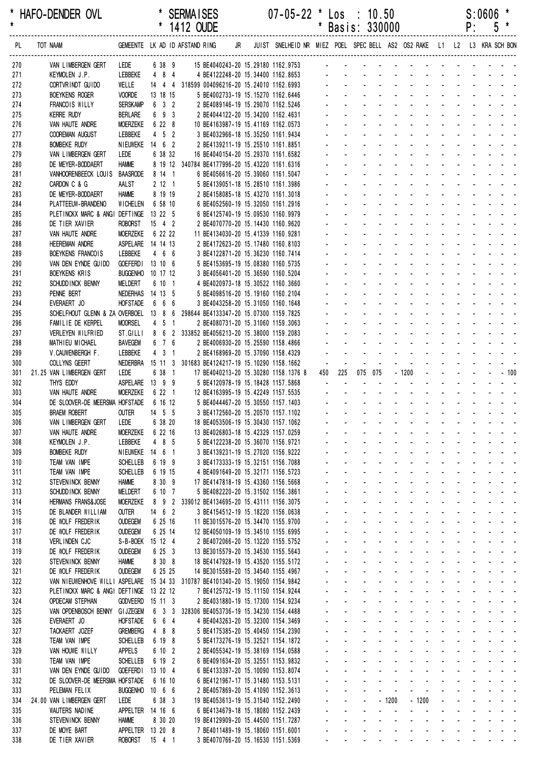|            |                                                                                |                                     |                          |                     | 1412 OUDE                                                                   |    |                                                                         |                      |                                | Basis: 330000        |                |                              |                                                             |                             |                 |                                             | ۲:                         | C                                         |                                                                                                                                                                  |
|------------|--------------------------------------------------------------------------------|-------------------------------------|--------------------------|---------------------|-----------------------------------------------------------------------------|----|-------------------------------------------------------------------------|----------------------|--------------------------------|----------------------|----------------|------------------------------|-------------------------------------------------------------|-----------------------------|-----------------|---------------------------------------------|----------------------------|-------------------------------------------|------------------------------------------------------------------------------------------------------------------------------------------------------------------|
| PL         | TOT NAAM<br>-------------------------------                                    |                                     |                          |                     | GEMEENTE LK AD ID AFSTAND RING<br>-------------------------------           | JR | JUIST SNELHEID NR MIEZ POEL SPEC BELL AS2 OS2 RAKE L1 L2 L3 KRA SCH BON |                      |                                |                      |                |                              |                                                             |                             |                 |                                             |                            |                                           |                                                                                                                                                                  |
| 270        | VAN LIMBERGEN GERT                                                             | LEDE                                |                          | 6 38 9              | 15 BE4040243-20 15.29180 1162.9753                                          |    |                                                                         |                      |                                |                      |                |                              |                                                             |                             |                 |                                             |                            |                                           |                                                                                                                                                                  |
| 271        | KEYMOLEN J.P.                                                                  | LEBBEKE                             | 4 8 4                    |                     | 4 BE4122248-20 15.34400 1162.8653                                           |    |                                                                         |                      |                                |                      |                |                              |                                                             |                             |                 |                                             |                            |                                           |                                                                                                                                                                  |
| 272        | CORTVRINDT GUIDO                                                               | WELLE                               |                          |                     | 14 4 4 318599 004096216-20 15.24010 1162.6993                               |    |                                                                         |                      |                                |                      |                |                              |                                                             |                             |                 |                                             |                            |                                           |                                                                                                                                                                  |
| 273        | <b>BOEYKENS ROGER</b>                                                          | <b>VOORDE</b>                       | 13 18 15                 |                     | 5 BE4002733-19 15.15270 1162.6446                                           |    |                                                                         |                      |                                |                      |                |                              |                                                             |                             |                 |                                             |                            |                                           |                                                                                                                                                                  |
| 274        | FRANCOIS WILLY                                                                 | <b>SERSKAMP</b>                     |                          | $6 \quad 3 \quad 2$ | 2 BE4089146-19 15.29070 1162.5246                                           |    |                                                                         |                      |                                |                      |                |                              |                                                             |                             |                 |                                             |                            |                                           |                                                                                                                                                                  |
| 275<br>276 | <b>KERRE RUDY</b><br>VAN HAUTE ANDRE                                           | <b>BERLARE</b><br><b>MOERZEKE</b>   | 6 22 8                   | 6 9 3               | 2 BE4044122-20 15.34200 1162.4631<br>10 BE4163987-19 15.41169 1162.0573     |    |                                                                         |                      |                                |                      |                |                              |                                                             |                             |                 |                                             |                            |                                           |                                                                                                                                                                  |
| 277        | COOREMAN AUGUST                                                                | LEBBEKE                             |                          | $4\quad 5\quad 2$   | 3 BE4032966-18 15.35250 1161.9434                                           |    |                                                                         |                      |                                |                      |                |                              |                                                             |                             |                 |                                             |                            |                                           |                                                                                                                                                                  |
| 278        | <b>BOMBEKE RUDY</b>                                                            | NIEUWEKE 14 6 2                     |                          |                     | 2 BE4139211-19 15.25510 1161.8851                                           |    |                                                                         |                      |                                |                      |                |                              |                                                             |                             |                 |                                             |                            |                                           |                                                                                                                                                                  |
| 279        | VAN LIMBERGEN GERT                                                             | LEDE                                | 6 38 32                  |                     | 16 BE4040154-20 15.29370 1161.6582                                          |    |                                                                         |                      |                                |                      |                |                              |                                                             |                             |                 |                                             |                            |                                           |                                                                                                                                                                  |
| 280        | DE MEYER-BODDAERT                                                              | <b>HAMME</b>                        |                          |                     | 8 19 12 340784 BE4177996-20 15.43220 1161.6316                              |    |                                                                         |                      |                                |                      |                |                              |                                                             |                             |                 |                                             |                            |                                           |                                                                                                                                                                  |
| 281        | VANHOORENBEECK LOUIS                                                           | BAASRODE                            | 8 14 1                   |                     | 6 BE4056616-20 15.39060 1161.5047                                           |    |                                                                         |                      |                                |                      |                |                              |                                                             |                             |                 |                                             |                            |                                           |                                                                                                                                                                  |
| 282        | CARDON C & G                                                                   | AALST                               |                          | 2121                | 5 BE4139051-18 15.28510 1161.3986                                           |    |                                                                         |                      |                                |                      |                |                              |                                                             |                             |                 |                                             |                            |                                           |                                                                                                                                                                  |
| 283<br>284 | DE MEYER-BODDAERT<br>PLATTEEUW-BRANDENO                                        | <b>HAMME</b><br>WICHELEN            | 8 19 19<br>6 58 10       |                     | 2 BE4158085-18 15.43270 1161.3018                                           |    |                                                                         |                      |                                |                      |                |                              |                                                             |                             |                 |                                             |                            |                                           |                                                                                                                                                                  |
| 285        | PLETINCKX MARC & ANGI DEFTINGE 13 22 5                                         |                                     |                          |                     | 6 BE4052560-19 15.32050 1161.2916<br>6 BE4125740-19 15.09530 1160.9979      |    |                                                                         |                      |                                |                      |                |                              |                                                             |                             |                 |                                             |                            |                                           |                                                                                                                                                                  |
| 286        | DE TIER XAVIER                                                                 | <b>ROBORST</b>                      | $15 \t 4 \t 2$           |                     | 2 BE4070770-20 15.14430 1160.9620                                           |    |                                                                         |                      |                                |                      |                |                              |                                                             |                             |                 |                                             |                            |                                           |                                                                                                                                                                  |
| 287        | VAN HAUTE ANDRE                                                                | <b>MOERZEKE</b>                     | 6 22 22                  |                     | 11 BE4134030-20 15.41339 1160.9281                                          |    |                                                                         |                      |                                |                      |                |                              |                                                             |                             |                 |                                             |                            |                                           |                                                                                                                                                                  |
| 288        | <b>HEEREMAN ANDRE</b>                                                          | ASPELARE 14 14 13                   |                          |                     | 2 BE4172623-20 15.17480 1160.8103                                           |    |                                                                         |                      |                                |                      |                |                              |                                                             |                             |                 |                                             |                            |                                           |                                                                                                                                                                  |
| 289        | BOEYKENS FRANCOIS                                                              | LEBBEKE                             | 466                      |                     | 3 BE4122871-20 15.36230 1160.7414                                           |    |                                                                         |                      |                                |                      |                |                              |                                                             |                             |                 |                                             |                            |                                           |                                                                                                                                                                  |
| 290        | VAN DEN EYNDE GUIDO                                                            | <b>GOEFERDI</b>                     | 13 10 6                  |                     | 5 BE4153695-19 15.08380 1160.5735                                           |    |                                                                         |                      |                                |                      |                |                              |                                                             |                             |                 |                                             |                            |                                           |                                                                                                                                                                  |
| 291        | <b>BOEYKENS KRIS</b>                                                           | <b>BUGGENHO</b>                     | 10 17 12                 |                     | 3 BE4056401-20 15.36590 1160.5204                                           |    |                                                                         |                      |                                |                      |                |                              |                                                             |                             |                 |                                             |                            |                                           |                                                                                                                                                                  |
| 292<br>293 | SCHUDD INCK BENNY<br>PENNE BERT                                                | MELDERT<br>NEDERHAS 14 13 5         | 6 10 1                   |                     | 4 BE4020973-18 15.30522 1160.3660<br>5 BE4098516-20 15.19160 1160.2104      |    |                                                                         |                      |                                |                      |                |                              |                                                             |                             |                 |                                             |                            |                                           |                                                                                                                                                                  |
| 294        | EVERAERT JO                                                                    | <b>HOFSTADE</b>                     | 666                      |                     | 3 BE4043258-20 15.31050 1160.1648                                           |    |                                                                         |                      |                                |                      |                |                              |                                                             |                             |                 |                                             |                            |                                           |                                                                                                                                                                  |
| 295        | SCHELFHOUT GLENN & ZA OVERBOEL 13 8 6                                          |                                     |                          |                     | 298644 BE4133347-20 15.07300 1159.7825                                      |    |                                                                         |                      |                                |                      |                |                              |                                                             |                             |                 |                                             |                            |                                           |                                                                                                                                                                  |
| 296        | FAMILIE DE KERPEL                                                              | <b>MOORSEL</b>                      | $4\quad 5\quad 1$        |                     | 2 BE4080731-20 15.31060 1159.3063                                           |    |                                                                         |                      |                                |                      |                |                              |                                                             |                             |                 |                                             |                            |                                           |                                                                                                                                                                  |
| 297        | VERLEYEN WILFRIED                                                              | ST.GILLI                            |                          |                     | 8 6 2 333852 BE4056213-20 15.38000 1159.2083                                |    |                                                                         |                      |                                |                      |                |                              |                                                             |                             |                 |                                             |                            |                                           |                                                                                                                                                                  |
| 298        | MATHIEU MICHAEL                                                                | <b>BAVEGEM</b>                      |                          | 6 7 6               | 2 BE4006930-20 15.25590 1158.4866                                           |    |                                                                         |                      |                                |                      |                |                              |                                                             |                             |                 |                                             |                            |                                           |                                                                                                                                                                  |
| 299        | V.CAUWENBERGH F.                                                               | LEBBEKE                             |                          | $4 \quad 3 \quad 1$ | 2 BE4168969-20 15.37090 1158.4329                                           |    |                                                                         |                      |                                |                      |                |                              |                                                             |                             |                 |                                             |                            |                                           |                                                                                                                                                                  |
| 300        | <b>COLLYNS GEERT</b>                                                           | NEDERBRA                            |                          |                     | 15 11 3 301683 BE4124217-19 15.10290 1158.1662                              |    |                                                                         | $\blacksquare$       |                                |                      |                |                              |                                                             | $\mathbf{r}$                |                 |                                             |                            |                                           |                                                                                                                                                                  |
| 301<br>302 | 21.25 VAN LIMBERGEN GERT<br>THYS EDDY                                          | LEDE<br>ASPELARE 13 9 9             |                          | 6 38 1              | 17 BE4040213-20 15.30280 1158.1376 8<br>5 BE4120978-19 15.18428 1157.5868   |    |                                                                         | 450                  | 225                            | 075 075              |                |                              | $-1200$                                                     |                             |                 |                                             |                            |                                           | $-100$                                                                                                                                                           |
| 303        | VAN HAUTE ANDRE                                                                | <b>MOERZEKE</b>                     | 6 22 1                   |                     | 12 BE4163995-19 15.42249 1157.5535                                          |    |                                                                         |                      |                                |                      |                |                              |                                                             |                             |                 | $\sim$                                      | $\mathcal{L}^{\text{max}}$ |                                           |                                                                                                                                                                  |
| 304        | DE SLOOVER-DE MEERSMA HOFSTADE                                                 |                                     | 6 16 12                  |                     | 5 BE4044467-20 15.30550 1157.1403                                           |    |                                                                         |                      |                                |                      |                |                              |                                                             |                             |                 |                                             |                            |                                           |                                                                                                                                                                  |
| 305        | <b>BRAEM ROBERT</b>                                                            | <b>OUTER</b>                        | 14 5 5                   |                     | 3 BE4172560-20 15.20570 1157.1102                                           |    |                                                                         |                      |                                |                      |                |                              |                                                             |                             |                 |                                             |                            |                                           |                                                                                                                                                                  |
| 306        | VAN LIMBERGEN GERT                                                             | LEDE                                |                          | 6 38 20             | 18 BE4053506-19 15.30430 1157.1062                                          |    |                                                                         |                      |                                |                      |                |                              |                                                             |                             |                 |                                             |                            |                                           |                                                                                                                                                                  |
| 307        | VAN HAUTE ANDRE                                                                | <b>MOERZEKE</b>                     | 6 22 16                  |                     | 13 BE4026803-18 15.42329 1157.0259                                          |    |                                                                         |                      |                                |                      |                |                              | $\mathcal{L}_{\text{max}}$ , and $\mathcal{L}_{\text{max}}$ | <b>Contractor</b>           | $\sim$ 10 $\pm$ |                                             |                            |                                           |                                                                                                                                                                  |
| 308<br>309 | KEYMOLEN J.P.<br><b>BOMBEKE RUDY</b>                                           | LEBBEKE                             | $\overline{4}$<br>14 6 1 | 8 5                 | 5 BE4122238-20 15.36070 1156.9721                                           |    |                                                                         |                      |                                |                      |                |                              | $\omega_{\rm{max}}=0.1$                                     | $\mathbf{u}$                | $\mathbf{r}$    | $\sim 100$                                  | <b>Contract Contract</b>   | and the state of the state                |                                                                                                                                                                  |
| 310        | TEAM VAN IMPE                                                                  | NIEUWEKE<br><b>SCHELLEB</b>         | 6 19 9                   |                     | 3 BE4139231-19 15.27020 1156.9222<br>3 BE4173333-19 15.32151 1156.7088      |    |                                                                         | ä,                   | $\mathbf{r}$                   | ä,                   |                |                              | $\omega_{\rm{max}}=0.1$                                     | $\Delta \sim 100$           |                 | $\omega_{\rm{max}}$ and $\omega_{\rm{max}}$ |                            | $\omega_{\rm{max}}$ , $\omega_{\rm{max}}$ |                                                                                                                                                                  |
| 311        | TEAM VAN IMPE                                                                  | <b>SCHELLEB</b>                     | 6 19 15                  |                     | 4 BE4091649-20 15.32171 1156.5723                                           |    |                                                                         | ÷.                   | $\mathbf{r}$                   | $\blacksquare$       |                | $\mathcal{L}^{\text{max}}$   | ÷.                                                          | $\mathcal{L}^{\mathcal{L}}$ | $\blacksquare$  |                                             | $\mathcal{L}^{\text{max}}$ |                                           |                                                                                                                                                                  |
| 312        | STEVENINCK BENNY                                                               | <b>HAMME</b>                        | 8 30 9                   |                     | 17 BE4147818-19 15.43360 1156.5668                                          |    |                                                                         |                      | $\blacksquare$                 |                      | $\blacksquare$ | $\blacksquare$               |                                                             | $\sim$                      | $\blacksquare$  |                                             |                            |                                           |                                                                                                                                                                  |
| 313        | SCHUDD INCK BENNY                                                              | <b>MELDERT</b>                      |                          | 6 10 7              | 5 BE4082220-20 15.31502 1156.3861                                           |    |                                                                         |                      |                                |                      |                |                              |                                                             |                             |                 |                                             |                            |                                           | $\mathbf{r} = \mathbf{r} + \mathbf{r} + \mathbf{r}$ .                                                                                                            |
| 314        | <b>HERMANS FRANS&amp;JOSE</b>                                                  | <b>MOERZEKE</b>                     |                          |                     | 8 9 2 339012 BE4134695-20 15.43111 1156.3075                                |    |                                                                         |                      |                                |                      |                | $\omega$                     |                                                             |                             | $\blacksquare$  |                                             | $\sim 10^{-10}$            |                                           | $\omega_{\rm{eff}}=0.01$ and $\omega_{\rm{eff}}=0.01$                                                                                                            |
| 315        | DE BLANDER WILLIAM                                                             | <b>OUTER</b>                        | 14 6 2                   |                     | 3 BE4154512-19 15.18220 1156.0638                                           |    |                                                                         |                      | $\mathbf{r}$                   | $\mathbf{r}$         |                | $\mathbf{r}$                 | $\sim$                                                      | $\sim$                      | $\mathbf{r}$    | $\sim$ 100 $\mu$                            |                            | and the state of the state of             |                                                                                                                                                                  |
| 316        | DE WOLF FREDERIK                                                               | <b>OUDEGEM</b>                      | 6 25 16<br>6 25 14       |                     | 11 BE3015576-20 15.34470 1155.9700                                          |    |                                                                         | ä,                   | $\mathbf{r}$<br>$\blacksquare$ | ä,<br>$\blacksquare$ |                | $\mathcal{L}^{\text{max}}$   | $\mathbf{r}$<br>$\Delta \sim 100$<br>÷.                     | $\mathbf{r}$<br>÷.          | $\mathbf{r}$    |                                             | and a state                |                                           | and a straight and a                                                                                                                                             |
| 317<br>318 | DE WOLF FREDERIK<br>VERLINDEN CJC                                              | <b>OUDEGEM</b><br>S-B-BOEK          | 15 12 4                  |                     | 12 BE4050109-19 15.34510 1155.6995<br>2 BE4072066-20 15.13220 1155.5752     |    |                                                                         | $\blacksquare$<br>ä, | $\blacksquare$                 | $\blacksquare$       |                | $\blacksquare$               |                                                             | $\blacksquare$              | $\blacksquare$  |                                             | $\omega_{\rm{max}}$        |                                           | $\omega_{\rm{eff}}$ , $\omega_{\rm{eff}}$ , $\omega_{\rm{eff}}$                                                                                                  |
| 319        | DE WOLF FREDERIK                                                               | <b>OUDEGEM</b>                      | 6 25 3                   |                     | 13 BE3015579-20 15.34530 1155.5643                                          |    |                                                                         |                      |                                |                      |                | ä,                           |                                                             |                             |                 |                                             |                            |                                           | $\sim$ $ \sim$ $ -$                                                                                                                                              |
| 320        | STEVEN INCK BENNY                                                              | <b>HAMME</b>                        | 8 30 8                   |                     | 18 BE4147928-19 15.43520 1155.5172                                          |    |                                                                         |                      |                                |                      |                | $\mathbf{r}$                 |                                                             |                             |                 |                                             | $\mathcal{L}^{\text{max}}$ |                                           |                                                                                                                                                                  |
| 321        | DE WOLF FREDERIK                                                               | <b>OUDEGEM</b>                      | 6 25 25                  |                     | 14 BE3015589-20 15.34540 1155.4967                                          |    |                                                                         |                      |                                |                      |                | ÷.                           | $\mathbf{r}$                                                |                             |                 | $\sim$                                      |                            | $\omega_{\rm{max}}$ , $\omega_{\rm{max}}$ |                                                                                                                                                                  |
| 322        | VAN NIEUWENHOVE WILLI ASPELARE 15 34 33 310787 BE4101340-20 15.19050 1154.9842 |                                     |                          |                     |                                                                             |    |                                                                         |                      | $\blacksquare$                 | ä,                   |                | ÷.                           | $\mathbf{r}$                                                | $\mathbf{r}$                | ä,              | $\sim$                                      | ÷.                         |                                           |                                                                                                                                                                  |
| 323        | PLETINCKX MARC & ANGI DEFTINGE 13 22 12                                        |                                     |                          |                     | 7 BE4125732-19 15.11150 1154.9244                                           |    |                                                                         |                      | $\mathbf{r}$                   | ÷.                   |                | $\mathcal{L}_{\mathrm{max}}$ | $\mathbf{r}$                                                | $\omega$                    | $\blacksquare$  |                                             | $\mathcal{L}^{\text{max}}$ |                                           |                                                                                                                                                                  |
| 324        | <b>OPDECAM STEPHAN</b>                                                         | GODVEERD 15 11 3                    |                          |                     | 2 BE4031880-19 15.17300 1154.9234                                           |    |                                                                         |                      | $\blacksquare$                 | $\blacksquare$       | $\blacksquare$ | $\blacksquare$               |                                                             | $\blacksquare$              | $\blacksquare$  |                                             |                            |                                           |                                                                                                                                                                  |
| 325<br>326 | VAN OPDENBOSCH BENNY<br>EVERAERT JO                                            | <b>GI JZEGEM</b><br><b>HOFSTADE</b> | 6 6 4                    | 6 3 3               | 328306 BE4053736-19 15.34230 1154.4488<br>4 BE4043263-20 15.32300 1154.3469 |    |                                                                         |                      | ÷.                             |                      |                | $\blacksquare$               |                                                             |                             |                 |                                             | <b>Contractor</b>          |                                           |                                                                                                                                                                  |
| 327        | TACKAERT JOZEF                                                                 | <b>GREMBERG</b>                     | 488                      |                     | 5 BE4175385-20 15.40450 1154.2390                                           |    |                                                                         |                      |                                |                      |                |                              | $\mathbf{r}$                                                |                             |                 | $\sim$                                      |                            | $\omega_{\rm{max}}$ , $\omega_{\rm{max}}$ |                                                                                                                                                                  |
| 328        | TEAM VAN IMPE                                                                  | <b>SCHELLEB</b>                     | 6 19 8                   |                     | 5 BE4173276-19 15.32521 1154.1872                                           |    |                                                                         | ä,                   | $\omega$                       | ä,                   |                | ÷.                           | $\mathcal{L}^{\mathcal{A}}$                                 | $\sim$                      | $\mathbf{r}$    | $\Delta \sim 100$                           | $\Delta \sim 10^{-1}$      |                                           |                                                                                                                                                                  |
| 329        | VAN HOUWE WILLY                                                                | <b>APPELS</b>                       |                          | 6 10 2              | 2 BE4055342-19 15.38169 1154.0588                                           |    |                                                                         | ä,                   | $\blacksquare$                 | ÷.                   |                | $\mathcal{L}^{\text{max}}$   | $\mathbf{r}$                                                | $\mathbf{u}$                | ÷.              | $\omega_{\rm{max}}$                         | $\mathbf{L}^{\text{max}}$  |                                           |                                                                                                                                                                  |
| 330        | TEAM VAN IMPE                                                                  | <b>SCHELLEB</b>                     | 6 19 2                   |                     | 6 BE4091634-20 15.32551 1153.9832                                           |    |                                                                         | ä,                   | $\blacksquare$                 | $\blacksquare$       |                | $\blacksquare$               |                                                             | $\blacksquare$              | $\blacksquare$  |                                             |                            |                                           | $\sim$ $ \sim$                                                                                                                                                   |
| 331        | VAN DEN EYNDE GUIDO                                                            | <b>GOEFERD</b> I                    | 13 10 4                  |                     | 6 BE4133397-20 15.10090 1153.8074                                           |    |                                                                         |                      |                                |                      |                | ä,                           |                                                             |                             |                 |                                             |                            |                                           | $\sim$ $ \sim$ $ -$                                                                                                                                              |
| 332        | DE SLOOVER-DE MEERSMA HOFSTADE                                                 |                                     | 6 16 10                  |                     | 6 BE4121967-17 15.31480 1153.5131                                           |    |                                                                         |                      |                                |                      |                | $\blacksquare$               |                                                             |                             | $\blacksquare$  |                                             | $\omega_{\rm{max}}$        |                                           | $\sim 100$ km s $^{-1}$                                                                                                                                          |
| 333<br>334 | PELEMAN FELIX<br>24.00 VAN LIMBERGEN GERT                                      | <b>BUGGENHO</b><br>LEDE             | $10$ 6 6<br>6 38 3       |                     | 2 BE4057869-20 15.41090 1152.3613<br>19 BE4053613-19 15.31540 1152.2490     |    |                                                                         |                      | $\blacksquare$                 | ÷,                   |                | $\blacksquare$<br>$-1200$    | ÷.                                                          | $-1200$                     | ä,              | $\sim$<br>÷.                                | $\omega_{\rm{max}}$        |                                           | $\begin{array}{cccccccccccccc} \bullet & \bullet & \bullet & \bullet & \bullet & \bullet & \bullet \end{array}$<br>$\mathbf{u} = \mathbf{u} + \mathbf{u}$ . Then |
| 335        | WAUTERS NADINE                                                                 | APPELTER 14 16 6                    |                          |                     | 6 BE4134679-18 15.18080 1152.2439                                           |    |                                                                         |                      | $\omega$                       | ä,                   |                | ä,                           | $\blacksquare$                                              | $\blacksquare$              |                 |                                             | $\omega_{\rm{max}}$        |                                           |                                                                                                                                                                  |
| 336        | STEVENINCK BENNY                                                               | <b>HAMME</b>                        | 8 30 20                  |                     | 19 BE4129909-20 15.44500 1151.7287                                          |    |                                                                         |                      | $\blacksquare$                 | $\blacksquare$       | $\blacksquare$ | $\blacksquare$               |                                                             | $\blacksquare$              |                 |                                             |                            |                                           |                                                                                                                                                                  |
| 337        | DE MOYE BART                                                                   | APPELTER 13 20 8                    |                          |                     | 7 BE4011489-19 15.18060 1151.6001                                           |    |                                                                         |                      |                                |                      |                |                              |                                                             |                             |                 |                                             |                            |                                           |                                                                                                                                                                  |
| 338        | DE TIER XAVIER                                                                 | <b>ROBORST</b>                      | $15$ 4 1                 |                     | 3 BE4070766-20 15.16530 1151.5369                                           |    |                                                                         |                      |                                | ä,                   |                | $\blacksquare$               |                                                             |                             |                 |                                             |                            |                                           |                                                                                                                                                                  |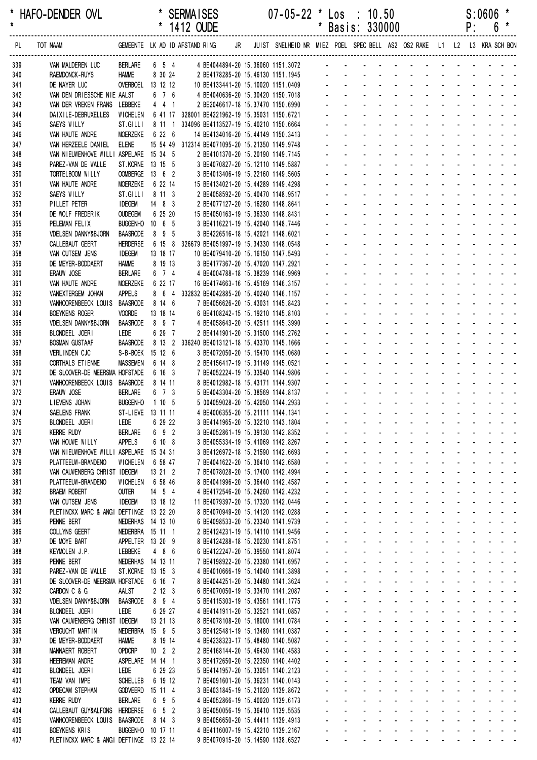|            |                                                            |                                       |                      | 1412 OUDE |                                                                                     |  |                                                                            |                      |                               | Basis: 330000                                                                  |                              |                                                                                 |                                                                |                           |                                | ۲.                        |                                                                                      | 0                                                                                                                                                                                                                              |
|------------|------------------------------------------------------------|---------------------------------------|----------------------|-----------|-------------------------------------------------------------------------------------|--|----------------------------------------------------------------------------|----------------------|-------------------------------|--------------------------------------------------------------------------------|------------------------------|---------------------------------------------------------------------------------|----------------------------------------------------------------|---------------------------|--------------------------------|---------------------------|--------------------------------------------------------------------------------------|--------------------------------------------------------------------------------------------------------------------------------------------------------------------------------------------------------------------------------|
| PL         | GEMEENTE LK AD ID AFSTAND RING<br>TOT NAAM                 |                                       |                      |           |                                                                                     |  | JR JUIST SNELHEID NR MIEZ POEL SPEC BELL AS2 OS2 RAKE L1 L2 L3 KRA SCH BON |                      |                               |                                                                                |                              |                                                                                 |                                                                |                           |                                |                           |                                                                                      |                                                                                                                                                                                                                                |
| 339        | VAN MALDEREN LUC                                           | <b>BERLARE</b>                        |                      |           |                                                                                     |  | 6 5 4 4 BE4044894-20 15.36060 1151.3072 - - - - - - -                      |                      |                               |                                                                                |                              |                                                                                 |                                                                |                           |                                |                           |                                                                                      |                                                                                                                                                                                                                                |
| 340        | RAEMDONCK-RUYS                                             | <b>HAMME</b>                          | 8 30 24              |           | 2 BE4178285-20 15.46130 1151.1945                                                   |  |                                                                            |                      |                               |                                                                                |                              |                                                                                 |                                                                |                           |                                |                           |                                                                                      |                                                                                                                                                                                                                                |
| 341        | DE NAYER LUC                                               | OVERBOEL 13 12 12                     |                      |           | 10 BE4133441-20 15.10020 1151.0409                                                  |  |                                                                            |                      |                               | design and a state of the state of                                             |                              |                                                                                 |                                                                |                           |                                |                           |                                                                                      |                                                                                                                                                                                                                                |
| 342        | VAN DEN DRIESSCHE NIE AALST                                |                                       | 6 7 6                |           | 4 BE4040636-20 15.30420 1150.7018                                                   |  |                                                                            |                      |                               |                                                                                |                              |                                                                                 |                                                                |                           |                                |                           |                                                                                      | and a straight and a                                                                                                                                                                                                           |
| 343<br>344 | VAN DER VREKEN FRANS LEBBEKE<br>DAIXILE-DEBRUXELLES        | WICHELEN                              | 441                  |           | 2 BE2046617-18 15.37470 1150.6990<br>6 41 17 328001 BE4221962-19 15.35031 1150.6721 |  |                                                                            |                      |                               |                                                                                |                              |                                                                                 |                                                                |                           |                                | and a straight and        |                                                                                      |                                                                                                                                                                                                                                |
| 345        | <b>SAEYS WILLY</b>                                         | ST.GILLI                              |                      |           | 8 11 1 334096 BE4113527-19 15.40210 1150.6664                                       |  |                                                                            |                      |                               |                                                                                |                              |                                                                                 |                                                                |                           |                                |                           |                                                                                      |                                                                                                                                                                                                                                |
| 346        | VAN HAUTE ANDRE                                            | MOERZEKE                              | 6 22 6               |           | 14 BE4134016-20 15.44149 1150.3413                                                  |  |                                                                            |                      |                               |                                                                                |                              |                                                                                 |                                                                |                           |                                |                           |                                                                                      |                                                                                                                                                                                                                                |
| 347        | VAN HERZEELE DANIEL                                        | elene                                 |                      |           | 15 54 49 312314 BE4071095-20 15.21350 1149.9748                                     |  |                                                                            |                      |                               |                                                                                |                              |                                                                                 |                                                                |                           |                                |                           |                                                                                      |                                                                                                                                                                                                                                |
| 348        | VAN NIEUWENHOVE WILLI ASPELARE 15 34 5                     |                                       |                      |           | 2 BE4101370-20 15.20190 1149.7145                                                   |  |                                                                            |                      |                               |                                                                                |                              | $\mathbf{L} = \mathbf{L} \mathbf{L}$                                            | $\mathbf{r}$                                                   |                           |                                |                           |                                                                                      |                                                                                                                                                                                                                                |
| 349        | PAREZ-VAN DE WALLE                                         | ST. KORNE 13 15 5                     |                      |           | 3 BE4070827-20 15.12110 1149.5887                                                   |  |                                                                            |                      |                               |                                                                                |                              |                                                                                 |                                                                |                           |                                |                           |                                                                                      |                                                                                                                                                                                                                                |
| 350        | TORTELBOOM WILLY                                           | OOMBERGE 13 6 2                       |                      |           | 3 BE4013406-19 15.22160 1149.5605                                                   |  |                                                                            |                      |                               |                                                                                |                              |                                                                                 | $\mathcal{L}^{\mathcal{A}}$                                    |                           |                                |                           |                                                                                      |                                                                                                                                                                                                                                |
| 351        | VAN HAUTE ANDRE<br>SAEYS WILLY                             | <b>MOERZEKE</b><br>ST.GILLI           | 6 22 14<br>8 11 3    |           | 15 BE4134021-20 15.44289 1149.4298<br>2 BE4058592-20 15.40470 1148.9517             |  |                                                                            |                      |                               |                                                                                |                              |                                                                                 |                                                                |                           |                                |                           |                                                                                      |                                                                                                                                                                                                                                |
| 352<br>353 | PILLET PETER                                               | <b>IDEGEM</b>                         | $14 \quad 8 \quad 3$ |           | 2 BE4077127-20 15.16280 1148.8641                                                   |  |                                                                            |                      |                               |                                                                                |                              |                                                                                 |                                                                |                           |                                |                           |                                                                                      |                                                                                                                                                                                                                                |
| 354        | DE WOLF FREDERIK                                           | <b>OUDEGEM</b>                        | 6 25 20              |           | 15 BE4050163-19 15.36330 1148.8431                                                  |  |                                                                            |                      |                               |                                                                                |                              |                                                                                 |                                                                |                           |                                |                           |                                                                                      |                                                                                                                                                                                                                                |
| 355        | PELEMAN FELIX                                              | BUGGENHO 10 6 5                       |                      |           | 3 BE4116221-19 15.42040 1148.7446                                                   |  |                                                                            |                      |                               |                                                                                |                              |                                                                                 |                                                                |                           |                                |                           | $\mathcal{L}^{\text{max}}$ and $\mathcal{L}^{\text{max}}$                            |                                                                                                                                                                                                                                |
| 356        | <b>VDELSEN DANNY&amp;BJORN</b>                             | <b>BAASRODE</b>                       | 8 9 5                |           | 3 BE4226516-18 15.42021 1148.6021                                                   |  |                                                                            |                      |                               |                                                                                |                              |                                                                                 |                                                                |                           |                                |                           |                                                                                      |                                                                                                                                                                                                                                |
| 357        | CALLEBAUT GEERT                                            | <b>HERDERSE</b>                       |                      |           | 6 15 8 326679 BE4051997-19 15.34330 1148.0548                                       |  |                                                                            |                      |                               |                                                                                |                              |                                                                                 |                                                                |                           |                                |                           |                                                                                      |                                                                                                                                                                                                                                |
| 358        | VAN CUTSEM JENS                                            | <b>IDEGEM</b>                         | 13 18 17             |           | 10 BE4079410-20 15.16150 1147.5493                                                  |  |                                                                            |                      |                               |                                                                                |                              |                                                                                 |                                                                |                           |                                |                           |                                                                                      |                                                                                                                                                                                                                                |
| 359        | DE MEYER-BODDAERT<br>ERAUW JOSE                            | <b>HAMME</b>                          | 8 19 13<br>6 7 4     |           | 3 BE4177367-20 15.47020 1147.2921                                                   |  |                                                                            |                      |                               |                                                                                |                              |                                                                                 | $\sim$                                                         |                           |                                |                           |                                                                                      |                                                                                                                                                                                                                                |
| 360<br>361 | VAN HAUTE ANDRE                                            | <b>BERLARE</b><br><b>MOERZEKE</b>     | 6 22 17              |           | 4 BE4004788-18 15.38239 1146.9969<br>16 BE4174663-16 15.45169 1146.3157             |  |                                                                            |                      |                               |                                                                                |                              |                                                                                 |                                                                |                           |                                |                           |                                                                                      |                                                                                                                                                                                                                                |
| 362        | VANEXTERGEM JOHAN                                          | <b>APPELS</b>                         |                      |           | 8 6 4 332832 BE4042885-20 15.40240 1146.1157                                        |  |                                                                            |                      |                               |                                                                                |                              |                                                                                 |                                                                |                           |                                |                           |                                                                                      |                                                                                                                                                                                                                                |
| 363        | VANHOORENBEECK LOUIS                                       | <b>BAASRODE</b>                       | 8 14 6               |           | 7 BE4056626-20 15.43031 1145.8423                                                   |  |                                                                            |                      |                               |                                                                                |                              |                                                                                 |                                                                |                           |                                |                           |                                                                                      |                                                                                                                                                                                                                                |
| 364        | <b>BOEYKENS ROGER</b>                                      | <b>VOORDE</b>                         | 13 18 14             |           | 6 BE4108242-15 15.19210 1145.8103                                                   |  |                                                                            |                      |                               |                                                                                |                              |                                                                                 |                                                                |                           |                                |                           |                                                                                      |                                                                                                                                                                                                                                |
| 365        | <b>VDELSEN DANNY&amp;BJORN</b>                             | <b>BAASRODE</b>                       | 897                  |           | 4 BE4058643-20 15.42511 1145.3990                                                   |  |                                                                            |                      |                               |                                                                                |                              |                                                                                 |                                                                |                           |                                |                           |                                                                                      |                                                                                                                                                                                                                                |
| 366        | BLONDEEL JOERI                                             | LEDE                                  | 6 29 7               |           | 2 BE4141901-20 15.31500 1145.2762                                                   |  |                                                                            |                      |                               |                                                                                |                              |                                                                                 | $\mathbf{r}$                                                   |                           |                                |                           | and the state of the state                                                           |                                                                                                                                                                                                                                |
| 367        | <b>BOSMAN GUSTAAF</b>                                      | <b>BAASRODE</b>                       |                      |           | 8 13 2 336240 BE4013121-18 15.43370 1145.1666                                       |  |                                                                            |                      |                               |                                                                                |                              |                                                                                 |                                                                |                           |                                |                           | $\mathbf{L} = \mathbf{L} \mathbf{L} + \mathbf{L} \mathbf{L} + \mathbf{L} \mathbf{L}$ |                                                                                                                                                                                                                                |
| 368<br>369 | VERLINDEN CJC<br>CORTHALS ETIENNE                          | S-B-BOEK 15 12 6<br><b>MASSEMEN</b>   | 6 14 8               |           | 3 BE4072050-20 15.15470 1145.0680<br>2 BE4156417-19 15.31149 1145.0521              |  |                                                                            |                      |                               |                                                                                |                              |                                                                                 |                                                                |                           |                                |                           | $\omega_{\rm{max}}$ , $\omega_{\rm{max}}$                                            |                                                                                                                                                                                                                                |
| 370        | DE SLOOVER-DE MEERSMA HOFSTADE                             |                                       | 6 16 3               |           | 7 BE4052224-19 15.33540 1144.9806                                                   |  |                                                                            |                      |                               |                                                                                |                              |                                                                                 |                                                                |                           |                                |                           |                                                                                      |                                                                                                                                                                                                                                |
| 371        | VANHOORENBEECK LOUIS BAASRODE                              |                                       | 8 14 11              |           | 8 BE4012982-18 15.43171 1144.9307                                                   |  |                                                                            |                      |                               |                                                                                |                              |                                                                                 |                                                                |                           |                                |                           |                                                                                      |                                                                                                                                                                                                                                |
| 372        | ERAUW JOSE                                                 | Berlare                               | 6 7 3                |           | 5 BE4043304-20 15.38569 1144.8137                                                   |  |                                                                            |                      |                               |                                                                                |                              | $\omega_{\rm{max}}=0.1$                                                         | $\sim$                                                         | $\sim$                    |                                |                           | <b>Contract Contract</b>                                                             |                                                                                                                                                                                                                                |
| 373        | LIEVENS JOHAN                                              | <b>BUGGENHO</b>                       | 1105                 |           | 5 004059028-20 15.42050 1144.2933                                                   |  |                                                                            |                      |                               |                                                                                |                              |                                                                                 | $\mathcal{L}^{\text{max}}$                                     |                           | <b>Contractor</b>              |                           | $\mathbf{L}^{\text{max}}$ and $\mathbf{L}^{\text{max}}$                              |                                                                                                                                                                                                                                |
| 374        | SAELENS FRANK                                              | ST-LIEVE 13 11 11                     |                      |           | 4 BE4006355-20 15.21111 1144.1341                                                   |  |                                                                            |                      |                               |                                                                                |                              |                                                                                 | $\Delta \sim 10^4$                                             |                           |                                |                           | $\omega_{\rm{max}}$ , $\omega_{\rm{max}}$                                            |                                                                                                                                                                                                                                |
| 375        | BLONDEEL JOERI                                             | LEDE                                  | 6 29 22              |           | 3 BE4141965-20 15.32210 1143.1804                                                   |  |                                                                            |                      |                               | <b>Contact Contact</b>                                                         |                              |                                                                                 | and a straight                                                 |                           |                                | and a straight and        |                                                                                      |                                                                                                                                                                                                                                |
| 376        | KERRE RUDY                                                 | BERLARE                               | 692                  |           | 3 BE4052861-19 15.39130 1142.8352                                                   |  |                                                                            |                      |                               |                                                                                |                              |                                                                                 | the company of the company                                     |                           |                                |                           |                                                                                      | and the state of the state                                                                                                                                                                                                     |
| 377<br>378 | VAN HOUWE WILLY<br>VAN NIEUWENHOVE WILLI ASPELARE 15 34 31 | APPELS                                | 6 10 8               |           | 3 BE4055334-19 15.41069 1142.8267<br>3 BE4126972-18 15.21590 1142.6693              |  |                                                                            |                      | $\mathcal{L}^{\pm}$           | $\sim$                                                                         |                              | $\mathbf{r} = \mathbf{r} + \mathbf{r}$ , where $\mathbf{r}$<br><b>All Cards</b> | $\Delta \sim 100$                                              |                           |                                |                           |                                                                                      | and a straightful and a<br>and a strain and a strain                                                                                                                                                                           |
| 379        | PLATTEEUW-BRANDENO                                         | WICHELEN                              | 6 58 47              |           | 7 BE4041622-20 15.36410 1142.6580                                                   |  |                                                                            |                      |                               | $\omega_{\rm{max}}$<br>$\mathcal{L}^{\mathcal{L}}$                             | $\sim 100$                   |                                                                                 |                                                                |                           |                                |                           |                                                                                      | and a strain and a strain and a                                                                                                                                                                                                |
| 380        | VAN CAUWENBERG CHRIST IDEGEM                               |                                       | 13 21 2              |           | 7 BE4078028-20 15.17400 1142.4994                                                   |  |                                                                            | ÷.                   |                               | $\Delta \sim 100$<br>$\omega_{\rm{max}}$                                       | $\sim 100$                   | $\omega_{\rm{max}}$                                                             | $\Delta \sim 10^4$<br>$\omega_{\rm{max}}$                      |                           | $\Delta \phi = 0.000$ .        | $\mathbf{L}^{\text{max}}$ |                                                                                      |                                                                                                                                                                                                                                |
| 381        | PLATTEEUW-BRANDENO                                         | <b>WICHELEN</b>                       | 6 58 46              |           | 8 BE4041996-20 15.36440 1142.4587                                                   |  |                                                                            |                      | $\sim$                        | $\sim 100$<br>$\sim$                                                           |                              | $\omega_{\rm{max}}$<br>$\mathcal{L}^{\pm}$                                      | $\omega_{\rm{max}}$                                            | $\sim 100$                | $\sim$                         |                           |                                                                                      |                                                                                                                                                                                                                                |
| 382        | <b>BRAEM ROBERT</b>                                        | <b>OUTER</b>                          | $14 \quad 5 \quad 4$ |           | 4 BE4172546-20 15.24260 1142.4232                                                   |  |                                                                            |                      |                               | $\omega$<br>$\sim$                                                             | $\sim 100$                   | $\blacksquare$                                                                  |                                                                |                           |                                |                           |                                                                                      | المنابذ المنابذ المنابذة                                                                                                                                                                                                       |
| 383        | VAN CUTSEM JENS                                            | <b>IDEGEM</b>                         | 13 18 12             |           | 11 BE4079397-20 15.17320 1142.0446                                                  |  |                                                                            |                      | $\mathcal{L}^{\pm}$           | $\omega_{\rm{max}}$                                                            | $\sim$                       | $\mathcal{L}^{\mathcal{L}}$                                                     | $\mathbf{r}$                                                   |                           |                                |                           |                                                                                      | and the company of the second                                                                                                                                                                                                  |
| 384        | PLETINCKX MARC & ANGI DEFTINGE 13 22 20                    |                                       |                      |           | 8 BE4070949-20 15.14120 1142.0288                                                   |  |                                                                            |                      | $\mathcal{L}^{\pm}$           | $\mathcal{L}^{\mathcal{A}}$<br>$\sim$                                          |                              | $\Delta \sim 100$<br>$\sim$                                                     | $\mathcal{L}$                                                  | $\mathbf{r}$              |                                |                           |                                                                                      | in the contract of the contract of the contract of the contract of the contract of the contract of the contract of the contract of the contract of the contract of the contract of the contract of the contract of the contrac |
| 385<br>386 | PENNE BERT<br>COLLYNS GEERT                                | NEDERHAS 14 13 10<br>NEDERBRA 15 11 1 |                      |           | 6 BE4098533-20 15.23340 1141.9739<br>2 BE4124231-19 15.14110 1141.9456              |  |                                                                            | $\blacksquare$<br>÷. |                               | $\omega_{\rm{max}}$<br>and a state<br>$\Delta \sim 100$<br>$\omega_{\rm{max}}$ | $\sim 100$                   | $\Delta \phi = \Delta \phi = 0.01$<br>$\omega_{\rm{max}}$                       | $\Delta \sim 10^4$<br>$\Delta \sim 100$<br>$\omega_{\rm{max}}$ |                           |                                |                           |                                                                                      | and a strain and a<br>المنابذ المنابذ المنابذ والمنا                                                                                                                                                                           |
| 387        | DE MOYE BART                                               | APPELTER 13 20 9                      |                      |           | 8 BE4124288-18 15.20230 1141.8751                                                   |  |                                                                            | $\blacksquare$       | $\sim$                        | $\omega_{\rm{max}}$<br>$\sim$                                                  | $\mathcal{L}^{\text{max}}$   | $\sim$                                                                          | $\sim$                                                         | $\omega_{\rm{max}}$       |                                |                           |                                                                                      | and a strain and a                                                                                                                                                                                                             |
| 388        | KEYMOLEN J.P.                                              | LEBBEKE                               | 4 8 6                |           | 6 BE4122247-20 15.39550 1141.8074                                                   |  |                                                                            |                      | $\blacksquare$                |                                                                                | $\mathcal{L}_{\rm{max}}$     | $\blacksquare$                                                                  |                                                                | $\omega$                  |                                |                           |                                                                                      | المناسب والمستنبذ والمستنبذ                                                                                                                                                                                                    |
| 389        | PENNE BERT                                                 | NEDERHAS 14 13 11                     |                      |           | 7 BE4198922-20 15.23380 1141.6957                                                   |  |                                                                            |                      |                               | $\mathbf{r}$                                                                   | $\Delta \sim 100$            | $\Delta \sim 100$                                                               | $\mathbf{r}$                                                   |                           |                                |                           |                                                                                      | the company of the company                                                                                                                                                                                                     |
| 390        | PAREZ-VAN DE WALLE                                         | ST. KORNE 13 15 3                     |                      |           | 4 BE4010666-19 15.14040 1141.3898                                                   |  |                                                                            | $\blacksquare$       |                               | ÷.                                                                             |                              | $\Delta \phi = 0.01$ and                                                        | $\sim$                                                         |                           |                                |                           |                                                                                      | and a strain and a                                                                                                                                                                                                             |
| 391        | DE SLOOVER-DE MEERSMA HOFSTADE                             |                                       | 6 16 7               |           | 8 BE4044251-20 15.34480 1141.3624                                                   |  |                                                                            |                      | $\sim$                        | $\mathcal{L}^{\mathcal{L}}$<br>$\sim$                                          |                              | and a strategies                                                                |                                                                |                           | and a state                    |                           |                                                                                      | and a straight                                                                                                                                                                                                                 |
| 392        | CARDON C & G                                               | AALST                                 | $2 \t12 \t3$         |           | 6 BE4070050-19 15.33470 1141.2087                                                   |  |                                                                            |                      | $\mathbf{a} = \mathbf{0}$     | $\Delta \sim 100$<br>$\Delta \sim 100$                                         | $\Delta \sim 100$            |                                                                                 | and a state of                                                 | $\Delta \sim 100$         | $\Delta \sim 10^4$             |                           |                                                                                      | and a straight                                                                                                                                                                                                                 |
| 393        | <b>VDELSEN DANNY&amp;BJORN</b>                             | <b>BAASRODE</b>                       | 8 9 4                |           | 5 BE4115303-19 15.43561 1141.1775                                                   |  |                                                                            |                      | $\omega_{\rm{max}}$           | $\Delta \sim 100$<br>$\omega_{\rm{max}}$                                       | <b>All Carl Carl Co</b>      |                                                                                 | $\sim 100$                                                     | $\omega_{\rm{max}}$       |                                |                           |                                                                                      |                                                                                                                                                                                                                                |
| 394<br>395 | BLONDEEL JOERI<br>VAN CAUWENBERG CHRIST IDEGEM             | LEDE                                  | 6 29 27<br>13 21 13  |           | 4 BE4141911-20 15.32521 1141.0857<br>8 BE4078108-20 15.18000 1141.0784              |  |                                                                            |                      | $\sim$<br>$\sim$              | $\omega_{\rm{max}}=0.1$<br>$\omega_{\rm{max}}$                                 | $\Delta \sim 10$             | <b>Contract Contract</b><br>$\sim$                                              | $\sim$                                                         |                           | $\Delta \phi = 0.01$           |                           |                                                                                      | and the state of the<br>and the state of                                                                                                                                                                                       |
| 396        | <b>VERGUCHT MARTIN</b>                                     | NEDERBRA 15 9 5                       |                      |           | 3 BE4125481-19 15.13480 1141.0387                                                   |  |                                                                            |                      |                               | $\Delta \sim 10^4$<br>$\Delta \sim 100$<br>$\sim$                              |                              | $\omega_{\rm{max}}$ , $\omega_{\rm{max}}$                                       | $\sim$                                                         |                           |                                |                           |                                                                                      | and a straight and a straight                                                                                                                                                                                                  |
| 397        | DE MEYER-BODDAERT                                          | <b>HAMME</b>                          | 8 19 14              |           | 4 BE4238323-17 15.48480 1140.5087                                                   |  |                                                                            | $\mathbf{r}$         |                               | $\Delta \sim 100$<br>$\Delta \sim 10^4$<br>$\mathbb{Z}^2$                      |                              | and a state                                                                     | $\mathbf{r}$                                                   |                           |                                |                           |                                                                                      | and a strain and a                                                                                                                                                                                                             |
| 398        | MANNAERT ROBERT                                            | <b>OPDORP</b>                         | $10$ 2 2             |           | 2 BE4168144-20 15.46430 1140.4583                                                   |  |                                                                            |                      | $\omega_{\rm{max}}$           | $\Delta \sim 100$<br><b>All States</b>                                         |                              |                                                                                 | and a straight                                                 |                           |                                |                           |                                                                                      | and a strain and a                                                                                                                                                                                                             |
| 399        | <b>HEEREMAN ANDRE</b>                                      | ASPELARE                              | 14 14 1              |           | 3 BE4172650-20 15.22350 1140.4402                                                   |  |                                                                            | $\blacksquare$       | $\sim$                        | $\omega_{\rm{max}}$<br>$\sim$                                                  | $\Delta \sim 100$            |                                                                                 | $\omega_{\rm{max}}$<br>$\sim 100$                              | $\omega_{\rm{max}}$       | $\Delta \sim 10^4$             |                           |                                                                                      | and a state of                                                                                                                                                                                                                 |
| 400        | BLONDEEL JOERI                                             | LEDE                                  | 6 29 23              |           | 5 BE4141957-20 15.33051 1140.2123                                                   |  |                                                                            |                      | $\omega$                      |                                                                                | $\Delta \sim 100$            | $\omega$                                                                        |                                                                | $\omega$                  |                                |                           |                                                                                      | and the company of the company of                                                                                                                                                                                              |
| 401        | TEAM VAN IMPE                                              | <b>SCHELLEB</b>                       | 6 19 12              |           | 7 BE4091601-20 15.36231 1140.0143                                                   |  |                                                                            |                      | $\mathcal{L}_{\mathcal{A}}$   | $\mathbf{r}$                                                                   | $\mathcal{L}_{\mathrm{max}}$ | $\sim 10^{-11}$                                                                 | $\mathbf{r}$                                                   | $\omega_{\rm{max}}$       |                                |                           |                                                                                      | the company of the company of                                                                                                                                                                                                  |
| 402<br>403 | <b>OPDECAM STEPHAN</b><br><b>KERRE RUDY</b>                | <b>GODVEERD</b><br><b>BERLARE</b>     | 15 11 4<br>6 9 5     |           | 3 BE4031845-19 15.21020 1139.8672<br>4 BE4052866-19 15.40020 1139.6173              |  |                                                                            | $\blacksquare$       | $\sim$<br>$\mathcal{L}^{\pm}$ | ÷.<br>$\mathcal{L}^{\mathcal{L}}$<br>$\mathbf{r}$                              |                              | $\omega_{\rm{max}}=0.1$<br>$\omega_{\rm{max}}$<br>$\mathcal{L}^{\mathcal{L}}$   | $\sim$<br>$\mathbf{r}$                                         | $\mathbb{Z}^{\mathbb{Z}}$ | and a state<br><b>Contract</b> |                           |                                                                                      | and a state of<br>an na hair a                                                                                                                                                                                                 |
| 404        | CALLEBAUT GUY&ALFONS                                       | HERDERSE                              | $6\quad 5\quad 2$    |           | 3 BE4050056-19 15.36410 1139.5535                                                   |  |                                                                            |                      | $\mathbf{L}^{\text{max}}$     | $\Delta \sim 100$<br>$\omega_{\rm{max}}$                                       | $\Delta \sim 100$            | $\omega_{\rm{max}}$                                                             | $\omega_{\rm{max}}$<br>$\Delta \sim 100$                       | $\Delta \sim 100$         | $\Delta \sim 10^4$             |                           |                                                                                      | and a straight                                                                                                                                                                                                                 |
| 405        | VANHOORENBEECK LOUIS                                       | <b>BAASRODE</b>                       | 8 14 3               |           | 9 BE4056650-20 15.44411 1139.4913                                                   |  |                                                                            |                      | $\mathcal{L}^{\text{max}}$    | $\mathcal{L}^{\text{max}}$<br><b>All Service</b>                               |                              | $\omega_{\rm{max}}$                                                             | <b>All States</b>                                              |                           | <b>All States</b>              |                           |                                                                                      | $\Delta_{\rm{eff}}=2.01\pm0.001$ and                                                                                                                                                                                           |
| 406        | <b>BOEYKENS KRIS</b>                                       | BUGGENHO 10 17 11                     |                      |           | 4 BE4116007-19 15.42210 1139.2167                                                   |  |                                                                            |                      |                               |                                                                                |                              |                                                                                 |                                                                |                           |                                |                           |                                                                                      |                                                                                                                                                                                                                                |
| 407        | PLETINCKX MARC & ANGI DEFTINGE 13 22 14                    |                                       |                      |           | 9 BE4070915-20 15.14590 1138.6527                                                   |  |                                                                            |                      |                               | $\Delta \sim 100$                                                              |                              |                                                                                 |                                                                |                           |                                |                           |                                                                                      | design and a state of the state of the                                                                                                                                                                                         |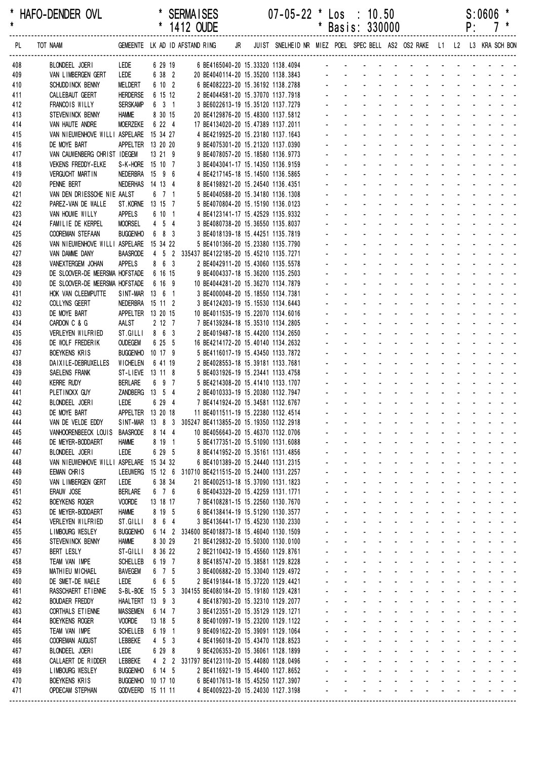|            |                                            |                                    |                             | 1412 OUDE                                                                                    |  |                                                                            |                |              | Basis: 330000                                                  |                                            |                                                  |                        |                           |                       | ۲:                                                           |                                           |                                                                                                                      |
|------------|--------------------------------------------|------------------------------------|-----------------------------|----------------------------------------------------------------------------------------------|--|----------------------------------------------------------------------------|----------------|--------------|----------------------------------------------------------------|--------------------------------------------|--------------------------------------------------|------------------------|---------------------------|-----------------------|--------------------------------------------------------------|-------------------------------------------|----------------------------------------------------------------------------------------------------------------------|
| PL         | TOT NAAM                                   |                                    |                             | GEMEENTE LK AD ID AFSTAND RING                                                               |  | JR JUIST SNELHEID NR MIEZ POEL SPEC BELL AS2 OS2 RAKE L1 L2 L3 KRA SCH BON |                |              |                                                                |                                            |                                                  |                        |                           |                       |                                                              |                                           |                                                                                                                      |
| 408        | BLONDEEL JOERI                             | LEDE                               | 6 29 19                     |                                                                                              |  | 6 BE4165040-20 15.33320 1138.4094 -                                        |                |              |                                                                |                                            |                                                  |                        |                           |                       |                                                              |                                           |                                                                                                                      |
| 409        | VAN LIMBERGEN GERT                         | LEDE                               | 6 38 2                      | 20 BE4040114-20 15.35200 1138.3843                                                           |  |                                                                            |                |              |                                                                |                                            |                                                  |                        |                           |                       |                                                              |                                           |                                                                                                                      |
| 410        | SCHUDD INCK BENNY                          | MELDERT                            | 6 10 2                      | 6 BE4082223-20 15.36192 1138.2788                                                            |  |                                                                            |                |              |                                                                |                                            |                                                  |                        |                           |                       |                                                              |                                           |                                                                                                                      |
| 411        | CALLEBAUT GEERT                            | <b>HERDERSE</b>                    | 6 15 12                     | 2 BE4044581-20 15.37070 1137.7918                                                            |  |                                                                            |                |              |                                                                |                                            |                                                  |                        |                           |                       |                                                              |                                           |                                                                                                                      |
| 412        | FRANCOIS WILLY                             | <b>SERSKAMP</b>                    | 6 3 1                       | 3 BE6022613-19 15.35120 1137.7279                                                            |  |                                                                            |                |              |                                                                |                                            |                                                  |                        |                           |                       |                                                              |                                           |                                                                                                                      |
| 413<br>414 | STEVENINCK BENNY<br>VAN HAUTE ANDRE        | <b>HAMME</b><br><b>MOERZEKE</b>    | 8 30 15<br>6 22 4           | 20 BE4129876-20 15.48300 1137.5812<br>17 BE4134020-20 15.47389 1137.2011                     |  |                                                                            |                |              |                                                                |                                            |                                                  |                        |                           |                       |                                                              |                                           |                                                                                                                      |
| 415        | VAN NIEUWENHOVE WILLI ASPELARE             |                                    | 15 34 27                    | 4 BE4219925-20 15.23180 1137.1643                                                            |  |                                                                            |                |              |                                                                |                                            |                                                  |                        |                           |                       |                                                              |                                           |                                                                                                                      |
| 416        | DE MOYE BART                               | APPELTER 13 20 20                  |                             | 9 BE4075301-20 15.21320 1137.0390                                                            |  |                                                                            |                |              |                                                                |                                            |                                                  |                        |                           |                       |                                                              |                                           |                                                                                                                      |
| 417        | VAN CAUWENBERG CHRIST IDEGEM               |                                    | 13 21 9                     | 9 BE4078057-20 15.18580 1136.9773                                                            |  |                                                                            |                |              |                                                                |                                            |                                                  | $\sim$                 |                           |                       |                                                              |                                           |                                                                                                                      |
| 418        | <b>VEKENS FREDDY-ELKE</b>                  | S-K-HORE 15 10 7                   |                             | 3 BE4043041-17 15.14350 1136.9159                                                            |  |                                                                            |                |              |                                                                |                                            |                                                  |                        |                           |                       |                                                              |                                           |                                                                                                                      |
| 419        | <b>VERGUCHT MARTIN</b>                     | NEDERBRA 15 9 6                    |                             | 4 BE4217145-18 15.14500 1136.5865                                                            |  |                                                                            |                |              |                                                                |                                            |                                                  |                        |                           |                       |                                                              |                                           |                                                                                                                      |
| 420        | PENNE BERT                                 | NEDERHAS 14 13 4                   |                             | 8 BE4198921-20 15.24540 1136.4351                                                            |  |                                                                            |                |              |                                                                |                                            |                                                  |                        |                           |                       |                                                              |                                           |                                                                                                                      |
| 421        | VAN DEN DRIESSCHE NIE AALST                |                                    | 6 7 1                       | 5 BE4040588-20 15.34180 1136.1308                                                            |  |                                                                            |                |              |                                                                |                                            |                                                  |                        |                           |                       |                                                              |                                           |                                                                                                                      |
| 422        | PAREZ-VAN DE WALLE<br>VAN HOUWE WILLY      | ST. KORNE 13 15 7                  |                             | 5 BE4070804-20 15.15190 1136.0123                                                            |  |                                                                            |                |              |                                                                |                                            |                                                  |                        |                           |                       |                                                              |                                           |                                                                                                                      |
| 423<br>424 | FAMILIE DE KERPEL                          | <b>APPELS</b><br><b>MOORSEL</b>    | 6 10 1<br>$4\quad 5\quad 4$ | 4 BE4123141-17 15.42529 1135.9332<br>3 BE4080738-20 15.36550 1135.8037                       |  |                                                                            |                |              |                                                                |                                            |                                                  |                        |                           |                       |                                                              |                                           |                                                                                                                      |
| 425        | <b>COOREMAN STEFAAN</b>                    | <b>BUGGENHO</b>                    | 6 8 3                       | 3 BE4018139-18 15.44251 1135.7819                                                            |  |                                                                            |                |              |                                                                |                                            |                                                  |                        |                           |                       |                                                              |                                           |                                                                                                                      |
| 426        | VAN NIEUWENHOVE WILLI ASPELARE             |                                    | 15 34 22                    | 5 BE4101366-20 15.23380 1135.7790                                                            |  |                                                                            |                |              |                                                                |                                            |                                                  |                        |                           |                       |                                                              |                                           |                                                                                                                      |
| 427        | VAN DAMME DANY                             | <b>BAASRODE</b>                    |                             | 4 5 2 335437 BE4122185-20 15.45210 1135.7271                                                 |  |                                                                            |                |              |                                                                |                                            |                                                  |                        |                           |                       |                                                              |                                           |                                                                                                                      |
| 428        | VANEXTERGEM JOHAN                          | <b>APPELS</b>                      | 8 6 3                       | 2 BE4042911-20 15.43060 1135.5578                                                            |  |                                                                            |                |              |                                                                |                                            |                                                  |                        |                           |                       |                                                              |                                           |                                                                                                                      |
| 429        | DE SLOOVER-DE MEERSMA HOFSTADE             |                                    | 6 16 15                     | 9 BE4004337-18 15.36200 1135.2503                                                            |  |                                                                            |                |              |                                                                |                                            |                                                  | $\sim$                 |                           |                       |                                                              |                                           |                                                                                                                      |
| 430        | DE SLOOVER-DE MEERSMA HOFSTADE             |                                    | 6 16 9                      | 10 BE4044281-20 15.36270 1134.7879                                                           |  |                                                                            |                |              |                                                                |                                            |                                                  |                        |                           |                       |                                                              |                                           |                                                                                                                      |
| 431        | HOK VAN CLEEMPUTTE                         | SINT-MAR 13 6 1                    |                             | 3 BE4000048-20 15.18550 1134.7381                                                            |  |                                                                            |                |              |                                                                |                                            |                                                  |                        |                           |                       |                                                              |                                           |                                                                                                                      |
| 432        | COLLYNS GEERT                              | NEDERBRA 15 11 2                   |                             | 3 BE4124203-19 15.15530 1134.6443                                                            |  |                                                                            |                |              |                                                                |                                            |                                                  |                        |                           |                       |                                                              |                                           |                                                                                                                      |
| 433<br>434 | DE MOYE BART<br>CARDON C & G               | APPELTER 13 20 15<br>AALST         | 2127                        | 10 BE4011535-19 15.22070 1134.6016<br>7 BE4139284-18 15.35310 1134.2805                      |  |                                                                            |                |              |                                                                |                                            |                                                  |                        |                           |                       |                                                              |                                           |                                                                                                                      |
| 435        | VERLEYEN WILFRIED                          | ST.GILLI                           | 8 6 3                       | 2 BE4019487-18 15.44200 1134.2650                                                            |  |                                                                            |                |              |                                                                |                                            |                                                  |                        |                           |                       |                                                              |                                           |                                                                                                                      |
| 436        | DE WOLF FREDERIK                           | <b>OUDEGEM</b>                     | 6 25 5                      | 16 BE4214172-20 15.40140 1134.2632                                                           |  |                                                                            |                |              |                                                                |                                            |                                                  |                        |                           |                       |                                                              |                                           |                                                                                                                      |
| 437        | <b>BOEYKENS KRIS</b>                       | BUGGENHO 10 17 9                   |                             | 5 BE4116017-19 15.43450 1133.7872                                                            |  |                                                                            |                |              |                                                                |                                            |                                                  |                        |                           |                       |                                                              |                                           |                                                                                                                      |
| 438        | DAIXILE-DEBRUXELLES                        | WICHELEN                           | 6 41 19                     | 2 BE4028553-18 15.39181 1133.7681                                                            |  |                                                                            |                |              |                                                                |                                            |                                                  |                        |                           |                       |                                                              |                                           |                                                                                                                      |
| 439        | SAELENS FRANK                              | ST-LIEVE 13 11 8                   |                             | 5 BE4031926-19 15.23441 1133.4758                                                            |  |                                                                            |                |              |                                                                |                                            |                                                  |                        |                           |                       |                                                              |                                           |                                                                                                                      |
| 440        | <b>KERRE RUDY</b>                          | <b>BERLARE</b>                     | 6 9 7                       | 5 BE4214308-20 15.41410 1133.1707                                                            |  |                                                                            |                |              |                                                                |                                            |                                                  |                        |                           |                       |                                                              |                                           |                                                                                                                      |
| 441        | PLETINCKX GUY                              | ZANDBERG 13 5 4                    |                             | 2 BE4010333-19 15.20380 1132.7947                                                            |  |                                                                            |                |              |                                                                |                                            | $\mathbf{r}$                                     | $\sim$                 |                           | $\sim 100$            | $\sim$                                                       |                                           |                                                                                                                      |
| 442        | BLONDEEL JOERI                             | LEDE                               | 6 29 4                      | 7 BE4141924-20 15.34581 1132.6767                                                            |  |                                                                            |                |              |                                                                |                                            |                                                  |                        |                           |                       |                                                              |                                           |                                                                                                                      |
| 443<br>444 | DE MOYE BART<br>VAN DE VELDE EDDY          | APPELTER 13 20 18                  |                             | 11 BE4011511-19 15.22380 1132.4514<br>SINT-MAR 13 8 3 305247 BE4113855-20 15.19350 1132.2918 |  |                                                                            |                |              |                                                                |                                            |                                                  | $\mathbf{r}$           | $\sim$                    | $\sim$                |                                                              |                                           |                                                                                                                      |
| 445        | VANHOORENBEECK LOUIS                       | BAASRODE                           | 8 14 4                      | 10 BE4056643-20 15.46370 1132.0706                                                           |  |                                                                            |                |              |                                                                |                                            |                                                  |                        |                           |                       |                                                              |                                           |                                                                                                                      |
| 446        | DE MEYER-BODDAERT                          | <b>HAMME</b>                       | 8 19 1                      | 5 BE4177351-20 15.51090 1131.6088                                                            |  |                                                                            |                |              |                                                                |                                            |                                                  |                        |                           |                       |                                                              |                                           |                                                                                                                      |
| 447        | BLONDEEL JOERI                             | LEDE                               | 6 29 5                      | 8 BE4141952-20 15.35161 1131.4856                                                            |  |                                                                            |                |              |                                                                |                                            | $\sim 100$                                       | $\sim$                 | $\mathbf{r}$              |                       |                                                              |                                           | and the state of the state of the                                                                                    |
| 448        | VAN NIEUWENHOVE WILLI ASPELARE             |                                    | 15 34 32                    | 6 BE4101389-20 15.24440 1131.2315                                                            |  |                                                                            |                |              |                                                                |                                            | $\sim$                                           | ÷.                     | ÷.                        | <b>Contractor</b>     |                                                              | $\omega_{\rm{max}}$ , $\omega_{\rm{max}}$ |                                                                                                                      |
| 449        | <b>EEMAN CHRIS</b>                         | LEEUWERG                           |                             | 15 12 6 310710 BE4211515-20 15.24400 1131.2257                                               |  |                                                                            |                |              |                                                                |                                            | $\omega_{\rm{max}}$<br>$\mathbf{z} = \mathbf{z}$ | $\sim$                 | $\mathbf{r}$              |                       | $\sim 100$                                                   |                                           |                                                                                                                      |
| 450        | VAN LIMBERGEN GERT                         | LEDE                               | 6 38 34                     | 21 BE4002513-18 15.37090 1131.1823                                                           |  |                                                                            |                | $\sim$       |                                                                |                                            |                                                  |                        |                           |                       |                                                              |                                           |                                                                                                                      |
| 451        | ERAUW JOSE                                 | <b>BERLARE</b>                     | 6 7 6                       | 6 BE4043329-20 15.42259 1131.1771                                                            |  |                                                                            |                |              |                                                                |                                            |                                                  |                        |                           |                       |                                                              |                                           |                                                                                                                      |
| 452        | <b>BOEYKENS ROGER</b>                      | <b>VOORDE</b><br><b>HAMME</b>      | 13 18 17<br>8 19 5          | 7 BE4108281-15 15.22560 1130.7670                                                            |  |                                                                            |                |              |                                                                |                                            |                                                  | $\sim$                 |                           |                       |                                                              |                                           | and a strain and a<br>and the second control of the second                                                           |
| 453<br>454 | DE MEYER-BODDAERT<br>VERLEYEN WILFRIED     | ST.GILLI                           | 8 6 4                       | 6 BE4138414-19 15.51290 1130.3577<br>3 BE4136441-17 15.45230 1130.2330                       |  |                                                                            |                |              |                                                                |                                            | ÷.                                               |                        |                           |                       |                                                              |                                           | and a strain and a                                                                                                   |
| 455        | LIMBOURG WESLEY                            | <b>BUGGENHO</b>                    |                             | 6 14 2 334600 BE4018873-18 15.46040 1130.1509                                                |  |                                                                            |                |              | $\mathcal{L}^{\text{max}}$                                     | $\sim 100$                                 | $\omega_{\rm{max}}$                              | $\sim 100$             | $\mathbf{L}^{\text{max}}$ |                       |                                                              | and a state of                            |                                                                                                                      |
| 456        | STEVENINCK BENNY                           | <b>HAMME</b>                       | 8 30 29                     | 21 BE4129832-20 15.50300 1130.0100                                                           |  |                                                                            | $\blacksquare$ | $\mathbf{r}$ | $\mathbf{r}$                                                   | $\blacksquare$                             |                                                  |                        |                           | $\Delta \sim 10^4$    |                                                              | <b>All States</b>                         |                                                                                                                      |
| 457        | BERT LESLY                                 | ST-GILLI                           | 8 36 22                     | 2 BE2110432-19 15.45560 1129.8761                                                            |  |                                                                            |                |              |                                                                |                                            |                                                  |                        |                           |                       |                                                              |                                           |                                                                                                                      |
| 458        | TEAM VAN IMPE                              | <b>SCHELLEB</b>                    | 6 19 7                      | 8 BE4185747-20 15.38581 1129.8228                                                            |  |                                                                            |                |              |                                                                |                                            |                                                  |                        |                           |                       |                                                              | <b>Carl Carl</b>                          |                                                                                                                      |
| 459        | MATHIEU MICHAEL                            | <b>BAVEGEM</b>                     | 6 7 5                       | 3 BE4006882-20 15.33040 1129.4972                                                            |  |                                                                            |                |              |                                                                |                                            | $\Delta \phi$                                    |                        |                           |                       | $\mathbf{L} = \mathbf{L} \mathbf{L} + \mathbf{L} \mathbf{L}$ |                                           |                                                                                                                      |
| 460        | DE SMET-DE WAELE                           | Lede                               | 6 6 5                       | 2 BE4191844-18 15.37220 1129.4421                                                            |  |                                                                            |                |              |                                                                |                                            |                                                  |                        |                           |                       |                                                              |                                           |                                                                                                                      |
| 461        | RASSCHAERT ETIENNE                         |                                    |                             | S-BL-BOE 15 5 3 304155 BE4080184-20 15.19180 1129.4281                                       |  |                                                                            |                | $\sim$       | $\sim 100$                                                     |                                            | $\Delta \sim 100$<br>$\mathbf{z} = \mathbf{0}$   | $\Delta \sim 10^{-11}$ | $\mathbf{L}^{\text{max}}$ | $\Delta \sim 10^{-1}$ |                                                              | <b>All States</b>                         |                                                                                                                      |
| 462        | <b>BOUDAER FREDDY</b><br>CORTHALS ET IENNE | HAALTERT 13 9 3<br><b>MASSEMEN</b> | 6 14 7                      | 4 BE4187903-20 15.32310 1129.2077<br>3 BE4123551-20 15.35129 1129.1271                       |  |                                                                            |                | $\sim$       | $\sim 100$                                                     | $\mathcal{L}^{\text{max}}$<br>$\mathbf{r}$ |                                                  |                        |                           |                       |                                                              |                                           |                                                                                                                      |
| 463<br>464 | <b>BOEYKENS ROGER</b>                      | <b>VOORDE</b>                      | 13 18 5                     | 8 BE4010997-19 15.23200 1129.1122                                                            |  |                                                                            |                |              |                                                                |                                            |                                                  |                        |                           |                       |                                                              | <b>Contract Contract</b>                  |                                                                                                                      |
| 465        | TEAM VAN IMPE                              | <b>SCHELLEB</b>                    | 6 19 1                      | 9 BE4091622-20 15.39091 1129.1064                                                            |  |                                                                            |                |              |                                                                |                                            |                                                  |                        |                           |                       |                                                              |                                           | and the contract of the contract of                                                                                  |
| 466        | <b>COOREMAN AUGUST</b>                     | LEBBEKE                            | $4\quad 5\quad 3$           | 4 BE4196018-20 15.43470 1128.8523                                                            |  |                                                                            |                |              |                                                                |                                            |                                                  |                        |                           |                       |                                                              | <b>Service</b>                            |                                                                                                                      |
| 467        | BLONDEEL JOERI                             | LEDE                               | 6 29 8                      | 9 BE4206353-20 15.36061 1128.1899                                                            |  |                                                                            |                |              | $\mathcal{L}^{\text{max}}$                                     | $\sim 100$                                 | $\sim$                                           | $\mathbf{r}$           | $\omega_{\rm{max}}$       |                       |                                                              |                                           | and a straight and                                                                                                   |
| 468        | CALLAERT DE RIDDER                         | LEBBEKE                            |                             | 4 2 2 331797 BE4123110-20 15.44080 1128.0496                                                 |  |                                                                            | $\blacksquare$ | $\sim$       | $\mathcal{L}^{\text{max}}$                                     | $\sim$                                     |                                                  |                        |                           |                       |                                                              |                                           | and a straight and                                                                                                   |
| 469        | LIMBOURG WESLEY                            | <b>BUGGENHO</b>                    | 6 14 5                      | 2 BE4116921-19 15.46400 1127.8652                                                            |  |                                                                            |                |              |                                                                |                                            |                                                  |                        |                           |                       |                                                              |                                           | and the company of the company of                                                                                    |
| 470        | BOEYKENS KRIS                              | BUGGENHO 10 17 10                  |                             | 6 BE4017613-18 15.45250 1127.3907                                                            |  |                                                                            | $\blacksquare$ |              | $\omega_{\rm{max}}$                                            |                                            | and the company                                  |                        |                           |                       |                                                              |                                           | and a straight and a<br>$\mathbf{L} = \mathbf{L} \times \mathbf{L} = \mathbf{L} \times \mathbf{L} \times \mathbf{L}$ |
| 471        | <b>OPDECAM STEPHAN</b>                     | GODVEERD 15 11 11                  |                             | 4 BE4009223-20 15.24030 1127.3198                                                            |  |                                                                            | $\mathbf{r}$   |              | $\omega_{\rm{max}}$ , $\omega_{\rm{max}}$<br>$\Delta \sim 100$ |                                            | and a state of the                               |                        |                           |                       |                                                              |                                           |                                                                                                                      |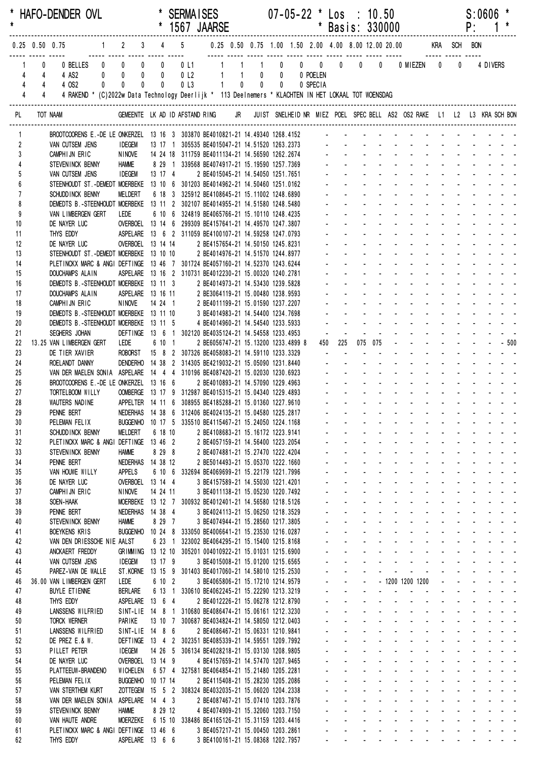| $\star$        |                |                          | * HAFO-DENDER OVL                                                                                   |                                                                                                           |                               |                                               | <b>SERMAISES</b><br>* 1567 JAARSE                                                                                   |                |                                        |                                                                                                             |                | $07 - 05 - 22$ * Los : 10.50        | * Basis: 330000                           |                                                |                                                         |                                     |                                                                                                                                                                                                                                                                                                                                                                                                                                                                |                                                        |                                                                            | P:                                  | S:0606   |                                                                                                                 |  |
|----------------|----------------|--------------------------|-----------------------------------------------------------------------------------------------------|-----------------------------------------------------------------------------------------------------------|-------------------------------|-----------------------------------------------|---------------------------------------------------------------------------------------------------------------------|----------------|----------------------------------------|-------------------------------------------------------------------------------------------------------------|----------------|-------------------------------------|-------------------------------------------|------------------------------------------------|---------------------------------------------------------|-------------------------------------|----------------------------------------------------------------------------------------------------------------------------------------------------------------------------------------------------------------------------------------------------------------------------------------------------------------------------------------------------------------------------------------------------------------------------------------------------------------|--------------------------------------------------------|----------------------------------------------------------------------------|-------------------------------------|----------|-----------------------------------------------------------------------------------------------------------------|--|
|                |                |                          | $0.25$ 0.50 0.75                                                                                    | $1 \qquad 2 \qquad 3 \qquad 4 \qquad 5$                                                                   |                               |                                               |                                                                                                                     |                |                                        | 0.25  0.50  0.75  1.00  1.50  2.00  4.00  8.00  12.00  20.00   KRA   SCH   BON                              |                |                                     |                                           |                                                |                                                         |                                     |                                                                                                                                                                                                                                                                                                                                                                                                                                                                |                                                        |                                                                            |                                     |          |                                                                                                                 |  |
|                | 4<br>4         | 0<br>4<br>$\overline{4}$ | 0 BELLES 0 0<br>4 AS2<br>4 OS2<br>$\mathbf{0}$                                                      | <br>$0\qquad 0$<br>$\mathbf{0}$                                                                           | $\mathbf 0$<br>$\pmb{0}$<br>0 | $\overline{0}$<br>$\mathbf 0$<br>$\mathbf{0}$ | 0L1<br>0 <sub>l</sub> 2<br>0 <sub>l</sub>                                                                           | $\overline{1}$ | $\overline{1}$<br>$1 \quad 1$<br>$1 -$ | $\overline{0}$                                                                                              | $0$ 0<br>$0$ 0 | 1 0 0 0 0 0<br>0 POELEN<br>0 SPECIA |                                           |                                                |                                                         |                                     | 0 0 MIEZEN 0                                                                                                                                                                                                                                                                                                                                                                                                                                                   |                                                        |                                                                            | $\mathbf 0$                         | 4 DIVERS |                                                                                                                 |  |
|                | $\overline{4}$ | $\overline{4}$           | 4 RAKEND * (C)2022w Data Technology Deerlijk * 113 Deelnemers * KLACHTEN IN HET LOKAAL TOT WOENSDAG |                                                                                                           |                               |                                               |                                                                                                                     |                |                                        |                                                                                                             |                |                                     |                                           |                                                |                                                         |                                     |                                                                                                                                                                                                                                                                                                                                                                                                                                                                |                                                        |                                                                            |                                     |          |                                                                                                                 |  |
| PL             |                |                          | TOT NAAM                                                                                            | GEMEENTE LK AD ID AFSTAND RING JR JUIST SNELHEID NR MIEZ POEL SPEC BELL AS2 OS2 RAKE L1 L2 L3 KRA SCH BON |                               |                                               |                                                                                                                     |                |                                        |                                                                                                             |                |                                     |                                           |                                                |                                                         |                                     |                                                                                                                                                                                                                                                                                                                                                                                                                                                                |                                                        |                                                                            |                                     |          |                                                                                                                 |  |
|                | 1              |                          | BROOTCOORENS E.-DE LE ONKERZEL 13 16 3 303870 BE4010821-21 14.49340 1268.4152                       |                                                                                                           |                               |                                               |                                                                                                                     |                |                                        |                                                                                                             |                |                                     |                                           |                                                |                                                         |                                     |                                                                                                                                                                                                                                                                                                                                                                                                                                                                |                                                        |                                                                            |                                     |          |                                                                                                                 |  |
|                | 2<br>3         |                          | VAN CUTSEM JENS<br>CAMPHIJN ERIC                                                                    | <b>IDEGEM</b><br>NINOVE                                                                                   |                               |                                               | 13 17 1 305535 BE4015047-21 14.51520 1263.2373 - - -<br>14 24 18 311759 BE4011134-21 14.56590 1262.2674 - - - - - - |                |                                        |                                                                                                             |                |                                     |                                           |                                                |                                                         |                                     |                                                                                                                                                                                                                                                                                                                                                                                                                                                                |                                                        |                                                                            |                                     |          |                                                                                                                 |  |
|                |                |                          | STEVENINCK BENNY                                                                                    | <b>HAMME</b>                                                                                              |                               |                                               | 8 29 1 339568 BE4074917-21 15.19590 1257.7369 - - - - - -                                                           |                |                                        |                                                                                                             |                |                                     |                                           |                                                |                                                         |                                     |                                                                                                                                                                                                                                                                                                                                                                                                                                                                |                                                        |                                                                            |                                     |          |                                                                                                                 |  |
| 6              | 5              |                          | VAN CUTSEM JENS<br>STEENHOUDT ST. -DEMEDT MOERBEKE 13 10 6 301203 BE4014962-21 14.50460 1251.0162   | <b>IDEGEM</b>                                                                                             |                               | 13 17 4                                       |                                                                                                                     |                |                                        | 2 BE4015045-21 14.54050 1251.7651                                                                           |                |                                     |                                           |                                                |                                                         |                                     |                                                                                                                                                                                                                                                                                                                                                                                                                                                                |                                                        |                                                                            |                                     |          |                                                                                                                 |  |
| $\overline{1}$ |                |                          | SCHUDD INCK BENNY                                                                                   | MELDERT                                                                                                   |                               |                                               | 6 18 3 325912 BE4108645-21 15.11002 1248.6890                                                                       |                |                                        |                                                                                                             |                |                                     |                                           |                                                |                                                         |                                     |                                                                                                                                                                                                                                                                                                                                                                                                                                                                |                                                        |                                                                            |                                     |          |                                                                                                                 |  |
| 8              |                |                          | DEMEDTS B.-STEENHOUDT MOERBEKE 13 11 2 302107 BE4014955-21 14.51580 1248.5480                       |                                                                                                           |                               |                                               |                                                                                                                     |                |                                        |                                                                                                             |                |                                     |                                           |                                                |                                                         |                                     |                                                                                                                                                                                                                                                                                                                                                                                                                                                                |                                                        |                                                                            |                                     |          |                                                                                                                 |  |
| 9<br>10        |                |                          | VAN LIMBERGEN GERT<br>DE NAYER LUC                                                                  | LEDE<br>OVERBOEL 13 14 6 299309 BE4157641-21 14.49570 1247.3807                                           |                               |                                               | 6 10 6 324819 BE4065766-21 15.10110 1248.4235                                                                       |                |                                        |                                                                                                             |                |                                     |                                           |                                                |                                                         |                                     |                                                                                                                                                                                                                                                                                                                                                                                                                                                                |                                                        |                                                                            |                                     |          |                                                                                                                 |  |
| 11             |                |                          | THYS EDDY                                                                                           | ASPELARE  13 6 2 311059 BE4100107-21 14.59258 1247.0793                                                   |                               |                                               |                                                                                                                     |                |                                        |                                                                                                             |                |                                     |                                           |                                                |                                                         |                                     |                                                                                                                                                                                                                                                                                                                                                                                                                                                                |                                                        |                                                                            |                                     |          |                                                                                                                 |  |
| 12<br>13       |                |                          | DE NAYER LUC<br>STEENHOUDT ST. - DEMEDT MOERBEKE 13 10 10                                           | OVERBOEL 13 14 14                                                                                         |                               |                                               |                                                                                                                     |                |                                        | 2 BE4157654-21 14.50150 1245.8231<br>2 BE4014976-21 14.51570 1244.8977                                      |                |                                     |                                           |                                                |                                                         |                                     |                                                                                                                                                                                                                                                                                                                                                                                                                                                                |                                                        |                                                                            |                                     |          |                                                                                                                 |  |
| 14             |                |                          | PLETINCKX MARC & ANGI DEFTINGE 13 46 7 301724 BE4057160-21 14.52370 1243.6244                       |                                                                                                           |                               |                                               |                                                                                                                     |                |                                        |                                                                                                             |                |                                     |                                           |                                                |                                                         |                                     |                                                                                                                                                                                                                                                                                                                                                                                                                                                                |                                                        |                                                                            |                                     |          |                                                                                                                 |  |
| 15             |                |                          | <b>DOUCHAMPS ALAIN</b>                                                                              | ASPELARE 13 16 2 310731 BE4012230-21 15.00320 1240.2781                                                   |                               |                                               |                                                                                                                     |                |                                        |                                                                                                             |                |                                     |                                           |                                                |                                                         |                                     |                                                                                                                                                                                                                                                                                                                                                                                                                                                                |                                                        |                                                                            |                                     |          |                                                                                                                 |  |
| 16<br>17       |                |                          | DEMEDTS B.-STEENHOUDT MOERBEKE 13 11 3<br>DOUCHAMPS ALAIN                                           | ASPELARE 13 16 11                                                                                         |                               |                                               |                                                                                                                     |                |                                        | 2 BE4014973-21 14.53430 1239.5828                                                                           |                |                                     |                                           |                                                |                                                         |                                     |                                                                                                                                                                                                                                                                                                                                                                                                                                                                |                                                        |                                                                            |                                     |          |                                                                                                                 |  |
| 18             |                |                          | CAMPHIJN ERIC                                                                                       | NINOVE                                                                                                    |                               | 14 24 1                                       |                                                                                                                     |                |                                        | 2 BE3064119-21 15.00480 1238.9593<br>2 BE4011199-21 15.01590 1237.2207<br>3 BE4014983-21 14.54400 1234.7698 |                |                                     |                                           |                                                |                                                         |                                     |                                                                                                                                                                                                                                                                                                                                                                                                                                                                |                                                        |                                                                            |                                     |          |                                                                                                                 |  |
| 19             |                |                          | DEMEDTS B.-STEENHOUDT MOERBEKE 13 11 10                                                             |                                                                                                           |                               |                                               |                                                                                                                     |                |                                        |                                                                                                             |                |                                     |                                           |                                                |                                                         |                                     |                                                                                                                                                                                                                                                                                                                                                                                                                                                                |                                                        |                                                                            |                                     |          |                                                                                                                 |  |
| 20<br>21       |                |                          | DEMEDTS B.-STEENHOUDT MOERBEKE 13 11 5<br>SEGHERS JOHAN                                             | DEFTINGE 13 6 1 302120 BE4035124-21 14.54558 1233.4953                                                    |                               |                                               |                                                                                                                     |                |                                        | 4 BE4014960-21 14.54540 1233.5933                                                                           |                |                                     |                                           |                                                |                                                         |                                     |                                                                                                                                                                                                                                                                                                                                                                                                                                                                |                                                        |                                                                            |                                     |          |                                                                                                                 |  |
| 22             |                |                          | 13.25 VAN LIMBERGEN GERT                                                                            | LEDE                                                                                                      |                               | 6 10 1                                        |                                                                                                                     |                |                                        | 2 BE6056747-21 15.13200 1233.4899 8                                                                         |                | 450                                 | 225                                       |                                                | 075 075                                                 |                                     |                                                                                                                                                                                                                                                                                                                                                                                                                                                                |                                                        |                                                                            | $- - - - - 500$                     |          |                                                                                                                 |  |
| 23             |                |                          | DE TIER XAVIER                                                                                      | ROBORST 15 8 2 307326 BE4058083-21 14.59110 1233.3329                                                     |                               |                                               |                                                                                                                     |                |                                        |                                                                                                             |                |                                     |                                           |                                                |                                                         |                                     |                                                                                                                                                                                                                                                                                                                                                                                                                                                                |                                                        | $\mathbf{L} = \mathbf{L} \times \mathbf{L} = \mathbf{L} \times \mathbf{L}$ |                                     |          |                                                                                                                 |  |
| 24<br>25       |                |                          | ROELANDT DANNY<br>VAN DER MAELEN SONIA ASPELARE 14 4 4 310196 BE4087420-21 15.02030 1230.6923       | DENDERHO 14 38 2 314305 BE4219032-21 15.05090 1231.8440                                                   |                               |                                               |                                                                                                                     |                |                                        |                                                                                                             |                |                                     |                                           |                                                |                                                         |                                     |                                                                                                                                                                                                                                                                                                                                                                                                                                                                |                                                        |                                                                            |                                     |          |                                                                                                                 |  |
| 26             |                |                          | BROOTCOORENS E.-DE LE ONKERZEL 13 16 6                                                              |                                                                                                           |                               |                                               |                                                                                                                     |                |                                        | 2 BE4010893-21 14.57090 1229.4963                                                                           |                |                                     | and a state                               |                                                |                                                         |                                     |                                                                                                                                                                                                                                                                                                                                                                                                                                                                | $\Delta \sim 100$                                      |                                                                            |                                     |          |                                                                                                                 |  |
| 27             |                |                          | TORTELBOOM WILLY                                                                                    | OOMBERGE 13 17 9 312987 BE4015315-21 15.04340 1229.4893                                                   |                               |                                               |                                                                                                                     |                |                                        |                                                                                                             |                |                                     |                                           |                                                |                                                         |                                     |                                                                                                                                                                                                                                                                                                                                                                                                                                                                |                                                        |                                                                            |                                     |          |                                                                                                                 |  |
| 28<br>29       |                |                          | WAUTERS NADINE<br>PENNE BERT                                                                        | APPELTER 14 11 6 308955 BE4185288-21 15.01360 1227.9610<br><b>NEDERHAS</b>                                |                               |                                               | 14 38 6 312406 BE4024135-21 15.04580 1225.2817                                                                      |                |                                        |                                                                                                             |                |                                     |                                           |                                                |                                                         |                                     | and a straightful and straightful                                                                                                                                                                                                                                                                                                                                                                                                                              |                                                        |                                                                            |                                     |          | $\begin{array}{cccccccccccccc} \bullet & \bullet & \bullet & \bullet & \bullet & \bullet & \bullet \end{array}$ |  |
| 30             |                |                          | PELEMAN FELIX                                                                                       |                                                                                                           |                               |                                               | BUGGENHO 10 17 5 335510 BE4115467-21 15.24050 1224.1168                                                             |                |                                        |                                                                                                             |                |                                     |                                           |                                                |                                                         |                                     | والمتابع المتابع المتابعة المتابعة المتابعة المتابعة                                                                                                                                                                                                                                                                                                                                                                                                           |                                                        |                                                                            |                                     |          |                                                                                                                 |  |
| 31             |                |                          | SCHUDD INCK BENNY                                                                                   | <b>MELDERT</b>                                                                                            |                               | 6 18 10                                       |                                                                                                                     |                |                                        | 2 BE4108683-21 15.16172 1223.9141                                                                           |                |                                     | $\mathbf{L}^{\text{max}}$                 | $\Delta \sim 100$<br>$\mathbf{L}^{\text{max}}$ |                                                         |                                     | a construction of the construction of the construction of the construction of the construction of the construction of the construction of the construction of the construction of the construction of the construction of the<br>and a straight and a straight                                                                                                                                                                                                 |                                                        | $\Delta \sim 10^4$                                                         |                                     |          |                                                                                                                 |  |
| 32<br>33       |                |                          | PLETINCKX MARC & ANGI DEFTINGE 13 46 2<br>STEVENINCK BENNY                                          | <b>HAMME</b>                                                                                              |                               | 8 29 8                                        |                                                                                                                     |                |                                        | 2 BE4057159-21 14.56400 1223.2054<br>2 BE4074881-21 15.27470 1222.4204                                      |                |                                     | a control                                 | $\mathbf{L}^{\text{max}}$                      | <b>All Service</b>                                      |                                     | and the con-                                                                                                                                                                                                                                                                                                                                                                                                                                                   |                                                        |                                                                            |                                     |          | and a state of                                                                                                  |  |
| 34             |                |                          | PENNE BERT                                                                                          | NEDERHAS 14 38 12                                                                                         |                               |                                               |                                                                                                                     |                |                                        | 2 BE5014493-21 15.05370 1222.1660                                                                           |                |                                     |                                           |                                                | <b>All States</b>                                       |                                     | <b>All Cards</b>                                                                                                                                                                                                                                                                                                                                                                                                                                               |                                                        |                                                                            |                                     |          |                                                                                                                 |  |
| 35             |                |                          | VAN HOUWE WILLY                                                                                     | <b>APPELS</b><br>OVERBOEL 13 14 4                                                                         |                               |                                               | 6 10 6 332694 BE4069699-21 15.22179 1221.7996                                                                       |                |                                        |                                                                                                             |                |                                     |                                           | $\Delta \sim 100$<br>$\Delta \sim 100$         | and a state<br>and a state                              |                                     | and a straight<br>design and a state of the state of                                                                                                                                                                                                                                                                                                                                                                                                           |                                                        |                                                                            |                                     |          | $\mathcal{L}^{\text{max}}(\mathcal{L}^{\text{max}}(\mathcal{L}^{\text{max}}))$                                  |  |
| 36<br>37       |                |                          | DE NAYER LUC<br>CAMPHIJN ERIC                                                                       | <b>NINOVE</b>                                                                                             |                               | 14 24 11                                      |                                                                                                                     |                |                                        | 3 BE4157589-21 14.55030 1221.4201<br>3 BE4011138-21 15.05230 1220.7492                                      |                |                                     | ÷.                                        | $\mathcal{L}^{\text{max}}$                     | $\Delta \phi = \Delta \phi = 0.01$                      |                                     | and a strain and a strain and                                                                                                                                                                                                                                                                                                                                                                                                                                  |                                                        |                                                                            |                                     |          |                                                                                                                 |  |
| 38             |                |                          | SOEN-HAAK                                                                                           |                                                                                                           |                               |                                               | MOERBEKE 13 12 7 300932 BE4012401-21 14.56580 1218.5126                                                             |                |                                        |                                                                                                             |                |                                     | and the                                   | $\mathbf{L}^{\text{max}}$                      | and a state                                             |                                     | and a state of the state of the state of the state of the state of the state of the state of the state of the                                                                                                                                                                                                                                                                                                                                                  |                                                        |                                                                            |                                     |          |                                                                                                                 |  |
| 39             |                |                          | PENNE BERT                                                                                          | NEDERHAS 14 38 4                                                                                          |                               |                                               |                                                                                                                     |                |                                        | 3 BE4024113-21 15.06250 1218.3529                                                                           |                |                                     | $\mathcal{L}^{\pm}$                       | $\mathbf{L}^{\text{max}}$<br>and the company   | <b>Service</b> State                                    |                                     | <b>All Cards</b><br><b>Service Control</b>                                                                                                                                                                                                                                                                                                                                                                                                                     | $\mathbf{L}^{\text{max}}$<br>$\mathbf{L}^{\text{max}}$ | والوالو الواردون والمرابط                                                  | فالقائف القاربية                    |          |                                                                                                                 |  |
| 40<br>41       |                |                          | STEVENINCK BENNY<br><b>BOEYKENS KRIS</b>                                                            | <b>HAMME</b>                                                                                              |                               | 8 29 7                                        | BUGGENHO 10 24 8 333050 BE4006641-21 15.23530 1216.0287                                                             |                |                                        | 3 BE4074944-21 15.28560 1217.3805                                                                           |                |                                     |                                           |                                                |                                                         |                                     | and the company of the company of                                                                                                                                                                                                                                                                                                                                                                                                                              |                                                        |                                                                            | and the state of the state of       |          |                                                                                                                 |  |
| 42             |                |                          | VAN DEN DRIESSCHE NIE AALST                                                                         |                                                                                                           |                               |                                               | 6 23 1 323002 BE4064295-21 15.15400 1215.8168                                                                       |                |                                        |                                                                                                             |                |                                     |                                           | $\Delta \sim 100$                              |                                                         |                                     | and a strain and a strain and a                                                                                                                                                                                                                                                                                                                                                                                                                                |                                                        |                                                                            |                                     |          |                                                                                                                 |  |
| 43<br>44       |                |                          | ANCKAERT FREDDY<br>VAN CUTSEM JENS                                                                  | GRIMMING 13 12 10 305201 004010922-21 15.01031 1215.6900<br><b>IDEGEM</b>                                 |                               | 13 17 9                                       |                                                                                                                     |                |                                        | 3 BE4015008-21 15.01200 1215.6565                                                                           |                |                                     | $\mathbf{L}^{\text{max}}$<br>and the con- | $\Delta \sim 100$                              |                                                         |                                     | a construction of the construction of the construction of the construction of the construction of the construction of the construction of the construction of the construction of the construction of the construction of the<br>a construction of the construction of the construction of the construction of the construction of the construction of the construction of the construction of the construction of the construction of the construction of the |                                                        |                                                                            |                                     |          |                                                                                                                 |  |
| 45             |                |                          | PAREZ-VAN DE WALLE                                                                                  |                                                                                                           |                               |                                               | ST.KORNE 13 15 9 301403 BE4017060-21 14.58010 1215.2530                                                             |                |                                        |                                                                                                             |                |                                     | $\mathbf{L}^{\text{max}}$                 | $\mathbf{z}$ and $\mathbf{z}$                  | $\sim 100$                                              |                                     | والوالو الواليون والواليون والمرابط المرابط                                                                                                                                                                                                                                                                                                                                                                                                                    |                                                        |                                                                            |                                     |          |                                                                                                                 |  |
| 46             |                |                          | 36.00 VAN LIMBERGEN GERT                                                                            | LEDE                                                                                                      |                               | 6 10 2                                        |                                                                                                                     |                |                                        | 3 BE4065806-21 15.17210 1214.9579                                                                           |                |                                     | $\mathbf{L}^{\text{max}}$                 | $\omega_{\rm{max}}=0.1$                        |                                                         |                                     | - 1200 1200 1200                                                                                                                                                                                                                                                                                                                                                                                                                                               |                                                        | والوالو الواردون والمرابط                                                  |                                     |          |                                                                                                                 |  |
| 47<br>48       |                |                          | <b>BUYLE ETIENNE</b><br>THYS EDDY                                                                   | <b>BERLARE</b><br>ASPELARE 13 6 4                                                                         |                               |                                               | 6 13 1 330610 BE4062245-21 15.22290 1213.3219                                                                       |                |                                        | 2 BE4012226-21 15.06278 1212.8790                                                                           |                |                                     | and a state                               | $\Delta \sim 100$                              | $\sim$<br>$\Delta \phi = \Delta \phi$ and $\Delta \phi$ | $\blacksquare$                      | design and a state of the state                                                                                                                                                                                                                                                                                                                                                                                                                                | <b>Service Control</b>                                 |                                                                            | and the contract of the contract of |          |                                                                                                                 |  |
| 49             |                |                          | LANSSENS WILFRIED                                                                                   |                                                                                                           |                               |                                               | SINT-LIE 14 8 1 310680 BE4086474-21 15.06161 1212.3230                                                              |                |                                        |                                                                                                             |                |                                     | a.                                        | $\Delta \sim 100$                              | $\mathbf{L}^{\text{max}}$                               | $\Delta \sim 100$                   | and a straight and a straight and                                                                                                                                                                                                                                                                                                                                                                                                                              |                                                        |                                                                            |                                     |          |                                                                                                                 |  |
| 50             |                |                          | <b>TORCK WERNER</b>                                                                                 | PARIKE                                                                                                    |                               |                                               | 13 10 7 300687 BE4034824-21 14.58050 1212.0403                                                                      |                |                                        |                                                                                                             |                |                                     | $\mathbf{L}^{\text{max}}$                 | $\mathcal{L}^{\text{max}}$                     |                                                         |                                     | <u>.</u>                                                                                                                                                                                                                                                                                                                                                                                                                                                       |                                                        |                                                                            |                                     |          |                                                                                                                 |  |
| 51             |                |                          | LANSSENS WILFRIED<br>DE PREZ E.& W.                                                                 | SINT-LIE 14 8 6                                                                                           |                               |                                               | DEFTINGE 13 4 2 302351 BE4085339-21 14.59551 1209.7992                                                              |                |                                        | 2 BE4086467-21 15.06331 1210.9841                                                                           |                |                                     | $\mathcal{L}^{\mathcal{L}}$<br>$\sim$     | $\omega_{\rm{max}}$                            | <b>Service</b> State<br>$\mathbf{z} = \mathbf{z}$       | $\Delta \sim 100$<br>$\blacksquare$ | and a straight<br>$\sim 100$                                                                                                                                                                                                                                                                                                                                                                                                                                   | $\mathcal{L}^{\text{max}}$                             | والوالو الواردون والمرابط                                                  |                                     |          | $\omega_{\rm{eff}}=0.01$ , and $\omega_{\rm{eff}}=0.01$                                                         |  |
| 52<br>53       |                |                          | PILLET PETER                                                                                        | <b>IDEGEM</b>                                                                                             |                               |                                               | 14 26 5 306134 BE4028218-21 15.03130 1208.9805                                                                      |                |                                        |                                                                                                             |                |                                     |                                           | $\mathbf{r}$ .                                 | and a state                                             |                                     | and a straight                                                                                                                                                                                                                                                                                                                                                                                                                                                 |                                                        |                                                                            |                                     |          | and the state of the                                                                                            |  |
| 54             |                |                          | DE NAYER LUC                                                                                        | OVERBOEL 13 14 9                                                                                          |                               |                                               |                                                                                                                     |                |                                        | 4 BE4157659-21 14.57470 1207.9465                                                                           |                |                                     |                                           | $\Delta \sim 100$                              |                                                         |                                     | and a strain and a strain                                                                                                                                                                                                                                                                                                                                                                                                                                      |                                                        |                                                                            |                                     |          | and a state of                                                                                                  |  |
| 55<br>56       |                |                          | PLATTEEUW-BRANDENO<br>PELEMAN FELIX                                                                 | BUGGENHO 10 17 14                                                                                         |                               |                                               | WICHELEN 6 57 4 327581 BE4064854-21 15.21480 1205.2281                                                              |                |                                        | 2 BE4115408-21 15.28230 1205.2086                                                                           |                |                                     | $\sim$<br>$\mathbf{L}^{\text{max}}$       | $\Delta \sim 100$<br>$\Delta \sim 100$         |                                                         |                                     | and a straight and state<br>and a straight and a straight                                                                                                                                                                                                                                                                                                                                                                                                      | $\Delta \sim 100$                                      | $\mathcal{L}^{\mathcal{A}}$<br>$\Delta \sim 100$                           |                                     |          | and a state of<br>and a strain a                                                                                |  |
| 57             |                |                          | VAN STERTHEM KURT                                                                                   |                                                                                                           |                               |                                               | ZOTTEGEM  15  5  2  308324 BE4032035-21  15.06020  1204.2338                                                        |                |                                        |                                                                                                             |                |                                     | $\mathbf{L}^{\text{max}}$                 |                                                |                                                         |                                     | and the company of the company                                                                                                                                                                                                                                                                                                                                                                                                                                 |                                                        |                                                                            | and a series of the series of       |          |                                                                                                                 |  |
| 58             |                |                          | VAN DER MAELEN SONIA                                                                                | ASPELARE 14 4 3                                                                                           |                               |                                               |                                                                                                                     |                |                                        | 2 BE4087467-21 15.07410 1203.7876                                                                           |                |                                     |                                           |                                                |                                                         |                                     | and the company of the company of                                                                                                                                                                                                                                                                                                                                                                                                                              |                                                        |                                                                            | والوالو الوارد والمراد              |          |                                                                                                                 |  |
| 59<br>60       |                |                          | STEVENINCK BENNY<br>VAN HAUTE ANDRE                                                                 | <b>HAMME</b><br>MOERZEKE                                                                                  |                               | 8 29 12                                       | 6 15 10 338486 BE4165126-21 15.31159 1203.4416                                                                      |                |                                        | 4 BE4074909-21 15.32060 1203.7150                                                                           |                |                                     |                                           |                                                |                                                         |                                     | والمناول والمناول والمناول والمناول والمناول<br>a construction of the construction of the construction of the construction of the construction of the construction of the construction of the construction of the construction of the construction of the construction of the                                                                                                                                                                                  |                                                        |                                                                            |                                     |          |                                                                                                                 |  |
| 61             |                |                          | PLETINCKX MARC & ANGI DEFTINGE 13 46 6                                                              |                                                                                                           |                               |                                               |                                                                                                                     |                |                                        | 3 BE4057217-21 15.00450 1203.2861                                                                           |                |                                     |                                           |                                                |                                                         |                                     | and a strong contract and a strong con-                                                                                                                                                                                                                                                                                                                                                                                                                        |                                                        |                                                                            |                                     |          |                                                                                                                 |  |
| 62             |                |                          | THYS EDDY                                                                                           | ASPELARE 13 6 6                                                                                           |                               |                                               |                                                                                                                     |                |                                        | 3 BE4100161-21 15.08368 1202.7957                                                                           |                |                                     |                                           |                                                |                                                         |                                     | والمناور والمناور والمناور والمناور والمناور والمناور                                                                                                                                                                                                                                                                                                                                                                                                          |                                                        |                                                                            |                                     |          |                                                                                                                 |  |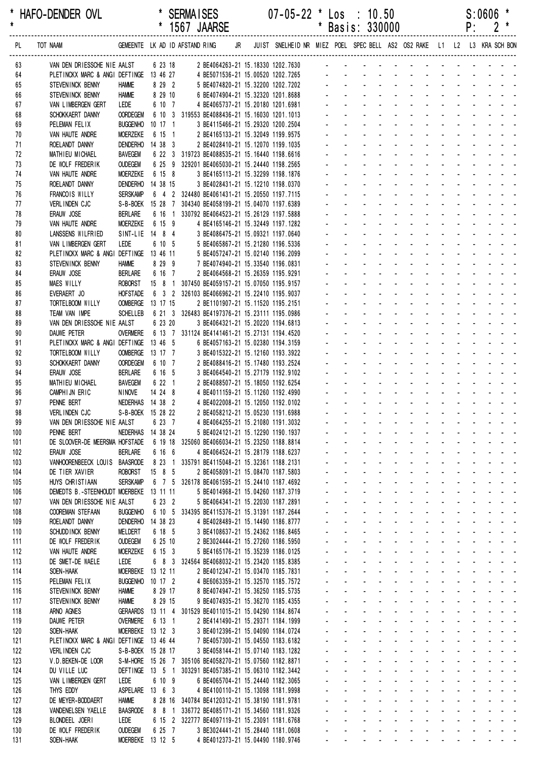|            |                                                                                       |                                     |                      |  | 1567 JAARSE                                                                                             |  |                                                                                                         |                                  |                                                          | Basis: 330000                                                             |                                                    |                                                       |                                |                                                  |                                               | ۲.                         |                                           |                                                                                                                |  |
|------------|---------------------------------------------------------------------------------------|-------------------------------------|----------------------|--|---------------------------------------------------------------------------------------------------------|--|---------------------------------------------------------------------------------------------------------|----------------------------------|----------------------------------------------------------|---------------------------------------------------------------------------|----------------------------------------------------|-------------------------------------------------------|--------------------------------|--------------------------------------------------|-----------------------------------------------|----------------------------|-------------------------------------------|----------------------------------------------------------------------------------------------------------------|--|
| PL         | TOT NAAM                                                                              |                                     |                      |  |                                                                                                         |  | GEMEENTE LK AD ID AFSTAND RING JR JUIST SNELHEID NR MIEZ POEL SPECBELL AS2 OS2 RAKE L1 L2 L3 KRA SCHBON |                                  |                                                          |                                                                           |                                                    |                                                       |                                |                                                  |                                               |                            |                                           |                                                                                                                |  |
| 63         | VAN DEN DRIESSCHE NIE AALST 6 23 18 2 BE4064263-21 15.18330 1202.7630 - - - - - - - - |                                     |                      |  |                                                                                                         |  |                                                                                                         |                                  |                                                          |                                                                           |                                                    |                                                       |                                |                                                  |                                               |                            |                                           |                                                                                                                |  |
| 64         | PLETINCKX MARC & ANGI DEFTINGE 13 46 27 4 BE5071536-21 15.00520 1202.7265             |                                     |                      |  |                                                                                                         |  |                                                                                                         |                                  |                                                          |                                                                           |                                                    |                                                       |                                |                                                  |                                               |                            |                                           |                                                                                                                |  |
| 65         | STEVENINCK BENNY                                                                      | <b>HAMME</b>                        | 8 29 2               |  | 5 BE4074820-21 15.32200 1202.7202                                                                       |  |                                                                                                         |                                  |                                                          |                                                                           |                                                    |                                                       |                                |                                                  |                                               |                            |                                           |                                                                                                                |  |
| 66         | STEVENINCK BENNY                                                                      | <b>HAMME</b>                        | 8 29 10              |  | 6 BE4074904-21 15.32320 1201.8688                                                                       |  |                                                                                                         |                                  |                                                          |                                                                           |                                                    |                                                       |                                |                                                  |                                               |                            |                                           | de la provincia de la provincia de                                                                             |  |
| 67<br>68   | VAN LIMBERGEN GERT<br>SCHOKKAERT DANNY                                                | LEDE<br><b>OORDEGEM</b>             | 6 10 7               |  | 4 BE4065737-21 15.20180 1201.6981<br>6 10 3 319553 BE4088436-21 15.16030 1201.1013                      |  |                                                                                                         |                                  |                                                          |                                                                           |                                                    |                                                       |                                |                                                  |                                               |                            |                                           |                                                                                                                |  |
| 69         | PELEMAN FELIX                                                                         | <b>BUGGENHO</b>                     | $10 \t17 \t1$        |  | 3 BE4115466-21 15.29320 1200.2504                                                                       |  |                                                                                                         |                                  |                                                          |                                                                           |                                                    |                                                       |                                |                                                  |                                               |                            |                                           |                                                                                                                |  |
| 70         | VAN HAUTE ANDRE                                                                       | <b>MOERZEKE</b>                     | 6 15 1               |  | 2 BE4165133-21 15.32049 1199.9575                                                                       |  |                                                                                                         |                                  |                                                          |                                                                           |                                                    |                                                       |                                |                                                  |                                               |                            |                                           |                                                                                                                |  |
| 71         | ROELANDT DANNY                                                                        | <b>DENDERHO</b>                     | 14 38 3              |  | 2 BE4028410-21 15.12070 1199.1035                                                                       |  |                                                                                                         |                                  |                                                          |                                                                           |                                                    |                                                       |                                |                                                  |                                               |                            |                                           |                                                                                                                |  |
| 72         | MATHIEU MICHAEL                                                                       | BAVEGEM                             |                      |  | 6 22 3 319723 BE4088535-21 15.16440 1198.6616                                                           |  |                                                                                                         |                                  |                                                          |                                                                           |                                                    |                                                       | $\sim$                         |                                                  |                                               |                            |                                           |                                                                                                                |  |
| 73         | DE WOLF FREDERIK                                                                      | <b>OUDEGEM</b>                      |                      |  | 6 25 9 329201 BE4065030-21 15.24440 1198.2565                                                           |  |                                                                                                         |                                  |                                                          |                                                                           |                                                    |                                                       |                                |                                                  |                                               |                            |                                           |                                                                                                                |  |
| 74         | VAN HAUTE ANDRE                                                                       | <b>MOERZEKE</b>                     | 6 15 8               |  | 3 BE4165113-21 15.32299 1198.1876                                                                       |  |                                                                                                         |                                  |                                                          |                                                                           |                                                    |                                                       |                                |                                                  |                                               |                            |                                           |                                                                                                                |  |
| 75         | ROELANDT DANNY                                                                        | <b>DENDERHO</b><br><b>SERSKAMP</b>  | 14 38 15             |  | 3 BE4028431-21 15.12210 1198.0370                                                                       |  |                                                                                                         |                                  |                                                          |                                                                           |                                                    |                                                       |                                |                                                  |                                               |                            |                                           |                                                                                                                |  |
| 76<br>77   | FRANCOIS WILLY<br>VERLINDEN CJC                                                       |                                     |                      |  | 6 4 2 324480 BE4061431-21 15.20550 1197.7115<br>S-B-BOEK 15 28 7 304340 BE4058199-21 15.04070 1197.6389 |  |                                                                                                         |                                  |                                                          |                                                                           |                                                    |                                                       |                                |                                                  |                                               |                            |                                           |                                                                                                                |  |
| 78         | ERAUW JOSE                                                                            | <b>BERLARE</b>                      |                      |  | 6 16 1 330792 BE4064523-21 15.26129 1197.5888                                                           |  |                                                                                                         |                                  |                                                          |                                                                           |                                                    |                                                       | $\sim$                         |                                                  |                                               |                            |                                           | $\mathbf{r} = \mathbf{r} + \mathbf{r} + \mathbf{r} + \mathbf{r} + \mathbf{r}$                                  |  |
| 79         | VAN HAUTE ANDRE                                                                       | <b>MOERZEKE</b>                     | 6 15 9               |  | 4 BE4165146-21 15.32449 1197.1282                                                                       |  |                                                                                                         |                                  |                                                          |                                                                           |                                                    |                                                       |                                |                                                  |                                               |                            |                                           |                                                                                                                |  |
| 80         | LANSSENS WILFRIED                                                                     | SINT-LIE 14 8 4                     |                      |  | 3 BE4086475-21 15.09321 1197.0640                                                                       |  |                                                                                                         |                                  |                                                          |                                                                           |                                                    |                                                       |                                |                                                  |                                               |                            |                                           |                                                                                                                |  |
| 81         | VAN LIMBERGEN GERT                                                                    | LEDE                                | 6 10 5               |  | 5 BE4065867-21 15.21280 1196.5336                                                                       |  |                                                                                                         |                                  |                                                          |                                                                           |                                                    |                                                       |                                |                                                  |                                               |                            |                                           |                                                                                                                |  |
| 82         | PLETINCKX MARC & ANGI DEFTINGE 13 46 11                                               |                                     |                      |  | 5 BE4057247-21 15.02140 1196.2099                                                                       |  |                                                                                                         |                                  |                                                          |                                                                           |                                                    |                                                       |                                |                                                  |                                               |                            |                                           |                                                                                                                |  |
| 83         | STEVENINCK BENNY                                                                      | <b>HAMME</b>                        | 8 29 9               |  | 7 BE4074940-21 15.33540 1196.0831                                                                       |  |                                                                                                         |                                  |                                                          |                                                                           |                                                    |                                                       |                                |                                                  |                                               |                            |                                           |                                                                                                                |  |
| 84         | ERAUW JOSE                                                                            | <b>BERLARE</b>                      | 6 16 7               |  | 2 BE4064568-21 15.26359 1195.9291                                                                       |  |                                                                                                         |                                  |                                                          |                                                                           |                                                    |                                                       | ÷.                             |                                                  |                                               |                            |                                           |                                                                                                                |  |
| 85<br>86   | <b>MAES WILLY</b><br>EVERAERT JO                                                      | ROBORST<br><b>HOFSTADE</b>          | $15 \quad 8 \quad 1$ |  | 307450 BE4059157-21 15.07050 1195.9157<br>6 3 2 326103 BE4066962-21 15.22410 1195.9037                  |  |                                                                                                         |                                  |                                                          |                                                                           |                                                    |                                                       |                                |                                                  |                                               |                            |                                           |                                                                                                                |  |
| 87         | TORTELBOOM WILLY                                                                      | OOMBERGE 13 17 15                   |                      |  | 2 BE1101907-21 15.11520 1195.2151                                                                       |  |                                                                                                         |                                  |                                                          |                                                                           |                                                    |                                                       |                                |                                                  |                                               |                            |                                           |                                                                                                                |  |
| 88         | TEAM VAN IMPE                                                                         | <b>SCHELLEB</b>                     |                      |  | 6 21 3 326483 BE4197376-21 15.23111 1195.0986                                                           |  |                                                                                                         |                                  |                                                          |                                                                           |                                                    |                                                       |                                |                                                  |                                               |                            |                                           |                                                                                                                |  |
| 89         | VAN DEN DRIESSCHE NIE AALST                                                           |                                     | 6 23 20              |  | 3 BE4064321-21 15.20220 1194.6813                                                                       |  |                                                                                                         |                                  |                                                          |                                                                           |                                                    |                                                       |                                |                                                  |                                               |                            |                                           |                                                                                                                |  |
| 90         | DAUWE PETER                                                                           | OVERMERE                            |                      |  | 6 13 7 331124 BE4141461-21 15.27131 1194.4520                                                           |  |                                                                                                         |                                  |                                                          |                                                                           |                                                    |                                                       | $\mathbf{r}$                   |                                                  |                                               |                            |                                           |                                                                                                                |  |
| 91         | PLETINCKX MARC & ANGI DEFTINGE 13 46 5                                                |                                     |                      |  | 6 BE4057163-21 15.02380 1194.3159                                                                       |  |                                                                                                         |                                  |                                                          |                                                                           |                                                    |                                                       |                                |                                                  |                                               |                            |                                           |                                                                                                                |  |
| 92         | TORTELBOOM WILLY                                                                      | OOMBERGE 13 17 7                    |                      |  | 3 BE4015322-21 15.12160 1193.3922                                                                       |  |                                                                                                         |                                  |                                                          |                                                                           |                                                    |                                                       |                                |                                                  |                                               |                            |                                           |                                                                                                                |  |
| 93<br>94   | SCHOKKAERT DANNY<br>ERAUW JOSE                                                        | <b>OORDEGEM</b><br><b>BERLARE</b>   | 6 10 7<br>6 16 5     |  | 2 BE4088416-21 15.17480 1193.2524<br>3 BE4064540-21 15.27179 1192.9102                                  |  |                                                                                                         |                                  |                                                          |                                                                           |                                                    |                                                       |                                |                                                  |                                               |                            |                                           |                                                                                                                |  |
| 95         | MATHIEU MICHAEL                                                                       | <b>BAVEGEM</b>                      | 6 22 1               |  | 2 BE4088507-21 15.18050 1192.6254                                                                       |  |                                                                                                         |                                  |                                                          |                                                                           |                                                    |                                                       | $\sim 100$                     |                                                  |                                               |                            |                                           |                                                                                                                |  |
| 96         | CAMPHIJN ERIC                                                                         | NINOVE                              | 14 24 8              |  | 4 BE4011159-21 15.11260 1192.4990                                                                       |  |                                                                                                         |                                  |                                                          |                                                                           |                                                    | <b>Contract</b>                                       | $\Delta \sim 100$              | $\Delta$                                         |                                               |                            |                                           | and the state of the state of the                                                                              |  |
| 97         | PENNE BERT                                                                            | NEDERHAS 14 38 2                    |                      |  | 4 BE4022008-21 15.12050 1192.0102                                                                       |  |                                                                                                         |                                  |                                                          |                                                                           |                                                    |                                                       |                                |                                                  |                                               |                            |                                           |                                                                                                                |  |
| 98         | VERLINDEN CJC                                                                         | S-B-BOEK 15 28 22                   |                      |  | 2 BE4058212-21 15.05230 1191.6988                                                                       |  |                                                                                                         |                                  |                                                          |                                                                           |                                                    |                                                       | $\Delta \sim 100$              |                                                  |                                               |                            | $\omega_{\rm{max}}$ , $\omega_{\rm{max}}$ |                                                                                                                |  |
| 99         | VAN DEN DRIESSCHE NIE AALST                                                           |                                     | 6 23 7               |  | 4 BE4064255-21 15.21080 1191.3032                                                                       |  |                                                                                                         | $\mathbf{r}$                     | $\sim$                                                   |                                                                           |                                                    | and a strain and a strain and                         |                                |                                                  |                                               |                            |                                           |                                                                                                                |  |
| 100        | PENNE BERT                                                                            | <b>NEDERHAS</b>                     | 14 38 24             |  | 5 BE4024121-21 15.12290 1190.1937                                                                       |  |                                                                                                         |                                  |                                                          |                                                                           |                                                    | $\omega_{\rm{max}}=0.5$                               | $\sim 100$                     |                                                  |                                               |                            |                                           |                                                                                                                |  |
| 101<br>102 | DE SLOOVER-DE MEERSMA HOFSTADE<br>ERAUW JOSE                                          | <b>BERLARE</b>                      | 6 16 6               |  | 6 19 18 325060 BE4066034-21 15.23250 1188.8814                                                          |  |                                                                                                         |                                  |                                                          |                                                                           |                                                    | and an                                                | $\blacksquare$<br>$\mathbf{r}$ | $\sim$                                           |                                               |                            |                                           | in the state of the state of the state of the state of the state of the state of the state of the state of the |  |
| 103        | VANHOORENBEECK LOUIS BAASRODE                                                         |                                     | 8 23 1               |  | 4 BE4064524-21 15.28179 1188.6237<br>335791 BE4115048-21 15.32361 1188.2131                             |  |                                                                                                         | $\omega$                         | $\mathbb{Z}^2$                                           | $\mathcal{L}^{\mathcal{A}}$                                               | $\mathbf{r}$                                       | and a state                                           | $\Delta \sim 100$              |                                                  | and a state                                   |                            |                                           | and a state of                                                                                                 |  |
| 104        | DE TIER XAVIER                                                                        | <b>ROBORST</b>                      | 15 8 5               |  | 2 BE4058091-21 15.08470 1187.5803                                                                       |  |                                                                                                         |                                  | $\mathbb{Z}^{\mathbb{Z}}$                                | ÷.                                                                        | $\mathbf{r}$                                       | $\omega_{\rm{max}}$<br>$\sim 100$                     | $\omega_{\rm{max}}$            | $\mathbf{L}^{\text{max}}$                        | $\Delta \sim 10^4$                            | $\mathcal{L}^{\text{max}}$ |                                           |                                                                                                                |  |
| 105        | HUYS CHRISTIAAN                                                                       | <b>SERSKAMP</b>                     |                      |  | 6 7 5 326178 BE4061595-21 15.24410 1187.4692                                                            |  |                                                                                                         |                                  | $\blacksquare$                                           | $\blacksquare$                                                            | $\blacksquare$<br>$\sim$                           | $\sim$                                                | $\mathbf{u} = \mathbf{u}$      | $\sim$                                           |                                               |                            |                                           |                                                                                                                |  |
| 106        | DEMEDTS B.-STEENHOUDT MOERBEKE 13 11 11                                               |                                     |                      |  | 5 BE4014968-21 15.04260 1187.3719                                                                       |  |                                                                                                         |                                  |                                                          |                                                                           |                                                    |                                                       |                                |                                                  |                                               |                            |                                           |                                                                                                                |  |
| 107        | VAN DEN DRIESSCHE NIE AALST                                                           |                                     | 6 23 2               |  | 5 BE4064341-21 15.22030 1187.2891                                                                       |  |                                                                                                         |                                  |                                                          |                                                                           | $\blacksquare$                                     |                                                       | $\omega$                       |                                                  | $\sim$ $-$                                    |                            |                                           | and the state of the state of                                                                                  |  |
| 108        | <b>COOREMAN STEFAAN</b>                                                               | <b>BUGGENHO</b>                     | 6 10 5               |  | 334395 BE4115376-21 15.31391 1187.2644                                                                  |  |                                                                                                         |                                  | $\mathbf{r}$                                             | $\mathbf{r}$                                                              | $\sim$<br>$\mathbf{r}$                             | $\sim 100$                                            | $\mathbf{r}$                   | ÷.                                               |                                               |                            |                                           | and the state of the state of                                                                                  |  |
| 109        | ROELANDT DANNY                                                                        | DENDERHO                            | 14 38 23             |  | 4 BE4028489-21 15.14490 1186.8777                                                                       |  |                                                                                                         | ä,                               | $\mathbb{Z}^{\mathbb{Z}}$                                | ÷.                                                                        | $\sim$                                             | $\mathbf{L} = \mathbf{L} \mathbf{L}$<br>and a state   | $\Delta \sim 10^{-1}$          |                                                  |                                               |                            |                                           | and a strain and a<br>and a state of                                                                           |  |
| 110<br>111 | SCHUDD INCK BENNY<br>DE WOLF FREDERIK                                                 | <b>MELDERT</b><br><b>OUDEGEM</b>    | 6 18 5<br>6 25 10    |  | 3 BE4108637-21 15.24362 1186.8465<br>2 BE3024444-21 15.27260 1186.5950                                  |  |                                                                                                         | $\blacksquare$<br>$\blacksquare$ | $\mathcal{L}^{\pm}$<br>$\sim$                            | $\mathbf{L}^{\text{max}}$<br>$\sim 100$                                   | $\sim 100$<br>$\mathcal{L}^{\text{max}}$<br>$\sim$ |                                                       | $\omega_{\rm{max}}$            |                                                  | All Carolina                                  |                            |                                           | and a strain and                                                                                               |  |
| 112        | VAN HAUTE ANDRE                                                                       | <b>MOERZEKE</b>                     | 6 15 3               |  | 5 BE4165176-21 15.35239 1186.0125                                                                       |  |                                                                                                         |                                  |                                                          |                                                                           |                                                    |                                                       |                                |                                                  |                                               |                            |                                           | and the state of                                                                                               |  |
| 113        | DE SMET-DE WAELE                                                                      | LEDE                                | 6 8 3                |  | 324564 BE4068032-21 15.23420 1185.8385                                                                  |  |                                                                                                         |                                  |                                                          |                                                                           | $\mathcal{L}_{\mathcal{A}}$                        | $\sim$                                                | $\mathbf{r}$                   |                                                  | $\sim$                                        |                            |                                           | and the state of the state of                                                                                  |  |
| 114        | SOEN-HAAK                                                                             | MOERBEKE 13 12 11                   |                      |  | 2 BE4012347-21 15.03470 1185.7831                                                                       |  |                                                                                                         |                                  |                                                          | $\mathbf{r}$                                                              |                                                    | $\omega_{\rm{max}}$ and $\omega_{\rm{max}}$           | $\Delta \sim 100$              |                                                  |                                               |                            |                                           | and a straight and a straight                                                                                  |  |
| 115        | PELEMAN FELIX                                                                         | <b>BUGGENHO</b>                     | 10172                |  | 4 BE6063359-21 15.32570 1185.7572                                                                       |  |                                                                                                         | $\omega$                         | $\mathcal{L}^{\mathcal{A}}$                              | ÷.                                                                        | ÷.<br>$\mathbf{r}$                                 | <b>Contractor</b>                                     | ÷.                             |                                                  | $\Delta \phi = \Delta \phi$ and $\Delta \phi$ |                            |                                           | and a state of                                                                                                 |  |
| 116        | STEVENINCK BENNY                                                                      | <b>HAMME</b>                        | 8 29 17              |  | 8 BE4074947-21 15.36250 1185.5735                                                                       |  |                                                                                                         | $\omega$                         | $\mathcal{L}^{\pm}$                                      | $\mathcal{L}^{\text{max}}$                                                | $\sim 100$                                         | $\omega_{\rm{eff}}=0.01$ and $\omega_{\rm{eff}}=0.01$ | $\Delta \sim 100$              | $\Delta \sim 100$                                | $\Delta \sim 10^4$                            |                            |                                           | and a strain and                                                                                               |  |
| 117        | STEVENINCK BENNY                                                                      | <b>HAMME</b>                        | 8 29 15              |  | 9 BE4074935-21 15.36270 1185.4355                                                                       |  |                                                                                                         | $\blacksquare$                   | $\mathcal{L}^{\pm}$                                      | $\mathcal{L}^{\text{max}}$                                                | $\mathcal{L}^{\text{max}}$<br>$\sim$               | $\sim$                                                | $\mathbf{L}^{\text{max}}$      | $\sim 100$                                       | $\sim$                                        |                            |                                           |                                                                                                                |  |
| 118        | ARNO AGNES                                                                            |                                     |                      |  | GERAARDS 13 11 4 301529 BE4011015-21 15.04290 1184.8674                                                 |  |                                                                                                         |                                  | $\blacksquare$                                           |                                                                           | $\blacksquare$<br>$\blacksquare$                   |                                                       | $\mathbf{r}$                   |                                                  |                                               |                            | <b>Contract Contract</b>                  | <b>Contract Contract</b><br>$\sim 100$ km s $^{-1}$                                                            |  |
| 119<br>120 | DAUWE PETER<br>SOEN-HAAK                                                              | <b>OVERMERE</b><br>MOERBEKE 13 12 3 | 6 13 1               |  | 2 BE4141490-21 15.29371 1184.1999<br>3 BE4012396-21 15.04090 1184.0724                                  |  |                                                                                                         | ÷.                               |                                                          | $\mathcal{L}^{\mathcal{A}}$                                               |                                                    | $\mathbf{r}$                                          | $\mathbf{r}$                   | $\sim$                                           |                                               |                            |                                           | and the state of the state of                                                                                  |  |
| 121        | PLETINCKX MARC & ANGI DEFTINGE 13 46 44                                               |                                     |                      |  | 7 BE4057300-21 15.04550 1183.6182                                                                       |  |                                                                                                         | $\blacksquare$                   | $\mathbf{r}$                                             | $\mathcal{L}^{\mathcal{A}}$                                               | ä,<br>$\sim$                                       | $\sim 100$                                            | ÷.                             | $\mathcal{L}^{\mathcal{A}}$                      |                                               |                            |                                           | and the second control of the second                                                                           |  |
| 122        | VERLINDEN CJC                                                                         | S-B-BOEK 15 28 17                   |                      |  | 3 BE4058144-21 15.07140 1183.1282                                                                       |  |                                                                                                         | ÷.                               | $\mathbf{r}$                                             | $\mathcal{L}^{\text{max}}$                                                | $\mathbf{L}^{\text{max}}$                          | $\omega_{\rm{max}}$<br>$\Delta \sim 100$              | $\omega_{\rm{max}}$            |                                                  |                                               |                            |                                           | and a straight and a straight                                                                                  |  |
| 123        | V.D. BEKEN-DE LOOR                                                                    | S-M-HORE 15 26 7                    |                      |  | 305106 BE4058270-21 15.07560 1182.8871                                                                  |  |                                                                                                         | $\blacksquare$                   | $\mathbf{r}$                                             | $\mathcal{L}^{\text{max}}$                                                | $\blacksquare$<br>$\sim$                           |                                                       |                                |                                                  | $\sim$ $-$                                    |                            |                                           | $\mathcal{L}^{\text{max}}(\mathcal{L}^{\text{max}})$ , where $\mathcal{L}^{\text{max}}$                        |  |
| 124        | DU VILLE LUC                                                                          | DEFTINGE 13 5 1                     |                      |  | 303291 BE4057385-21 15.06310 1182.3442                                                                  |  |                                                                                                         |                                  |                                                          |                                                                           |                                                    |                                                       |                                |                                                  |                                               |                            |                                           | <b>Contract Contract</b>                                                                                       |  |
| 125        | VAN LIMBERGEN GERT                                                                    | LEDE                                | 6 10 9               |  | 6 BE4065704-21 15.24440 1182.3065                                                                       |  |                                                                                                         |                                  |                                                          |                                                                           | $\mathbf{r}$                                       | $\mathcal{L}^{\mathcal{L}}$                           | $\blacksquare$                 |                                                  | $\sim$                                        |                            |                                           | and the state of the state of                                                                                  |  |
| 126        | THYS EDDY                                                                             | ASPELARE 13 6 3                     |                      |  | 4 BE4100110-21 15.13098 1181.9998                                                                       |  |                                                                                                         |                                  |                                                          |                                                                           |                                                    | $\sim$                                                | $\sim$                         | ÷.                                               | <b>Contractor</b>                             |                            |                                           | and a state of                                                                                                 |  |
| 127<br>128 | DE MEYER-BODDAERT<br>VANDENELSEN YAELLE                                               | <b>HAMME</b><br><b>BAASRODE</b>     | 8 8 1                |  | 8 28 16 340784 BE4120312-21 15.38190 1181.9781<br>336772 BE4085171-21 15.34560 1181.9326                |  |                                                                                                         | $\mathbf{r}$                     | $\mathcal{L}^{\mathcal{A}}$<br>$\mathbf{L}^{\text{max}}$ | $\mathcal{L}^{\mathcal{A}}$<br>$\omega_{\rm{max}}$<br>$\omega_{\rm{max}}$ | ä,<br>$\mathbf{r}$<br>$\sim 100$                   | <b>Contractor</b><br>and a straight                   | ÷.                             | $\mathcal{L}^{\mathcal{A}}$<br>$\Delta \sim 100$ | <b>Contractor</b><br>$\Delta \sim 10^4$       |                            |                                           | and a state of<br>and a strain and                                                                             |  |
| 129        | BLONDEEL JOERI                                                                        | LEDE                                |                      |  | 6 15 2 322777 BE4097119-21 15.23091 1181.6768                                                           |  |                                                                                                         | $\sim$                           |                                                          | $\mathbf{L}^{\text{max}}$<br>and a state                                  |                                                    | $\Delta \sim 10^4$<br>$\Delta \sim 100$               | $\sim 100$                     | $\sim 100$                                       | $\sim$                                        |                            |                                           | $\mathbf{z} = \mathbf{z} + \mathbf{z} + \mathbf{z} + \mathbf{z}$                                               |  |
| 130        | DE WOLF FREDERIK                                                                      | <b>OUDEGEM</b>                      | 6 25 7               |  | 3 BE3024441-21 15.28440 1181.0608                                                                       |  |                                                                                                         |                                  |                                                          |                                                                           |                                                    |                                                       |                                |                                                  |                                               |                            |                                           |                                                                                                                |  |
| 131        | SOEN-HAAK                                                                             | MOERBEKE 13 12 5                    |                      |  | 4 BE4012373-21 15.04490 1180.9746                                                                       |  |                                                                                                         |                                  |                                                          |                                                                           |                                                    |                                                       |                                |                                                  |                                               |                            |                                           | and a series of the series of the series of                                                                    |  |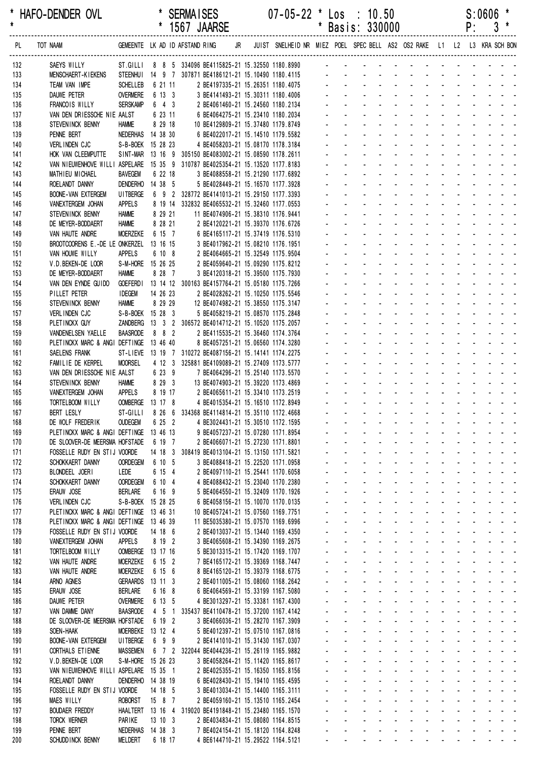| *<br>$\star$ | HAFO-DENDER OVL                                                                    |                                    | $\star$       |                     | <b>SERMAISES</b> | 1567 JAARSE                                                                                  |    | $07 - 05 - 22$ *                                                        | $^\ast$                     | Los : 10.50<br>Basis: 330000 |                           |                              |                                                                                         |                                                             |                                     |                                           |                               | P:           | S:0606<br>3                                                                                                           |                                                                                         |  |
|--------------|------------------------------------------------------------------------------------|------------------------------------|---------------|---------------------|------------------|----------------------------------------------------------------------------------------------|----|-------------------------------------------------------------------------|-----------------------------|------------------------------|---------------------------|------------------------------|-----------------------------------------------------------------------------------------|-------------------------------------------------------------|-------------------------------------|-------------------------------------------|-------------------------------|--------------|-----------------------------------------------------------------------------------------------------------------------|-----------------------------------------------------------------------------------------|--|
| PL.          | TOT NAAM                                                                           | GEMEENTE LK AD ID AFSTAND RING     |               |                     |                  |                                                                                              | JR | JUIST SNELHEID NR MIEZ POEL SPEC BELL AS2 OS2 RAKE L1 L2 L3 KRA SCH BON |                             |                              |                           |                              |                                                                                         |                                                             |                                     |                                           |                               |              |                                                                                                                       |                                                                                         |  |
| 132          | SAEYS WILLY                                                                        |                                    |               |                     |                  | ST.GILLI 8 8 5 334096 BE4115825-21 15.32550 1180.8990                                        |    |                                                                         |                             |                              |                           |                              |                                                                                         |                                                             |                                     |                                           |                               |              |                                                                                                                       |                                                                                         |  |
| 133          | <b>MENSCHAERT-KIEKENS</b>                                                          |                                    |               |                     |                  | STEENHUI 14 9 7 307871 BE4186121-21 15.10490 1180.4115                                       |    |                                                                         |                             |                              |                           |                              |                                                                                         |                                                             |                                     |                                           |                               |              |                                                                                                                       |                                                                                         |  |
| 134<br>135   | TEAM VAN IMPE<br><b>DAUWE PETER</b>                                                | <b>SCHELLEB</b><br><b>OVERMERE</b> | 6 21 11       | 6 13 3              |                  | 2 BE4197335-21 15.26351 1180.4075<br>3 BE4141493-21 15.30311 1180.4006                       |    |                                                                         |                             |                              |                           |                              |                                                                                         |                                                             |                                     |                                           |                               |              |                                                                                                                       |                                                                                         |  |
| 136          | FRANCOIS WILLY                                                                     | <b>SERSKAMP</b>                    |               | $6 \quad 4 \quad 3$ |                  | 2 BE4061460-21 15.24560 1180.2134                                                            |    |                                                                         |                             |                              |                           |                              |                                                                                         |                                                             |                                     |                                           |                               |              |                                                                                                                       |                                                                                         |  |
| 137          | VAN DEN DRIESSCHE NIE AALST                                                        |                                    |               | 6 23 11             |                  | 6 BE4064275-21 15.23410 1180.2034                                                            |    |                                                                         |                             |                              |                           |                              |                                                                                         |                                                             |                                     |                                           |                               |              |                                                                                                                       |                                                                                         |  |
| 138          | STEVENINCK BENNY                                                                   | <b>HAMME</b>                       | 8 29 18       |                     |                  | 10 BE4129809-21 15.37480 1179.8749                                                           |    |                                                                         |                             |                              |                           |                              |                                                                                         |                                                             |                                     |                                           |                               |              |                                                                                                                       |                                                                                         |  |
| 139          | PENNE BERT                                                                         | NEDERHAS 14 38 30                  |               |                     |                  | 6 BE4022017-21 15.14510 1179.5582                                                            |    |                                                                         |                             |                              |                           |                              |                                                                                         |                                                             |                                     |                                           |                               |              |                                                                                                                       |                                                                                         |  |
| 140          | VERLINDEN CJC                                                                      | S-B-BOEK 15 28 23                  |               |                     |                  | 4 BE4058203-21 15.08170 1178.3184<br>SINT-MAR 13 16 9 305150 BE4083002-21 15.08590 1178.2611 |    |                                                                         |                             |                              |                           |                              |                                                                                         |                                                             |                                     |                                           |                               |              |                                                                                                                       |                                                                                         |  |
| 141<br>142   | HOK VAN CLEEMPUTTE<br>VAN NIEUWENHOVE WILLI ASPELARE                               |                                    |               |                     |                  | 15 35 9 310787 BE4025354-21 15.13520 1177.8183                                               |    |                                                                         |                             |                              |                           |                              |                                                                                         |                                                             |                                     |                                           |                               |              |                                                                                                                       |                                                                                         |  |
| 143          | MATHIEU MICHAEL                                                                    | <b>BAVEGEM</b>                     | 6 22 18       |                     |                  | 3 BE4088558-21 15.21290 1177.6892                                                            |    |                                                                         |                             |                              |                           |                              |                                                                                         |                                                             |                                     |                                           |                               |              |                                                                                                                       |                                                                                         |  |
| 144          | ROELANDT DANNY                                                                     | DENDERHO                           | 14 38 5       |                     |                  | 5 BE4028449-21 15.16570 1177.3928                                                            |    |                                                                         |                             |                              |                           |                              |                                                                                         |                                                             |                                     |                                           |                               |              |                                                                                                                       |                                                                                         |  |
| 145          | <b>BOONE-VAN EXTERGEM</b>                                                          | <b>UITBERGE</b>                    |               |                     |                  | 6 9 2 328772 BE4141013-21 15.29150 1177.3393                                                 |    |                                                                         |                             |                              |                           |                              |                                                                                         |                                                             |                                     |                                           |                               |              |                                                                                                                       |                                                                                         |  |
| 146          | VANEXTERGEM JOHAN                                                                  | <b>APPELS</b><br><b>HAMME</b>      |               | 8 29 21             |                  | 8 19 14 332832 BE4065532-21 15.32460 1177.0553<br>11 BE4074906-21 15.38310 1176.9441         |    |                                                                         |                             |                              |                           |                              |                                                                                         |                                                             |                                     |                                           |                               |              |                                                                                                                       |                                                                                         |  |
| 147<br>148   | STEVENINCK BENNY<br>DE MEYER-BODDAERT                                              | <b>HAMME</b>                       |               | 8 28 21             |                  | 2 BE4120221-21 15.39370 1176.6726                                                            |    |                                                                         |                             |                              |                           |                              |                                                                                         |                                                             |                                     |                                           |                               |              |                                                                                                                       |                                                                                         |  |
| 149          | VAN HAUTE ANDRE                                                                    | <b>MOERZEKE</b>                    |               | 6 15 7              |                  | 6 BE4165117-21 15.37419 1176.5310                                                            |    |                                                                         |                             |                              |                           |                              |                                                                                         |                                                             |                                     |                                           |                               |              |                                                                                                                       |                                                                                         |  |
| 150          | BROOTCOORENS E.-DE LE ONKERZEL                                                     |                                    | 13 16 15      |                     |                  | 3 BE4017962-21 15.08210 1176.1951                                                            |    |                                                                         |                             |                              |                           |                              |                                                                                         |                                                             |                                     |                                           |                               |              |                                                                                                                       |                                                                                         |  |
| 151          | VAN HOUWE WILLY                                                                    | <b>APPELS</b>                      |               | 6 10 8              |                  | 2 BE4064665-21 15.32549 1175.9504                                                            |    |                                                                         |                             |                              |                           |                              |                                                                                         |                                                             |                                     |                                           |                               |              |                                                                                                                       |                                                                                         |  |
| 152          | V.D.BEKEN-DE LOOR                                                                  | S-M-HORE 15 26 25                  |               |                     |                  | 2 BE4059640-21 15.09290 1175.8212                                                            |    |                                                                         |                             |                              |                           |                              |                                                                                         |                                                             |                                     |                                           |                               |              |                                                                                                                       |                                                                                         |  |
| 153<br>154   | DE MEYER-BODDAERT<br>VAN DEN EYNDE GUIDO                                           | <b>HAMME</b><br><b>GOEFERDI</b>    | 8 28 7        |                     |                  | 3 BE4120318-21 15.39500 1175.7930<br>13 14 12 300163 BE4157764-21 15.05180 1175.7266         |    |                                                                         |                             |                              |                           |                              |                                                                                         |                                                             |                                     |                                           |                               |              |                                                                                                                       |                                                                                         |  |
| 155          | PILLET PETER                                                                       | <b>IDEGEM</b>                      | 14 26 23      |                     |                  | 2 BE4028262-21 15.10250 1175.5546                                                            |    |                                                                         |                             |                              |                           |                              |                                                                                         |                                                             |                                     |                                           |                               |              |                                                                                                                       |                                                                                         |  |
| 156          | STEVENINCK BENNY                                                                   | <b>HAMME</b>                       | 8 29 29       |                     |                  | 12 BE4074982-21 15.38550 1175.3147                                                           |    |                                                                         |                             |                              |                           |                              |                                                                                         |                                                             |                                     |                                           |                               |              |                                                                                                                       |                                                                                         |  |
| 157          | VERLINDEN CJC                                                                      | S-B-BOEK 15 28 3                   |               |                     |                  | 5 BE4058219-21 15.08570 1175.2848                                                            |    |                                                                         |                             |                              |                           |                              |                                                                                         |                                                             |                                     |                                           |                               |              |                                                                                                                       |                                                                                         |  |
| 158          | PLETINCKX GUY                                                                      | ZANDBERG                           |               |                     |                  | 13 3 2 306572 BE4014712-21 15.10520 1175.2057                                                |    |                                                                         |                             |                              |                           |                              |                                                                                         |                                                             |                                     |                                           |                               |              |                                                                                                                       |                                                                                         |  |
| 159<br>160   | VANDENELSEN YAELLE<br>PLETINCKX MARC & ANGI DEFTINGE                               | <b>BAASRODE</b>                    | 13 46 40      | $8 \quad 8 \quad 2$ |                  | 2 BE4115535-21 15.36460 1174.3764<br>8 BE4057251-21 15.06560 1174.3280                       |    |                                                                         |                             |                              |                           |                              |                                                                                         |                                                             |                                     |                                           |                               |              |                                                                                                                       |                                                                                         |  |
| 161          | SAELENS FRANK                                                                      |                                    |               |                     |                  | ST-LIEVE 13 19 7 310272 BE4087156-21 15.14141 1174.2275                                      |    |                                                                         |                             |                              |                           |                              |                                                                                         |                                                             |                                     |                                           |                               |              |                                                                                                                       |                                                                                         |  |
| 162          | FAMILIE DE KERPEL                                                                  | <b>MOORSEL</b>                     |               |                     |                  | 4 12 3 325881 BE4109089-21 15.27409 1173.5777                                                |    |                                                                         |                             |                              |                           |                              |                                                                                         |                                                             |                                     |                                           |                               |              |                                                                                                                       |                                                                                         |  |
| 163          | VAN DEN DRIESSCHE NIE AALST                                                        |                                    |               | 6 23 9              |                  | 7 BE4064296-21 15.25140 1173.5570                                                            |    |                                                                         |                             |                              |                           |                              |                                                                                         |                                                             |                                     |                                           |                               |              |                                                                                                                       |                                                                                         |  |
| 164          | STEVENINCK BENNY                                                                   | <b>HAMME</b>                       |               | 8 29 3              |                  | 13 BE4074903-21 15.39220 1173.4869                                                           |    |                                                                         |                             |                              |                           |                              |                                                                                         |                                                             |                                     |                                           |                               |              |                                                                                                                       |                                                                                         |  |
| 165<br>166   | VANEXTERGEM JOHAN<br>TORTELBOOM WILLY                                              | <b>APPELS</b><br>OOMBERGE 13 17 8  |               | 8 19 17             |                  | 2 BE4065611-21 15.33410 1173.2519<br>4 BE4015354-21 15.16510 1172.8949                       |    |                                                                         |                             |                              |                           |                              |                                                                                         |                                                             |                                     |                                           |                               |              |                                                                                                                       |                                                                                         |  |
| 167          | <b>BERT LESLY</b>                                                                  | ST-GILLI                           |               |                     |                  | 8 26 6 334368 BE4114814-21 15.35110 1172.4668                                                |    |                                                                         |                             |                              |                           |                              |                                                                                         | <b>Contractor</b>                                           |                                     |                                           |                               |              |                                                                                                                       |                                                                                         |  |
| 168          | DE WOLF FREDERIK                                                                   | <b>OUDEGEM</b>                     |               | 6 25 2              |                  | 4 BE3024431-21 15.30510 1172.1595                                                            |    |                                                                         |                             |                              |                           |                              |                                                                                         |                                                             |                                     |                                           |                               |              |                                                                                                                       |                                                                                         |  |
| 169          | PLETINCKX MARC & ANGI DEFTINGE 13 46 13                                            |                                    |               |                     |                  | 9 BE4057237-21 15.07280 1171.8954                                                            |    |                                                                         |                             | $\mathbf{r}$                 |                           |                              | and a state                                                                             | $\Delta \sim 100$                                           |                                     | $\Delta \phi = 0.01$                      | $\mathcal{L}^{\text{max}}$    |              | $\omega_{\rm{max}}$ , and $\omega_{\rm{max}}$                                                                         |                                                                                         |  |
| 170          | DE SLOOVER-DE MEERSMA HOFSTADE                                                     |                                    | 6 19 7        |                     |                  | 2 BE4066071-21 15.27230 1171.8801                                                            |    |                                                                         |                             | ä.<br>$\sim$                 |                           | $\Delta \sim 100$            | $\omega_{\rm{max}}$                                                                     | $\Delta \sim 10^4$<br>$\Delta \sim 100$                     |                                     | $\omega_{\rm{max}}=2.5$                   | $\omega_{\rm{max}}$           |              |                                                                                                                       |                                                                                         |  |
| 171<br>172   | FOSSELLE RUDY EN STIJ VOORDE<br>SCHOKKAERT DANNY                                   | <b>OORDEGEM</b>                    | 6 10 5        |                     |                  | 14 18 3 308419 BE4013104-21 15.13150 1171.5821<br>3 BE4088418-21 15.22520 1171.0958          |    |                                                                         |                             | $\sim$<br>$\blacksquare$     | $\mathbf{L}^{\text{max}}$ | $\sim 100$<br>$\sim$         | $\mathbf{a} = \mathbf{0}$<br>$\sim 100$<br>$\sim$                                       | $\Delta \sim 100$<br>$\Delta \sim 100$<br>$\Delta \sim 100$ | $\sim 100$<br>$\sim$                |                                           |                               |              |                                                                                                                       |                                                                                         |  |
| 173          | BLONDEEL JOERI                                                                     | LEDE                               | 6 15 4        |                     |                  | 2 BE4097110-21 15.25441 1170.6058                                                            |    |                                                                         |                             |                              |                           | $\blacksquare$               |                                                                                         |                                                             | $\mathbf{u}$                        |                                           |                               |              |                                                                                                                       |                                                                                         |  |
| 174          | SCHOKKAERT DANNY                                                                   | <b>OORDEGEM</b>                    | 6 10 4        |                     |                  | 4 BE4088432-21 15.23040 1170.2380                                                            |    |                                                                         |                             | $\mathcal{L}^{\pm}$          |                           |                              | $\sim 100$                                                                              |                                                             |                                     | $\omega_{\rm{max}}$ , $\omega_{\rm{max}}$ |                               |              |                                                                                                                       |                                                                                         |  |
| 175          | ERAUW JOSE                                                                         | <b>BERLARE</b>                     | 6 16 9        |                     |                  | 5 BE4064550-21 15.32409 1170.1926                                                            |    |                                                                         |                             | $\mathbf{r}$                 |                           | $\Delta \sim 100$            | $\omega_{\rm{max}}=0.1$                                                                 | $\Delta \sim 100$                                           |                                     | and a state                               |                               |              | $\mathbf{L} = \mathbf{L} \mathbf{L} + \mathbf{L} \mathbf{L} + \mathbf{L} \mathbf{L}$                                  |                                                                                         |  |
| 176          | VERLINDEN CJC                                                                      | S-B-BOEK 15 28 25                  |               |                     |                  | 6 BE4058156-21 15.10070 1170.0135                                                            |    |                                                                         | $\mathcal{L}_{\mathcal{A}}$ | ä,                           |                           | $\Delta \sim 10^{-1}$        | $\mathcal{L}^{\text{max}}$<br>$\Delta \sim 10^4$                                        | $\Delta \sim 10^4$                                          |                                     | and a state                               | $\Delta \sim 10^{-1}$         |              | $\omega_{\rm{max}}$ , and $\omega_{\rm{max}}$                                                                         |                                                                                         |  |
| 177          | PLETINCKX MARC & ANGI DEFTINGE 13 46 31<br>PLETINCKX MARC & ANGI DEFTINGE 13 46 39 |                                    |               |                     |                  | 10 BE4057241-21 15.07560 1169.7751<br>11 BE5035380-21 15.07570 1169.6996                     |    |                                                                         |                             | $\sim$<br>$\mathbf{r}$       | $\mathbf{L}^{\text{max}}$ | $\sim 100$<br>$\sim 100$     | $\omega_{\rm{max}}$<br>$\Delta \sim 100$<br>$\omega_{\rm{max}}$<br>$\mathbf{r}$         | $\sim 100$<br>$\omega$                                      | $\sim 100$<br>$\mathbf{r}$          | $\sim 100$                                | $\omega_{\rm{max}}$           |              | $\mathbf{u} = \mathbf{u} + \mathbf{u} + \mathbf{u} + \mathbf{u}$<br>and a strain and a                                |                                                                                         |  |
| 178<br>179   | FOSSELLE RUDY EN STIJ VOORDE                                                       |                                    | 14 18 6       |                     |                  | 2 BE4013037-21 15.13440 1169.4350                                                            |    |                                                                         |                             |                              |                           |                              | $\Delta \sim 100$                                                                       |                                                             |                                     |                                           |                               |              |                                                                                                                       |                                                                                         |  |
| 180          | VANEXTERGEM JOHAN                                                                  | <b>APPELS</b>                      | 8 19 2        |                     |                  | 3 BE4065608-21 15.34390 1169.2675                                                            |    |                                                                         |                             | ÷.                           |                           |                              | and a state                                                                             | $\sim$                                                      | $\mathbf{r}$                        |                                           | $\omega$                      |              | <b>Contract Contract</b>                                                                                              |                                                                                         |  |
| 181          | TORTELBOOM WILLY                                                                   | OOMBERGE 13 17 16                  |               |                     |                  | 5 BE3013315-21 15.17420 1169.1707                                                            |    |                                                                         |                             | $\mathbf{r}$                 |                           | $\Delta \sim 100$            | $\omega_{\rm{max}}=0.1$                                                                 | $\sim$                                                      | $\sim$                              | $\sim 100$                                | $\mathbf{r}$                  |              | and the state of the state                                                                                            |                                                                                         |  |
| 182          | VAN HAUTE ANDRE                                                                    | MOERZEKE                           | 6 15 2        |                     |                  | 7 BE4165172-21 15.39369 1168.7447                                                            |    |                                                                         | $\mathcal{L}_{\mathcal{A}}$ | ÷.                           |                           | $\Delta \sim 100$            | and a state                                                                             | $\Delta \sim 10^4$                                          |                                     | $\omega_{\rm{max}}$ , $\omega_{\rm{max}}$ | ÷.                            |              |                                                                                                                       |                                                                                         |  |
| 183          | VAN HAUTE ANDRE                                                                    | <b>MOERZEKE</b>                    | 6 15 6        |                     |                  | 8 BE4165120-21 15.39379 1168.6775                                                            |    |                                                                         |                             | $\mathcal{L}^{\text{max}}$   | $\mathbf{L}^{\text{max}}$ | $\sim 100$                   | $\Delta \sim 100$                                                                       | $\omega_{\rm{max}}$<br>$\Delta \sim 100$                    | $\sim 100$                          |                                           | $\mathcal{L}^{\text{max}}$    |              |                                                                                                                       | $\mathcal{L}^{\text{max}}_{\text{max}}$ , where $\mathcal{L}^{\text{max}}_{\text{max}}$ |  |
| 184<br>185   | ARNO AGNES<br>ERAUW JOSE                                                           | GERAARDS 13 11 3<br><b>BERLARE</b> | 6 16 8        |                     |                  | 2 BE4011005-21 15.08060 1168.2642<br>6 BE4064569-21 15.33199 1167.5080                       |    |                                                                         |                             | $\mathbf{r}$                 |                           | $\sim 100$                   | $\Delta \sim 100$<br>$\Delta \sim 100$<br>$\Delta \sim 100$                             | $\Delta \sim 100$                                           | $\Delta \sim 10^4$<br>$\mathbf{r}$  |                                           |                               |              |                                                                                                                       |                                                                                         |  |
| 186          | DAUWE PETER                                                                        | <b>OVERMERE</b>                    | 6 13 5        |                     |                  | 4 BE3013297-21 15.33381 1167.4300                                                            |    |                                                                         |                             | $\blacksquare$               |                           |                              | $\sim$<br>$\omega_{\rm{max}}$                                                           | $\sim$                                                      |                                     | $\Delta \phi = 0.01$                      | $\mathcal{L}^{\text{max}}$    |              | $\mathbf{1}^{\prime}$ , $\mathbf{1}^{\prime}$ , $\mathbf{1}^{\prime}$ , $\mathbf{1}^{\prime}$ , $\mathbf{1}^{\prime}$ |                                                                                         |  |
| 187          | VAN DAMME DANY                                                                     | <b>BAASRODE</b>                    |               | $4\quad 5\quad 1$   |                  | 335437 BE4110478-21 15.37200 1167.4142                                                       |    |                                                                         |                             | $\mathbf{r}$                 |                           | $\Delta \sim 100$            | $\omega_{\rm{max}}$ and $\omega_{\rm{max}}$                                             | $\sim$                                                      |                                     | $\Delta \phi = 0.01$                      | $\mathbf{r}$ and $\mathbf{r}$ |              | $\begin{array}{cccccccccccccc} \bullet & \bullet & \bullet & \bullet & \bullet & \bullet & \bullet \end{array}$       |                                                                                         |  |
| 188          | DE SLOOVER-DE MEERSMA HOFSTADE                                                     |                                    | 6 19 2        |                     |                  | 3 BE4066036-21 15.28270 1167.3909                                                            |    |                                                                         |                             | ä,                           |                           | $\Delta \sim 10^{-1}$        | $\Delta \sim 100$<br>$\Delta \sim 10^4$                                                 | $\Delta \sim 10^4$                                          |                                     | and a state                               |                               |              | and a strain and a                                                                                                    |                                                                                         |  |
| 189          | SOEN-HAAK                                                                          | <b>MOERBEKE</b>                    | 13 12 4       |                     |                  | 5 BE4012397-21 15.07510 1167.0816                                                            |    |                                                                         |                             | $\sim$                       | $\mathbf{L}^{\text{max}}$ | $\Delta \sim 100$            | $\omega_{\rm{max}}$<br>$\Delta \sim 10^{-1}$                                            | $\Delta \sim 100$                                           |                                     | and a state                               | $\omega_{\rm{max}}$           |              | and a state of                                                                                                        |                                                                                         |  |
| 190          | <b>BOONE-VAN EXTERGEM</b>                                                          | UI TBERGE                          | 6 9 9         |                     |                  | 2 BE4141010-21 15.31430 1167.0307                                                            |    |                                                                         |                             | $\mathbf{r}$                 |                           | $\sim 100$                   | $\omega_{\rm{max}}$<br>$\mathbf{r}$<br>$\Delta \sim 100$<br>$\mathcal{L}^{\mathcal{L}}$ | $\omega$                                                    | $\omega$                            |                                           |                               |              | and a state of                                                                                                        |                                                                                         |  |
| 191<br>192   | CORTHALS ET IENNE<br>V.D.BEKEN-DE LOOR                                             | <b>MASSEMEN</b><br>S-M-HORE        | 15 26 23      |                     |                  | 6 7 2 322044 BE4044236-21 15.26119 1165.9882<br>3 BE4058264-21 15.11420 1165.8617            |    |                                                                         |                             | ÷.                           |                           |                              | $\Delta \phi = 0.01$ .                                                                  | $\sim$                                                      | $\mathbf{r}$                        |                                           | $\omega$                      |              | <b>Contract Contract</b>                                                                                              |                                                                                         |  |
| 193          | VAN NIEUWENHOVE WILLI ASPELARE                                                     |                                    | 15 35 1       |                     |                  | 2 BE4025355-21 15.16350 1165.8156                                                            |    |                                                                         |                             | $\mathbf{r}$                 |                           | $\Delta \sim 100$            | $\omega_{\rm{max}}=0.1$                                                                 | $\sim$                                                      | $\sim$                              | $\sim 10$                                 | $\mathbf{r}$                  | $\mathbf{r}$ | and the state of the state                                                                                            |                                                                                         |  |
| 194          | ROELANDT DANNY                                                                     | DENDERHO 14 38 19                  |               |                     |                  | 6 BE4028430-21 15.19410 1165.4595                                                            |    |                                                                         |                             | ÷.                           |                           | $\Delta \sim 100$            | $\Delta \sim 100$<br>$\Delta \sim 100$                                                  | $\Delta \sim 10^4$                                          |                                     | $\omega_{\rm{max}}$ , $\omega_{\rm{max}}$ |                               |              |                                                                                                                       |                                                                                         |  |
| 195          | FOSSELLE RUDY EN STIJ VOORDE                                                       |                                    | 14 18 5       |                     |                  | 3 BE4013034-21 15.14400 1165.3111                                                            |    |                                                                         |                             |                              | $\mathbf{L}^{\text{max}}$ | $\sim 100$                   | $\Delta \sim 10^{-1}$<br>$\mathbf{a} = \mathbf{0}$                                      | $\Delta \sim 100$                                           | $\sim 100$                          |                                           | $\blacksquare$                |              |                                                                                                                       |                                                                                         |  |
| 196          | <b>MAES WILLY</b><br><b>BOUDAER FREDDY</b>                                         | <b>ROBORST</b>                     | 1587          |                     |                  | 2 BE4059160-21 15.13510 1165.2454<br>HAALTERT 13 16 4 319020 BE4191848-21 15.23480 1165.1570 |    |                                                                         |                             | $\sim$                       |                           | $\sim 100$<br>$\blacksquare$ | $\omega_{\rm{max}}$<br>$\sim$                                                           | $\Delta \sim 100$                                           | $\omega_{\rm{max}}$<br>$\mathbf{u}$ |                                           |                               |              |                                                                                                                       |                                                                                         |  |
| 197<br>198   | <b>TORCK WERNER</b>                                                                | PARIKE                             | $13 \t10 \t3$ |                     |                  | 2 BE4034834-21 15.08080 1164.8515                                                            |    |                                                                         |                             | ä.                           |                           | $\sim$                       | $\blacksquare$                                                                          | $\omega$                                                    | $\mathcal{L}^{\text{max}}$          | $\sim$                                    | $\mathcal{L}^{\mathcal{L}}$   |              |                                                                                                                       | $\Delta \phi = \Delta \phi = 0.1$                                                       |  |
| 199          | PENNE BERT                                                                         | NEDERHAS 14 38 3                   |               |                     |                  | 7 BE4024154-21 15.18120 1164.8248                                                            |    |                                                                         | $\mathbf{r}$                | $\mathbf{r}$                 |                           |                              | $\mathcal{L}^{\text{max}}$<br>$\sim$                                                    | $\sim$                                                      |                                     | and a state                               | $\Delta \sim 100$             |              |                                                                                                                       |                                                                                         |  |
| 200          | SCHUDD INCK BENNY                                                                  | <b>MELDERT</b>                     | 6 18 17       |                     |                  | 4 BE6144710-21 15.29522 1164.5121                                                            |    |                                                                         |                             | $\Delta \sim 100$            | and a state               |                              | والمناور والمناور والمناور والمناور                                                     |                                                             |                                     |                                           |                               |              |                                                                                                                       |                                                                                         |  |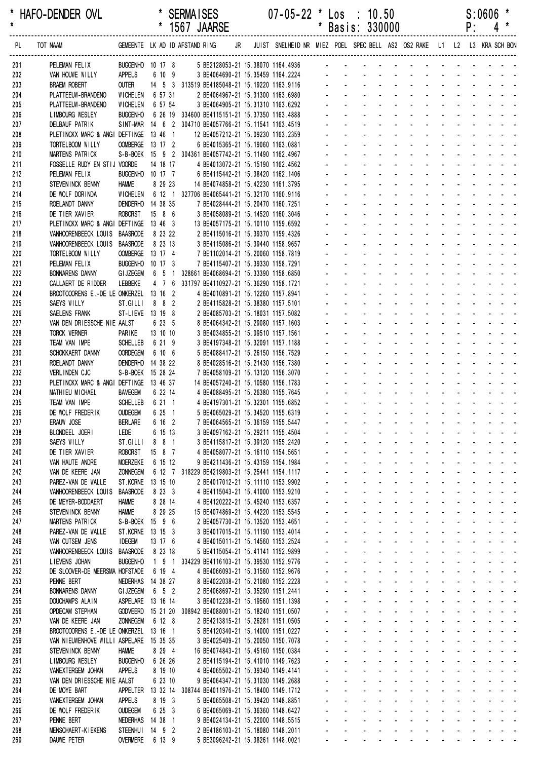|            |                                                  |                                       |                    |  | 1567 JAARSE                                                                                              |  |                                                                         |                      |                             | Basis: 330000                                                     |                                                                                                                                                                                                                                |                                                                                                                                                     |                              |                |             | ۲:                                                          |                                                                               |  |
|------------|--------------------------------------------------|---------------------------------------|--------------------|--|----------------------------------------------------------------------------------------------------------|--|-------------------------------------------------------------------------|----------------------|-----------------------------|-------------------------------------------------------------------|--------------------------------------------------------------------------------------------------------------------------------------------------------------------------------------------------------------------------------|-----------------------------------------------------------------------------------------------------------------------------------------------------|------------------------------|----------------|-------------|-------------------------------------------------------------|-------------------------------------------------------------------------------|--|
| PL         | TOT NAAM                                         |                                       |                    |  | GEMEENTE LK AD ID AFSTAND RING JR                                                                        |  | JUIST SNELHEID NR MIEZ POEL SPEC BELL AS2 OS2 RAKE L1 L2 L3 KRA SCH BON |                      |                             |                                                                   |                                                                                                                                                                                                                                |                                                                                                                                                     |                              |                |             |                                                             |                                                                               |  |
| 201        | PELEMAN FELIX                                    |                                       |                    |  |                                                                                                          |  | BUGGENHO 10 17 8 5 BE2128053-21 15.38070 1164.4936 -                    |                      |                             |                                                                   |                                                                                                                                                                                                                                |                                                                                                                                                     |                              |                |             |                                                             |                                                                               |  |
| 202        | VAN HOUWE WILLY                                  | APPELS                                | 6 10 9             |  |                                                                                                          |  | 3 BE4064690-21 15.35459 1164.2224                                       |                      |                             |                                                                   |                                                                                                                                                                                                                                |                                                                                                                                                     |                              |                |             |                                                             |                                                                               |  |
| 203        | <b>BRAEM ROBERT</b>                              | OUTER                                 |                    |  | 14 5 3 313519 BE4185048-21 15.19220 1163.9116                                                            |  |                                                                         |                      |                             |                                                                   | design and a state of the state of the state of the state of the state of the state of the state of the state of the state of the state of the state of the state of the state of the state of the state of the state of the s |                                                                                                                                                     |                              |                |             |                                                             |                                                                               |  |
| 204        | PLATTEEUW-BRANDENO                               | WICHELEN 6 57 31                      |                    |  | 2 BE4064967-21 15.31300 1163.6980                                                                        |  |                                                                         |                      |                             |                                                                   |                                                                                                                                                                                                                                |                                                                                                                                                     | $\Delta \sim 10^{-11}$       |                |             |                                                             |                                                                               |  |
| 205        | PLATTEEUW-BRANDENO<br>LIMBOURG WESLEY            | WICHELEN<br><b>BUGGENHO</b>           | 6 57 54            |  | 3 BE4064905-21 15.31310 1163.6292                                                                        |  |                                                                         |                      |                             |                                                                   |                                                                                                                                                                                                                                |                                                                                                                                                     |                              |                |             | $\mathcal{L}^{\text{max}}$ , and $\mathcal{L}^{\text{max}}$ | $\mathbf{r} = \mathbf{r} + \mathbf{r} + \mathbf{r} + \mathbf{r} + \mathbf{r}$ |  |
| 206<br>207 | <b>DELBAUF PATRIK</b>                            |                                       |                    |  | 6 26 19 334600 BE4115151-21 15.37350 1163.4888<br>SINT-MAR 14 6 2 304710 BE4057766-21 15.11541 1163.4519 |  |                                                                         |                      |                             |                                                                   |                                                                                                                                                                                                                                |                                                                                                                                                     |                              |                |             |                                                             |                                                                               |  |
| 208        | PLETINCKX MARC & ANGI DEFTINGE 13 46 1           |                                       |                    |  | 12 BE4057212-21 15.09230 1163.2359                                                                       |  |                                                                         |                      |                             |                                                                   |                                                                                                                                                                                                                                |                                                                                                                                                     |                              |                |             |                                                             |                                                                               |  |
| 209        | TORTELBOOM WILLY                                 | OOMBERGE 13 17 2                      |                    |  | 6 BE4015365-21 15.19060 1163.0881                                                                        |  |                                                                         |                      |                             |                                                                   |                                                                                                                                                                                                                                |                                                                                                                                                     |                              |                |             |                                                             |                                                                               |  |
| 210        | MARTENS PATRICK                                  |                                       |                    |  | S-B-BOEK 15 9 2 304361 BE4057742-21 15.11490 1162.4967                                                   |  |                                                                         |                      |                             |                                                                   |                                                                                                                                                                                                                                |                                                                                                                                                     | $\sim$                       |                |             |                                                             |                                                                               |  |
| 211        | FOSSELLE RUDY EN STIJ VOORDE                     |                                       | 14 18 17           |  | 4 BE4013072-21 15.15190 1162.4562                                                                        |  |                                                                         |                      |                             |                                                                   |                                                                                                                                                                                                                                |                                                                                                                                                     |                              |                |             |                                                             |                                                                               |  |
| 212        | PELEMAN FELIX<br>STEVENINCK BENNY                | BUGGENHO 10 17 7<br><b>HAMME</b>      | 8 29 23            |  | 6 BE4115442-21 15.38420 1162.1406                                                                        |  |                                                                         |                      |                             |                                                                   |                                                                                                                                                                                                                                |                                                                                                                                                     |                              |                |             |                                                             |                                                                               |  |
| 213<br>214 | DE WOLF DORINDA                                  | WICHELEN                              |                    |  | 14 BE4074858-21 15.42230 1161.3795<br>6 12 1 327706 BE4065441-21 15.32170 1160.9116                      |  |                                                                         |                      |                             |                                                                   |                                                                                                                                                                                                                                |                                                                                                                                                     |                              |                |             |                                                             |                                                                               |  |
| 215        | ROELANDT DANNY                                   | DENDERHO 14 38 35                     |                    |  | 7 BE4028444-21 15.20470 1160.7251                                                                        |  |                                                                         |                      |                             |                                                                   |                                                                                                                                                                                                                                |                                                                                                                                                     |                              |                |             |                                                             |                                                                               |  |
| 216        | DE TIER XAVIER                                   | <b>ROBORST</b>                        | 15 8 6             |  | 3 BE4058089-21 15.14520 1160.3046                                                                        |  |                                                                         |                      |                             |                                                                   |                                                                                                                                                                                                                                |                                                                                                                                                     | $\sim$                       |                |             | and the state of the state                                  |                                                                               |  |
| 217        | PLETINCKX MARC & ANGI DEFTINGE 13 46 3           |                                       |                    |  | 13 BE4057175-21 15.10110 1159.6592                                                                       |  |                                                                         |                      |                             |                                                                   |                                                                                                                                                                                                                                |                                                                                                                                                     |                              |                |             |                                                             |                                                                               |  |
| 218        | VANHOORENBEECK LOUIS BAASRODE                    |                                       | 8 23 22            |  | 2 BE4115016-21 15.39370 1159.4326                                                                        |  |                                                                         |                      |                             |                                                                   |                                                                                                                                                                                                                                |                                                                                                                                                     |                              |                |             |                                                             |                                                                               |  |
| 219        | VANHOORENBEECK LOUIS                             | <b>BAASRODE</b>                       | 8 23 13            |  | 3 BE4115086-21 15.39440 1158.9657                                                                        |  |                                                                         |                      |                             |                                                                   |                                                                                                                                                                                                                                |                                                                                                                                                     |                              |                |             |                                                             |                                                                               |  |
| 220<br>221 | TORTELBOOM WILLY<br>PELEMAN FELIX                | OOMBERGE 13 17 4<br>BUGGENHO 10 17 3  |                    |  | 7 BE1102014-21 15.20060 1158.7819<br>7 BE4115407-21 15.39330 1158.7291                                   |  |                                                                         |                      |                             |                                                                   |                                                                                                                                                                                                                                |                                                                                                                                                     |                              |                |             |                                                             |                                                                               |  |
| 222        | <b>BONNARENS DANNY</b>                           | <b>GI JZEGEM</b>                      |                    |  | 6 5 1 328661 BE4068694-21 15.33390 1158.6850                                                             |  |                                                                         |                      |                             |                                                                   |                                                                                                                                                                                                                                |                                                                                                                                                     | $\overline{a}$               |                |             |                                                             |                                                                               |  |
| 223        | CALLAERT DE RIDDER                               | LEBBEKE                               |                    |  | 4 7 6 331797 BE4110927-21 15.36290 1158.1721                                                             |  |                                                                         |                      |                             |                                                                   |                                                                                                                                                                                                                                |                                                                                                                                                     |                              |                |             |                                                             |                                                                               |  |
| 224        | BROOTCOORENS E.-DE LE ONKERZEL 13 16 2           |                                       |                    |  | 4 BE4010891-21 15.12260 1157.8941                                                                        |  |                                                                         |                      |                             |                                                                   |                                                                                                                                                                                                                                |                                                                                                                                                     |                              |                |             |                                                             |                                                                               |  |
| 225        | SAEYS WILLY                                      | ST.GILLI                              | 8 8 2              |  | 2 BE4115828-21 15.38380 1157.5101                                                                        |  |                                                                         |                      |                             |                                                                   |                                                                                                                                                                                                                                |                                                                                                                                                     |                              |                |             |                                                             |                                                                               |  |
| 226        | SAELENS FRANK                                    | ST-LIEVE 13 19 8                      |                    |  | 2 BE4085703-21 15.18031 1157.5082                                                                        |  |                                                                         |                      |                             |                                                                   |                                                                                                                                                                                                                                |                                                                                                                                                     |                              |                |             |                                                             |                                                                               |  |
| 227<br>228 | VAN DEN DRIESSCHE NIE AALST<br>TORCK WERNER      | PARIKE                                | 6 23 5<br>13 10 10 |  | 8 BE4064342-21 15.29080 1157.1603<br>3 BE4034855-21 15.09510 1157.1561                                   |  |                                                                         |                      |                             |                                                                   |                                                                                                                                                                                                                                |                                                                                                                                                     | $\overline{a}$               |                |             |                                                             |                                                                               |  |
| 229        | TEAM VAN IMPE                                    | <b>SCHELLEB</b>                       | 6 21 9             |  | 3 BE4197348-21 15.32091 1157.1188                                                                        |  |                                                                         |                      |                             |                                                                   |                                                                                                                                                                                                                                |                                                                                                                                                     |                              |                |             |                                                             |                                                                               |  |
| 230        | SCHOKKAERT DANNY                                 | <b>OORDEGEM</b>                       | 6 10 6             |  | 5 BE4088417-21 15.26150 1156.7529                                                                        |  |                                                                         |                      |                             |                                                                   |                                                                                                                                                                                                                                |                                                                                                                                                     |                              |                |             |                                                             |                                                                               |  |
| 231        | ROELANDT DANNY                                   | DENDERHO 14 38 22                     |                    |  | 8 BE4028516-21 15.21430 1156.7380                                                                        |  |                                                                         |                      |                             |                                                                   |                                                                                                                                                                                                                                |                                                                                                                                                     |                              |                |             |                                                             |                                                                               |  |
| 232        | VERLINDEN CJC                                    | S-B-BOEK 15 28 24                     |                    |  | 7 BE4058109-21 15.13120 1156.3070                                                                        |  |                                                                         |                      |                             |                                                                   |                                                                                                                                                                                                                                |                                                                                                                                                     |                              |                |             |                                                             |                                                                               |  |
| 233        | PLETINCKX MARC & ANGI DEFTINGE 13 46 37          |                                       |                    |  | 14 BE4057240-21 15.10580 1156.1783                                                                       |  |                                                                         |                      |                             |                                                                   |                                                                                                                                                                                                                                | $\sim$                                                                                                                                              | $\sim$                       | $\sim$         |             | and the state of the state of                               |                                                                               |  |
| 234<br>235 | MATHIEU MICHAEL<br>TEAM VAN IMPE                 | <b>BAVEGEM</b><br><b>SCHELLEB</b>     | 6 22 14<br>6 21 1  |  | 4 BE4088495-21 15.26380 1155.7645<br>4 BE4197301-21 15.32301 1155.6852                                   |  |                                                                         |                      |                             |                                                                   |                                                                                                                                                                                                                                |                                                                                                                                                     |                              |                |             |                                                             |                                                                               |  |
| 236        | DE WOLF FREDERIK                                 | <b>OUDEGEM</b>                        | 6 25 1             |  | 5 BE4065029-21 15.34520 1155.6319                                                                        |  |                                                                         |                      |                             |                                                                   |                                                                                                                                                                                                                                |                                                                                                                                                     | $\Delta \sim 10^{-1}$        |                |             | $\Delta \sim 10^4$                                          |                                                                               |  |
| 237        | ERAUW JOSE                                       | <b>BERLARE</b>                        | 6 16 2             |  | 7 BE4064565-21 15.36159 1155.5447                                                                        |  |                                                                         |                      |                             |                                                                   | <b>Contractor</b>                                                                                                                                                                                                              | and a strain and a strain and a                                                                                                                     |                              |                |             |                                                             |                                                                               |  |
| 238        | BLONDEEL JOERI                                   | LEDE                                  | 6 15 13            |  | 3 BE4097162-21 15.29211 1155.4504                                                                        |  |                                                                         |                      |                             |                                                                   | المنابذ والمستنقي والمستنقل والمستنق                                                                                                                                                                                           |                                                                                                                                                     |                              |                |             |                                                             | and the state of the                                                          |  |
| 239        | SAEYS WILLY                                      | ST.GILLI                              | 881                |  | 3 BE4115817-21 15.39120 1155.2420                                                                        |  |                                                                         |                      |                             |                                                                   |                                                                                                                                                                                                                                | and a straight                                                                                                                                      |                              |                |             |                                                             | and a straightful and a                                                       |  |
| 240        | DE TIER XAVIER<br>VAN HAUTE ANDRE                | ROBORST<br><b>MOERZEKE</b>            | 15 8 7<br>6 15 12  |  | 4 BE4058077-21 15.16110 1154.5651<br>9 BE4211436-21 15.43159 1154.1984                                   |  |                                                                         |                      | $\mathcal{L}^{\pm}$         | ÷.                                                                | $\sim 100$<br>$\Delta \sim 100$                                                                                                                                                                                                | and a series of the series of the<br>and a series of the series of the series of the series of the series of the series of the series of the series |                              |                |             |                                                             |                                                                               |  |
| 241<br>242 | VAN DE KEERE JAN                                 | <b>ZONNEGEM</b>                       |                    |  | 6 12 7 318229 BE4219803-21 15.25441 1154.1117                                                            |  |                                                                         |                      | $\mathcal{L}^{\pm}$         | $\mathcal{L}^{\text{max}}$                                        | $\Delta \sim 100$                                                                                                                                                                                                              | and a straight                                                                                                                                      |                              |                | and a state |                                                             | and a state of                                                                |  |
| 243        | PAREZ-VAN DE WALLE                               | ST.KORNE 13 15 10                     |                    |  | 2 BE4017012-21 15.11110 1153.9902                                                                        |  |                                                                         |                      | $\sim$                      | $\mathbf{L}^{\text{max}}$                                         | $\sim 100$                                                                                                                                                                                                                     | <b>All Cards</b>                                                                                                                                    |                              | and a straight |             |                                                             |                                                                               |  |
| 244        | VANHOORENBEECK LOUIS                             | <b>BAASRODE</b>                       | 8 23 3             |  | 4 BE4115043-21 15.41000 1153.9210                                                                        |  |                                                                         |                      |                             |                                                                   | $\sim 100$                                                                                                                                                                                                                     | <b>All Cards</b>                                                                                                                                    |                              |                |             |                                                             | and a straightful and a                                                       |  |
| 245        | DE MEYER-BODDAERT                                | <b>HAMME</b>                          | 8 28 14            |  | 4 BE4120222-21 15.45240 1153.6357                                                                        |  |                                                                         |                      |                             |                                                                   |                                                                                                                                                                                                                                | $\sim$<br>$\Delta \sim 100$                                                                                                                         | $\mathcal{L}_{\mathrm{max}}$ |                |             |                                                             | and a straight and a straight                                                 |  |
| 246        | STEVENINCK BENNY                                 | <b>HAMME</b>                          | 8 29 25            |  | 15 BE4074869-21 15.44220 1153.5545                                                                       |  |                                                                         |                      | $\sim$                      | $\mathbf{r}$                                                      | $\sim$ $-$                                                                                                                                                                                                                     | $\omega_{\rm{max}}=2.5$                                                                                                                             | $\Delta \sim 100$            |                |             |                                                             | and a straight and a straight                                                 |  |
| 247<br>248 | MARTENS PATRICK<br>PAREZ-VAN DE WALLE            | S-B-BOEK 15 9 6<br>ST.KORNE 13 15 3   |                    |  | 2 BE4057730-21 15.13520 1153.4651<br>3 BE4017015-21 15.11190 1153.4014                                   |  |                                                                         | ä,<br>$\omega$       |                             | $\omega_{\rm{max}}$<br>$\omega_{\rm{max}}$<br>$\omega_{\rm{max}}$ | and a state of the state of the state of<br>$\sim 100$                                                                                                                                                                         | design and a state of the state of                                                                                                                  |                              |                |             |                                                             |                                                                               |  |
| 249        | VAN CUTSEM JENS                                  | <b>IDEGEM</b>                         | 13 17 6            |  | 4 BE4015011-21 15.14560 1153.2524                                                                        |  |                                                                         | $\blacksquare$       | $\mathcal{L}^{\pm}$         | and a state                                                       |                                                                                                                                                                                                                                | <b>All Cards</b>                                                                                                                                    |                              |                |             |                                                             | and a straightful and a straight                                              |  |
| 250        | VANHOORENBEECK LOUIS                             | <b>BAASRODE</b>                       | 8 23 18            |  | 5 BE4115054-21 15.41141 1152.9899                                                                        |  |                                                                         |                      |                             |                                                                   |                                                                                                                                                                                                                                | the company of the company                                                                                                                          |                              |                |             |                                                             | and the state of the state of                                                 |  |
| 251        | LIEVENS JOHAN                                    | <b>BUGGENHO</b>                       | 1 9 1              |  | 334229 BE4116103-21 15.39530 1152.9776                                                                   |  |                                                                         |                      |                             |                                                                   |                                                                                                                                                                                                                                | and a straight                                                                                                                                      |                              |                |             |                                                             | and a straightful and a straight                                              |  |
| 252        | DE SLOOVER-DE MEERSMA HOFSTADE                   |                                       | 6 19 4             |  | 4 BE4066093-21 15.31560 1152.9676                                                                        |  |                                                                         |                      | $\sim$                      | $\Delta \sim 10^4$                                                | $\Delta \sim 100$                                                                                                                                                                                                              | and a strain and a strain and a                                                                                                                     |                              |                |             |                                                             |                                                                               |  |
| 253        | PENNE BERT                                       | NEDERHAS 14 38 27                     |                    |  | 8 BE4022038-21 15.21080 1152.2228                                                                        |  |                                                                         | ÷.                   | $\mathcal{L}^{\mathcal{A}}$ | ÷.                                                                | $\sim 100$                                                                                                                                                                                                                     | and a series of the series of the series of the series of the series of the series of the series of the series                                      |                              |                |             |                                                             |                                                                               |  |
| 254<br>255 | <b>BONNARENS DANNY</b><br><b>DOUCHAMPS ALAIN</b> | <b>GI JZEGEM</b><br>ASPELARE 13 16 14 | $6\quad 5\quad 2$  |  | 2 BE4068697-21 15.35290 1151.2441<br>3 BE4012238-21 15.19560 1151.1398                                   |  |                                                                         | ÷.<br>$\blacksquare$ | $\sim$                      | $\omega_{\rm{max}}$<br>$\omega_{\rm{max}}$<br>$\omega_{\rm{max}}$ | $\sim 100$<br>$\sim 100$                                                                                                                                                                                                       | and a straight and a straight<br><b>All States</b>                                                                                                  |                              | and a straight |             |                                                             | and a state of<br>and a state of                                              |  |
| 256        | <b>OPDECAM STEPHAN</b>                           |                                       |                    |  | GODVEERD 15 21 20 308942 BE4088001-21 15.18240 1151.0507                                                 |  |                                                                         |                      | $\mathbf{r}$                | $\omega_{\rm{max}}$                                               | $\Delta \sim 100$                                                                                                                                                                                                              | $\Delta \phi = 0.000$ .                                                                                                                             | $\Delta \sim 100$            |                |             |                                                             | and a straightful and a                                                       |  |
| 257        | VAN DE KEERE JAN                                 | <b>ZONNEGEM</b>                       | 6 12 8             |  | 2 BE4213815-21 15.26281 1151.0505                                                                        |  |                                                                         |                      |                             |                                                                   |                                                                                                                                                                                                                                | $\sim$<br>$\omega_{\rm{max}}$                                                                                                                       | $\mathcal{L}^{\pm}$          |                |             |                                                             | المنابذ المنابذ المنابذ والمنا                                                |  |
| 258        | BROOTCOORENS E.-DE LE ONKERZEL 13 16 1           |                                       |                    |  | 5 BE4120340-21 15.14000 1151.0227                                                                        |  |                                                                         | ÷.                   | $\sim$                      | $\Delta \sim 10^4$                                                | $\sim$                                                                                                                                                                                                                         | $\omega_{\rm{max}}=2.5$                                                                                                                             | $\Delta \sim 10^{-1}$        |                |             |                                                             | and a straight and a straight                                                 |  |
| 259        | VAN NIEUWENHOVE WILLI ASPELARE 15 35 35          |                                       |                    |  | 3 BE4025409-21 15.20050 1150.7078                                                                        |  |                                                                         | ÷.                   | $\mathcal{L}^{\mathcal{A}}$ | ÷.                                                                | $\Delta \sim 100$                                                                                                                                                                                                              | $\omega_{\rm{max}}$ , $\omega_{\rm{max}}$                                                                                                           | ÷.                           |                |             |                                                             | and a strain and a                                                            |  |
| 260        | STEVENINCK BENNY                                 | <b>HAMME</b>                          | 8 29 4             |  | 16 BE4074843-21 15.45160 1150.0384                                                                       |  |                                                                         | $\blacksquare$       |                             | $\omega_{\rm{max}}$<br>$\omega_{\rm{max}}$                        | $\sim 100$                                                                                                                                                                                                                     | $\Delta \phi = 0.000$ and $\Delta \phi = 0.000$                                                                                                     | $\Delta \sim 100$            |                |             |                                                             | and a straight and a                                                          |  |
| 261<br>262 | LIMBOURG WESLEY<br>VANEXTERGEM JOHAN             | <b>BUGGENHO</b><br><b>APPELS</b>      | 6 26 26<br>8 19 10 |  | 2 BE4115194-21 15.41010 1149.7623<br>4 BE4065502-21 15.39340 1149.4141                                   |  |                                                                         | $\blacksquare$       | $\sim$                      | $\omega_{\rm{max}}$                                               | $\Delta \sim 100$                                                                                                                                                                                                              | $\mathcal{L}^{\text{max}}$<br>$\sim 100$<br><b>All States</b>                                                                                       | $\omega_{\rm{max}}$          |                |             |                                                             | and a straightful and a<br>المنابذ المنابذ المنابذة                           |  |
| 263        | VAN DEN DRIESSCHE NIE AALST                      |                                       | 6 23 10            |  | 9 BE4064347-21 15.31030 1149.2688                                                                        |  |                                                                         |                      | $\mathbf{r}$                |                                                                   |                                                                                                                                                                                                                                | and a straight                                                                                                                                      |                              |                |             |                                                             | and a straightful and a                                                       |  |
| 264        | DE MOYE BART                                     |                                       |                    |  | APPELTER 13 32 14 308744 BE4011976-21 15.18400 1149.1712                                                 |  |                                                                         |                      | $\sim$                      | ÷.                                                                |                                                                                                                                                                                                                                | and a state                                                                                                                                         | $\Delta \sim 100$            |                |             |                                                             | and a straight and a straight                                                 |  |
| 265        | VANEXTERGEM JOHAN                                | APPELS                                | 8 19 3             |  | 5 BE4065508-21 15.39420 1148.8851                                                                        |  |                                                                         |                      | $\mathcal{L}^{\mathcal{A}}$ | ÷.                                                                | $\sim$                                                                                                                                                                                                                         | and a straight                                                                                                                                      |                              |                | and a state |                                                             | and a state of                                                                |  |
| 266        | DE WOLF FREDERIK                                 | <b>OUDEGEM</b>                        | 6 25 3             |  | 6 BE4065069-21 15.36360 1148.6427                                                                        |  |                                                                         |                      | $\omega_{\rm{max}}$         | $\omega_{\rm{max}}$                                               | and a straightful contract to the                                                                                                                                                                                              |                                                                                                                                                     |                              |                |             |                                                             | and a state of                                                                |  |
| 267        | PENNE BERT                                       | NEDERHAS                              | 14 38 1            |  | 9 BE4024134-21 15.22000 1148.5515                                                                        |  |                                                                         |                      | $\mathbf{L}^{\text{max}}$   | $\Delta \sim 100$                                                 | and a series of the series of the series of                                                                                                                                                                                    |                                                                                                                                                     |                              |                |             |                                                             |                                                                               |  |
| 268<br>269 | <b>MENSCHAERT-KIEKENS</b><br>DAUWE PETER         | STEENHUI 14 9 2<br><b>OVERMERE</b>    | 6 13 9             |  | 2 BE4186103-21 15.18080 1148.2011<br>5 BE3096242-21 15.38261 1148.0021                                   |  |                                                                         |                      |                             | $\Delta \sim 100$                                                 | and a series of the contract of the                                                                                                                                                                                            |                                                                                                                                                     |                              |                |             |                                                             |                                                                               |  |
|            |                                                  |                                       |                    |  |                                                                                                          |  |                                                                         |                      |                             |                                                                   |                                                                                                                                                                                                                                |                                                                                                                                                     |                              |                |             |                                                             |                                                                               |  |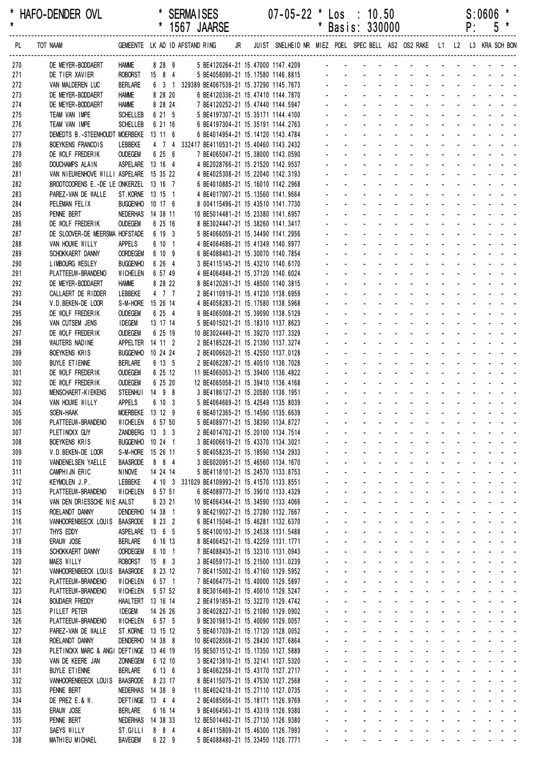|            |                                                                                   |                                     |                    |  | 1567 JAARSE                                                              |  |                                                                         |                |                                       | Basis: 330000                                       |                                                                      |                                                             |                                      |                             |                    | ۲:                            | უ                                                                |  |
|------------|-----------------------------------------------------------------------------------|-------------------------------------|--------------------|--|--------------------------------------------------------------------------|--|-------------------------------------------------------------------------|----------------|---------------------------------------|-----------------------------------------------------|----------------------------------------------------------------------|-------------------------------------------------------------|--------------------------------------|-----------------------------|--------------------|-------------------------------|------------------------------------------------------------------|--|
| PL         | TOT NAAM                                                                          |                                     |                    |  | GEMEENTE LK AD ID AFSTAND RING JR                                        |  | JUIST SNELHEID NR MIEZ POEL SPEC BELL AS2 OS2 RAKE L1 L2 L3 KRA SCH BON |                |                                       |                                                     |                                                                      |                                                             |                                      |                             |                    |                               |                                                                  |  |
| 270        | DE MEYER-BODDAERT                                                                 | <b>HAMME</b>                        |                    |  |                                                                          |  | 8 28 9 5 BE4120264-21 15.47000 1147.4209 -                              |                |                                       |                                                     |                                                                      |                                                             |                                      |                             |                    |                               |                                                                  |  |
| 271        | DE TIER XAVIER                                                                    | <b>ROBORST</b>                      | 15 8 4             |  | 5 BE4058090-21 15.17580 1146.8815                                        |  |                                                                         |                |                                       |                                                     |                                                                      |                                                             |                                      |                             |                    |                               |                                                                  |  |
| 272        | VAN MALDEREN LUC                                                                  | <b>BERLARE</b>                      |                    |  | 6 3 1 329389 BE4067539-21 15.37290 1145.7673                             |  |                                                                         |                |                                       |                                                     |                                                                      |                                                             |                                      |                             |                    |                               | de la provincia de la provincia de                               |  |
| 273<br>274 | DE MEYER-BODDAERT<br>DE MEYER-BODDAERT                                            | <b>HAMME</b><br><b>HAMME</b>        | 8 28 20<br>8 28 24 |  | 6 BE4120336-21 15.47410 1144.7870                                        |  |                                                                         |                |                                       |                                                     |                                                                      |                                                             | $\sim$                               |                             |                    | and a strain and              |                                                                  |  |
| 275        | TEAM VAN IMPE                                                                     | <b>SCHELLEB</b>                     | 6 21 5             |  | 7 BE4120252-21 15.47440 1144.5947<br>5 BE4197307-21 15.35171 1144.4100   |  |                                                                         |                |                                       |                                                     |                                                                      |                                                             |                                      |                             |                    |                               |                                                                  |  |
| 276        | TEAM VAN IMPE                                                                     | <b>SCHELLEB</b>                     | 6 21 16            |  | 6 BE4197304-21 15.35191 1144.2763                                        |  |                                                                         |                |                                       |                                                     |                                                                      |                                                             |                                      |                             |                    |                               |                                                                  |  |
| 277        | DEMEDTS B.-STEENHOUDT MOERBEKE                                                    |                                     | 13 11 6            |  | 6 BE4014954-21 15.14120 1143.4784                                        |  |                                                                         |                |                                       |                                                     |                                                                      |                                                             |                                      |                             |                    |                               |                                                                  |  |
| 278        | BOEYKENS FRANCOIS                                                                 | LEBBEKE                             |                    |  | 4 7 4 332417 BE4110531-21 15.40460 1143.2432                             |  |                                                                         |                |                                       |                                                     |                                                                      |                                                             |                                      |                             |                    |                               |                                                                  |  |
| 279        | DE WOLF FREDERIK                                                                  | <b>OUDEGEM</b>                      | 6 25 6             |  | 7 BE4065047-21 15.38000 1143.0590                                        |  |                                                                         |                |                                       |                                                     |                                                                      |                                                             |                                      |                             |                    |                               |                                                                  |  |
| 280        | <b>DOUCHAMPS ALAIN</b>                                                            | ASPELARE 13 16 4                    |                    |  | 4 BE2028766-21 15.21520 1142.9537                                        |  |                                                                         |                |                                       |                                                     |                                                                      |                                                             |                                      |                             |                    |                               |                                                                  |  |
| 281<br>282 | VAN NIEUWENHOVE WILLI ASPELARE 15 35 22<br>BROOTCOORENS E.-DE LE ONKERZEL 13 16 7 |                                     |                    |  | 4 BE4025308-21 15.22040 1142.3193<br>6 BE4010885-21 15.16010 1142.2968   |  |                                                                         |                |                                       |                                                     |                                                                      |                                                             |                                      |                             |                    |                               |                                                                  |  |
| 283        | PAREZ-VAN DE WALLE                                                                | ST.KORNE 13 15 1                    |                    |  | 4 BE4017007-21 15.13560 1141.9664                                        |  |                                                                         |                |                                       |                                                     |                                                                      |                                                             |                                      |                             |                    |                               |                                                                  |  |
| 284        | PELEMAN FELIX                                                                     | BUGGENHO 10 17 6                    |                    |  | 8 004115496-21 15.43510 1141.7730                                        |  |                                                                         |                |                                       |                                                     |                                                                      |                                                             |                                      |                             |                    |                               |                                                                  |  |
| 285        | PENNE BERT                                                                        | NEDERHAS 14 38 11                   |                    |  | 10 BE5014481-21 15.23380 1141.6957                                       |  |                                                                         |                |                                       |                                                     |                                                                      |                                                             | $\mathbf{r}$                         |                             |                    | and the state of the state    |                                                                  |  |
| 286        | DE WOLF FREDERIK                                                                  | <b>OUDEGEM</b>                      | 6 25 16            |  | 8 BE3024447-21 15.38260 1141.3417                                        |  |                                                                         |                |                                       |                                                     |                                                                      |                                                             |                                      |                             |                    |                               |                                                                  |  |
| 287<br>288 | DE SLOOVER-DE MEERSMA HOFSTADE<br>VAN HOUWE WILLY                                 | <b>APPELS</b>                       | 6 19 3<br>6 10 1   |  | 5 BE4066059-21 15.34490 1141.2956<br>4 BE4064686-21 15.41349 1140.9977   |  |                                                                         |                |                                       |                                                     |                                                                      |                                                             |                                      |                             |                    |                               |                                                                  |  |
| 289        | SCHOKKAERT DANNY                                                                  | <b>OORDEGEM</b>                     | 6 10 9             |  | 6 BE4088403-21 15.30070 1140.7854                                        |  |                                                                         |                |                                       |                                                     |                                                                      |                                                             |                                      |                             |                    |                               |                                                                  |  |
| 290        | LIMBOURG WESLEY                                                                   | <b>BUGGENHO</b>                     | 6 26 4             |  | 3 BE4115145-21 15.43210 1140.6170                                        |  |                                                                         |                |                                       |                                                     |                                                                      |                                                             |                                      |                             |                    |                               |                                                                  |  |
| 291        | PLATTEEUW-BRANDENO                                                                | WICHELEN                            | 6 57 49            |  | 4 BE4064848-21 15.37120 1140.6024                                        |  |                                                                         |                |                                       |                                                     |                                                                      |                                                             | $\overline{a}$                       |                             |                    |                               |                                                                  |  |
| 292        | DE MEYER-BODDAERT                                                                 | <b>HAMME</b>                        | 8 28 22            |  | 8 BE4120261-21 15.48500 1140.3815                                        |  |                                                                         |                |                                       |                                                     |                                                                      |                                                             |                                      |                             |                    |                               |                                                                  |  |
| 293        | CALLAERT DE RIDDER                                                                | LEBBEKE                             | 4 7 7              |  | 2 BE4110919-21 15.41230 1138.6959                                        |  |                                                                         |                |                                       |                                                     |                                                                      |                                                             |                                      |                             |                    |                               |                                                                  |  |
| 294<br>295 | V.D. BEKEN-DE LOOR<br>DE WOLF FREDERIK                                            | S-M-HORE 15 26 14<br><b>OUDEGEM</b> | 6 25 4             |  | 4 BE4058283-21 15.17580 1138.5968<br>9 BE4065008-21 15.39090 1138.5129   |  |                                                                         |                |                                       |                                                     |                                                                      |                                                             |                                      |                             |                    |                               |                                                                  |  |
| 296        | VAN CUTSEM JENS                                                                   | <b>IDEGEM</b>                       | 13 17 14           |  | 5 BE4015021-21 15.18310 1137.8623                                        |  |                                                                         |                |                                       |                                                     |                                                                      |                                                             |                                      |                             |                    |                               |                                                                  |  |
| 297        | DE WOLF FREDERIK                                                                  | <b>OUDEGEM</b>                      | 6 25 19            |  | 10 BE3024449-21 15.39270 1137.3329                                       |  |                                                                         |                |                                       |                                                     |                                                                      |                                                             |                                      |                             |                    |                               |                                                                  |  |
| 298        | WAUTERS NADINE                                                                    | APPELTER 14 11 2                    |                    |  | 2 BE4185228-21 15.21390 1137.3274                                        |  |                                                                         |                |                                       |                                                     |                                                                      |                                                             |                                      |                             |                    |                               |                                                                  |  |
| 299        | BOEYKENS KRIS                                                                     | <b>BUGGENHO</b>                     | 10 24 24           |  | 2 BE4006620-21 15.42550 1137.0128                                        |  |                                                                         |                |                                       |                                                     |                                                                      |                                                             |                                      |                             |                    |                               |                                                                  |  |
| 300        | BUYLE ETIENNE                                                                     | <b>BERLARE</b>                      | 6 13 5             |  | 2 BE4062287-21 15.40510 1136.7028                                        |  |                                                                         |                |                                       |                                                     |                                                                      |                                                             |                                      |                             |                    |                               |                                                                  |  |
| 301<br>302 | DE WOLF FREDERIK<br>DE WOLF FREDERIK                                              | <b>OUDEGEM</b><br><b>OUDEGEM</b>    | 6 25 12<br>6 25 20 |  | 11 BE4065053-21 15.39400 1136.4822<br>12 BE4065058-21 15.39410 1136.4168 |  |                                                                         |                |                                       |                                                     |                                                                      |                                                             |                                      |                             |                    |                               |                                                                  |  |
| 303        | MENSCHAERT-KIEKENS                                                                | <b>STEENHUI</b>                     | 14 9 8             |  | 3 BE4186127-21 15.20580 1136.1951                                        |  |                                                                         |                |                                       |                                                     |                                                                      | $\sim$                                                      | $\sim$                               | $\sim$                      |                    | <b>Contract Contract</b>      |                                                                  |  |
| 304        | VAN HOUWE WILLY                                                                   | <b>APPELS</b>                       | 6 10 3             |  | 5 BE4064669-21 15.42549 1135.8039                                        |  |                                                                         |                |                                       |                                                     |                                                                      |                                                             |                                      |                             |                    |                               |                                                                  |  |
| 305        | SOEN-HAAK                                                                         | MOERBEKE 13 12 9                    |                    |  | 6 BE4012365-21 15.14590 1135.6639                                        |  |                                                                         |                |                                       |                                                     |                                                                      |                                                             | $\Delta \sim 10^4$                   |                             |                    | $\Delta \sim 10^4$            |                                                                  |  |
| 306        | PLATTEEUW-BRANDENO                                                                | WICHELEN 6 57 50                    |                    |  | 5 BE4089771-21 15.38390 1134.8727                                        |  |                                                                         |                |                                       |                                                     |                                                                      |                                                             | and a strain and a strain and a      |                             |                    |                               |                                                                  |  |
| 307        | PLETINCKX GUY<br><b>BOEYKENS KRIS</b>                                             | ZANDBERG 13 3 3<br>BUGGENHO 10 24 1 |                    |  | 2 BE4014702-21 15.20100 1134.7514<br>3 BE4006619-21 15.43370 1134.3021   |  |                                                                         |                |                                       |                                                     | and a straightful and state and                                      |                                                             | and the company                      |                             |                    |                               | and a state of the                                               |  |
| 308<br>309 | V.D. BEKEN-DE LOOR                                                                | S-M-HORE 15 26 11                   |                    |  | 5 BE4058235-21 15.18590 1134.2933                                        |  |                                                                         |                |                                       |                                                     | $\sim$                                                               | and a state                                                 | $\Delta \sim 100$                    |                             |                    |                               | and a strain and a strain                                        |  |
| 310        | VANDENELSEN YAELLE                                                                | <b>BAASRODE</b>                     | 8 8 4              |  | 3 BE6020951-21 15.46560 1134.1670                                        |  |                                                                         |                | $\mathbf{r}$                          | ÷.                                                  | $\mathcal{L}^{\text{max}}$                                           |                                                             | and a strain and a strain and        |                             |                    |                               |                                                                  |  |
| 311        | CAMPHIJN ERIC                                                                     | <b>NINOVE</b>                       | 14 24 14           |  | 5 BE4118101-21 15.24570 1133.8753                                        |  |                                                                         |                | $\mathcal{L}^{\pm}$                   | $\mathcal{L}^{\text{max}}$                          | $\mathbf{L}^{\text{max}}$                                            | <b>All Service</b>                                          | $\omega_{\rm{max}}$                  | $\Delta \sim 100$           | $\Delta \sim 10^4$ | $\sim 100$                    |                                                                  |  |
| 312        | KEYMOLEN J.P.                                                                     | LEBBEKE                             |                    |  | 4 10 3 331029 BE4109993-21 15.41570 1133.8551                            |  |                                                                         |                | $\mathbf{r}$                          | $\mathbf{r}$                                        | $\sim$                                                               | $\omega_{\rm{max}}=0.01$                                    | $\omega_{\rm{max}}$                  | $\sim 100$                  | $\Delta \sim 100$  |                               |                                                                  |  |
| 313        | PLATTEEUW-BRANDENO                                                                | <b>WICHELEN</b>                     | 6 57 51            |  | 6 BE4089773-21 15.39010 1133.4329                                        |  |                                                                         |                |                                       |                                                     |                                                                      | $\Delta \phi = 0.000$                                       |                                      |                             |                    |                               |                                                                  |  |
| 314<br>315 | VAN DEN DRIESSCHE NIE AALST<br>ROELANDT DANNY                                     | DENDERHO 14 38 1                    | 6 23 21            |  | 10 BE4064344-21 15.34590 1133.4066<br>9 BE4219027-21 15.27280 1132.7667  |  |                                                                         |                | $\mathbf{r}$                          | $\mathbf{r}$                                        | $\mathcal{L}_{\mathcal{A}}$<br>$\mathcal{L}^{\mathcal{A}}$<br>$\sim$ | $\sim 100$ km s $^{-1}$                                     | $\blacksquare$<br>$\sim$             | $\mathbf{r}$                |                    |                               | and the company of the second<br>and the state of the state of   |  |
| 316        | VANHOORENBEECK LOUIS BAASRODE                                                     |                                     | 8 23 2             |  | 6 BE4115046-21 15.46281 1132.6370                                        |  |                                                                         |                | $\mathbf{r}$                          | $\Delta \sim 10^{-1}$                               | and a state of                                                       |                                                             | $\Delta \sim 10^4$                   |                             |                    |                               | and a strain and a                                               |  |
| 317        | THYS EDDY                                                                         | ASPELARE 13 6 5                     |                    |  | 5 BE4100103-21 15.24538 1131.5488                                        |  |                                                                         | $\blacksquare$ |                                       | $\omega_{\rm{max}}$<br>$\omega_{\rm{max}}$          | $\sim 100$                                                           | <b>All Cards</b>                                            | $\Delta \sim 100$                    |                             |                    |                               | and a straight and a straight                                    |  |
| 318        | ERAUW JOSE                                                                        | <b>BERLARE</b>                      | 6 16 13            |  | 8 BE4064521-21 15.42259 1131.1771                                        |  |                                                                         | $\blacksquare$ | $\mathcal{L}^{\pm}$                   | $\omega_{\rm{max}}$                                 | $\sim 100$                                                           | $\mathcal{L}^{\text{max}}$                                  | $\mathbf{z} = \mathbf{z}$            | $\Delta \sim 100$           | $\Delta \sim 100$  |                               | and a state of                                                   |  |
| 319        | SCHOKKAERT DANNY                                                                  | <b>OORDEGEM</b>                     | 6 10 1             |  | 7 BE4088435-21 15.32310 1131.0943                                        |  |                                                                         |                |                                       |                                                     |                                                                      | $\Delta\phi$ and $\Delta\phi$                               |                                      |                             |                    |                               |                                                                  |  |
| 320        | MAES WILLY                                                                        | ROBORST                             | $15$ 8 3           |  | 3 BE4059173-21 15.21500 1131.0239                                        |  |                                                                         |                |                                       | ÷.                                                  |                                                                      | and a state                                                 | and the company<br>$\Delta \sim 100$ |                             |                    |                               | and a straightful and a<br>and a straight and a straight         |  |
| 321<br>322 | VANHOORENBEECK LOUIS<br>PLATTEEUW-BRANDENO                                        | <b>BAASRODE</b><br>WICHELEN         | 8 23 12<br>6 57 1  |  | 7 BE4115002-21 15.47160 1129.5952<br>7 BE4064775-21 15.40000 1129.5897   |  |                                                                         |                | $\sim$<br>$\mathcal{L}^{\mathcal{A}}$ | ÷.                                                  | $\mathbf{r}$                                                         | and a state                                                 | $\Delta \sim 100$                    |                             |                    |                               | and a strain and a                                               |  |
| 323        | PLATTEEUW-BRANDENO                                                                | WICHELEN                            | 6 57 52            |  | 8 BE3016469-21 15.40010 1129.5247                                        |  |                                                                         |                |                                       | $\omega_{\rm{max}}$<br>$\omega_{\rm{max}}$          | $\sim 100$                                                           |                                                             | and the company                      |                             | <b>All States</b>  | $\Delta \sim 10^{-11}$        |                                                                  |  |
| 324        | <b>BOUDAER FREDDY</b>                                                             | HAALTERT 13 16 14                   |                    |  | 2 BE4191859-21 15.32270 1129.4742                                        |  |                                                                         | $\blacksquare$ | $\sim$                                | $\omega_{\rm{max}}$                                 | $\Delta \sim 100$                                                    | <b>All Cards</b>                                            | $\omega_{\rm{max}}$                  |                             | <b>All States</b>  |                               | $\mathbf{z} = \mathbf{z} + \mathbf{z} + \mathbf{z} + \mathbf{z}$ |  |
| 325        | PILLET PETER                                                                      | <b>IDEGEM</b>                       | 14 26 26           |  | 3 BE4028227-21 15.21080 1129.0902                                        |  |                                                                         |                |                                       |                                                     | $\Delta \sim 100$                                                    | $\mathcal{L}_{\text{max}}$ , and $\mathcal{L}_{\text{max}}$ |                                      |                             |                    |                               | and a straightful and a                                          |  |
| 326        | PLATTEEUW-BRANDENO                                                                | WICHELEN                            | 6 57 5             |  | 9 BE3019813-21 15.40090 1129.0057                                        |  |                                                                         |                |                                       |                                                     | $\mathcal{L}_{\mathcal{A}}$                                          |                                                             | $\blacksquare$                       |                             |                    | and the state of the state of | $\mathcal{L}^{\text{max}}$                                       |  |
| 327        | PAREZ-VAN DE WALLE                                                                | ST.KORNE 13 15 12                   |                    |  | 5 BE4017039-21 15.17120 1128.0052                                        |  |                                                                         |                | $\mathcal{L}^{\mathcal{A}}$           | $\sim$<br>÷.                                        | $\sim$<br>$\sim$                                                     | $\Delta \phi = 0.01$ and<br>and a state                     | $\sim$<br>÷.                         |                             |                    |                               | and a straight and a straight<br>and a strain and a              |  |
| 328<br>329 | ROELANDT DANNY<br>PLETINCKX MARC & ANGI DEFTINGE 13 46 19                         | DENDERHO 14 38 8                    |                    |  | 10 BE4028508-21 15.28430 1127.6864<br>15 BE5071512-21 15.17350 1127.5889 |  |                                                                         | ä,             | $\mathcal{L}^{\pm}$                   | $\mathbf{L}^{\text{max}}$                           | $\Delta \sim 100$                                                    | <b>All Service</b>                                          | $\omega_{\rm{max}}$                  |                             |                    |                               | and a straight and a                                             |  |
| 330        | VAN DE KEERE JAN                                                                  | <b>ZONNEGEM</b>                     | 6 12 10            |  | 3 BE4213810-21 15.32141 1127.5320                                        |  |                                                                         | $\blacksquare$ | $\mathbf{r}$                          | $\mathbf{L}^{\text{max}}$                           | $\sim$                                                               | $\mathcal{L}^{\text{max}}$<br>$\sim$                        | $\omega_{\rm{max}}$                  |                             |                    |                               | and a straightful and a                                          |  |
| 331        | <b>BUYLE ETIENNE</b>                                                              | <b>BERLARE</b>                      | 6 13 6             |  | 3 BE4062258-21 15.43170 1127.2717                                        |  |                                                                         |                |                                       |                                                     | $\sim$                                                               | $\sim 100$                                                  |                                      |                             |                    |                               | المناسب المناسبات المناسب                                        |  |
| 332        | VANHOORENBEECK LOUIS                                                              | <b>BAASRODE</b>                     | 8 23 17            |  | 8 BE4115075-21 15.47530 1127.2568                                        |  |                                                                         |                |                                       |                                                     |                                                                      |                                                             | and the company                      |                             |                    |                               | and a straightful and a                                          |  |
| 333        | PENNE BERT                                                                        | NEDERHAS 14 38 9                    |                    |  | 11 BE4024218-21 15.27110 1127.0735                                       |  |                                                                         |                | $\mathcal{L}^{\mathcal{A}}$           | $\mathbf{r}$<br>÷.                                  |                                                                      | and the state<br>and a state                                | $\Delta \sim 10^{-1}$<br>÷.          | $\mathcal{L}^{\mathcal{L}}$ | <b>Contractor</b>  |                               | and a straight and a straight and<br>and a state of              |  |
| 334<br>335 | DE PREZ E.& W.<br>ERAUW JOSE                                                      | DEFTINGE 13 4 4<br>BERLARE          | 6 16 14            |  | 2 BE4085656-21 15.18171 1126.9769<br>9 BE4064563-21 15.43319 1126.9380   |  |                                                                         |                | $\mathbf{L}^{\text{max}}$             | $\omega_{\rm{max}}$<br>$\omega_{\rm{max}}$          | $\mathbf{r}$<br>$\sim 100$                                           |                                                             | and a straight of                    | $\mathcal{L}^{\text{max}}$  | $\Delta \sim 100$  |                               | and a state of                                                   |  |
| 335        | PENNE BERT                                                                        | NEDERHAS 14 38 33                   |                    |  | 12 BE5014492-21 15.27130 1126.9380                                       |  |                                                                         |                | $\mathbf{L}^{\text{max}}$             | $\mathbf{L}^{\text{max}}$                           | and a straightful and state                                          |                                                             |                                      |                             | <b>All States</b>  |                               | and a state of                                                   |  |
| 337        | SAEYS WILLY                                                                       | ST.GILLI                            | 884                |  | 4 BE4115809-21 15.46300 1126.7993                                        |  |                                                                         |                |                                       |                                                     |                                                                      |                                                             |                                      |                             |                    |                               |                                                                  |  |
| 338        | MATHIEU MICHAEL                                                                   | BAVEGEM                             | 6 22 9             |  | 5 BE4088480-21 15.33450 1126.7771                                        |  |                                                                         |                |                                       | and the contract of the contract of the contract of |                                                                      |                                                             |                                      |                             |                    |                               |                                                                  |  |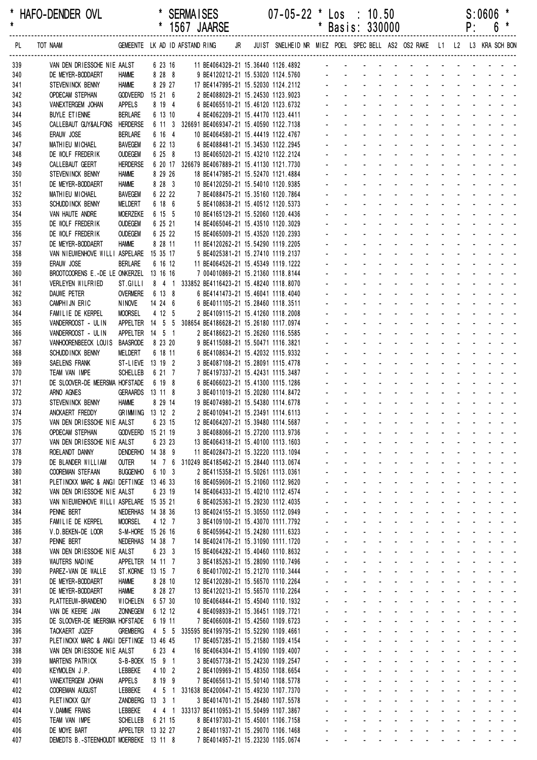\* HAFO-DENDER OVL \* SERMAISES 07-05-22 \* Los : 10.50 S:0606 \* \* 1567 JAARSE \* Basis: 330000 ------------------------------------------------------------------------------------------------------------------------------------------------------------------ PL TOT NAAM GEMEENTE LK AD ID AFSTAND RING JR JUIST SNELHEID NR MIEZ POEL SPEC BELL AS2 OS2 RAKE L1 L2 L3 KRA SCH BON ------------------------------------------------------------------------------------------------------------------------------------------------------------------ 339 VAN DEN DRIESSCHE NIE AALST 6 23 16 11 BE4064329-21 15.36440 1126.4892 340 DE MEYER-BODDAERT HAMME 8 28 8 9 BE4120212-21 15.53020 1124.5760 - - - - - - - - - - - - - 341 STEVENINCK BENNY HAMME 8 29 27 17 BE4147995-21 15.52030 1124.2112 342 OPDECAM STEPHAN GODVEERD 15 21 6 2 BE4088029-21 15.24530 1123.9023 343 VANEXTERGEM JOHAN APPELS 8 19 4 6 BE4065510-21 15.46120 1123.6732 344 BUYLE ETIENNE BERLARE 6 13 10 4 BE4062209-21 15.44170 1123.4411 345 CALLEBAUT GUY&ALFONS HERDERSE 6 11 3 326691 BE4069347-21 15.40590 1122.7138 346 ERAUW JOSE BERLARE 6 16 4 10 BE4064580-21 15.44419 1122.4767 347 MATHIFU MICHAFI BAVEGEM 6 22 13 6 BF4088481-21 15 34530 1122 2945 348 DE WOLF FREDERIK OUDEGEM 6 25 8 13 BE4065020-21 15.43210 1122.2124 349 CALLEBAUT GEERT HERDERSE 6 20 17 326679 BE4067889-21 15.41130 1121.7730 350 STEVENINCK BENNY HAMME 8 29 26 18 BE4147985-21 15.52470 1121.4884 351 DE MEYER-BODDAERT HAMME 8 28 3 10 BE4120250-21 15.54010 1120.9385 352 MATHIEU MICHAEL BAVEGEM 6 22 22 7 BE4088475-21 15.35160 1120.7864 353 SCHUDDINCK BENNY MELDERT 6 18 6 6 5 BE4108638-21 15.40512 1120.5373 354 VAN HAUTE ANDRE MOERZEKE 6 15 5 10 BE4165129-21 15.52060 1120.4436 - - - - - - - - - - - - - 355 DE WOLF FREDERIK OUDEGEM 6 25 21 14 BE4065046-21 15.43510 1120.3029 - - - -356 DE WOLF FREDERIK OUDEGEM 6 25 22 15 BE4065009-21 15.43520 1120.2393 357 DE MEYER-BODDAERT HAMME 8 28 11 11 BE4120262-21 15.54290 1119.2205 358 VAN NIEUWENHOVE WILLI ASPELARE 15 35 17 5 BE4025381-21 15.27410 1119.2137 359 ERAUW JOSE BERLARE 6 16 12 11 BE4064526-21 15.45349 1119.1222 360 BROOTCOORENS E.-DE LE ONKERZEL 13 16 16 7 004010869-21 15.21360 1118.8144 361 VERLEYEN WILFRIED ST.GILLI 8 4 1 333852 BE4116423-21 15.48240 1118.8070 362 DAUWE PETER OVERMERE 6 13 8 6 BE4141473-21 15.46041 1118.4040 363 CAMPHIJN ERIC NINOVE 14 24 6 6 BE4011105-21 15.28460 1118.3511 364 FAMILIE DE KERPEL MOORSEL 4 12 5 2 BE4109115-21 15.41260 1118.2008 365 VANDERROOST - ULIN APPELTER 14 5 5 308654 BE4186628-21 15.26180 1117.0974 366 VANDERROOST - ULIN APPELTER 14 5 1 2 BE4186623-21 15.26260 1116.5585 - - - - - - - - - - - - - 367 VANHOORENBEECK LOUIS BAASRODE 8 23 20 9 BE4115088-21 15 50471 1116 3821 368 SCHUDDINCK BENNY MELDERT 6 18 11 6 BE4108634-21 15 42032 1115 9332 369 SAELENS FRANK ST-LIEVE 13 19 2 3 BE4087108-21 15.28091 1115.4778 370 TEAM VAN IMPE SCHELLEB 6 21 7 7 BE4197337-21 15.42431 1115.3487 371 DE SLOOVER-DE MEERSMA HOFSTADE 6 19 8 6 BE4066023-21 15.41300 1115.1286 372 ARNO AGNES GERAARDS 13 11 8 3 BE4011019-21 15.20280 1114.8472 373 STEVENINCK BENNY HAMME 8 29 14 19 BE4074980-21 15.54380 1114.6778 374 ANCKAERT FREDDY GRIMMING 13 12 2 2 BE4010941-21 15 23491 1114 6113 375 VAN DEN DRIESSCHE NIE AALST 6 23 15 12 BE4064207-21 15.39480 1114.5687 376 OPDECAM STEPHAN GODVEERD 15 21 19 3 BE4088066-21 15.27200 1113.9736 377 VAN DEN DRIESSCHE NIE AALST 6 23 23 13 BE4064318-21 15.40100 1113.1603 378 ROELANDT DANNY DENDERHO 14 38 9 11 BE4028473-21 15.32220 1113.1094 379 DE BLANDER WILLIAM OUTER 14 7 6 310249 BE4185462-21 15.28440 1113.0674 380 COOREMAN STEFAAN BUGGENHO 6 10 3 2 BE4115358-21 15.50261 1113.0361 - - - - - - - - - - - - - 381 PLETINCKX MARC & ANGI DEFTINGE 13 46 33 16 BE4059606-21 15.21060 1112.9620 382 VAN DEN DRIESSCHE NIE AALST 6 23 19 14 BE4064333-21 15.40210 1112.4574 383 VAN NIEUWENHOVE WILLI ASPELARE 15 35 21 6 BE4025363-21 15.29230 1112.4035 384 PENNE BERT NEDERHAS 14 38 36 13 BE4024155-21 15.30550 1112.0949 385 FAMILIE DE KERPEL MOORSEL 4 12 7 3 BE4109100-21 15.43070 1111.7792 386 V.D.BEKEN-DE LOOR S-M-HORE 15 26 16 6 BE4059642-21 15.24280 1111.6323 387 PENNE BERT NEDERHAS 14 38 7 14 BE4024176-21 15.31090 1111.1720 388 VAN DEN DRIESSCHE NIE AALST 6 23 3 15 BE4064282-21 15.40460 1110.8632 389 WAUTERS NADINE APPELTER 14 11 7 3 BE4185263-21 15.28090 1110.7496 390 PAREZ-VAN DE WALLE ST.KORNE 13 15 7 6 BE4017002-21 15.21270 1110.3444 391 DE MEYER-BODDAERT HAMME 8 28 10 12 BE4120280-21 15.56570 1110.2264 391 DE MEYER-BODDAERT HAMME 8 28 27 13 BE4120213-21 15.56570 1110.2264 393 PLATTEFUW-BRANDENO WICHELEN 6 57 30 10 BE4064844-21 15 45040 1110 1932 394 VAN DE KEERE JAN ZONNEGEM 6 12 12 4 BE4098939-21 15.36451 1109.7721 395 DE SLOOVER-DE MEERSMA HOFSTADE 6 19 11 7 BE4066008-21 15.42560 1109.6723 396 TACKAERT JOZEF GREMBERG 4 5 5 335595 BE4199795-21 15.52290 1109.4661 - - - - - - - - - - - - - 397 PLETINCKX MARC & ANGI DEFTINGE 13 46 45 17 BE4057285-21 15.21580 1109.4154 398 VAN DEN DRIESSCHE NIE AALST 6 23 4 16 BE4064304-21 15.41090 1109.4007 399 MARTENS PATRICK S-B-BOEK 15 9 1 3 BE4057738-21 15.24230 1109.2547 400 KEYMOLEN J.P. LEBBEKE 4 10 2 2 BE4109969-21 15.48350 1108.6654 401 VANEXTERGEM JOHAN APPELS 8 19 9 7 BE4065613-21 15.50140 1108.5778 - - - - - - - - - - - - - 402 COOREMAN AUGUST LEBBEKE 4 5 1 331638 BE4200647-21 15.49230 1107.7370 - - - - - - - - - - - - - 403 PLETINCKX GUY ZANDBERG 13 3 1 3 BE4014701-21 15.26480 1107.5578 - - - - - - - - - - - - - 404 V.DAMME FRANS LEBBEKE 4 4 1 333137 BE4110953-21 15.50499 1107.3867 405 TEAM VAN IMPE SCHELLEB 6 21 15 8 BE4197303-21 15.45001 1106.7158 406 DE MOYE BART APPELTER 13 32 27 2 BE4011937-21 15.29070 1106.1468

407 DEMEDTS B.-STEENHOUDT MOERBEKE 13 11 8 7 BE4014957-21 15.23230 1105.0674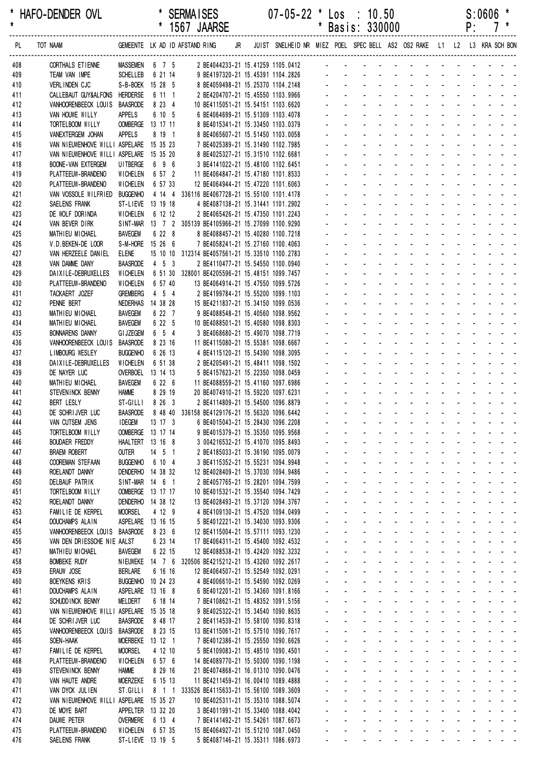|            |                                                  |                                    |                                |  | 1567 JAARSE                                                                          |  |                                                                         |                      |                                | Basis: 330000                                                                   |                                                                        |                                                                     |                                                       |                                            | ۲:                                                                                                             |                                           |                  |  |
|------------|--------------------------------------------------|------------------------------------|--------------------------------|--|--------------------------------------------------------------------------------------|--|-------------------------------------------------------------------------|----------------------|--------------------------------|---------------------------------------------------------------------------------|------------------------------------------------------------------------|---------------------------------------------------------------------|-------------------------------------------------------|--------------------------------------------|----------------------------------------------------------------------------------------------------------------|-------------------------------------------|------------------|--|
| PL         | GEMEENTE LK AD ID AFSTAND RING JR<br>TOT NAAM    |                                    |                                |  |                                                                                      |  | JUIST SNELHEID NR MIEZ POEL SPEC BELL AS2 OS2 RAKE L1 L2 L3 KRA SCH BON |                      |                                |                                                                                 |                                                                        |                                                                     |                                                       |                                            |                                                                                                                |                                           |                  |  |
| 408        | CORTHALS ETIENNE                                 |                                    |                                |  |                                                                                      |  | MASSEMEN 6 7 5 2 BE4044233-21 15.41259 1105.0412 - - - - - - -          |                      |                                |                                                                                 |                                                                        |                                                                     |                                                       |                                            |                                                                                                                |                                           |                  |  |
| 409        | TEAM VAN IMPE                                    | SCHELLEB 6 21 14                   |                                |  |                                                                                      |  | 9 BE4197320-21 15.45391 1104.2826                                       |                      |                                |                                                                                 |                                                                        |                                                                     |                                                       |                                            |                                                                                                                |                                           |                  |  |
| 410        | <b>VERLINDEN CJC</b>                             | S-B-BOEK 15 28 5                   |                                |  |                                                                                      |  | 8 BE4059498-21 15.25370 1104.2148                                       |                      |                                |                                                                                 |                                                                        |                                                                     |                                                       |                                            |                                                                                                                |                                           |                  |  |
| 411        | CALLEBAUT GUY&ALFONS HERDERSE                    |                                    | 6 11 1                         |  |                                                                                      |  | 2 BE4204707-21 15.45550 1103.9966                                       |                      |                                |                                                                                 |                                                                        |                                                                     |                                                       |                                            |                                                                                                                |                                           |                  |  |
| 412        | VANHOORENBEECK LOUIS                             | <b>BAASRODE</b>                    | 8 2 3 4                        |  |                                                                                      |  | 10 BE4115051-21 15.54151 1103.6620                                      |                      |                                |                                                                                 |                                                                        |                                                                     |                                                       |                                            |                                                                                                                |                                           |                  |  |
| 413<br>414 | VAN HOUWE WILLY<br>TORTELBOOM WILLY              | <b>APPELS</b><br>OOMBERGE 13 17 11 | 6 10 5                         |  | 6 BE4064699-21 15.51309 1103.4078<br>8 BE4015341-21 15.33450 1103.0379               |  |                                                                         |                      |                                |                                                                                 |                                                                        |                                                                     |                                                       |                                            |                                                                                                                |                                           |                  |  |
| 415        | VANEXTERGEM JOHAN                                | <b>APPELS</b>                      | 8 19 1                         |  | 8 BE4065607-21 15.51450 1103.0058                                                    |  |                                                                         |                      |                                |                                                                                 |                                                                        |                                                                     |                                                       |                                            |                                                                                                                |                                           |                  |  |
| 416        | VAN NIEUWENHOVE WILLI ASPELARE 15 35 23          |                                    |                                |  | 7 BE4025389-21 15.31490 1102.7985                                                    |  |                                                                         |                      |                                |                                                                                 |                                                                        |                                                                     |                                                       |                                            |                                                                                                                |                                           |                  |  |
| 417        | VAN NIEUWENHOVE WILLI ASPELARE 15 35 20          |                                    |                                |  | 8 BE4025327-21 15.31510 1102.6681                                                    |  |                                                                         |                      |                                |                                                                                 |                                                                        |                                                                     |                                                       |                                            |                                                                                                                |                                           |                  |  |
| 418        | <b>BOONE-VAN EXTERGEM</b>                        | UI TBERGE                          | 6 9 6                          |  | 3 BE4141022-21 15.48100 1102.6451                                                    |  |                                                                         |                      |                                |                                                                                 |                                                                        |                                                                     |                                                       |                                            |                                                                                                                |                                           |                  |  |
| 419        | PLATTEEUW-BRANDENO                               | WICHELEN                           | 6 57 2                         |  | 11 BE4064847-21 15.47180 1101.8533                                                   |  |                                                                         |                      |                                |                                                                                 |                                                                        |                                                                     |                                                       |                                            |                                                                                                                |                                           |                  |  |
| 420<br>421 | PLATTEEUW-BRANDENO<br>VAN VOSSOLE WILFRIED       | WICHELEN<br><b>BUGGENHO</b>        | 6 57 33                        |  | 4 14 4 336116 BE4067728-21 15.55100 1101.4178                                        |  | 12 BE4064944-21 15.47220 1101.6063                                      |                      |                                |                                                                                 |                                                                        |                                                                     |                                                       |                                            |                                                                                                                |                                           |                  |  |
| 422        | SAELENS FRANK                                    | ST-LIEVE 13 19 18                  |                                |  | 4 BE4087138-21 15.31441 1101.2902                                                    |  |                                                                         |                      |                                |                                                                                 |                                                                        |                                                                     |                                                       |                                            |                                                                                                                |                                           |                  |  |
| 423        | DE WOLF DORINDA                                  | WICHELEN                           | 6 12 12                        |  | 2 BE4065426-21 15.47350 1101.2243                                                    |  |                                                                         |                      |                                |                                                                                 |                                                                        |                                                                     |                                                       |                                            |                                                                                                                |                                           |                  |  |
| 424        | VAN BEVER DIRK                                   |                                    |                                |  | SINT-MAR 13 7 2 305139 BE4105966-21 15.27099 1100.9290                               |  |                                                                         |                      |                                |                                                                                 |                                                                        |                                                                     |                                                       |                                            |                                                                                                                |                                           |                  |  |
| 425        | <b>MATHIEU MICHAEL</b>                           | <b>BAVEGEM</b>                     | 6 22 8                         |  | 8 BE4088457-21 15.40280 1100.7218                                                    |  |                                                                         |                      |                                |                                                                                 |                                                                        |                                                                     |                                                       |                                            |                                                                                                                |                                           |                  |  |
| 426        | V.D. BEKEN-DE LOOR                               | S-M-HORE 15 26 6                   |                                |  | 7 BE4058241-21 15.27160 1100.4063                                                    |  |                                                                         |                      |                                |                                                                                 |                                                                        |                                                                     |                                                       |                                            |                                                                                                                |                                           |                  |  |
| 427<br>428 | VAN HERZEELE DANIEL<br>VAN DAMME DANY            | ELENE<br><b>BAASRODE</b>           | $4\quad 5\quad 3$              |  | 15 10 10 312314 BE4057561-21 15.33510 1100.2783<br>2 BE4110477-21 15.54550 1100.0940 |  |                                                                         |                      |                                |                                                                                 |                                                                        |                                                                     |                                                       |                                            |                                                                                                                |                                           |                  |  |
| 429        | DAIXILE-DEBRUXELLES                              | WICHELEN                           |                                |  | 6 51 30 328001 BE4205596-21 15.48151 1099.7457                                       |  |                                                                         |                      |                                |                                                                                 |                                                                        |                                                                     |                                                       |                                            |                                                                                                                |                                           |                  |  |
| 430        | PLATTEEUW-BRANDENO                               | WICHELEN                           | 6 57 40                        |  | 13 BE4064914-21 15.47550 1099.5726                                                   |  |                                                                         |                      |                                |                                                                                 |                                                                        |                                                                     |                                                       |                                            |                                                                                                                |                                           |                  |  |
| 431        | TACKAERT JOZEF                                   | <b>GREMBERG</b>                    | $4\quad 5\quad 4$              |  | 2 BE4199784-21 15.55200 1099.1103                                                    |  |                                                                         |                      |                                |                                                                                 |                                                                        |                                                                     |                                                       |                                            |                                                                                                                |                                           |                  |  |
| 432        | PENNE BERT                                       | NEDERHAS 14 38 28                  |                                |  | 15 BE4211837-21 15.34150 1099.0536                                                   |  |                                                                         |                      |                                |                                                                                 |                                                                        |                                                                     |                                                       |                                            |                                                                                                                |                                           |                  |  |
| 433        | MATHIEU MICHAEL                                  | <b>BAVEGEM</b>                     | 6 22 7                         |  | 9 BE4088548-21 15.40560 1098.9562                                                    |  |                                                                         |                      |                                |                                                                                 |                                                                        |                                                                     |                                                       |                                            |                                                                                                                |                                           |                  |  |
| 434<br>435 | MATHIEU MICHAEL<br><b>BONNARENS DANNY</b>        | <b>BAVEGEM</b><br><b>GI JZEGEM</b> | 6 22 5<br>6 5 4                |  | 10 BE4088501-21 15.40580 1098.8303<br>3 BE4068680-21 15.49070 1098.7719              |  |                                                                         |                      |                                |                                                                                 |                                                                        |                                                                     |                                                       |                                            |                                                                                                                |                                           |                  |  |
| 436        | VANHOORENBEECK LOUIS                             | <b>BAASRODE</b>                    | 8 23 16                        |  | 11 BE4115080-21 15.55381 1098.6667                                                   |  |                                                                         |                      |                                |                                                                                 |                                                                        |                                                                     |                                                       |                                            |                                                                                                                |                                           |                  |  |
| 437        | LIMBOURG WESLEY                                  | <b>BUGGENHO</b>                    | 6 26 13                        |  | 4 BE4115120-21 15.54390 1098.3095                                                    |  |                                                                         |                      |                                |                                                                                 |                                                                        |                                                                     |                                                       |                                            |                                                                                                                |                                           |                  |  |
| 438        | DAIXILE-DEBRUXELLES                              | <b>WICHELEN</b>                    | 6 51 38                        |  | 2 BE4205491-21 15.48411 1098.1502                                                    |  |                                                                         |                      |                                |                                                                                 |                                                                        |                                                                     |                                                       |                                            |                                                                                                                |                                           |                  |  |
| 439        | DE NAYER LUC                                     | OVERBOEL                           | 13 14 13                       |  | 5 BE4157623-21 15.22350 1098.0459                                                    |  |                                                                         |                      |                                |                                                                                 |                                                                        |                                                                     |                                                       |                                            |                                                                                                                |                                           |                  |  |
| 440        | MATHIEU MICHAEL                                  | <b>BAVEGEM</b><br><b>HAMME</b>     | 6 22 6<br>8 29 19              |  | 11 BE4088559-21 15.41160 1097.6986                                                   |  |                                                                         |                      |                                |                                                                                 |                                                                        |                                                                     | $\overline{a}$                                        |                                            | $\mathbf{r} = \mathbf{r}$                                                                                      |                                           |                  |  |
| 441<br>442 | STEVENINCK BENNY<br>BERT LESLY                   | ST-GILLI                           | 8 26 3                         |  | 20 BE4074910-21 15.59220 1097.6231<br>2 BE4114809-21 15.54500 1096.8879              |  |                                                                         |                      |                                |                                                                                 |                                                                        |                                                                     |                                                       |                                            |                                                                                                                |                                           |                  |  |
| 443        | DE SCHRIJVER LUC                                 | <b>BAASRODE</b>                    |                                |  | 8 48 40 336158 BE4129176-21 15.56320 1096.6442                                       |  |                                                                         |                      |                                |                                                                                 |                                                                        |                                                                     |                                                       | $\sim$                                     |                                                                                                                |                                           |                  |  |
| 444        | VAN CUTSEM JENS                                  | <b>IDEGEM</b>                      | 13 17 3                        |  | 6 BE4015043-21 15.28430 1096.2208                                                    |  |                                                                         | $\sim$               |                                |                                                                                 | $\mathbf{r}$                                                           |                                                                     | $\mathbf{r}$<br><b>Contract Contract</b>              |                                            | $\Delta \sim 100$<br>$\sim$                                                                                    |                                           |                  |  |
| 445        | TORTELBOOM WILLY                                 | OOMBERGE 13 17 14                  |                                |  | 9 BE4015379-21 15.35350 1095.9568                                                    |  |                                                                         |                      |                                |                                                                                 |                                                                        | and a straight and a straight                                       |                                                       |                                            |                                                                                                                |                                           |                  |  |
| 446        | <b>BOUDAER FREDDY</b>                            | HAALTERT 13 16 8                   |                                |  | 3 004216532-21 15.41070 1095.8493                                                    |  |                                                                         |                      |                                |                                                                                 |                                                                        |                                                                     | $\blacksquare$                                        |                                            |                                                                                                                |                                           |                  |  |
| 447        | <b>BRAEM ROBERT</b><br><b>COOREMAN STEFAAN</b>   | <b>OUTER</b><br><b>BUGGENHO</b>    | $14 \quad 5 \quad 1$<br>6 10 4 |  | 2 BE4185033-21 15.36190 1095.0079<br>3 BE4115352-21 15.55231 1094.9948               |  |                                                                         |                      | $\overline{\phantom{a}}$<br>ä, | $\mathbf{r}$<br>$\mathbf{r}$<br>$\mathcal{L}^{\mathcal{A}}$<br>$\mathbf{r}$     | $\mathbf{r}$                                                           | <b>Contract Contract</b><br>and a strain and a strain and a         |                                                       |                                            | in the second control of the second second the second second the second second the second second second second |                                           |                  |  |
| 448<br>449 | ROELANDT DANNY                                   | DENDERHO 14 38 32                  |                                |  | 12 BE4028409-21 15.37030 1094.9486                                                   |  |                                                                         |                      | $\mathcal{L}^{\pm}$            | $\mathcal{L}^{\text{max}}$                                                      | $\Delta \sim 10^{-11}$                                                 | $\omega_{\rm{max}}$<br>$\Delta \sim 10^4$                           | $\omega_{\rm{max}}$ , and $\omega_{\rm{max}}$         |                                            | $\Delta \sim 10^{-1}$                                                                                          | $\omega_{\rm{max}}$ , $\omega_{\rm{max}}$ |                  |  |
| 450        | DELBAUF PATRIK                                   | SINT-MAR 14 6 1                    |                                |  | 2 BE4057765-21 15.28201 1094.7599                                                    |  |                                                                         |                      | $\mathbf{r}$                   | $\mathbf{r}$                                                                    | $\sim$                                                                 | <b>All Cards</b>                                                    | <b>All Service</b>                                    |                                            | $\Delta \sim 100$                                                                                              |                                           |                  |  |
| 451        | TORTELBOOM WILLY                                 | OOMBERGE 13 17 17                  |                                |  | 10 BE4015321-21 15.35540 1094.7429                                                   |  |                                                                         |                      |                                |                                                                                 |                                                                        | $\Delta \phi = 0.000$ and $\Delta \phi = 0.000$                     | $\mathcal{L}$                                         |                                            | and the company of the company of                                                                              |                                           |                  |  |
| 452        | ROELANDT DANNY                                   | DENDERHO 14 38 12                  |                                |  | 13 BE4028493-21 15.37120 1094.3767                                                   |  |                                                                         |                      | $\mathbf{r}$                   | $\mathcal{L}^{\text{max}}$<br>$\sim$                                            | $\sim 100$                                                             | $\sim$                                                              | $\blacksquare$                                        |                                            | and a straight and a straight                                                                                  |                                           |                  |  |
| 453        | FAMILIE DE KERPEL                                | <b>MOORSEL</b>                     | 4 12 9                         |  | 4 BE4109130-21 15.47520 1094.0499                                                    |  |                                                                         | $\blacksquare$       | $\sim$                         | $\sim$<br>$\mathcal{L}^{\mathcal{L}}$                                           | $\mathbf{r}$                                                           | $\sim 100$                                                          | $\sim$                                                |                                            | and the contract of the contract of                                                                            |                                           |                  |  |
| 454<br>455 | DOUCHAMPS ALAIN<br>VANHOORENBEECK LOUIS BAASRODE | ASPELARE 13 16 15                  | 8 23 6                         |  | 5 BE4012221-21 15.34030 1093.9306<br>12 BE4115004-21 15.57111 1093.1230              |  |                                                                         | ä,<br>÷.             | $\mathcal{L}^{\mathcal{A}}$    | $\mathcal{L}^{\mathcal{A}}$<br>$\omega_{\rm{max}}$<br>$\mathbf{L}^{\text{max}}$ | $\Delta \sim 100$<br>$\Delta \sim 100$                                 | and a strain and a strain and<br>$\Delta \sim 100$<br>$\sim 100$    | and a straight and a straight                         |                                            |                                                                                                                |                                           |                  |  |
| 456        | VAN DEN DRIESSCHE NIE AALST                      |                                    | 6 23 14                        |  | 17 BE4064311-21 15.45400 1092.4532                                                   |  |                                                                         | $\blacksquare$       | ¥.                             | $\omega_{\rm{max}}$                                                             | $\Delta \sim 100$<br>$\Delta \sim 10^4$                                | $\sim$                                                              | and a con-                                            |                                            | $\Delta \sim 100$                                                                                              |                                           | and a state of   |  |
| 457        | MATHIEU MICHAEL                                  | <b>BAVEGEM</b>                     | 6 22 15                        |  | 12 BE4088538-21 15.42420 1092.3232                                                   |  |                                                                         |                      |                                |                                                                                 |                                                                        | $\Delta \sim 100$<br>$\sim$                                         | $\omega$                                              |                                            |                                                                                                                |                                           |                  |  |
| 458        | <b>BOMBEKE RUDY</b>                              | NIEUWEKE                           | $14$ 7 6                       |  | 320506 BE4215212-21 15.43260 1092.2617                                               |  |                                                                         |                      | ÷.                             |                                                                                 | $\Delta \sim 10^4$                                                     | $\sim$                                                              | $\blacksquare$                                        |                                            | and a straight and a straight                                                                                  |                                           |                  |  |
| 459        | ERAUW JOSE                                       | <b>BERLARE</b>                     | 6 16 16                        |  | 12 BE4064507-21 15.52549 1092.0291                                                   |  |                                                                         |                      | $\mathbf{r}$                   | $\sim$<br>$\sim$                                                                |                                                                        | and and                                                             | $\mathcal{L}^{\mathcal{A}}$                           |                                            | and a straight and a straight                                                                                  |                                           |                  |  |
| 460        | BOEYKENS KRIS                                    | <b>BUGGENHO</b>                    | 10 24 23                       |  | 4 BE4006610-21 15.54590 1092.0269                                                    |  |                                                                         | $\mathbf{r}$         | ä,<br>$\omega_{\rm{max}}$      | ÷.<br>$\mathcal{L}^{\mathcal{A}}$<br>$\omega_{\rm{max}}$<br>$\Delta \sim 100$   | $\mathbf{r}$<br>$\mathcal{L}^{\text{max}}$                             | <b>Contractor</b>                                                   | ÷.                                                    |                                            | and the state of the state of the state of                                                                     |                                           | and a strain and |  |
| 461<br>462 | DOUCHAMPS ALAIN<br>SCHUDD INCK BENNY             | ASPELARE 13 16 8<br><b>MELDERT</b> | 6 18 14                        |  | 6 BE4012201-21 15.34360 1091.8166<br>7 BE4108621-21 15.48352 1091.5156               |  |                                                                         | $\mathbf{r}$         |                                | $\omega_{\rm{max}}$<br>$\mathbf{L}^{\text{max}}$                                | $\mathbf{u} = \mathbf{0}$                                              | $\Delta \phi = 0.0000$ .<br>$\Delta \sim 10^4$<br>$\Delta \sim 100$ | and a strategic<br>and a straight                     |                                            |                                                                                                                |                                           |                  |  |
| 463        | VAN NIEUWENHOVE WILLI ASPELARE 15 35 18          |                                    |                                |  | 9 BE4025322-21 15.34540 1090.8635                                                    |  |                                                                         |                      |                                |                                                                                 | $\sim$                                                                 | $\sim 100$<br>$\sim$                                                | $\omega$                                              |                                            | the company of the company of                                                                                  |                                           |                  |  |
| 464        | DE SCHRIJVER LUC                                 | <b>BAASRODE</b>                    | 8 48 17                        |  | 2 BE4114539-21 15.58100 1090.8318                                                    |  |                                                                         |                      | $\mathbf{r}$                   | ä.<br>$\Delta$                                                                  | $\sim$                                                                 | $\sim$                                                              | ä,                                                    |                                            | and a straight and a straight                                                                                  |                                           |                  |  |
| 465        | VANHOORENBEECK LOUIS                             | <b>BAASRODE</b>                    | 8 23 15                        |  | 13 BE4115061-21 15.57510 1090.7617                                                   |  |                                                                         |                      | $\mathcal{L}^{\mathcal{A}}$    | $\sim$                                                                          | $\sim$                                                                 | $\Delta \sim 10^4$<br>$\sim$                                        | $\mathcal{L}^{\mathcal{A}}$                           |                                            | and a straight and a straight                                                                                  |                                           |                  |  |
| 466        | SOEN-HAAK                                        | MOERBEKE 13 12 1                   |                                |  | 7 BE4012386-21 15.25550 1090.6626                                                    |  |                                                                         | $\blacksquare$       | $\omega$                       | ÷.<br>÷.                                                                        | ÷.                                                                     | <b>Contractor</b>                                                   | ÷.                                                    |                                            | and the contract of the contract of                                                                            |                                           |                  |  |
| 467<br>468 | FAMILIE DE KERPEL<br>PLATTEEUW-BRANDENO          | <b>MOORSEL</b><br><b>WICHELEN</b>  | 4 12 10<br>6 57 6              |  | 5 BE4109083-21 15.48510 1090.4501<br>14 BE4089770-21 15.50300 1090.1198              |  |                                                                         | ÷.<br>$\blacksquare$ | ¥.                             | $\omega_{\rm{max}}$<br>$\mathbf{L}^{\text{max}}$<br>$\mathcal{L}^{\text{max}}$  | $\mathcal{L}^{\text{max}}$<br>$\omega_{\rm{max}}$<br>$\Delta \sim 100$ | $\Delta \phi = 0.0000$ and $\Delta \phi = 0.000$<br>$\sim$          | and a straightful contract and<br>$\omega_{\rm{max}}$ |                                            | and a straightful and a straight                                                                               |                                           |                  |  |
| 469        | STEVENINCK BENNY                                 | <b>HAMME</b>                       | 8 29 16                        |  | 21 BE4074868-21 16.01310 1090.0476                                                   |  |                                                                         |                      |                                |                                                                                 | $\blacksquare$                                                         | $\sim$                                                              | ä,                                                    |                                            |                                                                                                                |                                           |                  |  |
| 470        | VAN HAUTE ANDRE                                  | <b>MOERZEKE</b>                    | 6 15 13                        |  | 11 BE4211459-21 16.00410 1089.4888                                                   |  |                                                                         |                      | $\mathbf{r}$                   |                                                                                 | $\Delta \sim 10^4$                                                     | $\sim$                                                              | $\blacksquare$                                        | $\Delta \phi = 0.000$ .                    |                                                                                                                |                                           |                  |  |
| 471        | VAN DYCK JULIEN                                  | ST.GILLI                           | 8 1 1                          |  | 333526 BE4115633-21 15.56100 1089.3609                                               |  |                                                                         |                      | $\mathbf{r}$                   | ÷.<br>$\mathbf{r}$                                                              | ÷.                                                                     | $\sim$                                                              | $\mathcal{L}^{\mathcal{A}}$                           | $\Delta \sim 100$                          | and a strain and a                                                                                             |                                           |                  |  |
| 472        | VAN NIEUWENHOVE WILLI ASPELARE 15 35 27          |                                    |                                |  | 10 BE4025311-21 15.35310 1088.5074                                                   |  |                                                                         |                      | $\mathbf{r}$                   | $\mathcal{L}^{\mathcal{A}}$<br>$\mathbf{r}$                                     | ä,                                                                     | $\sim$                                                              | $\mathbf{r}$<br>$\sim$                                |                                            | $\Delta \sim 100$<br>$\sim$                                                                                    |                                           |                  |  |
| 473        | DE MOYE BART                                     | APPELTER 13 32 20                  |                                |  | 3 BE4011991-21 15.33400 1088.4042                                                    |  |                                                                         |                      |                                | $\omega_{\rm{max}}$<br>$\mathcal{L}^{\text{max}}$                               | $\omega_{\rm{max}}$                                                    | $\Delta \sim 10^4$<br>$\omega_{\rm{max}}$                           | $\omega_{\rm{max}}$                                   | $\Delta \sim 100$<br>$\Delta \sim 10^{-1}$ |                                                                                                                |                                           | and a strain and |  |
| 474<br>475 | DAUWE PETER<br>PLATTEEUW-BRANDENO                | <b>OVERMERE</b><br><b>WICHELEN</b> | 6 13 4<br>6 57 35              |  | 7 BE4141492-21 15.54261 1087.6673<br>15 BE4064927-21 15.51210 1087.0450              |  |                                                                         | $\blacksquare$       | $\sim$                         | $\omega_{\rm{max}}$                                                             | $\Delta \sim 100$<br>$\Delta \sim 10^4$<br>$\blacksquare$              | $\sim$                                                              | and a state                                           | $\mathcal{L}_{\rm{max}}$                   |                                                                                                                |                                           | and a strain and |  |
| 476        | SAELENS FRANK                                    | ST-LIEVE 13 19 5                   |                                |  | 5 BE4087146-21 15.35311 1086.6973                                                    |  |                                                                         | $\blacksquare$       | $\omega$                       | <b>All Service</b>                                                              | $\Delta \sim 10^4$                                                     | $\Delta \sim 100$                                                   | $\omega_{\rm{eff}}=2.0$                               |                                            | $\omega_{\rm{max}}$                                                                                            |                                           | and a strain and |  |
|            |                                                  |                                    |                                |  |                                                                                      |  |                                                                         |                      |                                |                                                                                 |                                                                        |                                                                     |                                                       |                                            |                                                                                                                |                                           |                  |  |